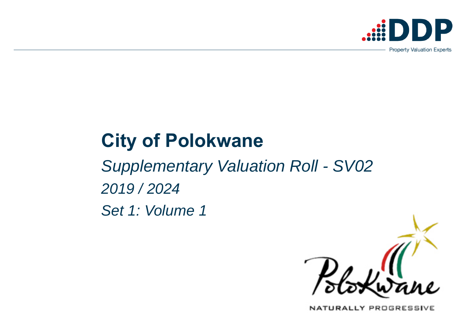# **City of Polokwane**

*Supplementary Valuation Roll - SV02 2019 / 2024 Set 1: Volume 1*



NATURALLY PROGRESSIVE

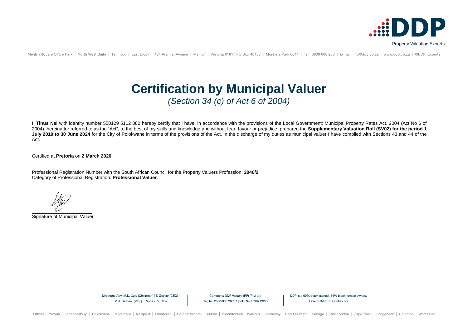I, **Tinus Nel** with identity number 550129 5112 082 hereby certify that I have, in accordance with the provisions of the Local Government: Municipal Property Rates Act, 2004 (Act No 6 of 2004), hereinafter referred to as the "Act", to the best of my skills and knowledge and without fear, favour or prejudice, prepared the **Supplementary Valuation Roll (SV02) for the period 1**  July 2019 to 30 June 2024 for the City of Polokwane in terms of the provisions of the Act. In the discharge of my duties as municipal valuer I have complied with Sections 43 and 44 of the Act.

Certified at **Pretoria** on **2 March 2020**.

Professional Registration Number with the South African Council for the Property Valuers Profession: **2046/2** Category of Professional Registration: **Professional Valuer**.

\_\_\_\_\_\_\_\_\_\_\_\_\_\_\_\_\_\_\_\_\_\_\_

Signature of Municipal Valuer

Directors: Adv. M.D. Xulu (Chairman) | T. Geyser (CEO) | M.J. De Beer (MD) | J. Voges | V. Riba

Company: DDP Valuers (RF) (Pty) Ltd Reg No 2000/030732/07 | VAT No 4390213272 DDP is a 69% black owned, 44% black female owned, Level 1 B-BBEE Contributor



Menlyn Square Office Park | North West Suite | 1st Floor | East Block | 134 Aramist Avenue | Menlyn | Pretoria 0181 | PO Box 40408 | Moreleta Park 0044 | Tel: 0800 060 200 | E-mail: info@ddp.co.za | www.ddp.co.za | @DDP Ex

## **Certification by Municipal Valuer** *(Section 34 (c) of Act 6 of 2004)*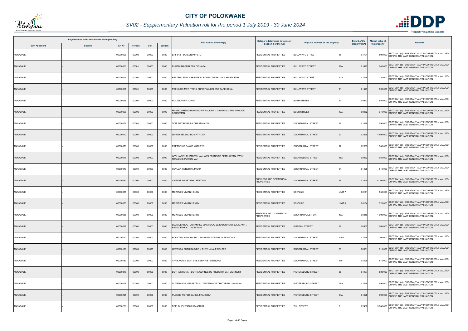|          |                       | Registered or other description of the property |               |         |       |                |                                                                                    | Category determined in terms of                     |                                       | <b>Extent of the</b> | <b>Market value of</b> | <b>Remarks</b>                                                                                        |
|----------|-----------------------|-------------------------------------------------|---------------|---------|-------|----------------|------------------------------------------------------------------------------------|-----------------------------------------------------|---------------------------------------|----------------------|------------------------|-------------------------------------------------------------------------------------------------------|
|          | <b>Town Allotment</b> | <b>Suburb</b>                                   | <b>Erf Nr</b> | Portion | Unit  | <b>Section</b> | <b>Full Names of Owner(s)</b>                                                      | <b>Section 8 of the Act</b>                         | Physical address of the property      | property (HA)        | the property           |                                                                                                       |
| ANNADALE |                       |                                                 | 00000008      | 00000   | 00000 | 0000           | ERF 842 TZANEEN PTY LTD                                                            | <b>RESIDENTIAL PROPERTIES</b>                       | <b>BULUWAYO STREET</b><br>15          | 0.1734               |                        | SECT 78(1)(e) - SUBSTANTIALLY INCORRECTLY VALUED<br>800 000 DURING THE LAST GENERAL VALUATION         |
| ANNADALE |                       |                                                 | 00000010      | 00001   | 00000 | 0000           | PHOPHI MAGDALENA DICHABA                                                           | <b>RESIDENTIAL PROPERTIES</b>                       | <b>BULUWAYO STREET</b><br>19A         | 0.142                |                        | 740 000 SECT 78(1)(e) - SUBSTANTIALLY INCORRECTLY VALUED<br>DURING THE LAST GENERAL VALUATION         |
| ANNADALE |                       |                                                 | 00000011      | 00000   | 00000 | 0000           | BESTER LINDA / BESTER ADRIAAN CORNELIUS CHRISTOFFEL                                | <b>RESIDENTIAL PROPERTIES</b>                       | 21A<br><b>BULUWAYO STREET</b>         | 0.1428               |                        | 730 000 SECT 78(1)(e) - SUBSTANTIALLY INCORRECTLY VALUED<br>DURING THE LAST GENERAL VALUATION         |
| ANNADALE |                       |                                                 | 00000011      | 00001   | 00000 | 0000           | PRINSLOO MATHYSINA CHRISTINA HELENA BARENDINA                                      | <b>RESIDENTIAL PROPERTIES</b>                       | <b>BULUWAYO STREET</b><br>21          | 0.1427               |                        | 990 000 SECT 78(1)(e) - SUBSTANTIALLY INCORRECTLY VALUED<br>DURING THE LAST GENERAL VALUATION         |
| ANNADALE |                       |                                                 | 00000068      | 00000   | 00000 | 0000           | HOLTZKAMPF JOHAN                                                                   | RESIDENTIAL PROPERTIES                              | <b>BUSH STREET</b><br>17              | 0.0952               |                        | 850 000 SECT 78(1)(e) - SUBSTANTIALLY INCORRECTLY VALUED<br>DURING THE LAST GENERAL VALUATION         |
| ANNADALE |                       |                                                 | 00000068      | 00002   | 00000 | 0000           | AASEKOAMENG MORONGWA PAULINA / MASEKOAMENG MAGOGO<br><b>SCHOEMAN</b>               | <b>RESIDENTIAL PROPERTIES</b>                       | <b>BUSH STREET</b><br>17A             | 0.0952               |                        | 910 000 SECT 78(1)(e) - SUBSTANTIALLY INCORRECTLY VALUED<br>DURING THE LAST GENERAL VALUATION         |
| ANNADALE |                       |                                                 | 00000071      | 00000   | 00000 | 0000           | TOIT PIETRONELLA CHRSTINA DU                                                       | <b>RESIDENTIAL PROPERTIES</b>                       | DOORNKRAAL STREET<br>18               | 0.1428               |                        | 590 000 SECT 78(1)(e) - SUBSTANTIALLY INCORRECTLY VALUED<br>590 000 DURING THE LAST GENERAL VALUATION |
| ANNADALE |                       |                                                 | 00000072      | 00000   | 00000 | 0000           | <b>LEANTI BELEGGINGS PTY LTD</b>                                                   | <b>RESIDENTIAL PROPERTIES</b>                       | 20<br>DOORNKRAAL STREET               | 0.2855               |                        | SECT 78(1)(e) - SUBSTANTIALLY INCORRECTLY VALUED<br>4 600 000 DURING THE LAST GENERAL VALUATION       |
| ANNADALE |                       |                                                 | 00000073      | 00000   | 00000 | 0000           | PRETORIUS DAWID MATHEYS                                                            | RESIDENTIAL PROPERTIES                              | 22<br>DOORNKRAAL STREET               | 0.2855               |                        | 1 500 000 SECT 78(1)(e) - SUBSTANTIALLY INCORRECTLY VALUED                                            |
| ANNADALE |                       |                                                 | 00000075      | 00002   | 00000 | 0000           | WYK KAREN ELIZABETH VAN WYK FRANCOIS PETRUS VAN / WYK<br>FRANCOIS PETRUS VAN       | <b>RESIDENTIAL PROPERTIES</b>                       | 18A<br><b>BLAAUWBERG STREET</b>       | 0.0952               |                        | 650 000 SECT 78(1)(e) - SUBSTANTIALLY INCORRECTLY VALUED<br>DURING THE LAST GENERAL VALUATION         |
| ANNADALE |                       |                                                 | 00000079      | 00001   | 00000 | 0000           | HEYMAN HENDRIKA MARIA                                                              | RESIDENTIAL PROPERTIES                              | <b>DOORNKRAAL STREET</b><br>34        | 0.1428               |                        | 810 000 SECT 78(1)(e) - SUBSTANTIALLY INCORRECTLY VALUED                                              |
| ANNADALE |                       |                                                 | 00000080      | 00000   | 00000 | 0000           | SANTOS AGOSTINHO PESTANA                                                           | <b>BUSINESS AND COMMERCIAL</b><br><b>PROPERTIES</b> | 36<br>DOORNKRAAL STREET               | 0.2855               |                        | 8 100 000 SECT 78(1)(e) - SUBSTANTIALLY INCORRECTLY VALUED<br>DURING THE LAST GENERAL VALUATION       |
| ANNADALE |                       |                                                 | 00000085      | 00000   | 00007 | 0000           | MEINTJES VIVIAN HENRY                                                              | <b>RESIDENTIAL PROPERTIES</b>                       | <b>SS VILIZE</b><br>UNIT <sub>7</sub> | 0.0141               |                        | 550 000 SECT 78(1)(e) - SUBSTANTIALLY INCORRECTLY VALUED<br>DURING THE LAST GENERAL VALUATION         |
| ANNADALE |                       |                                                 | 00000085      | 00000   | 00008 | 0000           | MEINTJES VIVIAN HENRY                                                              | <b>RESIDENTIAL PROPERTIES</b>                       | <b>SS VILIZE</b><br>UNIT 8            | 0.0134               |                        | 520 000 SECT 78(1)(e) - SUBSTANTIALLY INCORRECTLY VALUED                                              |
| ANNADALE |                       |                                                 | 00000085      | 00001   | 00000 | 0000           | MEINTJES VIVIAN HENRY                                                              | <b>BUSINESS AND COMMERCIAL</b><br><b>PROPERTIES</b> | DOORNKRAALSTRAAT<br>46A               | 0.0819               |                        | SECT 78(1)(e) - SUBSTANTIALLY INCORRECTLY VALUED<br>1 000 000 DURING THE LAST GENERAL VALUATION       |
| ANNADALE |                       |                                                 | 00000098      | 00000   | 00000 | 0000           | BEZUIDENHOUT JOHANNES IZAK HUGO BEZUIDENHOUT JULIE-ANN /<br>BEZUIDENHOUT JULIE-ANN | <b>RESIDENTIAL PROPERTIES</b>                       | <b>KLIPDAM STREET</b><br>19           | 0.0952               |                        | 1 200 000 SECT 78(1)(e) - SUBSTANTIALLY INCORRECTLY VALUED<br>DURING THE LAST GENERAL VALUATION       |
| ANNADALE |                       |                                                 | 00000112      | 00001   | 00000 | 0000           | BOOYZEN ANNA MARIA / BOOYZEN STEFANUS FRANCOIS                                     | RESIDENTIAL PROPERTIES                              | 100A<br>DOORNKRAAL STREET             | 0.1428               |                        | 1 300 000 SECT 78(1)(e) - SUBSTANTIALLY INCORRECTLY VALUED                                            |
| ANNADALE |                       |                                                 | 00000156      | 00000   | 00000 | 0000           | EDWABA RUTH RAISIBE / THOVHAKALE ROLTER.                                           | <b>RESIDENTIAL PROPERTIES</b>                       | 61<br>DOORNKRAAL STREET               | 0.0951               |                        | 910 000 SECT 78(1)(e) - SUBSTANTIALLY INCORRECTLY VALUED<br>DURING THE LAST GENERAL VALUATION         |
| ANNADALE |                       |                                                 | 00000183      | 00000   | 00000 | 0000           | AFRIKAANSE BAPTISTE KERK-PIETERSBURG                                               | RESIDENTIAL PROPERTIES                              | DOORNKRAAL STREET<br>115              | 0.4529               |                        | 810 000 SECT 78(1)(e) - SUBSTANTIALLY INCORRECTLY VALUED<br>DURING THE LAST GENERAL VALUATION         |
| ANNADALE |                       |                                                 | 00000218      | 00000   | 00000 | 0000           | BOTHA MHONA / BOTHA CORNELIUS FREDERIK VAN DER NEST                                | <b>RESIDENTIAL PROPERTIES</b>                       | 58<br>PIETERSBURG STREET              | 0.1407               |                        | 880 000 SECT 78(1)(e) - SUBSTANTIALLY INCORRECTLY VALUED                                              |
| ANNADALE |                       |                                                 | 00000218      | 00001   | 00000 | 0000           | DUVENHAGE JAN PETRUS / DEVENHAGE CHATARINA JOHANNA                                 | <b>RESIDENTIAL PROPERTIES</b>                       | PIETERSBURG STREET<br>58A             | 0.1448               |                        | SECT 78(1)(e) - SUBSTANTIALLY INCORRECTLY VALUED<br>990 000 DURING THE LAST GENERAL VALUATION         |
| ANNADALE |                       |                                                 | 00000221      | 00001   | 00000 | 0000           | PLESSIS PIETER DANIEL FRANS DU                                                     | <b>RESIDENTIAL PROPERTIES</b>                       | 64A<br>PIETERSBURG STREET             | 0.1428               |                        | 990 000 SECT 78(1)(e) - SUBSTANTIALLY INCORRECTLY VALUED                                              |
| ANNADALE |                       |                                                 | 00000231      | 00001   | 00000 | 0000           | REPUBLIEK VAN SUID-AFRIKA                                                          | <b>RESIDENTIAL PROPERTIES</b>                       | <b>TULI STREET</b><br>9               | 0.2482               |                        | SECT 78(1)(e) - SUBSTANTIALLY INCORRECTLY VALUED<br>5 000 000 DURING THE LAST GENERAL VALUATION       |



## *SV02 - Supplementary Valuation roll for the period 1 July 2019 - 30 June 2024*

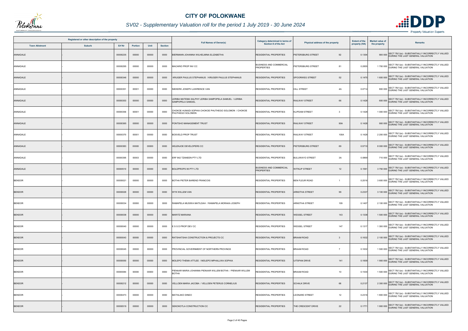

## *SV02 - Supplementary Valuation roll for the period 1 July 2019 - 30 June 2024*

|               | Registered or other description of the property<br><b>Town Allotment</b><br><b>Suburb</b> |               |         |       |                | <b>Full Names of Owner(s)</b>                                                    | Category determined in terms of                     | Physical address of the property    | <b>Extent of the</b> | <b>Market value of</b> | <b>Remarks</b>                                                                                  |
|---------------|-------------------------------------------------------------------------------------------|---------------|---------|-------|----------------|----------------------------------------------------------------------------------|-----------------------------------------------------|-------------------------------------|----------------------|------------------------|-------------------------------------------------------------------------------------------------|
|               |                                                                                           | <b>Erf Nr</b> | Portion | Unit  | <b>Section</b> |                                                                                  | <b>Section 8 of the Act</b>                         |                                     | property (HA)        | the property           |                                                                                                 |
| ANNADALE      |                                                                                           | 00000235      | 00000   | 00000 | 0000           | <b>BIERMANN JOHANNA WILHELMINA ELIZABETHA</b>                                    | <b>RESIDENTIAL PROPERTIES</b>                       | PIETERSBURG STREET<br>92            | 0.1304               | 900 000                | SECT 78(1)(e) - SUBSTANTIALLY INCORRECTLY VALUED<br>DURING THE LAST GENERAL VALUATION           |
| ANNADALE      |                                                                                           | 00000295      | 00000   | 00000 | 0000           | MACARIO PROP INV CC                                                              | BUSINESS AND COMMERCIAL<br><b>PROPERTIES</b>        | PIETERSBURG STREET<br>81            | 0.2855               |                        | 1 700 000 SECT 78(1)(e) - SUBSTANTIALLY INCORRECTLY VALUED                                      |
| ANNADALE      |                                                                                           | 00000346      | 00000   | 00000 | 0000           | KRUGER PAULUS STEPHANUS / KRUGER PAULUS STEPHANUS                                | <b>RESIDENTIAL PROPERTIES</b>                       | 52<br><b>SPOORWEG STREET</b>        | 0.1475               |                        | 1 600 000 SECT 78(1)(e) - SUBSTANTIALLY INCORRECTLY VALUED<br>DURING THE LAST GENERAL VALUATION |
| ANNADALE      |                                                                                           | 00000351      | 00001   | 00000 | 0000           | NIEKERK JOSEPH LAWRENCE VAN                                                      | RESIDENTIAL PROPERTIES                              | <b>HILL STREET</b><br>4A            | 0.0714               |                        | SECT 78(1)(e) - SUBSTANTIALLY INCORRECTLY VALUED<br>800 000 DURING THE LAST GENERAL VALUATION   |
| ANNADALE      |                                                                                           | 00000353      | 00000   | 00000 | 0000           | ERIBA MATEMA SALPHY LERIBA SAMPOPELA SAMUEL / LERIBA<br>SAMPOPELA SAMUEL         | <b>RESIDENTIAL PROPERTIES</b>                       | 66<br><b>RAILWAY STREET</b>         | 0.1428               |                        | 600 000 SECT 78(1)(e) - SUBSTANTIALLY INCORRECTLY VALUED                                        |
| ANNADALE      |                                                                                           | 00000356      | 00001   | 00000 | 0000           | CHOKOE HUNADI SOPHIA CHOKOE PHUTHEGO SOLOMON / CHOKOE<br><b>PHUTHEGO SOLOMON</b> | RESIDENTIAL PROPERTIES                              | <b>KLIPDAM STREET</b><br>3          | 0.1428               |                        | SECT 78(1)(e) - SUBSTANTIALLY INCORRECTLY VALUED<br>1 000 000 DURING THE LAST GENERAL VALUATION |
| ANNADALE      |                                                                                           | 00000365      | 00000   | 00000 | 0000           | PONTSHO MANAGEMENT TRUST                                                         | <b>RESIDENTIAL PROPERTIES</b>                       | 90A<br><b>RAILWAY STREET</b>        | 0.1428               |                        | SECT 78(1)(e) - SUBSTANTIALLY INCORRECTLY VALUED<br>900 000 DURING THE LAST GENERAL VALUATION   |
| ANNADALE      |                                                                                           | 00000370      | 00001   | 00000 | 0000           | <b>BOSVELD PROP TRUST</b>                                                        | <b>RESIDENTIAL PROPERTIES</b>                       | <b>RAILWAY STREET</b><br>100A       | 0.1428               |                        | 2 200 000 SECT 78(1)(e) - SUBSTANTIALLY INCORRECTLY VALUED<br>DURING THE LAST GENERAL VALUATION |
| ANNADALE      |                                                                                           | 00000383      | 00000   | 00000 | 0000           | HELENJOE DEVELOPERS CC                                                           | RESIDENTIAL PROPERTIES                              | PIETERSBURG STREET<br>69            | 0.571                |                        | 8 000 000 SECT 78(1)(e) - SUBSTANTIALLY INCORRECTLY VALUED                                      |
| ANNADALE      |                                                                                           | 00000395      | 00003   | 00000 | 0000           | ERF 842 TZANEEN PTY LTD                                                          | <b>RESIDENTIAL PROPERTIES</b>                       | 3A<br><b>BULUWAYO STREET</b>        | 0.0869               |                        | 710 000 SECT 78(1)(e) - SUBSTANTIALLY INCORRECTLY VALUED<br>DURING THE LAST GENERAL VALUATION   |
| ANNADALE      |                                                                                           | 00000510      | 00000   | 00000 | 0000           | BOLDPROPS 95 PTY LTD                                                             | <b>BUSINESS AND COMMERCIAL</b><br><b>PROPERTIES</b> | <b>WITKLIP STREET</b><br>12         | 0.1591               |                        | 3 750 000 SECT 78(1)(e) - SUBSTANTIALLY INCORRECTLY VALUED<br>DURING THE LAST GENERAL VALUATION |
| <b>BENDOR</b> |                                                                                           | 00000021      | 00000   | 00000 | 0000           | BOTHA PIETER BAREND FRANCOIS                                                     | <b>RESIDENTIAL PROPERTIES</b>                       | BEN FLEUR ROAD<br>$\overline{1}$    | 0.2016               |                        | 3 600 000 SECT 78(1)(e) - SUBSTANTIALLY INCORRECTLY VALUED                                      |
| <b>BENDOR</b> |                                                                                           | 00000029      | 00000   | 00000 | 0000           | VYK WILLEM VAN                                                                   | <b>RESIDENTIAL PROPERTIES</b>                       | <b>ARNOTHA STREET</b><br>99         | 0.2337               |                        | SECT 78(1)(e) - SUBSTANTIALLY INCORRECTLY VALUED<br>3 100 000 DURING THE LAST GENERAL VALUATION |
| <b>BENDOR</b> |                                                                                           | 00000034      | 00000   | 00000 | 0000           | RAMAPELA MUSIWA MATILDAH / RAMAPELA MORAKA JOSEPH                                | <b>RESIDENTIAL PROPERTIES</b>                       | <b>ARNOTHA STREET</b><br>109        | 0.1407               |                        | 2 100 000 SECT 78(1)(e) - SUBSTANTIALLY INCORRECTLY VALUED                                      |
| <b>BENDOR</b> |                                                                                           | 00000038      | 00000   | 00000 | 0000           | <b>MARITZ MARIANA</b>                                                            | <b>RESIDENTIAL PROPERTIES</b>                       | <b>WESSEL STREET</b><br>143         | 0.1338               | 1 500 000              | SECT 78(1)(e) - SUBSTANTIALLY INCORRECTLY VALUED<br>DURING THE LAST GENERAL VALUATION           |
| <b>BENDOR</b> |                                                                                           | 00000040      | 00000   | 00000 | 0000           | ESSD PROP DEV CC                                                                 | <b>RESIDENTIAL PROPERTIES</b>                       | 147<br><b>WESSEL STREET</b>         | 0.1317               |                        | 1 300 000 SECT 78(1)(e) - SUBSTANTIALLY INCORRECTLY VALUED<br>DURING THE LAST GENERAL VALUATION |
| <b>BENDOR</b> |                                                                                           | 00000043      | 00000   | 00000 | 0000           | RATSHATSHA CONSTRUCTION & PROJECTS CC                                            | <b>RESIDENTIAL PROPERTIES</b>                       | <b>BRAAM ROAD</b><br>3              | 0.1632               |                        | SECT 78(1)(e) - SUBSTANTIALLY INCORRECTLY VALUED<br>2 100 000 DURING THE LAST GENERAL VALUATION |
| <b>BENDOR</b> |                                                                                           | 00000045      | 00000   | 00000 | 0000           | PROVINCIAL GOVERNMENT OF NORTHERN PROVINCE                                       | <b>RESIDENTIAL PROPERTIES</b>                       | <b>BRAAM ROAD</b><br>$\overline{7}$ | 0.1632               |                        | 1 500 000 SECT 78(1)(e) - SUBSTANTIALLY INCORRECTLY VALUED                                      |
| <b>BENDOR</b> |                                                                                           | 00000050      | 00000   | 00000 | 0000           | MOLEPO THEMA ATTLEE / MOLEPO MPHALLWA SOPHIA                                     | <b>RESIDENTIAL PROPERTIES</b>                       | <b>UITSPAN DRIVE</b><br>141         | 0.1609               |                        | 1 900 000 SECT 78(1)(e) - SUBSTANTIALLY INCORRECTLY VALUED                                      |
| <b>BENDOR</b> |                                                                                           | 00000084      | 00000   | 00000 | 0000           | PIENAAR MARIA JOHANNA PIENAAR WILLEM BOTHA / PIENAAR WILLEM<br>BOTHA             | RESIDENTIAL PROPERTIES                              | 10<br><b>BRAAM ROAD</b>             | 0.1530               |                        | 1 500 000 SECT 78(1)(e) - SUBSTANTIALLY INCORRECTLY VALUED                                      |
| <b>BENDOR</b> |                                                                                           | 00000212      | 00000   | 00000 | 0000           | VELLOEN MARIA JACOBA / VELLOEN PETERUS CORNELIUS                                 | <b>RESIDENTIAL PROPERTIES</b>                       | <b>SCHALK DRIVE</b><br>66           | 0.2137               |                        | 2 300 000 SECT 78(1)(e) - SUBSTANTIALLY INCORRECTLY VALUED                                      |
| <b>BENDOR</b> |                                                                                           | 00000473      | 00000   | 00000 | 0000           | MATHLAKO DINEO                                                                   | RESIDENTIAL PROPERTIES                              | <b>LEONARD STREET</b><br>12         | 0.2316               |                        | 1 800 000 SECT 78(1)(e) - SUBSTANTIALLY INCORRECTLY VALUED                                      |
| <b>BENDOR</b> |                                                                                           | 00000519      | 00000   | 00000 | 0000           | SEKOKOTLA CONSTRUCTION CC                                                        | <b>RESIDENTIAL PROPERTIES</b>                       | THE CRESCENT DRIVE<br>22            | 0.1771               |                        | SECT 78(1)(e) - SUBSTANTIALLY INCORRECTLY VALUED<br>1 900 000 DURING THE LAST GENERAL VALUATION |

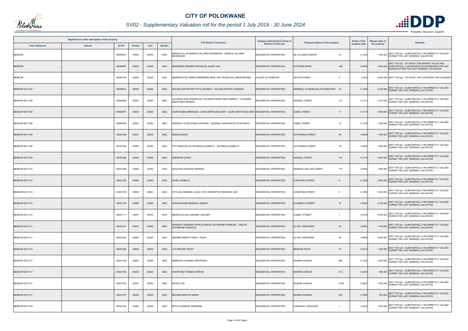

## *SV02 - Supplementary Valuation roll for the period 1 July 2019 - 30 June 2024*

|                       | Registered or other description of the property |          |         |       |                | <b>Full Names of Owner(s)</b>                                                            | Category determined in terms of | Physical address of the property           | <b>Extent of the</b> | <b>Market value of</b> | <b>Remarks</b>                                                                                                                                     |
|-----------------------|-------------------------------------------------|----------|---------|-------|----------------|------------------------------------------------------------------------------------------|---------------------------------|--------------------------------------------|----------------------|------------------------|----------------------------------------------------------------------------------------------------------------------------------------------------|
| <b>Town Allotment</b> | <b>Suburb</b>                                   | Erf Nr   | Portion | Unit  | <b>Section</b> |                                                                                          | <b>Section 8 of the Act</b>     |                                            | property (HA)        | the property           |                                                                                                                                                    |
| <b>BENDOR</b>         |                                                 | 00000575 | 00000   | 00000 | 0000           | AABALE ALLAN MABALE HILLARIA NKHENSANI / MABALE HILLARIA<br>VKHENSANI                    | RESIDENTIAL PROPERTIES          | DE VILLIERS AVENUE<br>47                   | 0.1645               |                        | SECT 78(1)(e) - SUBSTANTIALLY INCORRECTLY VALUED<br>1 500 000 DURING THE LAST GENERAL VALUATION                                                    |
| <b>BENDOR</b>         |                                                 | 00000687 | 00003   | 00000 | 0000           | RENSBERG HENDRIK NICHOLAS JANSE VAN                                                      | RESIDENTIAL PROPERTIES          | <b>OUTSPAN DRIVE</b><br>198                | 0.0803               |                        | SECT 78(1)(d) - OF WHICH THE MARKET VALUE HAS<br>1 600 000 SUBSTANTIALLY INCREASED OR DECREASED FOR ANY<br>REASON AFTER THE LAST GENERAL VALUATION |
| <b>BENDOR</b>         |                                                 | 00000776 | 00000   | 00000 | 0000           | NEDERDUITSE GEREFORMEERDE KERK VAN TRANSVAAL-BENDORPARK                                  | PLACES OF WORSHIP               | <b>ANTON STREET</b><br>6                   | 1.0243               |                        | 6 900 000 SECT 78(1)(g) - OF WHICH THE CATEGORY HAS CHANGED                                                                                        |
| <b>BENDOR EXT 007</b> |                                                 | 00000815 | 00000   | 00000 | 0000           | KACHELHOFFER MATTHYS JAKOBUS / KACHELHOFFER VANESSA                                      | <b>RESIDENTIAL PROPERTIES</b>   | GENERAL WYNAND MALAN CRESCENT 24           | 0.1536               |                        | 2 100 000 SECT 78(1)(e) - SUBSTANTIALLY INCORRECTLY VALUED                                                                                         |
| BENDOR EXT 008        |                                                 | 00000968 | 00000   | 00000 | 0000           | CALDEIRA NOE RODRIGUES CALDEIRA MARIA INES BARROS / CALDEIRA<br><b>MARIA INES BARROS</b> | RESIDENTIAL PROPERTIES          | <b>WESSEL STREET</b><br>121                | 0.113                |                        | 3 100 000 SECT 78(1)(e) - SUBSTANTIALLY INCORRECTLY VALUED<br>DURING THE LAST GENERAL VALUATION                                                    |
| BENDOR EXT 008        |                                                 | 00000977 | 00000   | 00000 | 0000           | CAHN RUBEN IMMANUEL CAHN GERTRUIDA MARI  / CAHN GERTRUIDA MARI  RESIDENTIAL PROPERTIES   |                                 | <b>CAREL STREET</b><br>11                  | 0.111                |                        | SECT 78(1)(e) - SUBSTANTIALLY INCORRECTLY VALUED<br>1800 000 DURING THE LAST GENERAL VALUATION                                                     |
| BENDOR EXT 008        |                                                 | 00000996 | 00000   | 00000 | 0000           | SEDIKELA STEELWORK STEPHEN / SEDIKELA MOKGANYETSI PATRICIA                               | RESIDENTIAL PROPERTIES          | 12<br><b>CAREL STREET</b>                  | 0.1376               |                        | SECT 78(1)(e) - SUBSTANTIALLY INCORRECTLY VALUED<br>1800 000 DURING THE LAST GENERAL VALUATION                                                     |
| <b>BENDOR EXT 008</b> |                                                 | 00001008 | 00001   | 00000 | 0000           | <b>ENSLIN ADELE</b>                                                                      | <b>RESIDENTIAL PROPERTIES</b>   | <b>CATHARINA STREET</b><br><b>9A</b>       | 0.0559               |                        | 1 400 000 SECT 78(1)(e) - SUBSTANTIALLY INCORRECTLY VALUED<br>DURING THE LAST GENERAL VALUATION                                                    |
| BENDOR EXT 008        |                                                 | 00001009 | 00000   | 00000 | 0000           | TOIT MARILIZE DU SNYMAN ELIZABETH / SNYMAN ELIZABETH                                     | <b>RESIDENTIAL PROPERTIES</b>   | <b>CATHARINA STREET</b><br>7A              | 0.0565               |                        | 1 600 000 SECT 78(1)(e) - SUBSTANTIALLY INCORRECTLY VALUED                                                                                         |
| <b>BENDOR EXT 008</b> |                                                 | 00001058 | 00000   | 00000 | 0000           | CREMONA DARIO                                                                            | <b>RESIDENTIAL PROPERTIES</b>   | <b>WESSEL STREET</b><br>131                | 0.1170               |                        | 2 500 000 SECT 78(1)(e) - SUBSTANTIALLY INCORRECTLY VALUED<br>DURING THE LAST GENERAL VALUATION                                                    |
| BENDOR EXT 010        |                                                 | 00001068 | 00000   | 00000 | 0000           | KUSCHKE RUDIGER HERMAN                                                                   | <b>RESIDENTIAL PROPERTIES</b>   | <b>GENERAL MULLER STREET</b><br>101        | 0.0580               |                        | 1 650 000 SECT 78(1)(e) - SUBSTANTIALLY INCORRECTLY VALUED<br>DURING THE LAST GENERAL VALUATION                                                    |
| BENDOR EXT 010        |                                                 | 00001078 | 00000   | 00000 | 0000           | PATEL SUMEIYA                                                                            | <b>RESIDENTIAL PROPERTIES</b>   | <b>CHRISTINA STREET</b><br>6               | 0.1080               |                        | 3 000 000 SECT 78(1)(e) - SUBSTANTIALLY INCORRECTLY VALUED                                                                                         |
| BENDOR EXT 010        |                                                 | 00001079 | 00000   | 00000 | 0000           | WYK JAN HENDRIK LOUIS / WYK HENRIETTA FRANCINA VAN                                       | <b>RESIDENTIAL PROPERTIES</b>   | <b>CHRISTINA STREET</b><br>8               | 0.1080               |                        | SECT 78(1)(e) - SUBSTANTIALLY INCORRECTLY VALUED<br>3 000 000 DURING THE LAST GENERAL VALUATION                                                    |
| BENDOR EXT 010        |                                                 | 00001100 | 00000   | 00000 | 0000           | LEKGANYANE ENGENAS JOSEPH                                                                | <b>RESIDENTIAL PROPERTIES</b>   | <b>ELIZABETH STREET</b><br>10              | 0.0562               |                        | 2 100 000 SECT 78(1)(e) - SUBSTANTIALLY INCORRECTLY VALUED                                                                                         |
| BENDOR EXT 010        |                                                 | 00001111 | 00001   | 00000 | 0000           | MERWE SCHALK MUNNIK VAN DER                                                              | <b>RESIDENTIAL PROPERTIES</b>   | <b>ALBERT STREET</b>                       | 0.0760               |                        | SECT 78(1)(e) - SUBSTANTIALLY INCORRECTLY VALUED<br>2 000 000 DURING THE LAST GENERAL VALUATION                                                    |
| BENDOR EXT 011        |                                                 | 00001231 | 00001   | 00000 | 0000           | BOSHOFF HENDRIK PETRUS GROVE CATHERINE FRANCES / GROVE<br>CATHERINE FRANCES              | <b>RESIDENTIAL PROPERTIES</b>   | <b>LE ROY CRESCENT</b><br>53               | 0.0581               |                        | 1 700 000 SECT 78(1)(e) - SUBSTANTIALLY INCORRECTLY VALUED                                                                                         |
| BENDOR EXT 011        |                                                 | 00001263 | 00005   | 00000 | 0000           | ANDREW BRENT FAMILY TRUST                                                                | <b>RESIDENTIAL PROPERTIES</b>   | LE ROY CRESCENT<br>48                      | 0.0855               |                        | 3 000 000 SECT 78(1)(e) - SUBSTANTIALLY INCORRECTLY VALUED                                                                                         |
| BENDOR EXT 016        |                                                 | 00001269 | 00000   | 00000 | 0000           | J W DREYER TRUST                                                                         | <b>RESIDENTIAL PROPERTIES</b>   | <b>BENDOR DRIVE</b><br>70                  | 0.0516               |                        | 1 300 000 SECT 78(1)(e) - SUBSTANTIALLY INCORRECTLY VALUED                                                                                         |
| BENDOR EXT 017        |                                                 | 00001748 | 00000   | 00000 | 0000           | MINNAAR JOHANNA GERTRUIDA                                                                | <b>RESIDENTIAL PROPERTIES</b>   | 605<br><b>MUNNIK AVENUE</b>                | 0.1053               |                        | 2 400 000 SECT 78(1)(e) - SUBSTANTIALLY INCORRECTLY VALUED<br>DURING THE LAST GENERAL VALUATION                                                    |
| BENDOR EXT 017        |                                                 | 00001752 | 00000   | 00000 | 0000           | CRAFFORD THOMAS STEFAN                                                                   | <b>RESIDENTIAL PROPERTIES</b>   | <b>MUNNIK AVENUE</b><br>613                | 0.0425               |                        | 990 000 SECT 78(1)(e) - SUBSTANTIALLY INCORRECTLY VALUED                                                                                           |
| BENDOR EXT 017        |                                                 | 00001752 | 00001   | 00000 | 0000           | WOOD ILSE                                                                                | <b>RESIDENTIAL PROPERTIES</b>   | <b>MUNNIK AVENUE</b><br>613A               | 0.0527               |                        | 1 200 000 SECT 78(1)(e) - SUBSTANTIALLY INCORRECTLY VALUED<br>DURING THE LAST GENERAL VALUATION                                                    |
| BENDOR EXT 017        |                                                 | 00001757 | 00000   | 00000 | 0000           | BECKER MARTHA MARIA                                                                      | <b>RESIDENTIAL PROPERTIES</b>   | 623<br><b>MUNNIK AVENUE</b>                | 0.0394               |                        | 870 000 SECT 78(1)(e) - SUBSTANTIALLY INCORRECTLY VALUED                                                                                           |
| BENDOR EXT 018        |                                                 | 00001342 | 00000   | 00000 | 0000           | BOTHA ANDROE HENDRINA                                                                    | RESIDENTIAL PROPERTIES          | <b>CORNHALL CRESCENT</b><br>$\overline{1}$ | 0.0423               |                        | SECT 78(1)(e) - SUBSTANTIALLY INCORRECTLY VALUED<br>1 200 000 DURING THE LAST GENERAL VALUATION                                                    |

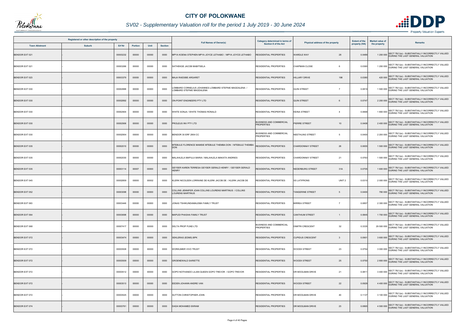

## *SV02 - Supplementary Valuation roll for the period 1 July 2019 - 30 June 2024*

|                       | Registered or other description of the property |               |         |       | <b>Full Names of Owner(s)</b> | Category determined in terms of                                                   | Physical address of the property                    | <b>Extent of the</b>                     | <b>Market value of</b> | <b>Remarks</b> |                                                                                                  |
|-----------------------|-------------------------------------------------|---------------|---------|-------|-------------------------------|-----------------------------------------------------------------------------------|-----------------------------------------------------|------------------------------------------|------------------------|----------------|--------------------------------------------------------------------------------------------------|
| <b>Town Allotment</b> | <b>Suburb</b>                                   | <b>Erf Nr</b> | Portion | Unit  | <b>Section</b>                |                                                                                   | <b>Section 8 of the Act</b>                         |                                          | property (HA)          | the property   |                                                                                                  |
| BENDOR EXT 021        |                                                 | 00003232      | 00000   | 00000 | 0000                          | MPYA KOENA STEPHEN MPYA JOYCE LETHABO / MPYA JOYCE LETHABO                        | RESIDENTIAL PROPERTIES                              | <b>WARDLE WAY</b><br>28                  | 0.0489                 | 1 200 000      | SECT 78(1)(e) - SUBSTANTIALLY INCORRECTLY VALUED<br>DURING THE LAST GENERAL VALUATION            |
| BENDOR EXT 021        |                                                 | 00003266      | 00000   | 00000 | 0000                          | SATHEKGE JACOB MABITSELA                                                          | RESIDENTIAL PROPERTIES                              | CHAPMAN CLOSE<br>6                       | 0.0360                 |                | 1 200 000 SECT 78(1)(e) - SUBSTANTIALLY INCORRECTLY VALUED                                       |
| BENDOR EXT 023        |                                                 | 00003379      | 00000   | 00000 | 0000                          | <b>MAJA RAESIBE ARGARET</b>                                                       | <b>RESIDENTIAL PROPERTIES</b>                       | <b>HILLARY DRIVE</b><br>198              | 0.0380                 |                | 420 000 SECT 78(1)(e) - SUBSTANTIALLY INCORRECTLY VALUED<br>DURING THE LAST GENERAL VALUATION    |
| BENDOR EXT 030        |                                                 | 00002888      | 00000   | 00000 | 0000                          | OMBARD CORNELIUS JOHANNES LOMBARD STEFNIE MAGDALENA /<br>OMBARD STEFNIE MAGDALENA | RESIDENTIAL PROPERTIES                              | <b>QUIN STREET</b><br>$\overline{7}$     | 0.0819                 |                | SECT 78(1)(e) - SUBSTANTIALLY INCORRECTLY VALUED<br>1 500 000 DURING THE LAST GENERAL VALUATION  |
| BENDOR EXT 030        |                                                 | 00002892      | 00000   | 00000 | 0000                          | ON-POINT ENGINEERS PTY LTD                                                        | <b>RESIDENTIAL PROPERTIES</b>                       | <b>QUIN STREET</b><br>6                  | 0.0747                 |                | 2 200 000 SECT 78(1)(e) - SUBSTANTIALLY INCORRECTLY VALUED                                       |
| BENDOR EXT 030        |                                                 | 00002904      | 00000   | 00000 | 0000                          | VHITE SONJA / WHITE THOMAS RONALD                                                 | <b>RESIDENTIAL PROPERTIES</b>                       | <b>KEINA STREET</b><br>$\overline{4}$    | 0.0668                 |                | SECT 78(1)(e) - SUBSTANTIALLY INCORRECTLY VALUED<br>1800 000 DURING THE LAST GENERAL VALUATION   |
| BENDOR EXT 030        |                                                 | 00002906      | 00000   | 00000 | 0000                          | PROLEUS INV PTY LTD                                                               | BUSINESS AND COMMERCIAL<br><b>PROPERTIES</b>        | PIERRE STREET<br>10 <sup>1</sup>         | 0.0408                 |                | 2 400 000 SECT 78(1)(e) - SUBSTANTIALLY INCORRECTLY VALUED                                       |
| BENDOR EXT 030        |                                                 | 00002954      | 00000   | 00000 | 0000                          | BENDOR 30 ERF 2954 CC                                                             | <b>BUSINESS AND COMMERCIAL</b><br><b>PROPERTIES</b> | NEETHLING STREET<br>-5                   | 0.0400                 |                | 2 200 000 SECT 78(1)(e) - SUBSTANTIALLY INCORRECTLY VALUED<br>DURING THE LAST GENERAL VALUATION  |
| <b>BENDOR EXT 035</b> |                                                 | 00002010      | 00000   | 00000 | 0000                          | MTEBULE FLORENCE MAMSIE MTEBULE THEMBA DON / MTEBULE THEMBA<br>DON                | <b>RESIDENTIAL PROPERTIES</b>                       | <b>CHARDONNAY STREET</b><br>26           | 0.0655                 |                | 1 500 000 SECT 78(1)(e) - SUBSTANTIALLY INCORRECTLY VALUED                                       |
| BENDOR EXT 035        |                                                 | 00002030      | 00000   | 00000 | 0000                          | MALAHLELA MAPULA MARIA / MALAHLELA MAKATA ANDRIES                                 | <b>RESIDENTIAL PROPERTIES</b>                       | 21<br><b>CHARDONNAY STREET</b>           | 0.0763                 |                | 1 500 000 SECT 78(1)(e) - SUBSTANTIALLY INCORRECTLY VALUED<br>DURING THE LAST GENERAL VALUATION  |
| <b>BENDOR EXT 035</b> |                                                 | 00003114      | 00007   | 00000 | 0000                          | EYSER KAREN TERRESA GEYSER GERALD HENRY / GEYSER GERALD<br><b>IENRY</b>           | RESIDENTIAL PROPERTIES                              | NEDERBURG STREET<br>31A                  | 0.0705                 |                | 1 600 000 SECT 78(1)(e) - SUBSTANTIALLY INCORRECTLY VALUED<br>DURING THE LAST GENERAL VALUATION  |
| <b>BENDOR EXT 045</b> |                                                 | 00002859      | 00000   | 00002 | 0000                          | KLERK NICOLEEN LORRAINE DE KLERK JACOB DE / KLERK JACOB DE                        | <b>RESIDENTIAL PROPERTIES</b>                       | <b>SS LATIFRONS</b><br>UNIT <sub>2</sub> | 0.0310                 |                | 2 000 000 SECT 78(1)(e) - SUBSTANTIALLY INCORRECTLY VALUED                                       |
| <b>BENDOR EXT 052</b> |                                                 | 00003098      | 00000   | 00000 | 0000                          | COLLINS JENNIFER JOAN COLLINS LOURENS MARTINUS / COLLINS<br>OURENS MARTINUS       | <b>RESIDENTIAL PROPERTIES</b>                       | <b>TANGERINE STREET</b><br>-5            | 0.0400                 |                | SECT 78(1)(e) - SUBSTANTIALLY INCORRECTLY VALUED<br>780 000 DURING THE LAST GENERAL VALUATION    |
| BENDOR EXT 063        |                                                 | 00003446      | 00000   | 00000 | 0000                          | JONAS TSHIKUNDAMALEMA FAMILY TRUST                                                | <b>RESIDENTIAL PROPERTIES</b>                       | <b>BIRREA STREET</b><br>-7               | 0.0857                 |                | 2 300 000 SECT 78(1)(e) - SUBSTANTIALLY INCORRECTLY VALUED                                       |
| <b>BENDOR EXT 064</b> |                                                 | 00003698      | 00000   | 00000 | 0000                          | <b>MAPUDI PHASHA FAMILY TRUST</b>                                                 | <b>RESIDENTIAL PROPERTIES</b>                       | <b>CANTHIUM STREET</b>                   | 0.0845                 | 1700 000       | SECT 78(1)(e) - SUBSTANTIALLY INCORRECTLY VALUED<br>DURING THE LAST GENERAL VALUATION            |
| BENDOR EXT 068        |                                                 | 00007417      | 00000   | 00000 | 0000                          | DELTA PROP FUND LTD                                                               | <b>BUSINESS AND COMMERCIAL</b><br><b>PROPERTIES</b> | 32<br><b>DIMITRI CRESCENT</b>            | 0.3335                 |                | 29 500 000 SECT 78(1)(e) - SUBSTANTIALLY INCORRECTLY VALUED<br>DURING THE LAST GENERAL VALUATION |
| BENDOR EXT 072        |                                                 | 00003474      | 00000   | 00000 | 0000                          | SEKLERAS (EDMS) BPK                                                               | RESIDENTIAL PROPERTIES                              | <b>CUPIDUS CRESCENT</b><br>3             | 0.0901                 |                | SECT 78(1)(e) - SUBSTANTIALLY INCORRECTLY VALUED<br>3 600 000 DURING THE LAST GENERAL VALUATION  |
| BENDOR EXT 072        |                                                 | 00003508      | 00000   | 00000 | 0000                          | WORKUMER VIVO TRUST                                                               | <b>RESIDENTIAL PROPERTIES</b>                       | 23<br><b>WOODII STREET</b>               | 0.0754                 |                | 3 000 000 SECT 78(1)(e) - SUBSTANTIALLY INCORRECTLY VALUED                                       |
| <b>BENDOR EXT 072</b> |                                                 | 00003509      | 00000   | 00000 | 0000                          | <b>GROENEWALD SARIETTE</b>                                                        | <b>RESIDENTIAL PROPERTIES</b>                       | 25<br><b>WOODII STREET</b>               | 0.0750                 |                | 2 800 000 SECT 78(1)(e) - SUBSTANTIALLY INCORRECTLY VALUED                                       |
| BENDOR EXT 072        |                                                 | 00003512      | 00000   | 00000 | 0000                          | GOPO NOTHANDO LILIAN QUEEN GOPO TREVOR / GOPO TREVOR                              | <b>RESIDENTIAL PROPERTIES</b>                       | 21<br>DR MOOLMAN DRIVE                   | 0.0811                 |                | 3 400 000 SECT 78(1)(e) - SUBSTANTIALLY INCORRECTLY VALUED                                       |
| BENDOR EXT 072        |                                                 | 00003513      | 00000   | 00000 | 0000                          | EEDEN JOHANN ANDRE VAN                                                            | <b>RESIDENTIAL PROPERTIES</b>                       | <b>WOODII STREET</b><br>22               | 0.0929                 |                | 4 400 000 SECT 78(1)(e) - SUBSTANTIALLY INCORRECTLY VALUED<br>DURING THE LAST GENERAL VALUATION  |
| BENDOR EXT 072        |                                                 | 00003525      | 00000   | 00000 | 0000                          | SUTTON CHRISTOPHER JOHN                                                           | RESIDENTIAL PROPERTIES                              | DR MOOLMAN DRIVE<br>40                   | 0.1137                 |                | 3 100 000 SECT 78(1)(e) - SUBSTANTIALLY INCORRECTLY VALUED                                       |
| BENDOR EXT 074        |                                                 | 00003761      | 00000   | 00000 | 0000                          | DADA MOHAMED EKRAM                                                                | <b>RESIDENTIAL PROPERTIES</b>                       | DR MOOLMAN DRIVE<br>23                   | 0.0865                 |                | SECT 78(1)(e) - SUBSTANTIALLY INCORRECTLY VALUED<br>4 500 000 DURING THE LAST GENERAL VALUATION  |

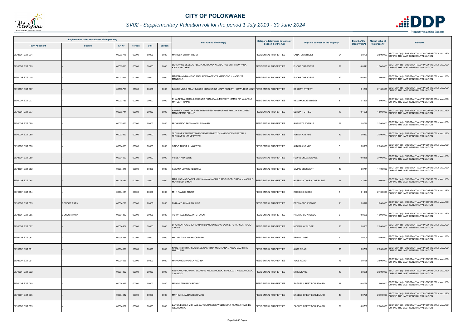

## *SV02 - Supplementary Valuation roll for the period 1 July 2019 - 30 June 2024*

|                       | Registered or other description of the property |          |                |       |                |                                                                                          | <b>Category determined in terms of</b> |                                     | <b>Extent of the</b> | <b>Market value of</b> |                                                                                                 |
|-----------------------|-------------------------------------------------|----------|----------------|-------|----------------|------------------------------------------------------------------------------------------|----------------------------------------|-------------------------------------|----------------------|------------------------|-------------------------------------------------------------------------------------------------|
| <b>Town Allotment</b> | <b>Suburb</b>                                   | Erf Nr   | <b>Portion</b> | Unit  | <b>Section</b> | <b>Full Names of Owner(s)</b>                                                            | <b>Section 8 of the Act</b>            | Physical address of the property    | property (HA)        | the property           | <b>Remarks</b>                                                                                  |
| BENDOR EXT 074        |                                                 | 00003775 | 00000          | 00000 | 0000           | MARISSA BOTHA TRUST                                                                      | RESIDENTIAL PROPERTIES                 | <b>LANATUS STREET</b><br>24         | 0.0700               |                        | SECT 78(1)(e) - SUBSTANTIALLY INCORRECTLY VALUED<br>2 500 000 DURING THE LAST GENERAL VALUATION |
| <b>BENDOR EXT 075</b> |                                                 | 00003615 | 00000          | 00000 | 0000           | EFAWANE LESEGO FLECIA NONYANA KAGISO ROBERT / NONYANA<br><b>AGISO ROBERT</b>             | RESIDENTIAL PROPERTIES                 | <b>FUCHS CRESCENT</b><br>29         | 0.054                |                        | 1 500 000 SECT 78(1)(e) - SUBSTANTIALLY INCORRECTLY VALUED                                      |
| BENDOR EXT 075        |                                                 | 00003651 | 00000          | 00000 | 0000           | AASENYA MMAMPHO ADELAIDE MASENYA MANGOLO / MASENYA<br><b>MANGOLO</b>                     | RESIDENTIAL PROPERTIES                 | 22<br><b>FUCHS CRESCENT</b>         | 0.0590               |                        | 1 600 000 SECT 78(1)(e) - SUBSTANTIALLY INCORRECTLY VALUED<br>DURING THE LAST GENERAL VALUATION |
| <b>BENDOR EXT 077</b> |                                                 | 00003716 | 00000          | 00000 | 0000           | BALOYI MUSA BRIAN BALOYI KHAWURISA LIZZY / BALOYI KHAWURISA LIZZY RESIDENTIAL PROPERTIES |                                        | <b>SEKOATI STREET</b>               | 0.1290               |                        | 2 100 000 SECT 78(1)(e) - SUBSTANTIALLY INCORRECTLY VALUED<br>DURING THE LAST GENERAL VALUATION |
| BENDOR EXT 077        |                                                 | 00003735 | 00000          | 00000 | 0000           | PHALAFALA SEBONI JOHANNA PHALAFALA MATEE THOMAS / PHALAFALA<br>MATEE THOMAS              | RESIDENTIAL PROPERTIES                 | <b>NEMAKONDE STREET</b><br>8        | 0.1290               |                        | 1 900 000 SECT 78(1)(e) - SUBSTANTIALLY INCORRECTLY VALUED<br>DURING THE LAST GENERAL VALUATION |
| <b>BENDOR EXT 077</b> |                                                 | 00003744 | 00000          | 00000 | 0000           | AMPEDI MAMETJA EVELYN RAMPEDI MANKOPANE PHILLIP / RAMPEDI<br><b>IANKOPANE PHILLIP</b>    | <b>RESIDENTIAL PROPERTIES</b>          | <b>SEKOATI STREET</b><br>10         | 0.1625               |                        | 1 800 000 SECT 78(1)(e) - SUBSTANTIALLY INCORRECTLY VALUED<br>DURING THE LAST GENERAL VALUATION |
| BENDOR EXT 080        |                                                 | 00003965 | 00000          | 00000 | 0000           | MUVHANGO THIVHAKONI EDWARD                                                               | <b>RESIDENTIAL PROPERTIES</b>          | ROBUSTA AVENUE<br>37                | 0.0710               |                        | 2 200 000 SECT 78(1)(e) - SUBSTANTIALLY INCORRECTLY VALUED                                      |
| <b>BENDOR EXT 080</b> |                                                 | 00003992 | 00000          | 00000 | 0000           | LOUANE KELEABETSWE CLEMENTINE TLOUANE CHOENE PETER /<br>LOUANE CHOENE PETER              | <b>RESIDENTIAL PROPERTIES</b>          | <b>ALBIDA AVENUE</b><br>43          | 0.0932               |                        | SECT 78(1)(e) - SUBSTANTIALLY INCORRECTLY VALUED<br>2 000 000 DURING THE LAST GENERAL VALUATION |
| BENDOR EXT 080        |                                                 | 00004033 | 00000          | 00000 | 0000           | SINGO THIEMULI MAXWELL                                                                   | RESIDENTIAL PROPERTIES                 | <b>ALBIDA AVENUE</b><br>6           | 0.0655               |                        | 2 000 000 SECT 78(1)(e) - SUBSTANTIALLY INCORRECTLY VALUED                                      |
| BENDOR EXT 080        |                                                 | 00004050 | 00000          | 00000 | 0000           | <b>ISSER ANNELIZE</b>                                                                    | RESIDENTIAL PROPERTIES                 | <b>FLORIBUNDA AVENUE</b>            | 0.0855               |                        | 2 400 000 SECT 78(1)(e) - SUBSTANTIALLY INCORRECTLY VALUED<br>DURING THE LAST GENERAL VALUATION |
| BENDOR EXT 082        |                                                 | 00004275 | 00000          | 00000 | 0000           | KEKANA LOKWE REBOTILE                                                                    | RESIDENTIAL PROPERTIES                 | <b>DIVINE CRESCENT</b><br>43        | 0.071                |                        | 1 400 000 SECT 78(1)(e) - SUBSTANTIALLY INCORRECTLY VALUED                                      |
| <b>BENDOR EXT 084</b> |                                                 | 00004081 | 00000          | 00000 | 0000           | MASHILO MARGARET MAKHANANA MASHILO MOTHIBEDI SIMON / MASHILO<br>MOTHIBEDI SIMON          | <b>RESIDENTIAL PROPERTIES</b>          | <b>BUFFALO THORN CRESCENT</b><br>17 | 0.1070               |                        | 3 800 000 SECT 78(1)(e) - SUBSTANTIALLY INCORRECTLY VALUED                                      |
| <b>BENDOR EXT 084</b> |                                                 | 00004131 | 00000          | 00000 | 0000           | <b>MIK FAMILIE TRUST</b>                                                                 | <b>RESIDENTIAL PROPERTIES</b>          | ROOIBOS CLOSE<br>3                  | 0.1006               |                        | 2 100 000 SECT 78(1)(e) - SUBSTANTIALLY INCORRECTLY VALUED                                      |
| BENDOR EXT 085        | <b>BENDOR PARK</b>                              | 00004299 | 00000          | 00000 | 0000           | NKUNA THULANI ROLLINS                                                                    | <b>RESIDENTIAL PROPERTIES</b>          | PROMAFCO AVENUE<br>11               | 0.0678               |                        | 1 600 000 SECT 78(1)(e) - SUBSTANTIALLY INCORRECTLY VALUED                                      |
| BENDOR EXT 085        | <b>BENDOR PARK</b>                              | 00004302 | 00000          | 00000 | 0000           | TSHIVHASE RUDZANI STEVEN                                                                 | <b>RESIDENTIAL PROPERTIES</b>          | PROMAFCO AVENUE<br>5                | 0.0636               |                        | SECT 78(1)(e) - SUBSTANTIALLY INCORRECTLY VALUED<br>1 600 000 DURING THE LAST GENERAL VALUATION |
| <b>BENDOR EXT 087</b> |                                                 | 00004404 | 00000          | 00000 | 0000           | BRANCON NAGE JOHANNAH BRANCON ISAAC SAKKIE / BRANCON ISAAC<br><b>SAKKIE</b>              | RESIDENTIAL PROPERTIES                 | 20<br><b>HIDEAWAY CLOSE</b>         | 0.0803               |                        | 2 900 000 SECT 78(1)(e) - SUBSTANTIALLY INCORRECTLY VALUED                                      |
| BENDOR EXT 087        |                                                 | 00004497 | 00000          | 00000 | 0000           | MHLARI TSAKANI MCCREATH                                                                  | RESIDENTIAL PROPERTIES                 | <b>FERN CLOSE</b><br>6              | 0.0400               |                        | 2 400 000 SECT 78(1)(e) - SUBSTANTIALLY INCORRECTLY VALUED                                      |
| BENDOR EXT 091        |                                                 | 00004609 | 00000          | 00000 | 0000           | <b>IKOE PHUTI MARCUS NKOE SALPHINA MMUTLANA / NKOE SALPHINA</b><br>MMUTLANA              | <b>RESIDENTIAL PROPERTIES</b>          | <b>ALOE ROAD</b><br>25              | 0.0708               |                        | 2 800 000 SECT 78(1)(e) - SUBSTANTIALLY INCORRECTLY VALUED                                      |
| BENDOR EXT 091        |                                                 | 00004625 | 00000          | 00000 | 0000           | MAPHANGA RAPELA REGINA                                                                   | RESIDENTIAL PROPERTIES                 | <b>ALOE ROAD</b><br>76              | 0.0765               |                        | 2 800 000 SECT 78(1)(e) - SUBSTANTIALLY INCORRECTLY VALUED                                      |
| BENDOR EXT 092        |                                                 | 00004802 | 00000          | 00000 | 0000           | NELWAMONDO MIKATEKO GAIL NELWAMONDO TSHILIDZI / NELWAMONDO<br><b>SHILIDZI</b>            | RESIDENTIAL PROPERTIES                 | <b>5TH AVENUE</b><br>13             | 0.0685               |                        | 2 600 000 SECT 78(1)(e) - SUBSTANTIALLY INCORRECTLY VALUED                                      |
| BENDOR EXT 095        |                                                 | 00004939 | 00000          | 00000 | 0000           | <b>MAHLO TSHUPYA RICHAD</b>                                                              | RESIDENTIAL PROPERTIES                 | 37<br><b>EAGLES CREST BOULEVARD</b> | 0.0728               |                        | 1 800 000 SECT 78(1)(e) - SUBSTANTIALLY INCORRECTLY VALUED<br>DURING THE LAST GENERAL VALUATION |
| <b>BENDOR EXT 095</b> |                                                 | 00004942 | 00000          | 00000 | 0000           | MATHIVHA AMBANI BERNARD                                                                  | RESIDENTIAL PROPERTIES                 | 43<br>EAGLES CREST BOULEVARD        | 0.0728               |                        | 2 000 000 SECT 78(1)(e) - SUBSTANTIALLY INCORRECTLY VALUED                                      |
| BENDOR EXT 095        |                                                 | 00004961 | 00000          | 00000 | 0000           | ANGA LESIBA MICHAEL LANGA RAESIBE WELHEMINA / LANGA RAESIBE<br>VELHEMINA                 | RESIDENTIAL PROPERTIES                 | EAGLES CREST BOULEVARD<br>81        | 0.0736               |                        | SECT 78(1)(e) - SUBSTANTIALLY INCORRECTLY VALUED<br>2 000 000 DURING THE LAST GENERAL VALUATION |

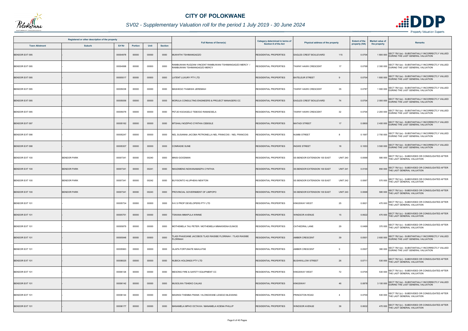

## *SV02 - Supplementary Valuation roll for the period 1 July 2019 - 30 June 2024*

| Registered or other description of the property<br><b>Suburb</b><br><b>Town Allotment</b> |                    |          |                |       |                | Category determined in terms of<br><b>Full Names of Owner(s)</b>                        |                               | <b>Extent of the</b>                            | <b>Market value of</b> |              |                                                                                                 |
|-------------------------------------------------------------------------------------------|--------------------|----------|----------------|-------|----------------|-----------------------------------------------------------------------------------------|-------------------------------|-------------------------------------------------|------------------------|--------------|-------------------------------------------------------------------------------------------------|
|                                                                                           |                    | Erf Nr   | <b>Portion</b> | Unit  | <b>Section</b> |                                                                                         | Section 8 of the Act          | Physical address of the property                | property (HA)          | the property | <b>Remarks</b>                                                                                  |
| <b>BENDOR EXT 095</b>                                                                     |                    | 00004978 | 00000          | 00000 | 0000           | MUKHITHI TSHIMANGADZO                                                                   | <b>RESIDENTIAL PROPERTIES</b> | EAGLES CREST BOULEVARD<br>115                   | 0.0704                 |              | SECT 78(1)(e) - SUBSTANTIALLY INCORRECTLY VALUED<br>1 800 000 DURING THE LAST GENERAL VALUATION |
| BENDOR EXT 095                                                                            |                    | 00004998 | 00000          | 00000 | 0000           | AMBUWANI RUDZANI VINCENT RAMBUWANI TSHIMANGADZO MERCY /<br>RAMBUWANI TSHIMANGADZO MERCY | RESIDENTIAL PROPERTIES        | 17<br><b>TAWNY HAWK CRESCENT</b>                | 0.0768                 |              | 2 300 000 SECT 78(1)(e) - SUBSTANTIALLY INCORRECTLY VALUED                                      |
| <b>BENDOR EXT 095</b>                                                                     |                    | 00005017 | 00000          | 00000 | 0000           | ATENT LUXURY PTY LTD                                                                    | <b>RESIDENTIAL PROPERTIES</b> | <b>BATELEUR STREET</b><br>9                     | 0.0704                 |              | 1 800 000 SECT 78(1)(e) - SUBSTANTIALLY INCORRECTLY VALUED<br>DURING THE LAST GENERAL VALUATION |
| BENDOR EXT 095                                                                            |                    | 00005038 | 00000          | 00000 | 0000           | MASHEGO THABISHI JEREMIAH                                                               | RESIDENTIAL PROPERTIES        | 35<br><b>TAWNY HAWK CRESCENT</b>                | 0.0787                 |              | SECT 78(1)(e) - SUBSTANTIALLY INCORRECTLY VALUED<br>1 900 000 DURING THE LAST GENERAL VALUATION |
| <b>BENDOR EXT 095</b>                                                                     |                    | 00005056 | 00000          | 00000 | 0000           | MORULA CONSULTING ENGINEERS & PROJECT MANAGERS CC                                       | <b>RESIDENTIAL PROPERTIES</b> | 74<br><b>EAGLES CREST BOULEVARD</b>             | 0.0704                 |              | 2 000 000 SECT 78(1)(e) - SUBSTANTIALLY INCORRECTLY VALUED                                      |
| BENDOR EXT 095                                                                            |                    | 00005078 | 00000          | 00000 | 0000           | PETJE KGOAGELO TEBOGO RAMAESELA                                                         | RESIDENTIAL PROPERTIES        | 32<br><b>TAWNY HAWK CRESCENT</b>                | 0.0704                 |              | SECT 78(1)(e) - SUBSTANTIALLY INCORRECTLY VALUED<br>2 200 000 DURING THE LAST GENERAL VALUATION |
| BENDOR EXT 097                                                                            |                    | 00005162 | 00000          | 00000 | 0000           | MTSHALI NOZIPHO CYNTHIA CEBISILE                                                        | <b>RESIDENTIAL PROPERTIES</b> | <b>MATADI STREET</b><br>17                      | 0.0800                 |              | 2 400 000 SECT 78(1)(e) - SUBSTANTIALLY INCORRECTLY VALUED<br>DURING THE LAST GENERAL VALUATION |
| BENDOR EXT 098                                                                            |                    | 00005247 | 00000          | 00000 | 0000           | NEL SUSANNA JACOBA PETRONELLA NEL FRANCOIS / NEL FRANCOIS                               | RESIDENTIAL PROPERTIES        | <b>NUMBI STREET</b>                             | 0.1067                 |              | SECT 78(1)(e) - SUBSTANTIALLY INCORRECTLY VALUED<br>2700 000 DURING THE LAST GENERAL VALUATION  |
| <b>BENDOR EXT 098</b>                                                                     |                    | 00005307 | 00000          | 00000 | 0000           | CONRADIE SUNE                                                                           | <b>RESIDENTIAL PROPERTIES</b> | <b>INGWE STREET</b><br>18                       | 0.1053                 |              | 3 500 000 SECT 78(1)(e) - SUBSTANTIALLY INCORRECTLY VALUED                                      |
| BENDOR EXT 100                                                                            | <b>BENDOR PARK</b> | 00007341 | 00000          | 00240 | 0000           | MNISI GOODMAN                                                                           | <b>RESIDENTIAL PROPERTIES</b> | <b>UNIT 240</b><br>SS BENDOR EXTENSION 100 EAST | 0.0068                 |              | 580 000 SECT 78(1)(c) - SUBDIVIDED OR CONSOLIDATED AFTER<br>THE LAST GENERAL VALUATION          |
| <b>BENDOR EXT 100</b>                                                                     | <b>BENDOR PARK</b> | 00007341 | 00000          | 00241 | 0000           | NKADIMENG NGWANAMAEPA CYNTHIA                                                           | RESIDENTIAL PROPERTIES        | <b>UNIT 241</b><br>SS BENDOR EXTENSION 100 EAST | 0.0100                 |              | 850 000 SECT 78(1)(c) - SUBDIVIDED OR CONSOLIDATED AFTER<br>THE LAST GENERAL VALUATION          |
| BENDOR EXT 100                                                                            | <b>BENDOR PARK</b> | 00007341 | 00000          | 00242 | 0000           | BUYISONTO HLUPHEKA NEWTON                                                               | <b>RESIDENTIAL PROPERTIES</b> | <b>UNIT 242</b><br>SS BENDOR EXTENSION 100 EAST | 0.0067                 |              | 570 000 SECT 78(1)(c) - SUBDIVIDED OR CONSOLIDATED AFTER<br>THE LAST GENERAL VALUATION          |
| BENDOR EXT 100                                                                            | <b>BENDOR PARK</b> | 00007341 | 00000          | 00243 | 0000           | PROVINCIAL GOVERNMENT OF LIMPOPO                                                        | <b>RESIDENTIAL PROPERTIES</b> | SS BENDOR EXTENSION 100 EAST<br><b>UNIT 243</b> | 0.0068                 |              | SECT 78(1)(c) - SUBDIVIDED OR CONSOLIDATED AFTER<br>580 000 THE LAST GENERAL VALUATION          |
| BENDOR EXT 101                                                                            |                    | 00005734 | 00000          | 00000 | 0000           | N K S PROP DEVELOPERS PTY LTD                                                           | <b>RESIDENTIAL PROPERTIES</b> | 25<br><b>KINGSWAY WEST</b>                      | 0.0621                 |              | 470 000 SECT 78(1)(c) - SUBDIVIDED OR CONSOLIDATED AFTER<br>THE LAST GENERAL VALUATION          |
| <b>BENDOR EXT 101</b>                                                                     |                    | 00005751 | 00000          | 00000 | 0000           | TSIKANA MMAPULA WINNIE                                                                  | <b>RESIDENTIAL PROPERTIES</b> | <b>WINDSOR AVENUE</b><br>15                     | 0.0622                 |              | SECT 78(1)(c) - SUBDIVIDED OR CONSOLIDATED AFTER<br>470 000 THE LAST GENERAL VALUATION          |
| BENDOR EXT 101                                                                            |                    | 00005879 | 00000          | 00000 | 0000           | MOTHEMELA TAU PETER / MOTHEMELA MMAKWENA EUNICE                                         | <b>RESIDENTIAL PROPERTIES</b> | <b>CATHEDRAL LANE</b><br>29                     | 0.0499                 |              | 370 000 SECT 78(1)(c) - SUBDIVIDED OR CONSOLIDATED AFTER<br>THE LAST GENERAL VALUATION          |
| BENDOR EXT 101                                                                            |                    | 00005948 | 00000          | 00000 | 0000           | LADI PHASOANE JACOBOS TLADI RAISIBE FLORINAH / TLADI RAISIBE<br><b>LORINAH</b>          | RESIDENTIAL PROPERTIES        | <b>AMBER CRESCENT</b><br>39                     | 0.0501                 |              | SECT 78(1)(e) - SUBSTANTIALLY INCORRECTLY VALUED<br>2 600 000 DURING THE LAST GENERAL VALUATION |
| BENDOR EXT 101                                                                            |                    | 00005963 | 00000          | 00000 | 0000           | HLAPA FORTUNATE MAHLATSE                                                                | <b>RESIDENTIAL PROPERTIES</b> | <b>AMBER CRESCENT</b><br>9                      | 0.0507                 |              | 380 000 SECT 78(1)(e) - SUBSTANTIALLY INCORRECTLY VALUED<br>DURING THE LAST GENERAL VALUATION   |
| BENDOR EXT 101                                                                            |                    | 00006025 | 00000          | 00000 | 0000           | NUBICA HOLDINGS PTY LTD                                                                 | <b>RESIDENTIAL PROPERTIES</b> | 26<br><b>BUSHWILLOW STREET</b>                  | 0.0711                 |              | 530 000 SECT 78(1)(c) - SUBDIVIDED OR CONSOLIDATED AFTER<br>THE LAST GENERAL VALUATION          |
| BENDOR EXT 101                                                                            |                    | 00006126 | 00000          | 00000 | 0000           | MESONG FIRE & SAFETY EQUIPMENT CC                                                       | <b>RESIDENTIAL PROPERTIES</b> | 72<br><b>KINGSWAY WEST</b>                      | 0.0705                 |              | 530 000 SECT 78(1)(c) - SUBDIVIDED OR CONSOLIDATED AFTER<br>THE LAST GENERAL VALUATION          |
| <b>BENDOR EXT 101</b>                                                                     |                    | 00006142 | 00000          | 00000 | 0000           | MUSOLWA TSHEKO CALIAS                                                                   | <b>RESIDENTIAL PROPERTIES</b> | 46<br><b>KINGSWAY</b>                           | 0.0878                 |              | 3 100 000 SECT 78(1)(e) - SUBSTANTIALLY INCORRECTLY VALUED                                      |
| BENDOR EXT 101                                                                            |                    | 00006144 | 00000          | 00000 | 0000           | MASINGI THEMBA FRANK / HLONGWANE LESEGO BLESSING                                        | <b>RESIDENTIAL PROPERTIES</b> | PRINCETON ROAD<br>$\overline{4}$                | 0.0700                 |              | 530 000 SECT 78(1)(c) - SUBDIVIDED OR CONSOLIDATED AFTER<br>THE LAST GENERAL VALUATION          |
| <b>BENDOR EXT 101</b>                                                                     |                    | 00006177 | 00000          | 00000 | 0000           | MANAMELA MPHO OCTAVIA / MANAMELA KOENA PHILLIP                                          | <b>RESIDENTIAL PROPERTIES</b> | <b>WINDSOR AVENUE</b><br>36                     | 0.0632                 |              | SECT 78(1)(c) - SUBDIVIDED OR CONSOLIDATED AFTER<br>470 000 THE LAST GENERAL VALUATION          |

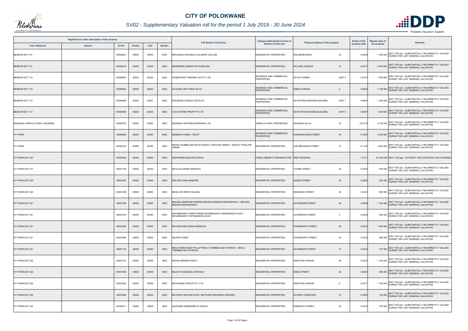

## *SV02 - Supplementary Valuation roll for the period 1 July 2019 - 30 June 2024*

|                               | Registered or other description of the property |          |                |       |                |                                                                                            | Category determined in terms of                     |                                                       | <b>Extent of the</b> | <b>Market value of</b> | <b>Remarks</b>                                                                                  |
|-------------------------------|-------------------------------------------------|----------|----------------|-------|----------------|--------------------------------------------------------------------------------------------|-----------------------------------------------------|-------------------------------------------------------|----------------------|------------------------|-------------------------------------------------------------------------------------------------|
| <b>Town Allotment</b>         | <b>Suburb</b>                                   | Erf Nr   | <b>Portion</b> | Unit  | <b>Section</b> | <b>Full Names of Owner(s)</b>                                                              | Section 8 of the Act                                | Physical address of the property                      | property (HA)        | the property           |                                                                                                 |
| BENDOR EXT 101                |                                                 | 00006201 | 00000          | 00000 | 0000           | MDUNGAZI NHLAMULO OLUDIPE COLLINS                                                          | RESIDENTIAL PROPERTIES                              | 30<br><b>SOLOMON ROAD</b>                             | 0.0509               |                        | SECT 78(1)(e) - SUBSTANTIALLY INCORRECTLY VALUED<br>1700 000 DURING THE LAST GENERAL VALUATION  |
| <b>BENDOR EXT 101</b>         |                                                 | 00006278 | 00000          | 00000 | 0000           | MASINDENI DIMAKATSO ROSELINA                                                               | <b>RESIDENTIAL PROPERTIES</b>                       | <b>HILLSIDE AVENUE</b><br>51                          | 0.041                |                        | 2 000 000 SECT 78(1)(e) - SUBSTANTIALLY INCORRECTLY VALUED                                      |
| BENDOR EXT 110                |                                                 | 00006853 | 00000          | 00003 | 0000           | <b>HOMEFRONT TRADING 434 PTY LTD</b>                                                       | <b>BUSINESS AND COMMERCIAL</b><br><b>PROPERTIES</b> | SS NO 6 ISMINI<br>UNIT <sub>3</sub>                   | 0.0107               |                        | 1 500 000 SECT 78(1)(e) - SUBSTANTIALLY INCORRECTLY VALUED<br>DURING THE LAST GENERAL VALUATION |
| BENDOR EXT 110                |                                                 | 00006854 | 00000          | 00000 | 0000           | <b>GLACIER VIEW PROP 49 CC</b>                                                             | <b>BUSINESS AND COMMERCIAL</b><br><b>PROPERTIES</b> | <b>ISMINI AVENUE</b><br>$\overline{4}$                | 0.0902               |                        | SECT 78(1)(e) - SUBSTANTIALLY INCORRECTLY VALUED<br>7 100 000 DURING THE LAST GENERAL VALUATION |
| BENDOR EXT 110                |                                                 | 00006858 | 00000          | 00001 | 0000           | EYESIZWE CONSULTANTS CC                                                                    | <b>BUSINESS AND COMMERCIAL</b><br><b>PROPERTIES</b> | UNIT <sub>1</sub><br>SS PETROS MOKONE BUILDING        | 0.0094               |                        | 1 300 000 SECT 78(1)(e) - SUBSTANTIALLY INCORRECTLY VALUED                                      |
| BENDOR EXT 110                |                                                 | 00006858 | 00000          | 00003 | 0000           | C B SYSTEMS PROP PTY LTD                                                                   | <b>BUSINESS AND COMMERCIAL</b><br><b>PROPERTIES</b> | UNIT <sub>3</sub><br><b>SS PETROS MOKONE BUILDING</b> | 0.0087               |                        | 1 200 000 SECT 78(1)(e) - SUBSTANTIALLY INCORRECTLY VALUED<br>DURING THE LAST GENERAL VALUATION |
| DALMADA AGRICULTURAL HOLDINGS |                                                 | 00000075 | 00000          | 00000 | 0000           | DALMADA WATERKOOPERASIE LTD                                                                | <b>AGRICULTURAL PROPERTIES</b>                      | DALMADA AH LS<br>75                                   | 10.6118              |                        | 2 100 000 SECT 78(1)(e) - SUBSTANTIALLY INCORRECTLY VALUED                                      |
| <b>IVY PARK</b>               |                                                 | 00000005 | 00000          | 00000 | 0000           | SEMENYA FAMILY TRUST                                                                       | <b>BUSINESS AND COMMERCIAL</b><br><b>PROPERTIES</b> | LANGENHOVEN STREET<br>44                              | 0.1654               |                        | SECT 78(1)(e) - SUBSTANTIALLY INCORRECTLY VALUED<br>3400 000 DURING THE LAST GENERAL VALUATION  |
| <b>IVY PARK</b>               |                                                 | 00000197 | 00000          | 00000 | 0000           | AUDAU HUMBULANI DAVID MUDAU TAKALANI ANNAH / MUDAU TAKALANI<br>HANNA                       | RESIDENTIAL PROPERTIES                              | VAN BRUGGEN STREET<br>12                              | 0.1100               |                        | 3 200 000 SECT 78(1)(e) - SUBSTANTIALLY INCORRECTLY VALUED                                      |
| <b>IVY PARK EXT 007</b>       |                                                 | 00000935 | 00000          | 00000 | 0000           | <b>VORTHERN MUSLIM SCHOOL</b>                                                              | PUBLIC BENEFIT ORGANISATION                         | <b>PRETORIAWEG</b>                                    | 1.571                |                        | 21 200 000 SECT 78(1)(g) - OF WHICH THE CATEGORY HAS CHANGED                                    |
| <b>IVY PARK EXT 017</b>       |                                                 | 00001164 | 00000          | 00000 | 0000           | MATLALA IRENE RANGATE                                                                      | <b>RESIDENTIAL PROPERTIES</b>                       | <b>THYME STREET</b><br>34                             | 0.0350               |                        | 670 000 SECT 78(1)(e) - SUBSTANTIALLY INCORRECTLY VALUED                                        |
| <b>IVY PARK EXT 020</b>       |                                                 | 00001387 | 00000          | 00000 | 0000           | MOLOPE ANNA MABORE                                                                         | <b>RESIDENTIAL PROPERTIES</b>                       | <b>QUEEN STREET</b><br>63                             | 0.0492               |                        | 930 000 SECT 78(1)(e) - SUBSTANTIALLY INCORRECTLY VALUED<br>DURING THE LAST GENERAL VALUATION   |
| IVY PARK EXT 020              |                                                 | 00001465 | 00000          | 00000 | 0000           | MAGUVHE MPHO RACHEL                                                                        | RESIDENTIAL PROPERTIES                              | <b>MONARCH STREET</b><br>40                           | 0.0333               |                        | 850 000 SECT 78(1)(e) - SUBSTANTIALLY INCORRECTLY VALUED                                        |
| <b>IVY PARK EXT 021</b>       |                                                 | 00001546 | 00000          | 00000 | 0000           | MALEKA MAMPONE MORRIS MALEKA MODIEGI NGWAMOKOU / MALEKA<br>MODIEGI NGWAMOKOU               | RESIDENTIAL PROPERTIES                              | <b>GOVERNOR STREET</b><br>64                          | 0.0499               |                        | 1 100 000 SECT 78(1)(e) - SUBSTANTIALLY INCORRECTLY VALUED<br>DURING THE LAST GENERAL VALUATION |
| IVY PARK EXT 021              |                                                 | 00001576 | 00000          | 00000 | 0000           | NCHABELENG TAMPE FRANS NCHABELENG THIPAMASEGA LEAH /<br><b>VCHABELENG THIPAMASEGA LEAH</b> | RESIDENTIAL PROPERTIES                              | <b>GOVERNOR STREET</b><br>$\overline{4}$              | 0.0528               |                        | SECT 78(1)(e) - SUBSTANTIALLY INCORRECTLY VALUED<br>920 000 DURING THE LAST GENERAL VALUATION   |
| <b>IVY PARK EXT 021</b>       |                                                 | 00001682 | 00000          | 00000 | 0000           | MATLEBYANE SARAH MAMOGO                                                                    | RESIDENTIAL PROPERTIES                              | 28<br><b>PARAMOUNT STREET</b>                         | 0.0334               |                        | 1 000 000 SECT 78(1)(e) - SUBSTANTIALLY INCORRECTLY VALUED<br>DURING THE LAST GENERAL VALUATION |
| <b>IVY PARK EXT 021</b>       |                                                 | 00001684 | 00000          | 00000 | 0000           | SELEPE DORIS                                                                               | RESIDENTIAL PROPERTIES                              | 32<br>PARAMOUNT STREET                                | 0.0334               |                        | 980 000 SECT 78(1)(e) - SUBSTANTIALLY INCORRECTLY VALUED<br>DURING THE LAST GENERAL VALUATION   |
| <b>IVY PARK EXT 021</b>       |                                                 | 00001719 | 00000          | 00000 | 0000           | MOILA MOEAHABO PHILLIP MOILA THEMBELIHLE PATRICIA / MOILA<br><b>THEMBELIHLE PATRICIA</b>   | <b>RESIDENTIAL PROPERTIES</b>                       | 17<br><b>GOVERNOR STREET</b>                          | 0.0334               |                        | 721 000 SECT 78(1)(e) - SUBSTANTIALLY INCORRECTLY VALUED<br>DURING THE LAST GENERAL VALUATION   |
| IVY PARK EXT 022              |                                                 | 00001751 | 00000          | 00000 | 0000           | NKUNA MIRINGO RIETH                                                                        | <b>RESIDENTIAL PROPERTIES</b>                       | <b>HIMATION AVENUE</b><br>38                          | 0.0350               |                        | 1 100 000 SECT 78(1)(e) - SUBSTANTIALLY INCORRECTLY VALUED                                      |
| <b>IVY PARK EXT 022</b>       |                                                 | 00001828 | 00000          | 00000 | 0000           | BALOYI KHAZAMULA RONALD                                                                    | <b>RESIDENTIAL PROPERTIES</b>                       | <b>ROBE STREET</b><br>26                              | 0.0350               |                        | 860 000 SECT 78(1)(e) - SUBSTANTIALLY INCORRECTLY VALUED                                        |
| <b>IVY PARK EXT 022</b>       |                                                 | 00001842 | 00000          | 00000 | 0000           | MOYAGABO GROUP PTY LTD                                                                     | <b>RESIDENTIAL PROPERTIES</b>                       | <b>HIMATION AVENUE</b><br>5                           | 0.0377               |                        | 1 100 000 SECT 78(1)(e) - SUBSTANTIALLY INCORRECTLY VALUED                                      |
| <b>IVY PARK EXT 022</b>       |                                                 | 00001859 | 00000          | 00000 | 0000           | MOTHAPO MATIADI KATE / MOTHAPO MOCHEKO EDWARD                                              | <b>RESIDENTIAL PROPERTIES</b>                       | <b>SCHENTI CRESCENT</b><br>47                         | 0.0365               |                        | 730 000 SECT 78(1)(e) - SUBSTANTIALLY INCORRECTLY VALUED<br>DURING THE LAST GENERAL VALUATION   |
| IVY PARK EXT 032              |                                                 | 00002011 | 00000          | 00000 | 0000           | LEDWABA RAMADIMETJA SHEILA                                                                 | <b>RESIDENTIAL PROPERTIES</b>                       | ROMANOV STREET<br>22                                  | 0.0375               |                        | 270 000 SECT 78(1)(e) - SUBSTANTIALLY INCORRECTLY VALUED<br>DURING THE LAST GENERAL VALUATION   |

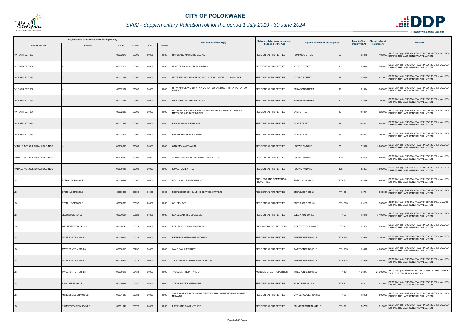

## *SV02 - Supplementary Valuation roll for the period 1 July 2019 - 30 June 2024*

|                                      | Registered or other description of the property |          |                | Category determined in terms of<br><b>Full Names of Owner(s)</b><br>Section 8 of the Act | Physical address of the property | <b>Extent of the</b>                                                            | <b>Market value of</b>                              | <b>Remarks</b>                             |               |              |                                                                                                       |
|--------------------------------------|-------------------------------------------------|----------|----------------|------------------------------------------------------------------------------------------|----------------------------------|---------------------------------------------------------------------------------|-----------------------------------------------------|--------------------------------------------|---------------|--------------|-------------------------------------------------------------------------------------------------------|
| <b>Town Allotment</b>                | <b>Suburb</b>                                   | Erf Nr   | <b>Portion</b> | Unit                                                                                     | <b>Section</b>                   |                                                                                 |                                                     |                                            | property (HA) | the property |                                                                                                       |
| <b>IVY PARK EXT 032</b>              |                                                 | 00002077 | 00000          | 00000                                                                                    | 0000                             | MAPULANE MAWETHU GLEMAR                                                         | <b>RESIDENTIAL PROPERTIES</b>                       | 93<br><b>ROMANOV STREET</b>                | 0.0375        |              | SECT 78(1)(e) - SUBSTANTIALLY INCORRECTLY VALUED<br>1 100 000 DURING THE LAST GENERAL VALUATION       |
| <b>IVY PARK EXT 034</b>              |                                                 | 00002129 | 00000          | 00000                                                                                    | 0000                             | MONYEPAO MMALEBEULA DINAH                                                       | RESIDENTIAL PROPERTIES                              | <b>MYOPIC STREET</b><br>$\mathbf{1}$       | 0.0478        |              | 860 000 SECT 78(1)(e) - SUBSTANTIALLY INCORRECTLY VALUED<br>DURING THE LAST GENERAL VALUATION         |
| <b>IVY PARK EXT 034</b>              |                                                 | 00002138 | 00000          | 00000                                                                                    | 0000                             | MATE SIBONGILE MATE LOYISO VICTOR / MATE LOYISO VICTOR                          | <b>RESIDENTIAL PROPERTIES</b>                       | <b>MYOPIC STREET</b><br>19                 | 0.0330        |              | 670 000 SECT 78(1)(e) - SUBSTANTIALLY INCORRECTLY VALUED<br>DURING THE LAST GENERAL VALUATION         |
| <b>IVY PARK EXT 034</b>              |                                                 | 00002182 | 00000          | 00000                                                                                    | 0000                             | MPYA MAFOLANE JIM MPYA MOTLATSO CANDICE / MPYA MOTLATSO<br><b>ANDICE</b>        | RESIDENTIAL PROPERTIES                              | PARAGON STREET<br>19                       | 0.0374        |              | SECT 78(1)(e) - SUBSTANTIALLY INCORRECTLY VALUED<br>1 000 000 DURING THE LAST GENERAL VALUATION       |
| <b>IVY PARK EXT 034</b>              |                                                 | 00002197 | 00000          | 00000                                                                                    | 0000                             | <b>DR R TRU J W DREYER TRUST</b>                                                | <b>RESIDENTIAL PROPERTIES</b>                       | <b>PARAGON STREET</b>                      | 0.2436        |              | 1 100 000 SECT 78(1)(e) - SUBSTANTIALLY INCORRECTLY VALUED                                            |
| <b>IVY PARK EXT 034</b>              |                                                 | 00002238 | 00000          | 00000                                                                                    | 0000                             | MATSAPOLA KGABELA PHILIMON MATSAPOLA EUNICE MASIPA /<br>MATSAPOLA EUNICE MASIPA | RESIDENTIAL PROPERTIES                              | <b>VAST STREET</b><br>33                   | 0.0351        |              | SECT 78(1)(e) - SUBSTANTIALLY INCORRECTLY VALUED<br>520 000 DURING THE LAST GENERAL VALUATION         |
| <b>IVY PARK EXT 034</b>              |                                                 | 00002241 | 00000          | 00000                                                                                    | 0000                             | BALOYI WINGLY RHULANI                                                           | <b>RESIDENTIAL PROPERTIES</b>                       | 27<br><b>VAST STREET</b>                   | 0.0351        |              | 850 000 SECT 78(1)(e) - SUBSTANTIALLY INCORRECTLY VALUED<br>DURING THE LAST GENERAL VALUATION         |
| IVY PARK EXT 034                     |                                                 | 00002273 | 00000          | 00000                                                                                    | 0000                             | PHOSHOKO PHELADI EMMA                                                           | <b>RESIDENTIAL PROPERTIES</b>                       | <b>VAST STREET</b><br>46                   | 0.0363        |              | SECT 78(1)(e) - SUBSTANTIALLY INCORRECTLY VALUED<br>1 000 000 DURING THE LAST GENERAL VALUATION       |
| <b>IVYDALE AGRICULTURAL HOLDINGS</b> |                                                 | 00000065 | 00000          | 00000                                                                                    | 0000                             | GANI MOHAMED AMIN                                                               | <b>RESIDENTIAL PROPERTIES</b>                       | 65<br><b>HOEWE IVYDALE</b>                 | 2.797         |              | 3 200 000 SECT 78(1)(e) - SUBSTANTIALLY INCORRECTLY VALUED                                            |
| IVYDALE AGRICULTURAL HOLDINGS        |                                                 | 00000123 | 00000          | 00000                                                                                    | 0000                             | AHMED MUTALIEB AZIZ ISMAIL FAMILY TRUST                                         | <b>RESIDENTIAL PROPERTIES</b>                       | HOEWE IVYDALE<br>123                       | 4.2786        |              | 3 500 000 SECT 78(1)(e) - SUBSTANTIALLY INCORRECTLY VALUED<br>DURING THE LAST GENERAL VALUATION       |
| <b>IVYDALE AGRICULTURAL HOLDINGS</b> |                                                 | 00000125 | 00000          | 00000                                                                                    | 0000                             | ISMAIL FAMILY TRUST                                                             | RESIDENTIAL PROPERTIES                              | <b>HOEWE IVYDALE</b><br>125                | 4.2827        |              | 3 500 000 SECT 78(1)(e) - SUBSTANTIALLY INCORRECTLY VALUED<br>DURING THE LAST GENERAL VALUATION       |
|                                      | STERKLOOP 688 LS                                | 00000688 | 00060          | 00000                                                                                    | 0000                             | DOLLIS HILL EIENDOMME CC                                                        | <b>BUSINESS AND COMMERCIAL</b><br><b>PROPERTIES</b> | STERKLOOP 688 LS<br><b>PTN 60</b>          | 3.8489        |              | 3 800 000 SECT 78(1)(e) - SUBSTANTIALLY INCORRECTLY VALUED<br>DURING THE LAST GENERAL VALUATION       |
|                                      | <b>STERKLOOP 688 LS</b>                         | 00000688 | 00391          | 00000                                                                                    | 0000                             | PEOPLECOR CONSULTING SERVICES PTY LTD                                           | <b>RESIDENTIAL PROPERTIES</b>                       | STERKLOOP 688 LS<br><b>PTN 391</b>         | 1.3784        |              | SECT 78(1)(e) - SUBSTANTIALLY INCORRECTLY VALUED<br>800 000 DURING THE LAST GENERAL VALUATION         |
| LS                                   | STERKLOOP 688 LS                                | 00000688 | 00393          | 00000                                                                                    | 0000                             | GOLDEX 947                                                                      | <b>RESIDENTIAL PROPERTIES</b>                       | STERKLOOP 688 LS<br><b>PTN 393</b>         | 1.3163        |              | 1 300 000 SECT 78(1)(e) - SUBSTANTIALLY INCORRECTLY VALUED                                            |
| <b>LS</b>                            | LEEUWKUIL 691 LS                                | 00000691 | 00023          | 00000                                                                                    | 0000                             | LANGE ANDRIES LUCAS DE                                                          | <b>RESIDENTIAL PROPERTIES</b>                       | <b>PTN 23</b><br>LEEUWKUIL 691 LS          | 1.8970        |              | SECT 78(1)(e) - SUBSTANTIALLY INCORRECTLY VALUED<br>2 100 000 DURING THE LAST GENERAL VALUATION       |
| LS                                   | WELTEVREDEN 746 LS                              | 00000746 | 00011          | 00000                                                                                    | 0000                             | REPUBLIEK VAN SUID-AFRIKA                                                       | PUBLIC SERVICE PURPOSES                             | <b>WELTEVREDEN 746 LS</b><br><b>PTN 11</b> | 0.1982        |              | 730 000 SECT 78(1)(e) - SUBSTANTIALLY INCORRECTLY VALUED<br>730 000 DURING THE LAST GENERAL VALUATION |
| <b>LS</b>                            | <b>TWEEFONTEIN 915 LS</b>                       | 00000915 | 00234          | 00000                                                                                    | 0000                             | PIETERSE HERMANUS JACOBUS                                                       | <b>RESIDENTIAL PROPERTIES</b>                       | TWEEFONTEIN 915 LS<br><b>PTN 234</b>       | 0.9915        |              | SECT 78(1)(e) - SUBSTANTIALLY INCORRECTLY VALUED<br>4 200 000 DURING THE LAST GENERAL VALUATION       |
|                                      | TWEEFONTEIN 915 LS                              | 00000915 | 00235          | 00000                                                                                    | 0000                             | WALT FAMILIE TRUST                                                              | <b>RESIDENTIAL PROPERTIES</b>                       | TWEEFONTEIN 915 LS<br><b>PTN 235</b>       | 1.1478        |              | 4 700 000 SECT 78(1)(e) - SUBSTANTIALLY INCORRECTLY VALUED<br>DURING THE LAST GENERAL VALUATION       |
| <b>LS</b>                            | <b>TWEEFONTEIN 915 LS</b>                       | 00000915 | 00318          | 00000                                                                                    | 0000                             | J J J VAN RENSBURG FAMILIE TRUST                                                | <b>RESIDENTIAL PROPERTIES</b>                       | <b>PTN 318</b><br>TWEEFONTEIN 915 LS       | 0.8599        |              | 4 500 000 SECT 78(1)(e) - SUBSTANTIALLY INCORRECTLY VALUED<br>DURING THE LAST GENERAL VALUATION       |
|                                      | TWEEFONTEIN 915 LS                              | 00000915 | 00431          | 00000                                                                                    | 0000                             | <b>YSOCON PROP PTY LTD</b>                                                      | <b>AGRICULTURAL PROPERTIES</b>                      | <b>PTN 431</b><br>TWEEFONTEIN 915 LS       | 15.9247       |              | 23 900 000 SECT 78(1)(c) - SUBDIVIDED OR CONSOLIDATED AFTER<br>THE LAST GENERAL VALUATION             |
| <b>LS</b>                            | <b>BASKOPPIE 997 LS</b>                         | 00000997 | 00080          | 00000                                                                                    | 0000                             | STEYN PIETER HERMANUS                                                           | <b>RESIDENTIAL PROPERTIES</b>                       | <b>BASKOPPIE 997 LS</b><br><b>PTN 80</b>   | 3.6801        |              | 920 000 SECT 78(1)(e) - SUBSTANTIALLY INCORRECTLY VALUED<br>DURING THE LAST GENERAL VALUATION         |
|                                      | MYNGENOEGEN 1048 LS                             | 00001048 | 00083          | 00000                                                                                    | 0000                             | SHILUBANE OUBAAS SELBY DELTON / SHILUBANE MOSIBUDI KABELO<br>MIRANDA            | RESIDENTIAL PROPERTIES                              | <b>PTN 83</b><br>MYNGENOEGEN 1048 LS       | 1.9998        |              | 800 000 SECT 78(1)(e) - SUBSTANTIALLY INCORRECTLY VALUED<br>DURING THE LAST GENERAL VALUATION         |
|                                      | PALMIETFONTEIN 1049 LS                          | 00001049 | 00079          | 00000                                                                                    | 0000                             | RATANANG FAMILY TRUST                                                           | <b>RESIDENTIAL PROPERTIES</b>                       | PALMIETFONTEIN 1049 LS<br><b>PTN 79</b>    | 3.4765        |              | SECT 78(1)(e) - SUBSTANTIALLY INCORRECTLY VALUED<br>610 000 DURING THE LAST GENERAL VALUATION         |

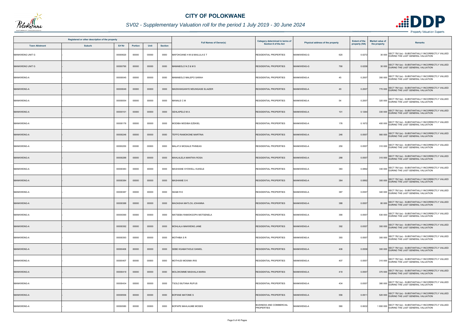

## *SV02 - Supplementary Valuation roll for the period 1 July 2019 - 30 June 2024*

|                       | Registered or other description of the property |               |                |       |                | <b>Full Names of Owner(s)</b>          | Category determined in terms of                     |                                  | <b>Extent of the</b> | <b>Market value of</b> |                                                                                                       |
|-----------------------|-------------------------------------------------|---------------|----------------|-------|----------------|----------------------------------------|-----------------------------------------------------|----------------------------------|----------------------|------------------------|-------------------------------------------------------------------------------------------------------|
| <b>Town Allotment</b> | <b>Suburb</b>                                   | <b>Erf Nr</b> | <b>Portion</b> | Unit  | <b>Section</b> |                                        | <b>Section 8 of the Act</b>                         | Physical address of the property | property (HA)        | the property           | <b>Remarks</b>                                                                                        |
| MANKWENG UNIT G       |                                                 | 00000620      | 00000          | 00000 | 0000           | <b>MAFOKOANE H M &amp; MAILULA E T</b> | RESIDENTIAL PROPERTIES                              | MANKWENG-G<br>620                | 0.0272               |                        | SECT 78(1)(e) - SUBSTANTIALLY INCORRECTLY VALUED<br>30 000 DURING THE LAST GENERAL VALUATION          |
| MANKWENG UNIT G       |                                                 | 00000790      | 00000          | 00000 | 0000           | MAMABOLONZ&MS                          | <b>RESIDENTIAL PROPERTIES</b>                       | MANKWENG-G<br>790                | 0.0258               |                        | 30 000 SECT 78(1)(e) - SUBSTANTIALLY INCORRECTLY VALUED<br>DURING THE LAST GENERAL VALUATION          |
| MANKWENG-A            |                                                 | 00000045      | 00000          | 00000 | 0000           | MAMABOLO MALEPO SARAH                  | RESIDENTIAL PROPERTIES                              | MANKWENG-A<br>45                 | 0.2007               |                        | 350 000 SECT 78(1)(e) - SUBSTANTIALLY INCORRECTLY VALUED<br>DURING THE LAST GENERAL VALUATION         |
| <b>MANKWENG-A</b>     |                                                 | 00000049      | 00000          | 00000 | 0000           | MASWANGANYE MDUNGASE ELIAZER           | RESIDENTIAL PROPERTIES                              | <b>MANKWENG-A</b><br>49          | 0.2007               |                        | 770 000 SECT 78(1)(e) - SUBSTANTIALLY INCORRECTLY VALUED<br>DURING THE LAST GENERAL VALUATION         |
| <b>MANKWENG-A</b>     |                                                 | 00000054      | 00000          | 00000 | 0000           | MANALE C M                             | <b>RESIDENTIAL PROPERTIES</b>                       | MANKWENG-A<br>54                 | 0.2007               |                        | 320 000 SECT 78(1)(e) - SUBSTANTIALLY INCORRECTLY VALUED<br>320 000 DURING THE LAST GENERAL VALUATION |
| <b>MANKWENG-A</b>     |                                                 | 00000101      | 00000          | 00000 | 0000           | SEHLAPELO M A                          | <b>RESIDENTIAL PROPERTIES</b>                       | <b>MANKWENG-A</b><br>101         | 0.1264               |                        | 330 000 SECT 78(1)(e) - SUBSTANTIALLY INCORRECTLY VALUED<br>DURING THE LAST GENERAL VALUATION         |
| <b>MANKWENG-A</b>     |                                                 | 00000176      | 00000          | 00000 | 0000           | MODIBA MODIBA EZEKIEL                  | <b>RESIDENTIAL PROPERTIES</b>                       | MANKWENG-A<br>176                | 0.1672               |                        | 400 000 SECT 78(1)(e) - SUBSTANTIALLY INCORRECTLY VALUED<br>400 000 DURING THE LAST GENERAL VALUATION |
| <b>MANKWENG-A</b>     |                                                 | 00000246      | 00000          | 00000 | 0000           | TEFFO RAMOKONE MARTINA                 | <b>RESIDENTIAL PROPERTIES</b>                       | <b>MANKWENG-A</b><br>246         | 0.0557               |                        | 560 000 SECT 78(1)(e) - SUBSTANTIALLY INCORRECTLY VALUED                                              |
| MANKWENG-A            |                                                 | 00000250      | 00000          | 00000 | 0000           | MALATJI MOGALE PHINEAS                 | <b>RESIDENTIAL PROPERTIES</b>                       | <b>MANKWENG-A</b><br>250         | 0.0557               |                        | 310 000 SECT 78(1)(e) - SUBSTANTIALLY INCORRECTLY VALUED<br>DURING THE LAST GENERAL VALUATION         |
| <b>MANKWENG-A</b>     |                                                 | 00000288      | 00000          | 00000 | 0000           | MAHLALELA MANTWA ROSA                  | <b>RESIDENTIAL PROPERTIES</b>                       | 288<br><b>MANKWENG-A</b>         | 0.0557               |                        | 310 000 SECT 78(1)(e) - SUBSTANTIALLY INCORRECTLY VALUED<br>DURING THE LAST GENERAL VALUATION         |
| MANKWENG-A            |                                                 | 00000383      | 00000          | 00000 | 0000           | MASHIANE SYDWELL KUKELE                | RESIDENTIAL PROPERTIES                              | <b>MANKWENG-A</b><br>383         | 0.0892               |                        | 330 000 SECT 78(1)(e) - SUBSTANTIALLY INCORRECTLY VALUED<br>DURING THE LAST GENERAL VALUATION         |
| <b>MANKWENG-A</b>     |                                                 | 00000384      | 00000          | 00000 | 0000           | MASHIANE S K                           | <b>RESIDENTIAL PROPERTIES</b>                       | <b>MANKWENG-A</b><br>384         | 0.0892               |                        | 300 000 SECT 78(1)(e) - SUBSTANTIALLY INCORRECTLY VALUED<br>DURING THE LAST GENERAL VALUATION         |
| <b>MANKWENG-A</b>     |                                                 | 00000387      | 00000          | 00000 | 0000           | SEABIRE                                | <b>RESIDENTIAL PROPERTIES</b>                       | MANKWENG-A<br>387                | 0.0557               |                        | 340 000 SECT 78(1)(e) - SUBSTANTIALLY INCORRECTLY VALUED                                              |
| <b>MANKWENG-A</b>     |                                                 | 00000388      | 00000          | 00000 | 0000           | MAOASHA MATLOU JOHANNA                 | <b>RESIDENTIAL PROPERTIES</b>                       | <b>MANKWENG-A</b><br>388         | 0.0557               |                        | 80 000 SECT 78(1)(e) - SUBSTANTIALLY INCORRECTLY VALUED<br>DURING THE LAST GENERAL VALUATION          |
| <b>MANKWENG-A</b>     |                                                 | 00000390      | 00000          | 00000 | 0000           | MATSEBA RAMOKGOPA MOTSENELA            | <b>RESIDENTIAL PROPERTIES</b>                       | 390<br><b>MANKWENG-A</b>         | 0.0557               |                        | SECT 78(1)(e) - SUBSTANTIALLY INCORRECTLY VALUED<br>530 000 DURING THE LAST GENERAL VALUATION         |
| <b>MANKWENG-A</b>     |                                                 | 00000392      | 00000          | 00000 | 0000           | MOHLALA MAKWENG JANE                   | <b>RESIDENTIAL PROPERTIES</b>                       | MANKWENG-A<br>392                | 0.0557               |                        | 300 000 SECT 78(1)(e) - SUBSTANTIALLY INCORRECTLY VALUED<br>DURING THE LAST GENERAL VALUATION         |
| <b>MANKWENG-A</b>     |                                                 | 00000393      | 00000          | 00000 | 0000           | <b>MOTHIBA S R</b>                     | RESIDENTIAL PROPERTIES                              | MANKWENG-A<br>393                | 0.0557               |                        | 300 000 SECT 78(1)(e) - SUBSTANTIALLY INCORRECTLY VALUED                                              |
| <b>MANKWENG-A</b>     |                                                 | 00000406      | 00000          | 00000 | 0000           | SEBE KGABATHOLE DANIEL                 | <b>RESIDENTIAL PROPERTIES</b>                       | MANKWENG-A<br>406                | 0.0558               |                        | 300 000 SECT 78(1)(e) - SUBSTANTIALLY INCORRECTLY VALUED<br>DURING THE LAST GENERAL VALUATION         |
| <b>MANKWENG-A</b>     |                                                 | 00000407      | 00000          | 00000 | 0000           | <b>MOTHUDI MOSIMA IRIS</b>             | RESIDENTIAL PROPERTIES                              | 407<br><b>MANKWENG-A</b>         | 0.0557               |                        | 310 000 SECT 78(1)(e) - SUBSTANTIALLY INCORRECTLY VALUED<br>DURING THE LAST GENERAL VALUATION         |
| <b>MANKWENG-A</b>     |                                                 | 00000419      | 00000          | 00000 | 0000           | MOLOKOMME MASHALA MARIA                | <b>RESIDENTIAL PROPERTIES</b>                       | MANKWENG-A<br>419                | 0.0557               |                        | 370 000 SECT 78(1)(e) - SUBSTANTIALLY INCORRECTLY VALUED<br>DURING THE LAST GENERAL VALUATION         |
| <b>MANKWENG-A</b>     |                                                 | 00000434      | 00000          | 00000 | 0000           | <b>TSOLO BUTANA RUFUS</b>              | <b>RESIDENTIAL PROPERTIES</b>                       | <b>MANKWENG-A</b><br>434         | 0.0557               |                        | 380 000 SECT 78(1)(e) - SUBSTANTIALLY INCORRECTLY VALUED<br>DURING THE LAST GENERAL VALUATION         |
| <b>MANKWENG-A</b>     |                                                 | 00000556      | 00000          | 00000 | 0000           | <b>BOPANE MATOME S</b>                 | <b>RESIDENTIAL PROPERTIES</b>                       | MANKWENG-A<br>556                | 0.0911               |                        | 520 000 SECT 78(1)(e) - SUBSTANTIALLY INCORRECTLY VALUED                                              |
| MANKWENG-A            |                                                 | 00000580      | 00000          | 00000 | 0000           | BOPAPE MAHLAUME MOSES                  | <b>BUSINESS AND COMMERCIAL</b><br><b>PROPERTIES</b> | MANKWENG-A<br>580                | 0.0632               |                        | 1 800 000 SECT 78(1)(e) - SUBSTANTIALLY INCORRECTLY VALUED                                            |

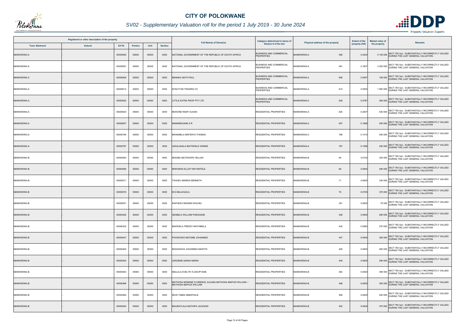

## *SV02 - Supplementary Valuation roll for the period 1 July 2019 - 30 June 2024*

| Registered or other description of the property<br>Erf Nr<br>Unit<br><b>Suburb</b><br><b>Town Allotment</b><br><b>Portion</b> |  |          |       |       |                |                                                                                    | Category determined in terms of                     |                                  | <b>Extent of the</b> | <b>Market value of</b> |                                                                                                 |
|-------------------------------------------------------------------------------------------------------------------------------|--|----------|-------|-------|----------------|------------------------------------------------------------------------------------|-----------------------------------------------------|----------------------------------|----------------------|------------------------|-------------------------------------------------------------------------------------------------|
|                                                                                                                               |  |          |       |       | <b>Section</b> | <b>Full Names of Owner(s)</b>                                                      | Section 8 of the Act                                | Physical address of the property | property (HA)        | the property           | Remarks                                                                                         |
| <b>MANKWENG-A</b>                                                                                                             |  | 00000590 | 00000 | 00000 | 0000           | NATIONAL GOVENRMENT OF THE REPUBLIC OF SOUTH AFRICA                                | <b>BUSINESS AND COMMERCIAL</b><br><b>PROPERTIES</b> | MANKWENG-A<br>590                | 0.2404               |                        | SECT 78(1)(e) - SUBSTANTIALLY INCORRECTLY VALUED<br>5 100 000 DURING THE LAST GENERAL VALUATION |
| MANKWENG-A                                                                                                                    |  | 00000591 | 00000 | 00000 | 0000           | NATIONAL GOVERNMENT OF THE REPUBLIC OF SOUTH AFRICA                                | BUSINESS AND COMMERCIAL<br><b>PROPERTIES</b>        | <b>MANKWENG-A</b><br>591         | 2.7927               |                        | 3 200 000 SECT 78(1)(e) - SUBSTANTIALLY INCORRECTLY VALUED                                      |
| <b>MANKWENG-A</b>                                                                                                             |  | 00000606 | 00000 | 00000 | 0000           | IANAKA SETH PAUL                                                                   | <b>BUSINESS AND COMMERCIAL</b><br><b>PROPERTIES</b> | MANKWENG-A<br>606                | 0.0557               |                        | 190 000 SECT 78(1)(e) - SUBSTANTIALLY INCORRECTLY VALUED<br>DURING THE LAST GENERAL VALUATION   |
| <b>MANKWENG-A</b>                                                                                                             |  | 00000614 | 00003 | 00000 | 0000           | M RAYYAN TRADING CC                                                                | <b>BUSINESS AND COMMERCIAL</b><br><b>PROPERTIES</b> | <b>MANKWENG-A</b><br>614         | 0.0500               |                        | SECT 78(1)(e) - SUBSTANTIALLY INCORRECTLY VALUED<br>1900 000 DURING THE LAST GENERAL VALUATION  |
| <b>MANKWENG-A</b>                                                                                                             |  | 00000620 | 00000 | 00000 | 0000           | LITTLE EXTRA PROP PTY LTD                                                          | <b>BUSINESS AND COMMERCIAL</b><br><b>PROPERTIES</b> | <b>MANKWENG-A</b><br>620         | 0.0787               |                        | 380 000 SECT 78(1)(e) - SUBSTANTIALLY INCORRECTLY VALUED<br>DURING THE LAST GENERAL VALUATION   |
| <b>MANKWENG-A</b>                                                                                                             |  | 00000625 | 00000 | 00000 | 0000           | MOKONE RAMY SUSAN                                                                  | <b>RESIDENTIAL PROPERTIES</b>                       | MANKWENG-A<br>625                | 0.2007               |                        | 530 000 SECT 78(1)(e) - SUBSTANTIALLY INCORRECTLY VALUED<br>DURING THE LAST GENERAL VALUATION   |
| <b>MANKWENG-A</b>                                                                                                             |  | 00000657 | 00000 | 00000 | 0000           | <b>IAMAREGANE S R</b>                                                              | <b>RESIDENTIAL PROPERTIES</b>                       | 657<br><b>MANKWENG-A</b>         | 0.1988               |                        | 400 000 SECT 78(1)(e) - SUBSTANTIALLY INCORRECTLY VALUED<br>DURING THE LAST GENERAL VALUATION   |
| <b>MANKWENG-A</b>                                                                                                             |  | 00000766 | 00000 | 00000 | 0000           | MANAMELA MAFENYA THOMAS                                                            | RESIDENTIAL PROPERTIES                              | 766<br><b>MANKWENG-A</b>         | 0.1410               |                        | SECT 78(1)(e) - SUBSTANTIALLY INCORRECTLY VALUED<br>400 000 DURING THE LAST GENERAL VALUATION   |
| <b>MANKWENG-A</b>                                                                                                             |  | 00000787 | 00000 | 00000 | 0000           | LEKALAKALA MATSWELE WINNIE                                                         | <b>RESIDENTIAL PROPERTIES</b>                       | 787<br>MANKWENG-A                | 0.108                |                        | 450 000 SECT 78(1)(e) - SUBSTANTIALLY INCORRECTLY VALUED                                        |
| <b>MANKWENG-B</b>                                                                                                             |  | 00000064 | 00000 | 00000 | 0000           | MODIBA MATSWAPE HELLEN                                                             | <b>RESIDENTIAL PROPERTIES</b>                       | 64<br><b>MANKWENG-B</b>          | 0.0742               |                        | 320 000 SECT 78(1)(e) - SUBSTANTIALLY INCORRECTLY VALUED<br>DURING THE LAST GENERAL VALUATION   |
| <b>MANKWENG-B</b>                                                                                                             |  | 00000066 | 00000 | 00000 | 0000           | MOKOENA ELLIOT MATANTELE                                                           | RESIDENTIAL PROPERTIES                              | 66<br><b>MANKWENG-B</b>          | 0.0600               |                        | 290 000 SECT 78(1)(e) - SUBSTANTIALLY INCORRECTLY VALUED<br>DURING THE LAST GENERAL VALUATION   |
| MANKWENG-B                                                                                                                    |  | 00000071 | 00000 | 00000 | 0000           | TSHOEU MAREDI BENNETH                                                              | <b>RESIDENTIAL PROPERTIES</b>                       | <b>MANKWENG-B</b><br>71          | 0.0600               |                        | 330 000 SECT 78(1)(e) - SUBSTANTIALLY INCORRECTLY VALUED<br>DURING THE LAST GENERAL VALUATION   |
| MANKWENG-B                                                                                                                    |  | 00000076 | 00000 | 00000 | 0000           | <b>I E MALAHLELA</b>                                                               | <b>RESIDENTIAL PROPERTIES</b>                       | <b>MANKWENG-B</b><br>76          | 0.0705               |                        | 370 000 SECT 78(1)(e) - SUBSTANTIALLY INCORRECTLY VALUED<br>DURING THE LAST GENERAL VALUATION   |
| <b>MANKWENG-B</b>                                                                                                             |  | 00000251 | 00000 | 00000 | 0000           | RAPHESU MOSIMA RACHEL                                                              | <b>RESIDENTIAL PROPERTIES</b>                       | 251<br><b>MANKWENG-B</b>         | 0.0600               |                        | 70 000 SECT 78(1)(e) - SUBSTANTIALLY INCORRECTLY VALUED<br>DURING THE LAST GENERAL VALUATION    |
| <b>MANKWENG-B</b>                                                                                                             |  | 00000426 | 00000 | 00000 | 0000           | SEABELA WILLIAM PHEAGANE                                                           | <b>RESIDENTIAL PROPERTIES</b>                       | 426<br><b>MANKWENG-B</b>         | 0.0600               |                        | SECT 78(1)(e) - SUBSTANTIALLY INCORRECTLY VALUED<br>280 000 DURING THE LAST GENERAL VALUATION   |
| <b>MANKWENG-B</b>                                                                                                             |  | 00000432 | 00000 | 00000 | 0000           | MAKWELA FREDDY MATHIBELA                                                           | <b>RESIDENTIAL PROPERTIES</b>                       | 432<br><b>MANKWENG-B</b>         | 0.0983               |                        | 270 000 SECT 78(1)(e) - SUBSTANTIALLY INCORRECTLY VALUED<br>DURING THE LAST GENERAL VALUATION   |
| <b>MANKWENG-B</b>                                                                                                             |  | 00000447 | 00000 | 00000 | 0000           | <b>PHOSHOKO MATOME JOHANNES</b>                                                    | <b>RESIDENTIAL PROPERTIES</b>                       | <b>MANKWENG-B</b><br>447         | 0.0540               |                        | 300 000 SECT 78(1)(e) - SUBSTANTIALLY INCORRECTLY VALUED<br>DURING THE LAST GENERAL VALUATION   |
| <b>MANKWENG-B</b>                                                                                                             |  | 00000450 | 00000 | 00000 | 0000           | MOGASHOA JOHANNES MADITSI                                                          | RESIDENTIAL PROPERTIES                              | <b>MANKWENG-B</b><br>450         | 0.0600               |                        | 260 000 SECT 78(1)(e) - SUBSTANTIALLY INCORRECTLY VALUED<br>DURING THE LAST GENERAL VALUATION   |
| <b>MANKWENG-B</b>                                                                                                             |  | 00000454 | 00000 | 00000 | 0000           | <b>LEKGEMA SARAH MARIA</b>                                                         | <b>RESIDENTIAL PROPERTIES</b>                       | 454<br><b>MANKWENG-B</b>         | 0.0600               |                        | 290 000 SECT 78(1)(e) - SUBSTANTIALLY INCORRECTLY VALUED<br>DURING THE LAST GENERAL VALUATION   |
| <b>MANKWENG-B</b>                                                                                                             |  | 00000463 | 00000 | 00000 | 0000           | MAILULA EVELYN TLODUPYANE                                                          | <b>RESIDENTIAL PROPERTIES</b>                       | 463<br><b>MANKWENG-B</b>         | 0.0540               |                        | 390 000 SECT 78(1)(e) - SUBSTANTIALLY INCORRECTLY VALUED<br>DURING THE LAST GENERAL VALUATION   |
| <b>MANKWENG-B</b>                                                                                                             |  | 00000468 | 00000 | 00000 | 0000           | MATHOSA MONENE FLORENCE JULIANA MATHOSA MAPUDI WILLIAM /<br>MATHOSA MAPUDI WILLIAM | RESIDENTIAL PROPERTIES                              | 468<br><b>MANKWENG-B</b>         | 0.0600               |                        | 300 000 SECT 78(1)(e) - SUBSTANTIALLY INCORRECTLY VALUED                                        |
| <b>MANKWENG-B</b>                                                                                                             |  | 00000469 | 00000 | 00000 | 0000           | MUSI TABEA MMAPHALE                                                                | <b>RESIDENTIAL PROPERTIES</b>                       | 469<br><b>MANKWENG-B</b>         | 0.0600               |                        | 440 000 SECT 78(1)(e) - SUBSTANTIALLY INCORRECTLY VALUED<br>DURING THE LAST GENERAL VALUATION   |
| <b>MANKWENG-B</b>                                                                                                             |  | 00000493 | 00000 | 00000 | 0000           | MAUNATLALA MATHIPA JACKSON                                                         | <b>RESIDENTIAL PROPERTIES</b>                       | <b>MANKWENG-B</b><br>493         | 0.0636               |                        | SECT 78(1)(e) - SUBSTANTIALLY INCORRECTLY VALUED<br>370 000 DURING THE LAST GENERAL VALUATION   |

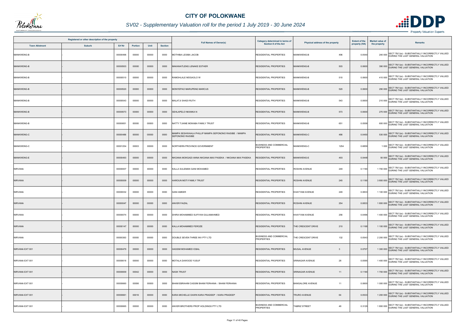

## *SV02 - Supplementary Valuation roll for the period 1 July 2019 - 30 June 2024*

|                       | Registered or other description of the property |               |         |       |                |                                                                            | Category determined in terms of                     |                                     | <b>Extent of the</b> | <b>Market value of</b> |                                                                                                       |
|-----------------------|-------------------------------------------------|---------------|---------|-------|----------------|----------------------------------------------------------------------------|-----------------------------------------------------|-------------------------------------|----------------------|------------------------|-------------------------------------------------------------------------------------------------------|
| <b>Town Allotment</b> | <b>Suburb</b>                                   | <b>Erf Nr</b> | Portion | Unit  | <b>Section</b> | <b>Full Names of Owner(s)</b>                                              | <b>Section 8 of the Act</b>                         | Physical address of the property    | property (HA)        | the property           | <b>Remarks</b>                                                                                        |
| <b>MANKWENG-B</b>     |                                                 | 00000496      | 00000   | 00000 | 0000           | <b>MOTHIBA LESIBA JACOB</b>                                                | <b>RESIDENTIAL PROPERTIES</b>                       | <b>MANKWENG-B</b><br>496            | 0.0540               |                        | SECT 78(1)(e) - SUBSTANTIALLY INCORRECTLY VALUED<br>240 000 DURING THE LAST GENERAL VALUATION         |
| <b>MANKWENG-B</b>     |                                                 | 00000503      | 00000   | 00000 | 0000           | MAKANATLENG LENAKE ESTHER                                                  | <b>RESIDENTIAL PROPERTIES</b>                       | 503<br><b>MANKWENG-B</b>            | 0.0600               |                        | 390 000 SECT 78(1)(e) - SUBSTANTIALLY INCORRECTLY VALUED<br>DURING THE LAST GENERAL VALUATION         |
| <b>MANKWENG-B</b>     |                                                 | 00000510      | 00000   | 00000 | 0000           | RAMOHLALE MOGAOLO W                                                        | <b>RESIDENTIAL PROPERTIES</b>                       | <b>MANKWENG-B</b><br>510            | 0.0600               |                        | 410 000 SECT 78(1)(e) - SUBSTANTIALLY INCORRECTLY VALUED<br>DURING THE LAST GENERAL VALUATION         |
| <b>MANKWENG-B</b>     |                                                 | 00000520      | 00000   | 00000 | 0000           | MONYEPAO MARUPENG MARCUS                                                   | <b>RESIDENTIAL PROPERTIES</b>                       | <b>MANKWENG-B</b><br>520            | 0.0600               |                        | 290 000 SECT 78(1)(e) - SUBSTANTIALLY INCORRECTLY VALUED<br>DURING THE LAST GENERAL VALUATION         |
| <b>MANKWENG-B</b>     |                                                 | 00000543      | 00000   | 00000 | 0000           | MALATJI SHADI RUTH                                                         | <b>RESIDENTIAL PROPERTIES</b>                       | MANKWENG-B<br>543                   | 0.0600               |                        | 210 000 SECT 78(1)(e) - SUBSTANTIALLY INCORRECTLY VALUED<br>DURING THE LAST GENERAL VALUATION         |
| <b>MANKWENG-B</b>     |                                                 | 00000573      | 00000   | 00000 | 0000           | SEHLAPELO NKANKA N                                                         | <b>RESIDENTIAL PROPERTIES</b>                       | <b>MANKWENG-B</b><br>573            | 0.0600               |                        | 270 000 SECT 78(1)(e) - SUBSTANTIALLY INCORRECTLY VALUED<br>DURING THE LAST GENERAL VALUATION         |
| <b>MANKWENG-B</b>     |                                                 | 00000651      | 00000   | 00000 | 0000           | NATTY TJIANE MOKABA FAMILY TRUST                                           | <b>RESIDENTIAL PROPERTIES</b>                       | MANKWENG-B<br>651                   | 0.0558               |                        | 600 000 SECT 78(1)(e) - SUBSTANTIALLY INCORRECTLY VALUED<br>600 000 DURING THE LAST GENERAL VALUATION |
| MANKWENG-C            |                                                 | 00000486      | 00000   | 00000 | 0000           | MAMPA SESHWAHLA PHILLIP MAMPA SEPONONO RAISIBE / MAMPA<br>SEPONONO RAISIBE | <b>RESIDENTIAL PROPERTIES</b>                       | <b>MANKWENG-C</b><br>486            | 0.0450               |                        | SECT 78(1)(e) - SUBSTANTIALLY INCORRECTLY VALUED<br>530 000 DURING THE LAST GENERAL VALUATION         |
| MANKWENG-C            |                                                 | 00001254      | 00003   | 00000 | 0000           | NORTHERN PROVINCE GOVERNMENT                                               | BUSINESS AND COMMERCIAL<br><b>PROPERTIES</b>        | MANKWENG-C<br>1254                  | 0.6859               |                        | 1 000 SECT 78(1)(e) - SUBSTANTIALLY INCORRECTLY VALUED                                                |
| <b>MANKWENG-E</b>     |                                                 | 00000493      | 00000   | 00000 | 0000           | NKOANA MOKGADI ANNA NKOANA MAX PASEKA / NKOANA MAX PASEKA                  | RESIDENTIAL PROPERTIES                              | MANKWENG-E<br>493                   | 0.0448               |                        | 50 000 SECT 78(1)(e) - SUBSTANTIALLY INCORRECTLY VALUED<br>DURING THE LAST GENERAL VALUATION          |
| <b>NIRVANA</b>        |                                                 | 00000007      | 00000   | 00000 | 0000           | KALLA SULEMAN GANI MOHAMED                                                 | RESIDENTIAL PROPERTIES                              | <b>ROSHNI AVENUE</b><br>249         | 0.1190               |                        | 1 700 000 SECT 78(1)(e) - SUBSTANTIALLY INCORRECTLY VALUED                                            |
| <b>NIRVANA</b>        |                                                 | 00000009      | 00000   | 00000 | 0000           | HAROUN MOTI FAMILY TRUST                                                   | <b>RESIDENTIAL PROPERTIES</b>                       | <b>ROSHNI AVENUE</b><br>245         | 0.1190               |                        | 3 800 000 SECT 78(1)(e) - SUBSTANTIALLY INCORRECTLY VALUED                                            |
| <b>NIRVANA</b>        |                                                 | 00000032      | 00000   | 00000 | 0000           | <b>GANI AMEER</b>                                                          | <b>RESIDENTIAL PROPERTIES</b>                       | KHAYYAM AVENUE<br>249               | 0.0833               |                        | 1 100 000 SECT 78(1)(e) - SUBSTANTIALLY INCORRECTLY VALUED                                            |
| <b>NIRVANA</b>        |                                                 | 00000047      | 00000   | 00000 | 0000           | <b>ANVER FAIZAL</b>                                                        | <b>RESIDENTIAL PROPERTIES</b>                       | <b>ROSHNI AVENUE</b><br>254         | 0.0833               |                        | 1 800 000 SECT 78(1)(e) - SUBSTANTIALLY INCORRECTLY VALUED                                            |
| <b>NIRVANA</b>        |                                                 | 00000074      | 00000   | 00000 | 0000           | DHIRA MOHAMMED SUFIYAN GULAMAHMED                                          | <b>RESIDENTIAL PROPERTIES</b>                       | 256<br>KHAYYAM AVENUE               | 0.0496               |                        | SECT 78(1)(e) - SUBSTANTIALLY INCORRECTLY VALUED<br>1400 000 DURING THE LAST GENERAL VALUATION        |
| <b>NIRVANA</b>        |                                                 | 00000147      | 00000   | 00000 | 0000           | KALLA MOHAMMED FEROZE                                                      | <b>RESIDENTIAL PROPERTIES</b>                       | THE CRESCENT DRIVE<br>210           | 0.1168               |                        | 1 100 000 SECT 78(1)(e) - SUBSTANTIALLY INCORRECTLY VALUED<br>DURING THE LAST GENERAL VALUATION       |
| <b>NIRVANA</b>        |                                                 | 00000363      | 00000   | 00000 | 0000           | DOUBLE SEVEN THREE INV PTY LTD                                             | <b>BUSINESS AND COMMERCIAL</b><br><b>PROPERTIES</b> | THE CRESCENT DRIVE<br>132           | 0.0543               |                        | 2 200 000 SECT 78(1)(e) - SUBSTANTIALLY INCORRECTLY VALUED                                            |
| NIRVANA EXT 001       |                                                 | 00000479      | 00000   | 00000 | 0000           | HASSIM MOHAMED ICBAL                                                       | <b>RESIDENTIAL PROPERTIES</b>                       | <b>MUGAL AVENUE</b><br>$\mathbf{3}$ | 0.0707               |                        | 1 300 000 SECT 78(1)(e) - SUBSTANTIALLY INCORRECTLY VALUED<br>DURING THE LAST GENERAL VALUATION       |
| NIRVANA EXT 001       |                                                 | 00000616      | 00000   | 00000 | 0000           | MOTALA DAWOOD YUSUF                                                        | <b>RESIDENTIAL PROPERTIES</b>                       | <b>SRINAGAR AVENUE</b><br>28        | 0.0595               |                        | 1 400 000 SECT 78(1)(e) - SUBSTANTIALLY INCORRECTLY VALUED<br>DURING THE LAST GENERAL VALUATION       |
| NIRVANA EXT 001       |                                                 | 00000659      | 00042   | 00000 | 0000           | <b>NASK TRUST</b>                                                          | <b>RESIDENTIAL PROPERTIES</b>                       | <b>SRINAGAR AVENUE</b><br>11        | 0.1190               |                        | 1 700 000 SECT 78(1)(e) - SUBSTANTIALLY INCORRECTLY VALUED                                            |
| NIRVANA EXT 001       |                                                 | 00000660      | 00006   | 00000 | 0000           | BHAM EBRAHIM CASSIM BHAM FERHANA / BHAM FERHANA                            | <b>RESIDENTIAL PROPERTIES</b>                       | <b>BANGALORE AVENUE</b><br>11       | 0.0600               |                        | 1 000 000 SECT 78(1)(e) - SUBSTANTIALLY INCORRECTLY VALUED<br>DURING THE LAST GENERAL VALUATION       |
| NIRVANA EXT 001       |                                                 | 00000661      | 00016   | 00000 | 0000           | KARA MICHELLE DAWN KARA PRADEEP / KARA PRADEEP                             | <b>RESIDENTIAL PROPERTIES</b>                       | 64<br><b>TRURO AVENUE</b>           | 0.0533               |                        | 1 200 000 SECT 78(1)(e) - SUBSTANTIALLY INCORRECTLY VALUED                                            |
| NIRVANA EXT 001       |                                                 | 00000665      | 00000   | 00000 | 0000           | ANVER BROTHERS PROP HOLDINGS PTY LTD                                       | <b>BUSINESS AND COMMERCIAL</b><br><b>PROPERTIES</b> | <b>TABRIZ STREET</b><br>48          | 0.3129               |                        | SECT 78(1)(e) - SUBSTANTIALLY INCORRECTLY VALUED<br>1800 000 DURING THE LAST GENERAL VALUATION        |

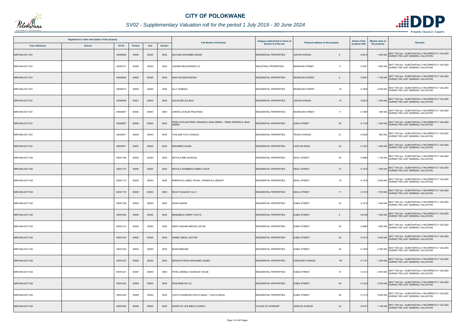

## *SV02 - Supplementary Valuation roll for the period 1 July 2019 - 30 June 2024*

|                 | Registered or other description of the property<br>Erf Nr<br><b>Town Allotment</b><br><b>Suburb</b><br><b>Portion</b><br>Unit |          |       |       |                |                                                                           | Category determined in terms of |                                         | <b>Extent of the</b> | <b>Market value of</b> |                                                                                                 |
|-----------------|-------------------------------------------------------------------------------------------------------------------------------|----------|-------|-------|----------------|---------------------------------------------------------------------------|---------------------------------|-----------------------------------------|----------------------|------------------------|-------------------------------------------------------------------------------------------------|
|                 |                                                                                                                               |          |       |       | <b>Section</b> | <b>Full Names of Owner(s)</b>                                             | Section 8 of the Act            | Physical address of the property        | property (HA)        | the property           | <b>Remarks</b>                                                                                  |
| NIRVANA EXT 001 |                                                                                                                               | 00000690 | 00000 | 00000 | 0000           | SALOJEE MOHAMED NASIM                                                     | <b>RESIDENTIAL PROPERTIES</b>   | <b>JAIPUR AVENUE</b>                    | 0.061                |                        | 1 400 000 SECT 78(1)(e) - SUBSTANTIALLY INCORRECTLY VALUED<br>DURING THE LAST GENERAL VALUATION |
| NIRVANA EXT 001 |                                                                                                                               | 00000777 | 00000 | 00000 | 0000           | JUNORA BELEGGINGS CC                                                      | INDUSTRIAL PROPERTIES           | <b>MANGAAN STREET</b><br>11             | 0.2351               |                        | 1 900 000 SECT 78(1)(e) - SUBSTANTIALLY INCORRECTLY VALUED<br>DURING THE LAST GENERAL VALUATION |
| NIRVANA EXT 001 |                                                                                                                               | 00000800 | 00000 | 00000 | 0000           | <b>GANI SULIMAN MOOSA</b>                                                 | RESIDENTIAL PROPERTIES          | <b>MONSOON STREET</b><br>$\overline{2}$ | 0.2501               |                        | 1 700 000 SECT 78(1)(e) - SUBSTANTIALLY INCORRECTLY VALUED<br>DURING THE LAST GENERAL VALUATION |
| NIRVANA EXT 001 |                                                                                                                               | 00000810 | 00000 | 00000 | 0000           | ALLY ZUBEIDA                                                              | RESIDENTIAL PROPERTIES          | <b>MONSOON STREET</b><br>19             | 0.1800               |                        | 2 000 000 SECT 78(1)(e) - SUBSTANTIALLY INCORRECTLY VALUED                                      |
| NIRVANA EXT 001 |                                                                                                                               | 00000836 | 00001 | 00000 | 0000           | SALOOJEE ZULIEKA                                                          | <b>RESIDENTIAL PROPERTIES</b>   | <b>JAIPUR AVENUE</b><br>10              | 0.0612               |                        | 1 400 000 SECT 78(1)(e) - SUBSTANTIALLY INCORRECTLY VALUED                                      |
| NIRVANA EXT 001 |                                                                                                                               | 00000837 | 00000 | 00000 | 0000           | AHMOD JOOSUB-TRUSTEES                                                     | RESIDENTIAL PROPERTIES          | <b>MONSOON STREET</b><br>11             | 0.1800               |                        | 940 000 SECT 78(1)(e) - SUBSTANTIALLY INCORRECTLY VALUED<br>DURING THE LAST GENERAL VALUATION   |
| NIRVANA EXT 001 |                                                                                                                               | 00000857 | 00000 | 00000 | 0000           | PEMA GOOLAM PEMA VERONICA JEAN DEBRA / PEMA VERONICA JEAN<br><b>DEBRA</b> | RESIDENTIAL PROPERTIES          | 28<br><b>AGRA STREET</b>                | 0.1139               |                        | 1 500 000 SECT 78(1)(e) - SUBSTANTIALLY INCORRECTLY VALUED                                      |
| NIRVANA EXT 001 |                                                                                                                               | 00000871 | 00036 | 00000 | 0000           | THULARE PATLI DONALD                                                      | <b>RESIDENTIAL PROPERTIES</b>   | <b>TRURO AVENUE</b><br>21               | 0.0528               |                        | SECT 78(1)(e) - SUBSTANTIALLY INCORRECTLY VALUED<br>650 000 DURING THE LAST GENERAL VALUATION   |
| NIRVANA EXT 001 |                                                                                                                               | 00000871 | 00057 | 00000 | 0000           | MOHAMED HAJRA                                                             | <b>RESIDENTIAL PROPERTIES</b>   | <b>LAWTON ROAD</b><br>42                | 0.1207               |                        | 1 500 000 SECT 78(1)(e) - SUBSTANTIALLY INCORRECTLY VALUED                                      |
| NIRVANA EXT 002 |                                                                                                                               | 00001169 | 00000 | 00000 | 0000           | MOTALA BIBI AAYESHA                                                       | <b>RESIDENTIAL PROPERTIES</b>   | 29<br><b>DEHLI STREET</b>               | 0.0990               |                        | 1 100 000 SECT 78(1)(e) - SUBSTANTIALLY INCORRECTLY VALUED<br>DURING THE LAST GENERAL VALUATION |
| NIRVANA EXT 002 |                                                                                                                               | 00001170 | 00000 | 00000 | 0000           | MOTALA SHABBIER AHMED YUSUF                                               | RESIDENTIAL PROPERTIES          | <b>DEHLI STREET</b><br>27               | 0.1018               |                        | 1 300 000 SECT 78(1)(e) - SUBSTANTIALLY INCORRECTLY VALUED<br>DURING THE LAST GENERAL VALUATION |
| NIRVANA EXT 002 |                                                                                                                               | 00001173 | 00000 | 00000 | 0000           | RHEMTULA AQEEL FEISAL / RHEMTULA ZEENAT                                   | <b>RESIDENTIAL PROPERTIES</b>   | <b>DEHLI STREET</b><br>19               | 0.1018               |                        | 2 500 000 SECT 78(1)(e) - SUBSTANTIALLY INCORRECTLY VALUED                                      |
| NIRVANA EXT 002 |                                                                                                                               | 00001176 | 00000 | 00000 | 0000           | RAVAT SHAUKAT ALLY                                                        | <b>RESIDENTIAL PROPERTIES</b>   | <b>DEHLI STREET</b><br>11               | 0.1018               |                        | 1 700 000 SECT 78(1)(e) - SUBSTANTIALLY INCORRECTLY VALUED<br>DURING THE LAST GENERAL VALUATION |
| NIRVANA EXT 002 |                                                                                                                               | 00001198 | 00000 | 00000 | 0000           | KHAN ZUBAIR                                                               | <b>RESIDENTIAL PROPERTIES</b>   | <b>DUBAI STREET</b><br>23               | 0.1018               |                        | 1 400 000 SECT 78(1)(e) - SUBSTANTIALLY INCORRECTLY VALUED<br>DURING THE LAST GENERAL VALUATION |
| NIRVANA EXT 002 |                                                                                                                               | 00001204 | 00000 | 00000 | 0000           | <b>MANAMELA HARRY PILETJI</b>                                             | <b>RESIDENTIAL PROPERTIES</b>   | <b>DUBAI STREET</b><br>$\overline{4}$   | 0.0738               |                        | SECT 78(1)(e) - SUBSTANTIALLY INCORRECTLY VALUED<br>1 300 000 DURING THE LAST GENERAL VALUATION |
| NIRVANA EXT 002 |                                                                                                                               | 00001212 | 00000 | 00000 | 0000           | ABOO HASHIM ABDOOL SATAR                                                  | <b>RESIDENTIAL PROPERTIES</b>   | <b>DUBAI STREET</b><br>20               | 0.0980               |                        | 1 800 000 SECT 78(1)(e) - SUBSTANTIALLY INCORRECTLY VALUED<br>DURING THE LAST GENERAL VALUATION |
| NIRVANA EXT 002 |                                                                                                                               | 00001233 | 00000 | 00000 | 0000           | AHMED ABDUL SATTAR                                                        | <b>RESIDENTIAL PROPERTIES</b>   | 62<br><b>DUBAI STREET</b>               | 0.1613               |                        | 3 400 000 SECT 78(1)(e) - SUBSTANTIALLY INCORRECTLY VALUED                                      |
| NIRVANA EXT 002 |                                                                                                                               | 00001236 | 00000 | 00000 | 0000           | <b>BHAM IBRAHIM</b>                                                       | RESIDENTIAL PROPERTIES          | <b>DUBAI STREET</b><br>24               | 0.1029               |                        | 2 300 000 SECT 78(1)(e) - SUBSTANTIALLY INCORRECTLY VALUED<br>DURING THE LAST GENERAL VALUATION |
| NIRVANA EXT 002 |                                                                                                                               | 00001237 | 00000 | 00000 | 0000           | MODAN AYESHA MAHOMED SADEK                                                | <b>RESIDENTIAL PROPERTIES</b>   | <b>CRESCENT AVENUE</b><br>181           | 0.1137               |                        | 1 500 000 SECT 78(1)(e) - SUBSTANTIALLY INCORRECTLY VALUED                                      |
| NIRVANA EXT 002 |                                                                                                                               | 00001241 | 00007 | 00000 | 0000           | PATEL MAKBUL HUSSAUN YAKUB                                                | <b>RESIDENTIAL PROPERTIES</b>   | 51<br><b>DUBAI STREET</b>               | 0.1212               |                        | 2 000 000 SECT 78(1)(e) - SUBSTANTIALLY INCORRECTLY VALUED                                      |
| NIRVANA EXT 002 |                                                                                                                               | 00001242 | 00005 | 00000 | 0000           | RAISONNE INV CC                                                           | <b>RESIDENTIAL PROPERTIES</b>   | <b>DUBAI STREET</b><br>48               | 0.1234               |                        | 2 200 000 SECT 78(1)(e) - SUBSTANTIALLY INCORRECTLY VALUED                                      |
| NIRVANA EXT 002 |                                                                                                                               | 00001242 | 00009 | 00000 | 0000           | CHAYA SHAMOON CHAYA NADIA / CHAYA NADIA                                   | RESIDENTIAL PROPERTIES          | 56<br><b>DUBAI STREET</b>               | 0.1313               |                        | 2 800 000 SECT 78(1)(e) - SUBSTANTIALLY INCORRECTLY VALUED                                      |
| NIRVANA EXT 003 |                                                                                                                               | 00001055 | 00000 | 00000 | 0000           | WORD OF LIFE BIBLE CHURCH                                                 | PLACES OF WORSHIP               | JERICHO AVENUE<br>24                    | 0.0707               |                        | SECT 78(1)(e) - SUBSTANTIALLY INCORRECTLY VALUED<br>1 100 000 DURING THE LAST GENERAL VALUATION |

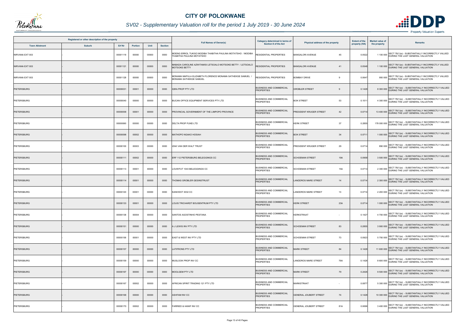

## *SV02 - Supplementary Valuation roll for the period 1 July 2019 - 30 June 2024*

| Registered or other description of the property |               |          |         |       |                |                                                                                           | Category determined in terms of                     |                                   | <b>Extent of the</b> | <b>Market value of</b> | <b>Remarks</b>                                                                                   |
|-------------------------------------------------|---------------|----------|---------|-------|----------------|-------------------------------------------------------------------------------------------|-----------------------------------------------------|-----------------------------------|----------------------|------------------------|--------------------------------------------------------------------------------------------------|
| <b>Town Allotment</b>                           | <b>Suburb</b> | Erf Nr   | Portion | Unit  | <b>Section</b> | <b>Full Names of Owner(s)</b>                                                             | Section 8 of the Act                                | Physical address of the property  | property (HA)        | the property           |                                                                                                  |
| NIRVANA EXT 003                                 |               | 00001119 | 00000   | 00000 | 0000           | MOENG ERROL TUKISO MODIBA THABITHA PAULINA MOTATSHO / MODIBA<br>THABITHA PAULINA MOTATSHO | RESIDENTIAL PROPERTIES                              | <b>BANGALORI AVENUE</b><br>45     | 0.0522               |                        | 1 100 000 SECT 78(1)(e) - SUBSTANTIALLY INCORRECTLY VALUED<br>DURING THE LAST GENERAL VALUATION  |
| NIRVANA EXT 003                                 |               | 00001121 | 00000   | 00000 | 0000           | MABADA CAROLINE AZWITAMISI LETSOALO MOTSOKE BETTY / LETSOALO<br>MOTSOKE BETTY             | RESIDENTIAL PROPERTIES                              | <b>BANGALORI AVENUE</b><br>41     | 0.0548               |                        | 1 100 000 SECT 78(1)(e) - SUBSTANTIALLY INCORRECTLY VALUED                                       |
| NIRVANA EXT 003                                 |               | 00001128 | 00000   | 00000 | 0000           | MONAMA MAPULA ELIZABETH FLORENCE MONAMA SATHEKGE SAMUEL /<br>MONAMA SATHEKGE SAMUEL       | RESIDENTIAL PROPERTIES                              | <b>BOMBAY DRIVE</b><br>9          | 0.0647               |                        | 950 000 SECT 78(1)(e) - SUBSTANTIALLY INCORRECTLY VALUED<br>DURING THE LAST GENERAL VALUATION    |
| <b>PIETERSBURG</b>                              |               | 00000031 | 00001   | 00000 | 0000           | <b>IQRA PROP PTY LTD</b>                                                                  | <b>BUSINESS AND COMMERCIAL</b><br><b>PROPERTIES</b> | <b>GROBLER STREET</b>             | 0.1428               |                        | 8 300 000 SECT 78(1)(e) - SUBSTANTIALLY INCORRECTLY VALUED                                       |
| <b>PIETERSBURG</b>                              |               | 00000040 | 00000   | 00000 | 0000           | BUCAN OFFICE EQUIPMENT SERVICES PTY LTD                                                   | BUSINESS AND COMMERCIAL<br><b>PROPERTIES</b>        | <b>BOK STREET</b><br>53           | 0.1011               |                        | 4 300 000 SECT 78(1)(e) - SUBSTANTIALLY INCORRECTLY VALUED<br>DURING THE LAST GENERAL VALUATION  |
| PIETERSBURG                                     |               | 00000058 | 00001   | 00000 | 0000           | PROVINCIAL GOVERNMENT OF THE LIMPOPO PROVINCE                                             | <b>BUSINESS AND COMMERCIAL</b><br><b>PROPERTIES</b> | PRESIDENT KRUGER STREET<br>42     | 0.0714               |                        | 13 400 000 SECT 78(1)(e) - SUBSTANTIALLY INCORRECTLY VALUED<br>DURING THE LAST GENERAL VALUATION |
| PIETERSBURG                                     |               | 00000060 | 00000   | 00000 | 0000           | DELTA PROP FUND LTD                                                                       | <b>BUSINESS AND COMMERCIAL</b><br><b>PROPERTIES</b> | 37<br><b>KERK STREET</b>          | 0.2855               |                        | 178 000 000 SECT 78(1)(e) - SUBSTANTIALLY INCORRECTLY VALUED                                     |
| PIETERSBURG                                     |               | 00000098 | 00002   | 00000 | 0000           | MATHOPO NGAKO HOSIAH                                                                      | <b>BUSINESS AND COMMERCIAL</b><br><b>PROPERTIES</b> | <b>BOK STREET</b><br>34           | 0.071                |                        | 1 000 000 SECT 78(1)(e) - SUBSTANTIALLY INCORRECTLY VALUED<br>DURING THE LAST GENERAL VALUATION  |
| <b>PIETERSBURG</b>                              |               | 00000100 | 00003   | 00000 | 0000           | IZAK VAN DER WALT TRUST                                                                   | BUSINESS AND COMMERCIAL<br><b>PROPERTIES</b>        | PRESIDENT KRUGER STREET<br>29     | 0.0714               |                        | 890 000 SECT 78(1)(e) - SUBSTANTIALLY INCORRECTLY VALUED<br>DURING THE LAST GENERAL VALUATION    |
| <b>PIETERSBURG</b>                              |               | 00000111 | 00002   | 00000 | 0000           | ERF 112 PIETERSBURG BELEGGINGS CC                                                         | <b>BUSINESS AND COMMERCIAL</b><br><b>PROPERTIES</b> | 19A<br><b>SCHOEMAN STREET</b>     | 0.0958               |                        | 3 500 000 SECT 78(1)(e) - SUBSTANTIALLY INCORRECTLY VALUED<br>DURING THE LAST GENERAL VALUATION  |
| PIETERSBURG                                     |               | 00000113 | 00001   | 00000 | 0000           | LOUWFUT 1043 BELEGGINGS CC                                                                | <b>BUSINESS AND COMMERCIAL</b><br><b>PROPERTIES</b> | <b>SCHOEMAN STREET</b><br>15A     | 0.0714               |                        | 2 300 000 SECT 78(1)(e) - SUBSTANTIALLY INCORRECTLY VALUED<br>DURING THE LAST GENERAL VALUATION  |
| <b>PIETERSBURG</b>                              |               | 00000114 | 00001   | 00000 | 0000           | THOMAS GROBLER GESINSTRUST                                                                | <b>BUSINESS AND COMMERCIAL</b><br><b>PROPERTIES</b> | <b>LANDDROS MARE STREET</b><br>14 | 0.0714               |                        | 2 300 000 SECT 78(1)(e) - SUBSTANTIALLY INCORRECTLY VALUED                                       |
| <b>PIETERSBURG</b>                              |               | 00000120 | 00001   | 00000 | 0000           | KANIVEST 3032 CC                                                                          | <b>BUSINESS AND COMMERCIAL</b><br><b>PROPERTIES</b> | <b>LANDDROS MARE STREET</b><br>13 | 0.0714               |                        | 2 200 000 SECT 78(1)(e) - SUBSTANTIALLY INCORRECTLY VALUED                                       |
| <b>PIETERSBURG</b>                              |               | 00000133 | 00001   | 00000 | 0000           | LOUIS TRICHARDT BOUSENTRUM PTY LTD                                                        | <b>BUSINESS AND COMMERCIAL</b><br><b>PROPERTIES</b> | <b>KERK STREET</b><br>23A         | 0.0714               |                        | 1 000 000 SECT 78(1)(e) - SUBSTANTIALLY INCORRECTLY VALUED                                       |
| <b>PIETERSBURG</b>                              |               | 00000138 | 00004   | 00000 | 0000           | SANTOS AGOSTINHO PESTANA                                                                  | <b>BUSINESS AND COMMERCIAL</b><br><b>PROPERTIES</b> | <b>KERKSTRAAT</b><br>$\sim$       | 0.1427               |                        | SECT 78(1)(e) - SUBSTANTIALLY INCORRECTLY VALUED<br>4700 000 DURING THE LAST GENERAL VALUATION   |
| <b>PIETERSBURG</b>                              |               | 00000151 | 00000   | 00000 | 0000           | <b>A J LEWIS INV PTY LTD</b>                                                              | <b>BUSINESS AND COMMERCIAL</b><br><b>PROPERTIES</b> | <b>SCHOEMAN STREET</b><br>83      | 0.2855               |                        | 3 900 000 SECT 78(1)(e) - SUBSTANTIALLY INCORRECTLY VALUED                                       |
| PIETERSBURG                                     |               | 00000156 | 00001   | 00000 | 0000           | EAST & WEST INV PTY LTD                                                                   | <b>BUSINESS AND COMMERCIAL</b><br><b>PROPERTIES</b> | 73<br><b>SCHOEMAN STREET</b>      | 0.0923               |                        | 5 750 000 SECT 78(1)(e) - SUBSTANTIALLY INCORRECTLY VALUED                                       |
| PIETERSBURG                                     |               | 00000157 | 00000   | 00000 | 0000           | <b>LATIFRONS PTY LTD</b>                                                                  | <b>BUSINESS AND COMMERCIAL</b><br><b>PROPERTIES</b> | <b>MARK STREET</b><br>84          | 0.1428               |                        | 11 600 000 SECT 78(1)(e) - SUBSTANTIALLY INCORRECTLY VALUED<br>DURING THE LAST GENERAL VALUATION |
| PIETERSBURG                                     |               | 00000159 | 00000   | 00000 | 0000           | MUSLOOK PROP INV CC                                                                       | <b>BUSINESS AND COMMERCIAL</b><br><b>PROPERTIES</b> | LANDDROS MARE STREET<br>79A       | 0.1428               |                        | 8 600 000 SECT 78(1)(e) - SUBSTANTIALLY INCORRECTLY VALUED                                       |
| PIETERSBURG                                     |               | 00000167 | 00000   | 00000 | 0000           | MOOLGEM PTY LTD                                                                           | <b>BUSINESS AND COMMERCIAL</b><br><b>PROPERTIES</b> | <b>MARK STREET</b><br>79          | 0.2426               |                        | 9 500 000 SECT 78(1)(e) - SUBSTANTIALLY INCORRECTLY VALUED                                       |
| PIETERSBURG                                     |               | 00000167 | 00002   | 00000 | 0000           | AFRICAN SPIRIT TRADING 121 PTY LTD                                                        | <b>BUSINESS AND COMMERCIAL</b><br><b>PROPERTIES</b> | <b>MARKSTRAAT</b>                 | 0.087                |                        | 5 300 000 SECT 78(1)(e) - SUBSTANTIALLY INCORRECTLY VALUED                                       |
| <b>PIETERSBURG</b>                              |               | 00000168 | 00000   | 00000 | 0000           | ASHFAM INV CC                                                                             | <b>BUSINESS AND COMMERCIAL</b><br><b>PROPERTIES</b> | GENERAL JOUBERT STREET<br>74      | 0.1428               |                        | 10 300 000 SECT 78(1)(e) - SUBSTANTIALLY INCORRECTLY VALUED<br>DURING THE LAST GENERAL VALUATION |
| PIETERSBURG                                     |               | 00000170 | 00002   | 00000 | 0000           | FARRIED & HANIF INV CC                                                                    | <b>BUSINESS AND COMMERCIAL</b><br><b>PROPERTIES</b> | GENERAL JOUBERT STREET<br>81A     | 0.0696               |                        | SECT 78(1)(e) - SUBSTANTIALLY INCORRECTLY VALUED<br>3400 000 DURING THE LAST GENERAL VALUATION   |

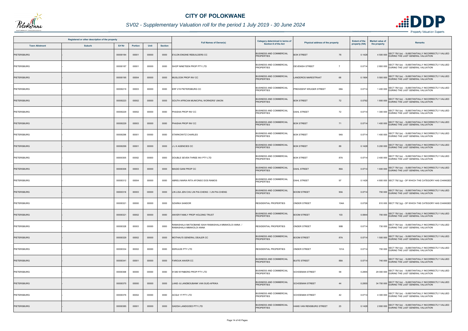

## *SV02 - Supplementary Valuation roll for the period 1 July 2019 - 30 June 2024*

|                       | Registered or other description of the property |          |                |       |                |                                                                                | Category determined in terms of                     |                                          | <b>Extent of the</b> | <b>Market value of</b> |                                                                                                  |
|-----------------------|-------------------------------------------------|----------|----------------|-------|----------------|--------------------------------------------------------------------------------|-----------------------------------------------------|------------------------------------------|----------------------|------------------------|--------------------------------------------------------------------------------------------------|
| <b>Town Allotment</b> | <b>Suburb</b>                                   | Erf Nr   | <b>Portion</b> | Unit  | <b>Section</b> | <b>Full Names of Owner(s)</b>                                                  | Section 8 of the Act                                | Physical address of the property         | property (HA)        | the property           | <b>Remarks</b>                                                                                   |
| PIETERSBURG           |                                                 | 00000184 | 00001          | 00000 | 0000           | EVLON ENGINE REBUILDERS CC                                                     | <b>BUSINESS AND COMMERCIAL</b><br><b>PROPERTIES</b> | <b>BOK STREET</b><br>78                  | 0.1428               |                        | SECT 78(1)(e) - SUBSTANTIALLY INCORRECTLY VALUED<br>4 500 000 DURING THE LAST GENERAL VALUATION  |
| PIETERSBURG           |                                                 | 00000187 | 00001          | 00000 | 0000           | SHOP NINETEEN PROP PTY LTD                                                     | <b>BUSINESS AND COMMERCIAL</b><br><b>PROPERTIES</b> | <b>DEVENISH STREET</b><br>$\overline{7}$ | 0.0714               |                        | 2 800 000 SECT 78(1)(e) - SUBSTANTIALLY INCORRECTLY VALUED                                       |
| PIETERSBURG           |                                                 | 00000195 | 00004          | 00000 | 0000           | <b>MUSLOOK PROP INV CC</b>                                                     | <b>BUSINESS AND COMMERCIAL</b><br><b>PROPERTIES</b> | LANDDROS MARESTRAAT<br>68                | 0.1904               |                        | 5 500 000 SECT 78(1)(e) - SUBSTANTIALLY INCORRECTLY VALUED<br>DURING THE LAST GENERAL VALUATION  |
| PIETERSBURG           |                                                 | 00000219 | 00003          | 00000 | 0000           | ERF 219 PIETERSBURG CC                                                         | <b>BUSINESS AND COMMERCIAL</b><br><b>PROPERTIES</b> | PRESIDENT KRUGER STREET<br>68A           | 0.0714               |                        | 1400 000 SECT 78(1)(e) - SUBSTANTIALLY INCORRECTLY VALUED                                        |
| <b>PIETERSBURG</b>    |                                                 | 00000223 | 00002          | 00000 | 0000           | SOUTH AFRICAN MUNICIPAL WORKERS' UNION                                         | <b>BUSINESS AND COMMERCIAL</b><br><b>PROPERTIES</b> | <b>BOK STREET</b><br>72                  | 0.0792               |                        | 1 800 000 SECT 78(1)(e) - SUBSTANTIALLY INCORRECTLY VALUED                                       |
| PIETERSBURG           |                                                 | 00000229 | 00002          | 00000 | 0000           | PHASHA PROP INV CC                                                             | <b>BUSINESS AND COMMERCIAL</b><br><b>PROPERTIES</b> | <b>DAHL STREET</b><br>72                 | 0.0714               |                        | 1 300 000 SECT 78(1)(e) - SUBSTANTIALLY INCORRECTLY VALUED                                       |
| <b>PIETERSBURG</b>    |                                                 | 00000229 | 00003          | 00000 | 0000           | PHASHA PROP INV CC                                                             | <b>BUSINESS AND COMMERCIAL</b><br><b>PROPERTIES</b> | 71<br><b>BOK STREET</b>                  | 0.0714               |                        | 1400 000 SECT 78(1)(e) - SUBSTANTIALLY INCORRECTLY VALUED                                        |
| PIETERSBURG           |                                                 | 00000296 | 00001          | 00000 | 0000           | STARKOWITZ CHARLES                                                             | <b>BUSINESS AND COMMERCIAL</b><br><b>PROPERTIES</b> | 94A<br><b>BOK STREET</b>                 | 0.0714               |                        | SECT 78(1)(e) - SUBSTANTIALLY INCORRECTLY VALUED<br>1400 000 DURING THE LAST GENERAL VALUATION   |
| PIETERSBURG           |                                                 | 00000299 | 00001          | 00000 | 0000           | <b>ILK AGENCIES CC</b>                                                         | <b>BUSINESS AND COMMERCIAL</b><br><b>PROPERTIES</b> | <b>BOK STREET</b><br>88                  | 0.1428               |                        | 5 200 000 SECT 78(1)(e) - SUBSTANTIALLY INCORRECTLY VALUED                                       |
| <b>PIETERSBURG</b>    |                                                 | 00000305 | 00002          | 00000 | 0000           | DOUBLE SEVEN THREE INV PTY LTD                                                 | <b>BUSINESS AND COMMERCIAL</b><br><b>PROPERTIES</b> | 87A<br><b>BOK STREET</b>                 | 0.0714               |                        | 2 400 000 SECT 78(1)(e) - SUBSTANTIALLY INCORRECTLY VALUED<br>DURING THE LAST GENERAL VALUATION  |
| <b>PIETERSBURG</b>    |                                                 | 00000306 | 00003          | 00000 | 0000           | MAGID GANI PROP CC                                                             | <b>BUSINESS AND COMMERCIAL</b><br><b>PROPERTIES</b> | <b>DAHL STREET</b><br>86A                | 0.0714               |                        | 1 600 000 SECT 78(1)(e) - SUBSTANTIALLY INCORRECTLY VALUED<br>DURING THE LAST GENERAL VALUATION  |
| PIETERSBURG           |                                                 | 00000312 | 00004          | 00000 | 0000           | ABREU MARIA RITA AFONSO DOS RAMOS                                              | <b>BUSINESS AND COMMERCIAL</b><br><b>PROPERTIES</b> | <b>DAHL STREET</b><br>97                 | 0.1428               |                        | 4 800 000 SECT 78(1)(g) - OF WHICH THE CATEGORY HAS CHANGED                                      |
| <b>PIETERSBURG</b>    |                                                 | 00000316 | 00003          | 00000 | 0000           | LIN LISA JEN CHU LIN PAI-CHENG / LIN PAI-CHENG                                 | <b>BUSINESS AND COMMERCIAL</b><br><b>PROPERTIES</b> | <b>BOOM STREET</b><br>90A                | 0.0714               |                        | 700 000 SECT 78(1)(e) - SUBSTANTIALLY INCORRECTLY VALUED<br>DURING THE LAST GENERAL VALUATION    |
| PIETERSBURG           |                                                 | 00000321 | 00000          | 00000 | 0000           | <b>SZARKA SANDOR</b>                                                           | <b>RESIDENTIAL PROPERTIES</b>                       | <b>ONDER STREET</b><br>104A              | 0.0726               |                        | 810 000 SECT 78(1)(g) - OF WHICH THE CATEGORY HAS CHANGED                                        |
| <b>PIETERSBURG</b>    |                                                 | 00000321 | 00002          | 00000 | 0000           | ANVER FAMILY PROP HOLDING TRUST                                                | <b>BUSINESS AND COMMERCIAL</b><br><b>PROPERTIES</b> | <b>BOOM STREET</b><br>103                | 0.0844               |                        | SECT 78(1)(e) - SUBSTANTIALLY INCORRECTLY VALUED<br>700 000 DURING THE LAST GENERAL VALUATION    |
| <b>PIETERSBURG</b>    |                                                 | 00000328 | 00003          | 00000 | 0000           | RAMASHALA MATSOBANE ISAIH RAMASHALA MMAKOLOI ANNA /<br>RAMASHALA MMAKOLOI ANNA | <b>RESIDENTIAL PROPERTIES</b>                       | <b>ONDER STREET</b><br>90B               | 0.0714               |                        | 730 000 SECT 78(1)(e) - SUBSTANTIALLY INCORRECTLY VALUED<br>DURING THE LAST GENERAL VALUATION    |
| <b>PIETERSBURG</b>    |                                                 | 00000329 | 00002          | 00000 | 0000           | MOTHAU'S GENERAL DEALER CC                                                     | <b>BUSINESS AND COMMERCIAL</b><br><b>PROPERTIES</b> | <b>BOOM STREET</b><br>87A                | 0.0714               |                        | SECT 78(1)(e) - SUBSTANTIALLY INCORRECTLY VALUED<br>1 500 000 DURING THE LAST GENERAL VALUATION  |
| PIETERSBURG           |                                                 | 00000334 | 00002          | 00000 | 0000           | <b>KERULEE PTY LTD</b>                                                         | <b>RESIDENTIAL PROPERTIES</b>                       | <b>ONDER STREET</b><br>101A              | 0.0714               |                        | 700 000 SECT 78(1)(e) - SUBSTANTIALLY INCORRECTLY VALUED<br>DURING THE LAST GENERAL VALUATION    |
| PIETERSBURG           |                                                 | 00000341 | 00001          | 00000 | 0000           | <b>FAROUK ANVER CC</b>                                                         | <b>BUSINESS AND COMMERCIAL</b><br><b>PROPERTIES</b> | <b>BUITE STREET</b><br>88A               | 0.0714               |                        | 740 000 SECT 78(1)(e) - SUBSTANTIALLY INCORRECTLY VALUED                                         |
| PIETERSBURG           |                                                 | 00000368 | 00000          | 00000 | 0000           | 91380 WYNBERG PROP PTY LTD                                                     | <b>BUSINESS AND COMMERCIAL</b><br><b>PROPERTIES</b> | 58<br><b>SCHOEMAN STREET</b>             | 0.2855               |                        | 29 000 000 SECT 78(1)(e) - SUBSTANTIALLY INCORRECTLY VALUED                                      |
| PIETERSBURG           |                                                 | 00000375 | 00000          | 00000 | 0000           | LAND- & LANDBOUBANK VAN SUID-AFRIKA                                            | <b>BUSINESS AND COMMERCIAL</b><br><b>PROPERTIES</b> | <b>SCHOEMAN STREET</b><br>44             | 0.2855               |                        | 34 700 000 SECT 78(1)(e) - SUBSTANTIALLY INCORRECTLY VALUED<br>DURING THE LAST GENERAL VALUATION |
| <b>PIETERSBURG</b>    |                                                 | 00000376 | 00002          | 00000 | 0000           | ACQUI 17 PTY LTD                                                               | <b>BUSINESS AND COMMERCIAL</b><br><b>PROPERTIES</b> | <b>SCHOEMAN STREET</b><br>42             | 0.0714               |                        | 4 300 000 SECT 78(1)(e) - SUBSTANTIALLY INCORRECTLY VALUED<br>DURING THE LAST GENERAL VALUATION  |
| PIETERSBURG           |                                                 | 00000385 | 00001          | 00000 | 0000           | <b>GADDA LANDGOED PTY LTD</b>                                                  | <b>BUSINESS AND COMMERCIAL</b><br><b>PROPERTIES</b> | 23<br>HANS VAN RENSBURG STREET           | 0.1428               |                        | SECT 78(1)(e) - SUBSTANTIALLY INCORRECTLY VALUED<br>2 800 000 DURING THE LAST GENERAL VALUATION  |

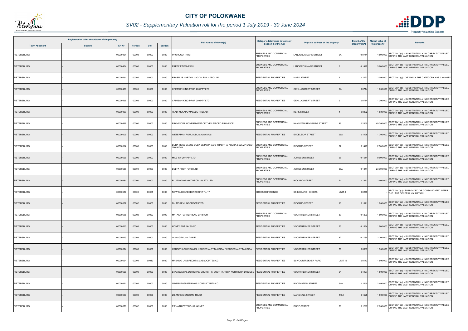

## *SV02 - Supplementary Valuation roll for the period 1 July 2019 - 30 June 2024*

|                       | Registered or other description of the property |          |         |       |                | Category determined in terms of                                                     |                                                     | <b>Extent of the</b>                         | <b>Market value of</b> |              |                                                                                                  |
|-----------------------|-------------------------------------------------|----------|---------|-------|----------------|-------------------------------------------------------------------------------------|-----------------------------------------------------|----------------------------------------------|------------------------|--------------|--------------------------------------------------------------------------------------------------|
| <b>Town Allotment</b> | <b>Suburb</b>                                   | Erf Nr   | Portion | Unit  | <b>Section</b> | <b>Full Names of Owner(s)</b>                                                       | <b>Section 8 of the Act</b>                         | Physical address of the property             | property (HA)          | the property | <b>Remarks</b>                                                                                   |
| PIETERSBURG           |                                                 | 00000451 | 00003   | 00000 | 0000           | PROROGO TRUST                                                                       | <b>BUSINESS AND COMMERCIAL</b><br><b>PROPERTIES</b> | LANDDROS MARE STREET<br>9A                   | 0.071                  |              | SECT 78(1)(e) - SUBSTANTIALLY INCORRECTLY VALUED<br>4 800 000 DURING THE LAST GENERAL VALUATION  |
| <b>PIETERSBURG</b>    |                                                 | 00000454 | 00000   | 00000 | 0000           | PREEZ ETIENNE DU                                                                    | <b>BUSINESS AND COMMERCIAL</b><br><b>PROPERTIES</b> | <b>LANDDROS MARE STREET</b><br>-5            | 0.1428                 |              | 3 600 000 SECT 78(1)(e) - SUBSTANTIALLY INCORRECTLY VALUED                                       |
| PIETERSBURG           |                                                 | 00000454 | 00001   | 00000 | 0000           | ERASMUS MARTHA MAGDALENA CAROLINA                                                   | <b>RESIDENTIAL PROPERTIES</b>                       | <b>MARK STREET</b><br>6                      | 0.1427                 |              | 2 000 000 SECT 78(1)(g) - OF WHICH THE CATEGORY HAS CHANGED                                      |
| <b>PIETERSBURG</b>    |                                                 | 00000456 | 00001   | 00000 | 0000           | CRIMSON KING PROP 280 PTY LTD                                                       | <b>BUSINESS AND COMMERCIAL</b><br><b>PROPERTIES</b> | <b>GENL JOUBERT STREET</b><br><b>9A</b>      | 0.0714                 |              | SECT 78(1)(e) - SUBSTANTIALLY INCORRECTLY VALUED<br>1 000 000 DURING THE LAST GENERAL VALUATION  |
| PIETERSBURG           |                                                 | 00000456 | 00002   | 00000 | 0000           | CRIMSON KING PROP 280 PTY LTD                                                       | <b>RESIDENTIAL PROPERTIES</b>                       | <b>GENL JOUBERT STREET</b><br>-9             | 0.071                  |              | 1 300 000 SECT 78(1)(e) - SUBSTANTIALLY INCORRECTLY VALUED<br>DURING THE LAST GENERAL VALUATION  |
| PIETERSBURG           |                                                 | 00000459 | 00000   | 00000 | 0000           | TLADI MOLAPO MALEBO PHELADI                                                         | <b>BUSINESS AND COMMERCIAL</b><br><b>PROPERTIES</b> | <b>KERK STREET</b><br>$\overline{4}$         | 0.0892                 |              | 1 580 000 SECT 78(1)(e) - SUBSTANTIALLY INCORRECTLY VALUED                                       |
| PIETERSBURG           |                                                 | 00000498 | 00000   | 00000 | 0000           | PROVINCIAL GOVERNMENT OF THE LIMPOPO PROVINCE                                       | <b>BUSINESS AND COMMERCIAL</b><br><b>PROPERTIES</b> | HANS VAN RENSBURG STREET<br>46               | 0.2855                 |              | 49 300 000 SECT 78(1)(e) - SUBSTANTIALLY INCORRECTLY VALUED<br>DURING THE LAST GENERAL VALUATION |
| <b>PIETERSBURG</b>    |                                                 | 00000509 | 00000   | 00000 | 0000           | WETERMAN ROMUALDUS ALOYSIUS                                                         | <b>RESIDENTIAL PROPERTIES</b>                       | <b>EXCELSIOR STREET</b><br>25A               | 0.1428                 |              | 1 700 000 SECT 78(1)(e) - SUBSTANTIALLY INCORRECTLY VALUED                                       |
| PIETERSBURG           |                                                 | 00000514 | 00000   | 00000 | 0000           | DUBA MOSE JACOB DUBA SEJAMPHAGO THABITHA / DUBA SEJAMPHAGO<br>THABITHA              | <b>BUSINESS AND COMMERCIAL</b><br><b>PROPERTIES</b> | <b>BICCARD STREET</b><br>97                  | 0.142                  |              | 2 500 000 SECT 78(1)(e) - SUBSTANTIALLY INCORRECTLY VALUED                                       |
| <b>PIETERSBURG</b>    |                                                 | 00000526 | 00000   | 00000 | 0000           | MILE INV 207 PTY LTD                                                                | <b>BUSINESS AND COMMERCIAL</b><br><b>PROPERTIES</b> | <b>JORISSEN STREET</b><br>26                 | 0.151                  |              | 9 600 000 SECT 78(1)(e) - SUBSTANTIALLY INCORRECTLY VALUED<br>DURING THE LAST GENERAL VALUATION  |
| PIETERSBURG           |                                                 | 00000526 | 00001   | 00000 | 0000           | DELTA PROP FUND LTD                                                                 | <b>BUSINESS AND COMMERCIAL</b><br><b>PROPERTIES</b> | 26A<br><b>JORISSEN STREET</b>                | 0.1344                 |              | 23 300 000 SECT 78(1)(e) - SUBSTANTIALLY INCORRECTLY VALUED<br>DURING THE LAST GENERAL VALUATION |
| <b>PIETERSBURG</b>    |                                                 | 00000584 | 00000   | 00000 | 0000           | BLUE MOONLIGHT PROP 165 PTY LTD                                                     | <b>BUSINESS AND COMMERCIAL</b><br><b>PROPERTIES</b> | <b>BICCARD STREET</b><br>24                  | 0.131                  |              | 2 400 000 SECT 78(1)(e) - SUBSTANTIALLY INCORRECTLY VALUED                                       |
| PIETERSBURG           |                                                 | 00000587 | 00001   | 00008 | 0000           | NOW SUBDIVIDED INTO UNIT 14-17                                                      | <b>CROSS REFERENCE</b>                              | <b>SS BICCARD HEIGHTS</b><br>UNIT 8          | 0.0249                 |              | SECT 78(1)(c) - SUBDIVIDED OR CONSOLIDATED AFTER<br>THE LAST GENERAL VALUATION                   |
| PIETERSBURG           |                                                 | 00000587 | 00002   | 00000 | 0000           | N J MOREMI INCORPORATED                                                             | <b>RESIDENTIAL PROPERTIES</b>                       | <b>BICCARD STREET</b><br>10 <sup>10</sup>    | 0.107                  |              | 1 800 000 SECT 78(1)(e) - SUBSTANTIALLY INCORRECTLY VALUED                                       |
| PIETERSBURG           |                                                 | 00000595 | 00002   | 00000 | 0000           | MATAKA RAPHEPHENG EPHRAIM                                                           | <b>BUSINESS AND COMMERCIAL</b><br><b>PROPERTIES</b> | <b>VOORTREKKER STREET</b><br>87              | 0.1290                 |              | SECT 78(1)(e) - SUBSTANTIALLY INCORRECTLY VALUED<br>1800 000 DURING THE LAST GENERAL VALUATION   |
| <b>PIETERSBURG</b>    |                                                 | 00000610 | 00003   | 00000 | 0000           | HONEY POT INV 99 CC                                                                 | <b>RESIDENTIAL PROPERTIES</b>                       | 25<br><b>VOORTREKKER STREET</b>              | 0.1834                 |              | 1 900 000 SECT 78(1)(e) - SUBSTANTIALLY INCORRECTLY VALUED                                       |
| PIETERSBURG           |                                                 | 00000623 | 00003   | 00000 | 0000           | OLWAGEN JAN DANIEL                                                                  | <b>RESIDENTIAL PROPERTIES</b>                       | 82<br><b>VOORTREKKER STREET</b>              | 0.1784                 |              | 2 200 000 SECT 78(1)(e) - SUBSTANTIALLY INCORRECTLY VALUED                                       |
| <b>PIETERSBURG</b>    |                                                 | 00000624 | 00000   | 00000 | 0000           | KRUGER LOWE DANIEL KRUGER ALETTA LINDA / KRUGER ALETTA LINDA                        | RESIDENTIAL PROPERTIES                              | <b>VOORTREKKER STREET</b><br>78              | 0.0667                 |              | 1 300 000 SECT 78(1)(e) - SUBSTANTIALLY INCORRECTLY VALUED<br>DURING THE LAST GENERAL VALUATION  |
| PIETERSBURG           |                                                 | 00000624 | 00004   | 00013 | 0000           | MASHILO LAMBRECHTS & ASSOCIATES CC                                                  | <b>RESIDENTIAL PROPERTIES</b>                       | <b>SS VOORTREKKER PARK</b><br><b>UNIT 13</b> | 0.0173                 |              | 1 500 000 SECT 78(1)(e) - SUBSTANTIALLY INCORRECTLY VALUED                                       |
| PIETERSBURG           |                                                 | 00000628 | 00000   | 00000 | 0000           | EVANGELICAL LUTHERAN CHURCH IN SOUTH AFRICA NORTHERN DIOCESE RESIDENTIAL PROPERTIES |                                                     | <b>VOORTREKKER STREET</b><br>64              | 0.1427                 |              | 1 500 000 SECT 78(1)(e) - SUBSTANTIALLY INCORRECTLY VALUED                                       |
| PIETERSBURG           |                                                 | 00000661 | 00001   | 00000 | 0000           | LUMAR ENGINEERINGS CONSULTANTS CC                                                   | <b>RESIDENTIAL PROPERTIES</b>                       | 34A<br><b>BODENSTEIN STREET</b>              | 0.1455                 |              | 2 400 000 SECT 78(1)(e) - SUBSTANTIALLY INCORRECTLY VALUED                                       |
| <b>PIETERSBURG</b>    |                                                 | 00000667 | 00000   | 00000 | 0000           | LU-ANNE EIENDOMS TRUST                                                              | <b>RESIDENTIAL PROPERTIES</b>                       | <b>MARSHALL STREET</b><br>146A               | 0.1528                 |              | 1 800 000 SECT 78(1)(e) - SUBSTANTIALLY INCORRECTLY VALUED<br>DURING THE LAST GENERAL VALUATION  |
| PIETERSBURG           |                                                 | 00000679 | 00002   | 00000 | 0000           | PIENAAR PETRUS JOHANNES                                                             | <b>BUSINESS AND COMMERCIAL</b><br><b>PROPERTIES</b> | DORP STREET<br>76                            | 0.1297                 |              | SECT 78(1)(e) - SUBSTANTIALLY INCORRECTLY VALUED<br>2 000 000 DURING THE LAST GENERAL VALUATION  |

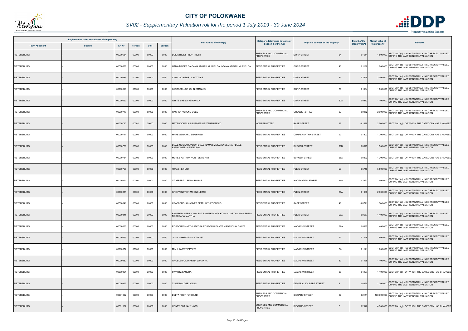

## *SV02 - Supplementary Valuation roll for the period 1 July 2019 - 30 June 2024*

|                       | Registered or other description of the property |          |         |       |                | <b>Full Names of Owner(s)</b>                                                  | Category determined in terms of                     | Physical address of the property   | <b>Extent of the</b> | <b>Market value of</b> | <b>Remarks</b>                                                                                    |
|-----------------------|-------------------------------------------------|----------|---------|-------|----------------|--------------------------------------------------------------------------------|-----------------------------------------------------|------------------------------------|----------------------|------------------------|---------------------------------------------------------------------------------------------------|
| <b>Town Allotment</b> | <b>Suburb</b>                                   | Erf Nr   | Portion | Unit  | <b>Section</b> |                                                                                | <b>Section 8 of the Act</b>                         |                                    | property (HA)        | the property           |                                                                                                   |
| PIETERSBURG           |                                                 | 00000684 | 00000   | 00000 | 0000           | <b>BOK STREET PROP TRUST</b>                                                   | <b>BUSINESS AND COMMERCIAL</b><br><b>PROPERTIES</b> | <b>DORP STREET</b><br>54           | 0.161                |                        | 1 800 000 SECT 78(1)(e) - SUBSTANTIALLY INCORRECTLY VALUED                                        |
| PIETERSBURG           |                                                 | 00000688 | 00001   | 00000 | 0000           | GAMA MOSES DA GAMA ABIGAIL MURIEL DA / GAMA ABIGAIL MURIEL DA                  | RESIDENTIAL PROPERTIES                              | <b>DORP STREET</b><br>40           | 0.1190               |                        | 1700 000 SECT 78(1)(e) - SUBSTANTIALLY INCORRECTLY VALUED<br>DURING THE LAST GENERAL VALUATION    |
| <b>PIETERSBURG</b>    |                                                 | 00000689 | 00000   | 00000 | 0000           | CAWOOD HENRY KNOTT B-E                                                         | <b>RESIDENTIAL PROPERTIES</b>                       | <b>DORP STREET</b><br>34           | 0.2855               |                        | 2 000 000 SECT 78(1)(e) - SUBSTANTIALLY INCORRECTLY VALUED<br>DURING THE LAST GENERAL VALUATION   |
| PIETERSBURG           |                                                 | 00000690 | 00000   | 00000 | 0000           | KARASSELLOS JOHN EMANUEL                                                       | RESIDENTIAL PROPERTIES                              | <b>DORP STREET</b><br>30           | 0.1904               |                        | SECT 78(1)(e) - SUBSTANTIALLY INCORRECTLY VALUED<br>1800 000 DURING THE LAST GENERAL VALUATION    |
| <b>PIETERSBURG</b>    |                                                 | 00000690 | 00004   | 00000 | 0000           | WHITE SHEILA VERONICA                                                          | <b>RESIDENTIAL PROPERTIES</b>                       | <b>DORP STREET</b><br>32A          | 0.0912               |                        | 1 100 000 SECT 78(1)(e) - SUBSTANTIALLY INCORRECTLY VALUED<br>DURING THE LAST GENERAL VALUATION   |
| PIETERSBURG           |                                                 | 00000710 | 00001   | 00000 | 0000           | RACHIDI KOPENG OBED                                                            | <b>BUSINESS AND COMMERCIAL</b><br><b>PROPERTIES</b> | <b>GROBLER STREET</b><br>37        | 0.0952               |                        | SECT 78(1)(e) - SUBSTANTIALLY INCORRECTLY VALUED<br>2 000 000 DURING THE LAST GENERAL VALUATION   |
| <b>PIETERSBURG</b>    |                                                 | 00000740 | 00001   | 00000 | 0000           | MATSOGOPALA'S BUSINESS ENTERPRISE CC                                           | <b>NON PERMITTED</b>                                | RABE STREET<br>39                  | 0.1428               |                        | 2 500 000 SECT 78(1)(g) - OF WHICH THE CATEGORY HAS CHANGED                                       |
| PIETERSBURG           |                                                 | 00000741 | 00001   | 00000 | 0000           | MARE GERHARD SIEGFRIED                                                         | <b>RESIDENTIAL PROPERTIES</b>                       | <b>COMPENSATION STREET</b><br>20   | 0.1903               |                        | 1 700 000 SECT 78(1)(g) - OF WHICH THE CATEGORY HAS CHANGED                                       |
| PIETERSBURG           |                                                 | 00000759 | 00003   | 00000 | 0000           | DIALE NGOAKO AARON DIALE RAMADIMETJA ENGELINA / DIALE<br>RAMADIMETJA ENGELINA  | RESIDENTIAL PROPERTIES                              | <b>BURGER STREET</b><br>29B        | 0.0879               |                        | 1 500 000 SECT 78(1)(e) - SUBSTANTIALLY INCORRECTLY VALUED                                        |
| <b>PIETERSBURG</b>    |                                                 | 00000784 | 00002   | 00000 | 0000           | MCNEIL ANTHONY ORITSEWEYIMI                                                    | <b>RESIDENTIAL PROPERTIES</b>                       | 38A<br><b>BURGER STREET</b>        | 0.0892               |                        | 1 200 000 SECT 78(1)(g) - OF WHICH THE CATEGORY HAS CHANGED                                       |
| PIETERSBURG           |                                                 | 00000796 | 00000   | 00000 | 0000           | TRANSNET LTD                                                                   | <b>RESIDENTIAL PROPERTIES</b>                       | PLEIN STREET<br>99                 | 0.5710               |                        | 5 500 000 SECT 78(1)(e) - SUBSTANTIALLY INCORRECTLY VALUED<br>DURING THE LAST GENERAL VALUATION   |
| PIETERSBURG           |                                                 | 00000811 | 00000   | 00000 | 0000           | STOFBERG ILSE MARIANNE                                                         | <b>RESIDENTIAL PROPERTIES</b>                       | <b>BODENSTEIN STREET</b><br>46A    | 0.1393               |                        | 1 500 000 SECT 78(1)(e) - SUBSTANTIALLY INCORRECTLY VALUED                                        |
| <b>PIETERSBURG</b>    |                                                 | 00000831 | 00000   | 00000 | 0000           | <b>GREYVENSTEIN MOGNONETTE</b>                                                 | <b>RESIDENTIAL PROPERTIES</b>                       | PLEIN STREET<br>66A                | 0.1903               |                        | 2 600 000 SECT 78(1)(e) - SUBSTANTIALLY INCORRECTLY VALUED<br>DURING THE LAST GENERAL VALUATION   |
| PIETERSBURG           |                                                 | 00000841 | 00001   | 00000 | 0000           | CRAFFORD JOHANNES PETRUS THEODORUS                                             | RESIDENTIAL PROPERTIES                              | <b>RABE STREET</b><br>48           | 0.077                |                        | 1 300 000 SECT 78(1)(e) - SUBSTANTIALLY INCORRECTLY VALUED                                        |
| <b>PIETERSBURG</b>    |                                                 | 00000841 | 00004   | 00000 | 0000           | RALEFETA LERIBA VINCENT RALEFETA NGOKOANA MARTHA / RALEFETA<br>NGOKOANA MARTHA | RESIDENTIAL PROPERTIES                              | PLEIN STREET<br>26A                | 0.0657               |                        | SECT 78(1)(e) - SUBSTANTIALLY INCORRECTLY VALUED<br>1400 000 DURING THE LAST GENERAL VALUATION    |
| PIETERSBURG           |                                                 | 00000853 | 00003   | 00000 | 0000           | ROSSOUW MARTHI JACOBA ROSSOUW DANTE / ROSSOUW DANTE                            | RESIDENTIAL PROPERTIES                              | 87A<br><b>MAGASYN STREET</b>       | 0.0892               |                        | 1 400 000 SECT 78(1)(e) - SUBSTANTIALLY INCORRECTLY VALUED<br>DURING THE LAST GENERAL VALUATION   |
| PIETERSBURG           |                                                 | 00000855 | 00002   | 00000 | 0000           | JAMIL AHMED FAMILY TRUST                                                       | RESIDENTIAL PROPERTIES                              | <b>MAGASYN STREET</b><br>77        | 0.1428               |                        | 1 600 000 SECT 78(1)(e) - SUBSTANTIALLY INCORRECTLY VALUED                                        |
| PIETERSBURG           |                                                 | 00000874 | 00000   | 00000 | 0000           | M M II INVEST PTY LTD                                                          | <b>RESIDENTIAL PROPERTIES</b>                       | 3A<br><b>MAGASYN STREET</b>        | 0.1141               |                        | 1 000 000 SECT 78(1)(e) - SUBSTANTIALLY INCORRECTLY VALUED                                        |
| PIETERSBURG           |                                                 | 00000882 | 00001   | 00000 | 0000           | GROBLER CATHARINA JOHANNA                                                      | <b>RESIDENTIAL PROPERTIES</b>                       | <b>MAGASYN STREET</b><br>80        | 0.1435               |                        | 1 100 000 SECT 78(1)(e) - SUBSTANTIALLY INCORRECTLY VALUED                                        |
| PIETERSBURG           |                                                 | 00000894 | 00001   | 00000 | 0000           | SWARTZ SANDRA                                                                  | <b>RESIDENTIAL PROPERTIES</b>                       | 30<br><b>MAGASYN STREET</b>        | 0.1427               |                        | 1 400 000 SECT 78(1)(g) - OF WHICH THE CATEGORY HAS CHANGED                                       |
| PIETERSBURG           |                                                 | 00000973 | 00005   | 00000 | 0000           | <b>TJALE MALOSE JONAS</b>                                                      | <b>RESIDENTIAL PROPERTIES</b>                       | <b>GENERAL JOUBERT STREET</b><br>8 | 0.0895               |                        | 1 200 000 SECT 78(1)(e) - SUBSTANTIALLY INCORRECTLY VALUED                                        |
| PIETERSBURG           |                                                 | 00001002 | 00000   | 00000 | 0000           | DELTA PROP FUND LTD                                                            | <b>BUSINESS AND COMMERCIAL</b><br><b>PROPERTIES</b> | 67<br><b>BICCARD STREET</b>        | 0.2141               |                        | 108 000 000 SECT 78(1)(e) - SUBSTANTIALLY INCORRECTLY VALUED<br>DURING THE LAST GENERAL VALUATION |
| <b>PIETERSBURG</b>    |                                                 | 00001532 | 00001   | 00000 | 0000           | HONEY POT INV 110 CC                                                           | <b>BUSINESS AND COMMERCIAL</b><br><b>PROPERTIES</b> | <b>BICCARD STREET</b><br>3         | 0.2046               |                        | 4 500 000 SECT 78(1)(g) - OF WHICH THE CATEGORY HAS CHANGED                                       |

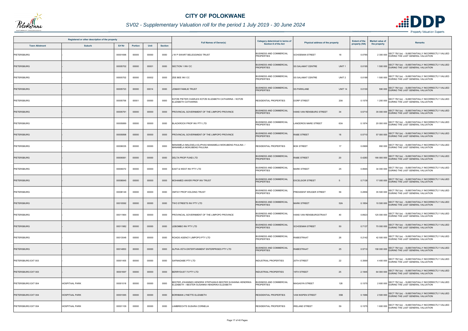

## *SV02 - Supplementary Valuation roll for the period 1 July 2019 - 30 June 2024*

| Registered or other description of the property<br>Erf Nr<br><b>Town Allotment</b><br><b>Suburb</b><br>Unit |                       |          |                |       |                |                                                                                                            | Category determined in terms of                     | Physical address of the property              |               | <b>Market value of</b> |                                                                                                   |
|-------------------------------------------------------------------------------------------------------------|-----------------------|----------|----------------|-------|----------------|------------------------------------------------------------------------------------------------------------|-----------------------------------------------------|-----------------------------------------------|---------------|------------------------|---------------------------------------------------------------------------------------------------|
|                                                                                                             |                       |          | <b>Portion</b> |       | <b>Section</b> | <b>Full Names of Owner(s)</b>                                                                              | Section 8 of the Act                                |                                               | property (HA) | the property           | <b>Remarks</b>                                                                                    |
| PIETERSBURG                                                                                                 |                       | 00001696 | 00005          | 00000 | 0000           | J W P SWART BELEGGINGS TRUST                                                                               | <b>BUSINESS AND COMMERCIAL</b><br><b>PROPERTIES</b> | <b>SCHOEMAN STREET</b><br>18                  | 0.0785        |                        | SECT 78(1)(e) - SUBSTANTIALLY INCORRECTLY VALUED<br>2 300 000 DURING THE LAST GENERAL VALUATION   |
| <b>PIETERSBURG</b>                                                                                          |                       | 00005702 | 00000          | 00001 | 0000           | SECTION 1 INV CC                                                                                           | <b>BUSINESS AND COMMERCIAL</b><br><b>PROPERTIES</b> | <b>SS SALAMAT CENTRE</b><br>UNIT <sub>1</sub> | 0.0195        |                        | 1 500 000 SECT 78(1)(e) - SUBSTANTIALLY INCORRECTLY VALUED<br>DURING THE LAST GENERAL VALUATION   |
| PIETERSBURG                                                                                                 |                       | 00005702 | 00000          | 00002 | 0000           | ZEE BEE INV CC                                                                                             | <b>BUSINESS AND COMMERCIAL</b><br><b>PROPERTIES</b> | UNIT <sub>2</sub><br><b>SS SALAMAT CENTRE</b> | 0.0188        |                        | 1 500 000 SECT 78(1)(e) - SUBSTANTIALLY INCORRECTLY VALUED<br>DURING THE LAST GENERAL VALUATION   |
| <b>PIETERSBURG</b>                                                                                          |                       | 00005723 | 00000          | 00014 | 0000           | JOMAR FAMILIE TRUST                                                                                        | <b>BUSINESS AND COMMERCIAL</b><br><b>PROPERTIES</b> | <b>SS PARKLANE</b><br><b>UNIT 14</b>          | 0.0100        |                        | 590 000 SECT 78(1)(e) - SUBSTANTIALLY INCORRECTLY VALUED                                          |
| <b>PIETERSBURG</b>                                                                                          |                       | 00005756 | 00001          | 00000 | 0000           | <b>KOTZE PIETER CHARLES KOTZE ELIZABETH CATHARINA / KOTZE</b><br><b>ELIZABETH CATHARINA</b>                | <b>RESIDENTIAL PROPERTIES</b>                       | <b>DORP STREET</b><br>20A                     | 0.1579        |                        | 1 200 000 SECT 78(1)(e) - SUBSTANTIALLY INCORRECTLY VALUED                                        |
| PIETERSBURG                                                                                                 |                       | 00005791 | 00000          | 00000 | 0000           | PROVINCIAL GOVERNMENT OF THE LIMPOPO PROVINCE                                                              | <b>BUSINESS AND COMMERCIAL</b><br><b>PROPERTIES</b> | HANS VAN RENSBURG STREET<br>34                | 0.5710        |                        | 35 000 000 SECT 78(1)(e) - SUBSTANTIALLY INCORRECTLY VALUED<br>DURING THE LAST GENERAL VALUATION  |
| PIETERSBURG                                                                                                 |                       | 00005889 | 00000          | 00000 | 0000           | BLACKROCK PROP INV PTY LTD                                                                                 | <b>BUSINESS AND COMMERCIAL</b><br><b>PROPERTIES</b> | 63A<br><b>LANDDROS MARE STREET</b>            | 0.1874        |                        | 20 000 000 SECT 78(1)(e) - SUBSTANTIALLY INCORRECTLY VALUED<br>DURING THE LAST GENERAL VALUATION  |
| PIETERSBURG                                                                                                 |                       | 00005898 | 00000          | 00000 | 0000           | PROVINCIAL GOVERNMENT OF THE LIMPOPO PROVINCE                                                              | <b>BUSINESS AND COMMERCIAL</b><br><b>PROPERTIES</b> | <b>RABE STREET</b><br>18                      | 0.571         |                        | SECT 78(1)(e) - SUBSTANTIALLY INCORRECTLY VALUED<br>57 000 000 DURING THE LAST GENERAL VALUATION  |
| <b>PIETERSBURG</b>                                                                                          |                       | 00006035 | 00000          | 00000 | 0000           | MANAMELA MALESELA ELIPHAS MANAMELA MOKUBENG PAULINA /<br>MANAMELA MOKUBENG PAULINA                         | <b>RESIDENTIAL PROPERTIES</b>                       | <b>BOK STREET</b><br>17                       | 0.0969        |                        | 950 000 SECT 78(1)(e) - SUBSTANTIALLY INCORRECTLY VALUED<br>DURING THE LAST GENERAL VALUATION     |
| <b>PIETERSBURG</b>                                                                                          |                       | 00006061 | 00000          | 00000 | 0000           | DELTA PROP FUND LTD                                                                                        | <b>BUSINESS AND COMMERCIAL</b><br><b>PROPERTIES</b> | <b>RABE STREET</b><br>20                      | 0.4283        |                        | 186 000 000 SECT 78(1)(e) - SUBSTANTIALLY INCORRECTLY VALUED<br>DURING THE LAST GENERAL VALUATION |
| PIETERSBURG                                                                                                 |                       | 00006072 | 00000          | 00000 | 0000           | EAST & WEST INV PTY LTD                                                                                    | <b>BUSINESS AND COMMERCIAL</b><br><b>PROPERTIES</b> | <b>MARK STREET</b><br>25                      | 0.8565        |                        | 34 000 000 SECT 78(1)(e) - SUBSTANTIALLY INCORRECTLY VALUED<br>DURING THE LAST GENERAL VALUATION  |
| <b>PIETERSBURG</b>                                                                                          |                       | 00006845 | 00000          | 00000 | 0000           | MOHAMED ANVER PROP INV TRUST                                                                               | <b>BUSINESS AND COMMERCIAL</b><br><b>PROPERTIES</b> | <b>EXCELSIOR STREET</b><br>5                  | 0.7138        |                        | 17 000 000 SECT 78(1)(e) - SUBSTANTIALLY INCORRECTLY VALUED<br>DURING THE LAST GENERAL VALUATION  |
| <b>PIETERSBURG</b>                                                                                          |                       | 00008149 | 00000          | 00000 | 0000           | OMTAY PROP HOLDING TRUST                                                                                   | <b>BUSINESS AND COMMERCIAL</b><br><b>PROPERTIES</b> | PRESIDENT KRUGER STREET<br>56                 | 0.2856        |                        | 35 500 000 SECT 78(1)(e) - SUBSTANTIALLY INCORRECTLY VALUED<br>DURING THE LAST GENERAL VALUATION  |
| <b>PIETERSBURG</b>                                                                                          |                       | 00010592 | 00000          | 00000 | 0000           | TWO STREETS INV PTY LTD                                                                                    | <b>BUSINESS AND COMMERCIAL</b><br><b>PROPERTIES</b> | <b>MARK STREET</b><br>52A                     | 0.1854        |                        | 10 500 000 SECT 78(1)(e) - SUBSTANTIALLY INCORRECTLY VALUED<br>DURING THE LAST GENERAL VALUATION  |
| <b>PIETERSBURG</b>                                                                                          |                       | 00011964 | 00000          | 00000 | 0000           | PROVINCIAL GOVERNMENT OF THE LIMPOPO PROVINCE                                                              | <b>BUSINESS AND COMMERCIAL</b><br><b>PROPERTIES</b> | HANS VAN RENSBURGSTRAAT<br>40                 | 0.8923        |                        | SECT 78(1)(e) - SUBSTANTIALLY INCORRECTLY VALUED<br>125 000 000 DURING THE LAST GENERAL VALUATION |
| <b>PIETERSBURG</b>                                                                                          |                       | 00011982 | 00000          | 00000 | 0000           | <b>EBOMBO INV PTY LTD</b>                                                                                  | <b>BUSINESS AND COMMERCIAL</b><br><b>PROPERTIES</b> | <b>SCHOEMAN STREET</b><br>50                  | 0.7137        |                        | 70 000 000 SECT 78(1)(e) - SUBSTANTIALLY INCORRECTLY VALUED<br>DURING THE LAST GENERAL VALUATION  |
| PIETERSBURG                                                                                                 |                       | 00013548 | 00000          | 00000 | 0000           | ROADS AGENCY LIMPOPO PTY LTD                                                                               | <b>BUSINESS AND COMMERCIAL</b><br><b>PROPERTIES</b> | <b>RABESTRAAT</b><br>26                       | 0.2142        |                        | 42 500 000 SECT 78(1)(e) - SUBSTANTIALLY INCORRECTLY VALUED<br>DURING THE LAST GENERAL VALUATION  |
| PIETERSBURG                                                                                                 |                       | 00014853 | 00000          | 00000 | 0000           | ALPHA-VETA ENTERTAINMENT ENTERPRISES PTY LTD                                                               | <b>BUSINESS AND COMMERCIAL</b><br><b>PROPERTIES</b> | <b>RABESTRAAT</b><br>25                       | 0.5710        |                        | 158 000 000 SECT 78(1)(e) - SUBSTANTIALLY INCORRECTLY VALUED<br>DURING THE LAST GENERAL VALUATION |
| PIETERSBURG EXT 003                                                                                         |                       | 00001455 | 00000          | 00000 | 0000           | SAFMADABE PTY LTD                                                                                          | INDUSTRIAL PROPERTIES                               | 20TH STREET<br>22                             | 0.3569        |                        | 4 400 000 SECT 78(1)(e) - SUBSTANTIALLY INCORRECTLY VALUED<br>DURING THE LAST GENERAL VALUATION   |
| PIETERSBURG EXT 003                                                                                         |                       | 00001697 | 00000          | 00000 | 0000           | BERRYDUST 73 PTY LTD                                                                                       | <b>INDUSTRIAL PROPERTIES</b>                        | 19TH STREET<br>25                             | 2.1845        |                        | 64 000 000 SECT 78(1)(e) - SUBSTANTIALLY INCORRECTLY VALUED<br>DURING THE LAST GENERAL VALUATION  |
| PIETERSBURG EXT 004                                                                                         | <b>HOSPITAAL PARK</b> | 00001018 | 00000          | 00000 | 0000           | BESTER JOHANNES HENDRIK STEPHANUS BESTER SUSANNA HENDRIKA<br>ELIZABETH / BESTER SUSANNA HENDRIKA ELIZABETH | <b>BUSINESS AND COMMERCIAL</b><br><b>PROPERTIES</b> | MAGASYN STREET<br>128                         | 0.1575        |                        | 2 600 000 SECT 78(1)(e) - SUBSTANTIALLY INCORRECTLY VALUED                                        |
| PIETERSBURG EXT 004                                                                                         | <b>HOSPITAAL PARK</b> | 00001065 | 00000          | 00000 | 0000           | BORNMAN LYNETTE ELIZABETH                                                                                  | <b>RESIDENTIAL PROPERTIES</b>                       | 55B<br>VAN NISPEN STREET                      | 0.158         |                        | 2 500 000 SECT 78(1)(e) - SUBSTANTIALLY INCORRECTLY VALUED                                        |
| PIETERSBURG EXT 004                                                                                         | <b>HOSPITAAL PARK</b> | 00001109 | 00000          | 00000 | 0000           | AMBRECHTS SUSARA CORNELIA                                                                                  | RESIDENTIAL PROPERTIES                              | <b>IRELAND STREET</b><br>59                   | 0.1575        |                        | SECT 78(1)(e) - SUBSTANTIALLY INCORRECTLY VALUED<br>1 600 000 DURING THE LAST GENERAL VALUATION   |

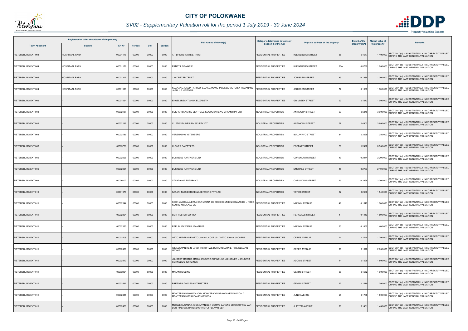

## *SV02 - Supplementary Valuation roll for the period 1 July 2019 - 30 June 2024*

|                       | Registered or other description of the property |          |         |       |                | <b>Full Names of Owner(s)</b>                                                                       | Category determined in terms of | Physical address of the property         | <b>Extent of the</b> | <b>Market value of</b> | <b>Remarks</b>                                                                                  |
|-----------------------|-------------------------------------------------|----------|---------|-------|----------------|-----------------------------------------------------------------------------------------------------|---------------------------------|------------------------------------------|----------------------|------------------------|-------------------------------------------------------------------------------------------------|
| <b>Town Allotment</b> | <b>Suburb</b>                                   | Erf Nr   | Portion | Unit  | <b>Section</b> |                                                                                                     | <b>Section 8 of the Act</b>     |                                          | property (HA)        | the property           |                                                                                                 |
| PIETERSBURG EXT 004   | <b>HOSPITAAL PARK</b>                           | 00001176 | 00000   | 00000 | 0000           | T BRIERS FAMILIE TRUST                                                                              | <b>RESIDENTIAL PROPERTIES</b>   | 85<br><b>KLEINEBERG STREET</b>           | 0.167                |                        | 1 400 000 SECT 78(1)(e) - SUBSTANTIALLY INCORRECTLY VALUED<br>DURING THE LAST GENERAL VALUATION |
| PIETERSBURG EXT 004   | <b>HOSPITAAL PARK</b>                           | 00001176 | 00001   | 00000 | 0000           | ERNST ILSE-MARIE                                                                                    | RESIDENTIAL PROPERTIES          | <b>KLEINEBERG STREET</b><br>85A          | 0.0739               |                        | 1 000 000 SECT 78(1)(e) - SUBSTANTIALLY INCORRECTLY VALUED                                      |
| PIETERSBURG EXT 004   | <b>HOSPITAAL PARK</b>                           | 00001217 | 00000   | 00000 | 0000           | <b>W DREYER TRUST</b>                                                                               | <b>RESIDENTIAL PROPERTIES</b>   | 83<br><b>JORISSEN STREET</b>             | 0.1586               |                        | 1 300 000 SECT 78(1)(e) - SUBSTANTIALLY INCORRECTLY VALUED                                      |
| PIETERSBURG EXT 004   | <b>HOSPITAAL PARK</b>                           | 00001523 | 00000   | 00000 | 0000           | (GANANE JOSEPH KHOLOFELO KGANANE JABULILE VICTORIA / KGANANE<br><b>JABULILE VICTORIA</b>            | RESIDENTIAL PROPERTIES          | 77<br>JORISSEN STREET                    | 0.1586               |                        | SECT 78(1)(e) - SUBSTANTIALLY INCORRECTLY VALUED<br>1 300 000 DURING THE LAST GENERAL VALUATION |
| PIETERSBURG EXT 006   |                                                 | 00001564 | 00000   | 00000 | 0000           | ENGELBRECHT ANNA ELIZABETH                                                                          | <b>RESIDENTIAL PROPERTIES</b>   | 93<br><b>GRIMBEEK STREET</b>             | 0.1573               |                        | 1 000 000 SECT 78(1)(e) - SUBSTANTIALLY INCORRECTLY VALUED<br>DURING THE LAST GENERAL VALUATION |
| PIETERSBURG EXT 008   |                                                 | 00002137 | 00000   | 00000 | 0000           | SUID-AFRIKAANSE SENTRALE KOOPERATIEWE GRAAN MPY LTD                                                 | <b>INDUSTRIAL PROPERTIES</b>    | 63<br><b>ANTIMOON STREET</b>             | 0.6246               |                        | 3 000 000 SECT 78(1)(e) - SUBSTANTIALLY INCORRECTLY VALUED<br>DURING THE LAST GENERAL VALUATION |
| PIETERSBURG EXT 008   |                                                 | 00002139 | 00000   | 00000 | 0000           | CLIFTON DUNES INV 393 PTY LTD                                                                       | <b>INDUSTRIAL PROPERTIES</b>    | 67<br><b>ANTIMOON STREET</b>             | 1.4902               |                        | 3 600 000 SECT 78(1)(e) - SUBSTANTIALLY INCORRECTLY VALUED                                      |
| PIETERSBURG EXT 008   |                                                 | 00002185 | 00000   | 00000 | 0000           | <b>VERENIGING YSTERBERG</b>                                                                         | <b>INDUSTRIAL PROPERTIES</b>    | <b>BULUWAYO STREET</b><br>84             | 0.3569               |                        | 350 000 SECT 78(1)(e) - SUBSTANTIALLY INCORRECTLY VALUED<br>DURING THE LAST GENERAL VALUATION   |
| PIETERSBURG EXT 008   |                                                 | 00005780 | 00000   | 00000 | 0000           | CLOVER SA PTY LTD                                                                                   | INDUSTRIAL PROPERTIES           | <b>FOSFAAT STREET</b><br>50              | 1.2492               |                        | 8 500 000 SECT 78(1)(e) - SUBSTANTIALLY INCORRECTLY VALUED                                      |
| PIETERSBURG EXT 009   |                                                 | 00002026 | 00000   | 00000 | 0000           | <b>BUSINESS PARTNERS LTD</b>                                                                        | <b>INDUSTRIAL PROPERTIES</b>    | 49<br><b>CORUNDUM STREET</b>             | 0.2974               |                        | 2 200 000 SECT 78(1)(e) - SUBSTANTIALLY INCORRECTLY VALUED<br>DURING THE LAST GENERAL VALUATION |
| PIETERSBURG EXT 009   |                                                 | 00002054 | 00000   | 00000 | 0000           | <b>BUSINESS PARTNERS LTD</b>                                                                        | <b>INDUSTRIAL PROPERTIES</b>    | <b>EMERALD STREET</b><br>45              | 0.2787               |                        | 2 100 000 SECT 78(1)(e) - SUBSTANTIALLY INCORRECTLY VALUED<br>DURING THE LAST GENERAL VALUATION |
| PIETERSBURG EXT 009   |                                                 | 00006002 | 00002   | 00000 | 0000           | STAND 6002 FUTURA CC                                                                                | <b>INDUSTRIAL PROPERTIES</b>    | <b>CORUNDUM STREET</b><br>45             | 0.3569               |                        | 3 700 000 SECT 78(1)(e) - SUBSTANTIALLY INCORRECTLY VALUED                                      |
| PIETERSBURG EXT 010   |                                                 | 00001976 | 00000   | 00000 | 0000           | SAFARI TAKSIDERMIE & LEERWERK PTY LTD                                                               | <b>INDUSTRIAL PROPERTIES</b>    | <b>YSTER STREET</b><br>12                | 0.2500               |                        | 1540 000 SECT 78(1)(e) - SUBSTANTIALLY INCORRECTLY VALUED<br>DURING THE LAST GENERAL VALUATION  |
| PIETERSBURG EXT 011   |                                                 | 00002344 | 00000   | 00000 | 0000           | KOCK JACOBA ALETTA CATHARINA DE KOCK KENNIE NICOLAAS DE / KOCK<br><b>KENNIE NICOLAAS DE</b>         | RESIDENTIAL PROPERTIES          | <b>MUNNIK AVENUE</b><br>49               | 0.1549               |                        | 1 600 000 SECT 78(1)(e) - SUBSTANTIALLY INCORRECTLY VALUED                                      |
| PIETERSBURG EXT 011   |                                                 | 00002354 | 00000   | 00000 | 0000           | SMIT HESTER SOPHIA                                                                                  | <b>RESIDENTIAL PROPERTIES</b>   | <b>HERCULES STREET</b><br>$\overline{4}$ | 0.1410               | 1 800 000              | SECT 78(1)(e) - SUBSTANTIALLY INCORRECTLY VALUED<br>DURING THE LAST GENERAL VALUATION           |
| PIETERSBURG EXT 011   |                                                 | 00002380 | 00000   | 00000 | 0000           | REPUBLIEK VAN SUID-AFRIKA                                                                           | RESIDENTIAL PROPERTIES          | 60<br><b>MUNNIK AVENUE</b>               | 0.1457               |                        | 1 400 000 SECT 78(1)(e) - SUBSTANTIALLY INCORRECTLY VALUED<br>DURING THE LAST GENERAL VALUATION |
| PIETERSBURG EXT 011   |                                                 | 00002408 | 00000   | 00000 | 0000           | OTTO MADELAINE OTTO JOHAN JACOBUS / OTTO JOHAN JACOBUS                                              | <b>RESIDENTIAL PROPERTIES</b>   | <b>CERES AVENUE</b><br>24                | 0.1444               |                        | SECT 78(1)(e) - SUBSTANTIALLY INCORRECTLY VALUED<br>1700 000 DURING THE LAST GENERAL VALUATION  |
| PIETERSBURG EXT 011   |                                                 | 00002409 | 00000   | 00000 | 0000           | VEIEDEMAN REINHARDT VICTOR WEIDEMANN LEONIE / WEIDEMANN<br>EONIE                                    | <b>RESIDENTIAL PROPERTIES</b>   | 26<br><b>CERES AVENUE</b>                | 0.1578               |                        | 2 000 000 SECT 78(1)(e) - SUBSTANTIALLY INCORRECTLY VALUED                                      |
| PIETERSBURG EXT 011   |                                                 | 00002410 | 00000   | 00000 | 0000           | IOUBERT MARTHA MARIA JOUBERT CORNELIUS JOHANNES / JOUBERT<br>CORNELIUS JOHANNES                     | RESIDENTIAL PROPERTIES          | <b>ADONIS STREET</b><br>11               | 0.1529               |                        | 1 800 000 SECT 78(1)(e) - SUBSTANTIALLY INCORRECTLY VALUED                                      |
| PIETERSBURG EXT 011   |                                                 | 00002424 | 00000   | 00000 | 0000           | <b>MALAN ROELINE</b>                                                                                | <b>RESIDENTIAL PROPERTIES</b>   | 36<br><b>GEMINI STREET</b>               | 0.1552               |                        | 1 600 000 SECT 78(1)(e) - SUBSTANTIALLY INCORRECTLY VALUED                                      |
| PIETERSBURG EXT 011   |                                                 | 00002431 | 00000   | 00000 | 0000           | PRETORIA DIOCESAN TRUSTEES                                                                          | <b>RESIDENTIAL PROPERTIES</b>   | <b>GEMINI STREET</b><br>22               | 0.1479               |                        | 1 200 000 SECT 78(1)(e) - SUBSTANTIALLY INCORRECTLY VALUED                                      |
| PIETERSBURG EXT 011   |                                                 | 00002445 | 00000   | 00000 | 0000           | MONYEPAO NGWAKO JOHN MONYEPAO MORAKOANE MONICCA /<br>MONYEPAO MORAKOANE MONICCA                     | RESIDENTIAL PROPERTIES          | JUNO AVENUE<br>25                        | 0.1768               |                        | 1 800 000 SECT 78(1)(e) - SUBSTANTIALLY INCORRECTLY VALUED                                      |
| PIETERSBURG EXT 011   |                                                 | 00002450 | 00000   | 00000 | 0000           | MERWE SUSANNA JOSINA VAN DER MERWE BAREND CHRISTOFFEL VAN<br>DER / MERWE BAREND CHRISTOFFEL VAN DER | <b>ESIDENTIAL PROPERTIES</b>    | JUPITER AVENUE<br>28                     | 0.1481               |                        | 1400 000 SECT 78(1)(e) - SUBSTANTIALLY INCORRECTLY VALUED<br>DURING THE LAST GENERAL VALUATION  |

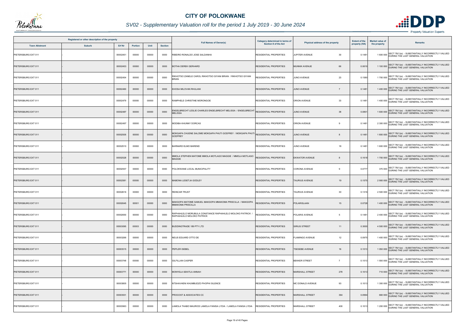

## *SV02 - Supplementary Valuation roll for the period 1 July 2019 - 30 June 2024*

|                       | Registered or other description of the property |          |                |       |                |                                                                                                      | Category determined in terms of |                                        | <b>Extent of the</b> | <b>Market value of</b> |                                                                                                 |
|-----------------------|-------------------------------------------------|----------|----------------|-------|----------------|------------------------------------------------------------------------------------------------------|---------------------------------|----------------------------------------|----------------------|------------------------|-------------------------------------------------------------------------------------------------|
| <b>Town Allotment</b> | <b>Suburb</b>                                   | Erf Nr   | <b>Portion</b> | Unit  | <b>Section</b> | <b>Full Names of Owner(s)</b>                                                                        | Section 8 of the Act            | Physical address of the property       | property (HA)        | the property           | Remarks                                                                                         |
| PIETERSBURG EXT 011   |                                                 | 00002451 | 00000          | 00000 | 0000           | RIBEIRO RONALDO JOSE SALDANHA                                                                        | <b>RESIDENTIAL PROPERTIES</b>   | JUPITER AVENUE<br>30                   | 0.1481               |                        | SECT 78(1)(e) - SUBSTANTIALLY INCORRECTLY VALUED<br>1 600 000 DURING THE LAST GENERAL VALUATION |
| PIETERSBURG EXT 011   |                                                 | 00002453 | 00000          | 00000 | 0000           | <b>BOTHA DEREK GERHARD</b>                                                                           | <b>RESIDENTIAL PROPERTIES</b>   | 66<br><b>MUNNIK AVENUE</b>             | 0.061                |                        | 1 100 000 SECT 78(1)(e) - SUBSTANTIALLY INCORRECTLY VALUED                                      |
| PIETERSBURG EXT 011   |                                                 | 00002454 | 00000          | 00000 | 0000           | RIKHOTSO ZANELE CAROL RIKHOTSO GIYANI BRIAN / RIKHOTSO GIYANI<br><b>BRIAN</b>                        | RESIDENTIAL PROPERTIES          | <b>JUNO AVENUE</b><br>23               | 0.1580               |                        | 1 700 000 SECT 78(1)(e) - SUBSTANTIALLY INCORRECTLY VALUED                                      |
| PIETERSBURG EXT 011   |                                                 | 00002460 | 00000          | 00000 | 0000           | (HOSA MILOVAN RHULANI                                                                                | <b>RESIDENTIAL PROPERTIES</b>   | <b>JUNO AVENUE</b><br>$\overline{7}$   | 0.1481               |                        | 1400 000 SECT 78(1)(e) - SUBSTANTIALLY INCORRECTLY VALUED                                       |
| PIETERSBURG EXT 011   |                                                 | 00002479 | 00000          | 00000 | 0000           | RAMPHELE CHRISTINE MORONGOE                                                                          | <b>RESIDENTIAL PROPERTIES</b>   | 33<br><b>ORION AVENUE</b>              | 0.1481               |                        | 1 400 000 SECT 78(1)(e) - SUBSTANTIALLY INCORRECTLY VALUED<br>DURING THE LAST GENERAL VALUATION |
| PIETERSBURG EXT 011   |                                                 | 00002487 | 00000          | 00000 | 0000           | NGELBRECHT LESLIE CHARLES ENGELBRECHT MELISSA / ENGELBRECHT RESIDENTIAL PROPERTIES<br><b>MELISSA</b> |                                 | <b>JUNO AVENUE</b><br>38               | 0.0801               |                        | 1 600 000 SECT 78(1)(e) - SUBSTANTIALLY INCORRECTLY VALUED                                      |
| PIETERSBURG EXT 011   |                                                 | 00002497 | 00000          | 00000 | 0000           | MODIBA KHUNNY DORCAS                                                                                 | <b>RESIDENTIAL PROPERTIES</b>   | ORION AVENUE<br>9                      | 0.1481               |                        | 2 300 000 SECT 78(1)(e) - SUBSTANTIALLY INCORRECTLY VALUED                                      |
| PIETERSBURG EXT 011   |                                                 | 00002505 | 00000          | 00000 | 0000           | <b>MOKGAPA CHUENE SALOME MOKGAPA PHUTI GODFREY / MOKGAPA PHUTI</b><br><b>GODFREY</b>                 | <b>RESIDENTIAL PROPERTIES</b>   | <b>JUNO AVENUE</b>                     | 0.148                |                        | SECT 78(1)(e) - SUBSTANTIALLY INCORRECTLY VALUED<br>1 800 000 DURING THE LAST GENERAL VALUATION |
| PIETERSBURG EXT 011   |                                                 | 00002510 | 00000          | 00000 | 0000           | <b>BARNARD ELMO BAREND</b>                                                                           | <b>RESIDENTIAL PROPERTIES</b>   | <b>JUNO AVENUE</b><br>18               | 0.148                |                        | 1 600 000 SECT 78(1)(e) - SUBSTANTIALLY INCORRECTLY VALUED                                      |
| PIETERSBURG EXT 011   |                                                 | 00002528 | 00000          | 00000 | 0000           | MMOLA STEPHEN MATOME MMOLA MOTLAGO MAGGIE / MMOLA MOTLAGO<br><b>AAGGIE</b>                           | RESIDENTIAL PROPERTIES          | <b>EKWATOR AVENUE</b>                  | 0.1618               |                        | 1700 000 SECT 78(1)(e) - SUBSTANTIALLY INCORRECTLY VALUED<br>DURING THE LAST GENERAL VALUATION  |
| PIETERSBURG EXT 011   |                                                 | 00002557 | 00000          | 00000 | 0000           | POLOKWANE LOCAL MUNICIPALITY                                                                         | RESIDENTIAL PROPERTIES          | <b>CORONA AVENUE</b><br>$\mathbf{Q}$   | 0.0777               |                        | 370 000 SECT 78(1)(e) - SUBSTANTIALLY INCORRECTLY VALUED<br>DURING THE LAST GENERAL VALUATION   |
| PIETERSBURG EXT 011   |                                                 | 00002581 | 00000          | 00000 | 0000           | MABONA LESETJA GODLEY                                                                                | <b>RESIDENTIAL PROPERTIES</b>   | <b>TAURIUS AVENUE</b><br>19            | 0.1575               |                        | 2 900 000 SECT 78(1)(e) - SUBSTANTIALLY INCORRECTLY VALUED                                      |
| PIETERSBURG EXT 011   |                                                 | 00002616 | 00000          | 00000 | 0000           | REINCAR TRUST                                                                                        | RESIDENTIAL PROPERTIES          | TAURIUS AVENUE<br>30                   | 0.1316               |                        | 2 500 000 SECT 78(1)(e) - SUBSTANTIALLY INCORRECTLY VALUED                                      |
| PIETERSBURG EXT 011   |                                                 | 00002645 | 00001          | 00000 | 0000           | MAKGOPA MATOME SAMUEL MAKGOPA MMAKOMA PRISCILLA / MAKGOPA<br>MMAKOMA PRISCILLA                       | <b>RESIDENTIAL PROPERTIES</b>   | <b>POLARISLAAN</b><br>15               | 0.0728               |                        | 1400 000 SECT 78(1)(e) - SUBSTANTIALLY INCORRECTLY VALUED                                       |
| PIETERSBURG EXT 011   |                                                 | 00002650 | 00000          | 00000 | 0000           | RAPHAHLELO MORUBULA CONSTANCE RAPHAHLELO MOLOKO PATRICK<br>RAPHAHLELO MOLOKO PATRICK                 | RESIDENTIAL PROPERTIES          | POLARIS AVENUE<br>5                    | 0.1481               |                        | SECT 78(1)(e) - SUBSTANTIALLY INCORRECTLY VALUED<br>2400 000 DURING THE LAST GENERAL VALUATION  |
| PIETERSBURG EXT 011   |                                                 | 00003095 | 00003          | 00000 | 0000           | BUDDINGTRADE 189 PTY LTD                                                                             | <b>RESIDENTIAL PROPERTIES</b>   | <b>SIRIUS STREET</b><br>11             | 0.3000               |                        | 4 500 000 SECT 78(1)(e) - SUBSTANTIALLY INCORRECTLY VALUED                                      |
| PIETERSBURG EXT 011   |                                                 | 00003266 | 00000          | 00000 | 0000           | NEIJS EDUARD OTTO DE                                                                                 | <b>RESIDENTIAL PROPERTIES</b>   | <b>FLAMINGO AVENUE</b><br>12           | 0.0975               |                        | 1 400 000 SECT 78(1)(e) - SUBSTANTIALLY INCORRECTLY VALUED<br>DURING THE LAST GENERAL VALUATION |
| PIETERSBURG EXT 011   |                                                 | 00003515 | 00000          | 00000 | 0000           | PEPLER ISEBEL                                                                                        | <b>RESIDENTIAL PROPERTIES</b>   | <b>TSESEBE AVENUE</b><br>16            | 0.1013               |                        | 1 050 000 SECT 78(1)(e) - SUBSTANTIALLY INCORRECTLY VALUED<br>DURING THE LAST GENERAL VALUATION |
| PIETERSBURG EXT 011   |                                                 | 00003748 | 00000          | 00000 | 0000           | <b>GILFILLAN CASPER</b>                                                                              | <b>RESIDENTIAL PROPERTIES</b>   | <b>BEKKER STREET</b><br>$\overline{7}$ | 0.1013               |                        | 1 550 000 SECT 78(1)(e) - SUBSTANTIALLY INCORRECTLY VALUED                                      |
| PIETERSBURG EXT 011   |                                                 | 00003771 | 00000          | 00000 | 0000           | MONYELA SEKITLA ANNAH                                                                                | <b>RESIDENTIAL PROPERTIES</b>   | 278<br><b>MARSHALL STREET</b>          | 0.1013               |                        | 710 000 SECT 78(1)(e) - SUBSTANTIALLY INCORRECTLY VALUED<br>DURING THE LAST GENERAL VALUATION   |
| PIETERSBURG EXT 011   |                                                 | 00003805 | 00000          | 00000 | 0000           | NTSHAVHENI KHUMBUDZO PHOPHI SILENCE                                                                  | <b>RESIDENTIAL PROPERTIES</b>   | 93<br>MC DONALD AVENUE                 | 0.1013               |                        | 1 300 000 SECT 78(1)(e) - SUBSTANTIALLY INCORRECTLY VALUED                                      |
| PIETERSBURG EXT 011   |                                                 | 00003931 | 00000          | 00000 | 0000           | PROCOST & ASSOCIATES CC                                                                              | <b>RESIDENTIAL PROPERTIES</b>   | <b>MARSHALL STREET</b><br>364          | 0.0994               |                        | 660 000 SECT 78(1)(e) - SUBSTANTIALLY INCORRECTLY VALUED                                        |
| PIETERSBURG EXT 011   |                                                 | 00003963 | 00000          | 00000 | 0000           | LAMOLA THABO MAURICE LAMOLA FANISA LYDIA / LAMOLA FANISA LYDIA                                       | <b>RESIDENTIAL PROPERTIES</b>   | MARSHALL STREET<br>400                 | 0.1013               |                        | SECT 78(1)(e) - SUBSTANTIALLY INCORRECTLY VALUED<br>1 200 000 DURING THE LAST GENERAL VALUATION |

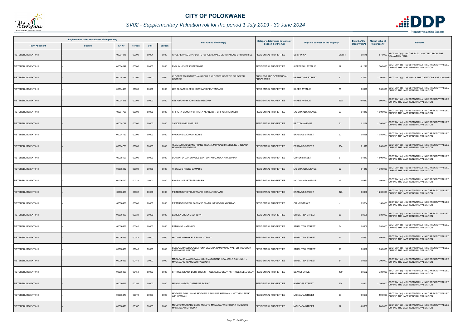

## *SV02 - Supplementary Valuation roll for the period 1 July 2019 - 30 June 2024*

| Registered or other description of the property |               |          |         |       |                |                                                                                        | Category determined in terms of                     |                                        | <b>Extent of the</b> | <b>Market value of</b> | <b>Remarks</b>                                                                                  |
|-------------------------------------------------|---------------|----------|---------|-------|----------------|----------------------------------------------------------------------------------------|-----------------------------------------------------|----------------------------------------|----------------------|------------------------|-------------------------------------------------------------------------------------------------|
| <b>Town Allotment</b>                           | <b>Suburb</b> | Erf Nr   | Portion | Unit  | <b>Section</b> | <b>Full Names of Owner(s)</b>                                                          | Section 8 of the Act                                | Physical address of the property       | property (HA)        | the property           |                                                                                                 |
| PIETERSBURG EXT 011                             |               | 00004015 | 00000   | 00001 | 0000           | GROENEWALD CHARLOTTE / GROENEWALD BERNHARDUS CHRISTOFFEL                               | RESIDENTIAL PROPERTIES                              | UNIT <sub>1</sub><br><b>SS CHINICK</b> | 0.0148               | 810 000                | SECT 78(1)(a) - INCORRECTLY OMITTED FROM THE<br><b>VALUATION ROLL</b>                           |
| PIETERSBURG EXT 011                             |               | 00004047 | 00000   | 00000 | 0000           | ENSLIN HENDRIK STEFANUS                                                                | RESIDENTIAL PROPERTIES                              | <b>KIEPERSOL AVENUE</b><br>17          | 0.1216               |                        | 1 500 000 SECT 78(1)(e) - SUBSTANTIALLY INCORRECTLY VALUED<br>DURING THE LAST GENERAL VALUATION |
| PIETERSBURG EXT 011                             |               | 00004087 | 00000   | 00000 | 0000           | LOPPER MARGARETHA JACOBA & KLOPPER GEORGE / KLOPPER<br><b>GEORGE</b>                   | <b>BUSINESS AND COMMERCIAL</b><br><b>PROPERTIES</b> | <b>KREMETART STREET</b><br>11          | 0.1013               |                        | 1 200 000 SECT 78(1)(g) - OF WHICH THE CATEGORY HAS CHANGED                                     |
| PIETERSBURG EXT 011                             |               | 00004418 | 00000   | 00000 | 0000           | LEE ELSABE / LEE CHRISTIAAN BREYTENBACH                                                | RESIDENTIAL PROPERTIES                              | 55<br><b>KAREE AVENUE</b>              | 0.0973               |                        | 900 000 SECT 78(1)(e) - SUBSTANTIALLY INCORRECTLY VALUED<br>DURING THE LAST GENERAL VALUATION   |
| PIETERSBURG EXT 011                             |               | 00004418 | 00001   | 00000 | 0000           | NEL ABRAHAM JOHANNES HENDRIK                                                           | <b>RESIDENTIAL PROPERTIES</b>                       | 55A<br><b>KAREE AVENUE</b>             | 0.0612               |                        | 900 000 SECT 78(1)(e) - SUBSTANTIALLY INCORRECTLY VALUED<br>DURING THE LAST GENERAL VALUATION   |
| PIETERSBURG EXT 011                             |               | 00004708 | 00000   | 00000 | 0000           | CHIHOTA MEMORY CHIHOTA KENNEDY / CHIHOTA KENNEDY                                       | <b>RESIDENTIAL PROPERTIES</b>                       | 23<br>MC DONALD AVENUE                 | 0.1013               |                        | SECT 78(1)(e) - SUBSTANTIALLY INCORRECTLY VALUED<br>1 000 000 DURING THE LAST GENERAL VALUATION |
| PIETERSBURG EXT 011                             |               | 00004747 | 00000   | 00000 | 0000           | SANDERS MELANIE LEE                                                                    | <b>RESIDENTIAL PROPERTIES</b>                       | 31<br>PROTEA AVENUE                    | 0.1126               |                        | 1 300 000 SECT 78(1)(e) - SUBSTANTIALLY INCORRECTLY VALUED                                      |
| PIETERSBURG EXT 011                             |               | 00004762 | 00000   | 00000 | 0000           | PHOKANE MACHAKA ROBIE                                                                  | <b>RESIDENTIAL PROPERTIES</b>                       | <b>ERASMUS STREET</b><br>92            | 0.0488               |                        | 1 050 000 SECT 78(1)(e) - SUBSTANTIALLY INCORRECTLY VALUED                                      |
| PIETERSBURG EXT 011                             |               | 00004788 | 00000   | 00000 | 0000           | TLEANA MATSOBANE FRANS TLEANA MOKGADI MAGDELINE / TLEANA<br><b>MOKGADI MAGDELINE</b>   | RESIDENTIAL PROPERTIES                              | <b>ERASMUS STREET</b><br>154           | 0.1013               |                        | 1 700 000 SECT 78(1)(e) - SUBSTANTIALLY INCORRECTLY VALUED                                      |
| PIETERSBURG EXT 011                             |               | 00005107 | 00000   | 00000 | 0000           | DLAMINI SYLVIA LUNGILE LANTSINI KHAZIMULA KHABONINA                                    | <b>RESIDENTIAL PROPERTIES</b>                       | <b>COHEN STREET</b><br>5               | 0.1013               |                        | 1 500 000 SECT 78(1)(e) - SUBSTANTIALLY INCORRECTLY VALUED<br>DURING THE LAST GENERAL VALUATION |
| PIETERSBURG EXT 011                             |               | 00005282 | 00000   | 00000 | 0000           | THOSAGO NKEKE DAMARIS                                                                  | <b>RESIDENTIAL PROPERTIES</b>                       | MC DONALD AVENUE<br>22                 | 0.1013               |                        | 1 300 000 SECT 78(1)(e) - SUBSTANTIALLY INCORRECTLY VALUED<br>DURING THE LAST GENERAL VALUATION |
| PIETERSBURG EXT 011                             |               | 00006140 | 00025   | 00000 | 0000           | PHOSA MOEKETSI FRIORDER                                                                | <b>RESIDENTIAL PROPERTIES</b>                       | 56<br>MC DONALD AVENUE                 | 0.0987               |                        | 1 000 000 SECT 78(1)(e) - SUBSTANTIALLY INCORRECTLY VALUED<br>DURING THE LAST GENERAL VALUATION |
| PIETERSBURG EXT 011                             |               | 00006416 | 00002   | 00000 | 0000           | PIETERSBURG/POLOKWANE OORGANGSRAAD                                                     | <b>RESIDENTIAL PROPERTIES</b>                       | <b>ERASMUS STREET</b><br>123           | 0.0300               |                        | 1 200 000 SECT 78(1)(e) - SUBSTANTIALLY INCORRECTLY VALUED<br>DURING THE LAST GENERAL VALUATION |
| PIETERSBURG EXT 011                             |               | 00006438 | 00000   | 00000 | 0000           | PIETERSBURG/POLOKWANE PLAASLIKE OORGANGSRAAD                                           | RESIDENTIAL PROPERTIES                              | <b>GRIMMSTRAAT</b>                     | 0.3064               |                        | 150 000 SECT 78(1)(e) - SUBSTANTIALLY INCORRECTLY VALUED<br>DURING THE LAST GENERAL VALUATION   |
| PIETERSBURG EXT 011                             |               | 00006469 | 00039   | 00000 | 0000           | LAMOLA CHUENE MARILYN                                                                  | <b>RESIDENTIAL PROPERTIES</b>                       | STRELITZIA STREET<br>36                | 0.0600               |                        | SECT 78(1)(e) - SUBSTANTIALLY INCORRECTLY VALUED<br>680 000 DURING THE LAST GENERAL VALUATION   |
| PIETERSBURG EXT 011                             |               | 00006469 | 00040   | 00000 | 0000           | RAMAHLO MATLHODI                                                                       | <b>RESIDENTIAL PROPERTIES</b>                       | <b>STRELITZIA STREET</b><br>34         | 0.0600               |                        | 580 000 SECT 78(1)(e) - SUBSTANTIALLY INCORRECTLY VALUED<br>DURING THE LAST GENERAL VALUATION   |
| PIETERSBURG EXT 011                             |               | 00006469 | 00041   | 00000 | 0000           | MATANE MPHAHLELE FAMILY TRUST                                                          | <b>RESIDENTIAL PROPERTIES</b>                       | <b>STRELITZIA STREET</b><br>24         | 0.0582               |                        | SECT 78(1)(e) - SUBSTANTIALLY INCORRECTLY VALUED<br>1 500 000 DURING THE LAST GENERAL VALUATION |
| PIETERSBURG EXT 011                             |               | 00006469 | 00048   | 00000 | 0000           | SEGOOA RASEROGOLE FIONA SEGOOA RAMOKONE WALTER / SEGOOA<br>RAMOKONE WALTER             | RESIDENTIAL PROPERTIES                              | <b>STRELITZIA STREET</b><br>10         | 0.0998               |                        | 1 600 000 SECT 78(1)(e) - SUBSTANTIALLY INCORRECTLY VALUED                                      |
| PIETERSBURG EXT 011                             |               | 00006469 | 00146   | 00000 | 0000           | MAGAGANE MAMOLEWA JULIUS MAGAGANE KGAUGELO PAULINAH /<br>MAGAGANE KGAUGELO PAULINAH    | RESIDENTIAL PROPERTIES                              | <b>STRELITZIA STREET</b><br>31         | 0.0630               |                        | 1 300 000 SECT 78(1)(e) - SUBSTANTIALLY INCORRECTLY VALUED                                      |
| PIETERSBURG EXT 011                             |               | 00006469 | 00151   | 00000 | 0000           | SITHOLE WENDY BOBY ZOLA SITHOLE SELLO LEVY / SITHOLE SELLO LEVY RESIDENTIAL PROPERTIES |                                                     | 139<br>DE WET DRIVE                    | 0.0582               |                        | 730 000 SECT 78(1)(e) - SUBSTANTIALLY INCORRECTLY VALUED<br>DURING THE LAST GENERAL VALUATION   |
| PIETERSBURG EXT 011                             |               | 00006469 | 00158   | 00000 | 0000           | MAHLO MASODI CATHRINE SOPHY                                                            | <b>RESIDENTIAL PROPERTIES</b>                       | 134<br><b>BOSHOFF STREET</b>           | 0.0551               |                        | 1 300 000 SECT 78(1)(e) - SUBSTANTIALLY INCORRECTLY VALUED                                      |
| PIETERSBURG EXT 011                             |               | 00006470 | 00072   | 00000 | 0000           | MOTHEMI DIRA JONAS MOTHEMI SEAKI WELHEMINAH / MOTHEMI SEAKI<br>WELHEMINAH              | RESIDENTIAL PROPERTIES                              | <b>MOKGAPA STREET</b><br>50            | 0.0600               |                        | 500 000 SECT 78(1)(e) - SUBSTANTIALLY INCORRECTLY VALUED<br>DURING THE LAST GENERAL VALUATION   |
| PIETERSBURG EXT 011                             |               | 00006470 | 00167   | 00000 | 0000           | MOLOTO MAKGABO ENOS MOLOTO MAMATLAKWE ROSINA / MOLOTO<br>MAMATLAKWE ROSINA             | RESIDENTIAL PROPERTIES                              | <b>MOKGAPA STREET</b><br>17            | 0.0600               |                        | SECT 78(1)(e) - SUBSTANTIALLY INCORRECTLY VALUED<br>1 200 000 DURING THE LAST GENERAL VALUATION |

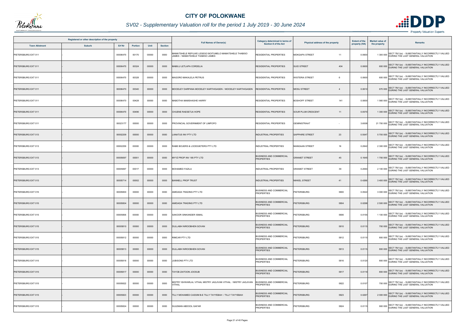

## *SV02 - Supplementary Valuation roll for the period 1 July 2019 - 30 June 2024*

| Registered or other description of the property |               |          |                |       |                |                                                                                            | Category determined in terms of                     |                                      | <b>Extent of the</b> | <b>Market value of</b> |                                                                                                  |
|-------------------------------------------------|---------------|----------|----------------|-------|----------------|--------------------------------------------------------------------------------------------|-----------------------------------------------------|--------------------------------------|----------------------|------------------------|--------------------------------------------------------------------------------------------------|
| <b>Town Allotment</b>                           | <b>Suburb</b> | Erf Nr   | <b>Portion</b> | Unit  | <b>Section</b> | <b>Full Names of Owner(s)</b>                                                              | Section 8 of the Act                                | Physical address of the property     | property (HA)        | the property           | <b>Remarks</b>                                                                                   |
| PIETERSBURG EXT 011                             |               | 00006470 | 00170          | 00000 | 0000           | MAMATSHELE REFILWE LESEGO BOITUMELO MAMATSHELE THABISO<br>JAMES / MAMATSHELE THABISO JAMES | RESIDENTIAL PROPERTIES                              | <b>MOKGAPA STREET</b><br>11          | 0.0600               |                        | 1 300 000 SECT 78(1)(e) - SUBSTANTIALLY INCORRECTLY VALUED                                       |
| PIETERSBURG EXT 011                             |               | 00006470 | 00324          | 00000 | 0000           | <b>MABILU LETLAPA CORDELIA</b>                                                             | <b>RESIDENTIAL PROPERTIES</b>                       | 404<br><b>SUID STREET</b>            | 0.0600               |                        | 600 000 SECT 78(1)(e) - SUBSTANTIALLY INCORRECTLY VALUED<br>DURING THE LAST GENERAL VALUATION    |
| PIETERSBURG EXT 011                             |               | 00006470 | 00328          | 00000 | 0000           | MAGORO MAKALELA PETRUS                                                                     | <b>RESIDENTIAL PROPERTIES</b>                       | <b>WISTERIA STREET</b><br>-6         | 0.0600               |                        | 600 000 SECT 78(1)(e) - SUBSTANTIALLY INCORRECTLY VALUED<br>DURING THE LAST GENERAL VALUATION    |
| PIETERSBURG EXT 011                             |               | 00006470 | 00340          | 00000 | 0000           | MOODLEY DARPANA MOODLEY KARTHIGASEN / MOODLEY KARTHIGASEN                                  | <b>RESIDENTIAL PROPERTIES</b>                       | <b>MOSU STREET</b><br>$\overline{4}$ | 0.0610               |                        | 670 000 SECT 78(1)(e) - SUBSTANTIALLY INCORRECTLY VALUED                                         |
| PIETERSBURG EXT 011                             |               | 00006470 | 00428          | 00000 | 0000           | MABOTHA MAMSHASHE HARRY                                                                    | RESIDENTIAL PROPERTIES                              | <b>BOSHOFF STREET</b><br>141         | 0.0600               |                        | 1 560 000 SECT 78(1)(e) - SUBSTANTIALLY INCORRECTLY VALUED<br>DURING THE LAST GENERAL VALUATION  |
| PIETERSBURG EXT 011                             |               | 00006470 | 00496          | 00000 | 0000           | CHUENE RAESETJA HOPE                                                                       | <b>RESIDENTIAL PROPERTIES</b>                       | <b>SOUR PLUM CRESCENT</b><br>11      | 0.0570               |                        | 1 300 000 SECT 78(1)(e) - SUBSTANTIALLY INCORRECTLY VALUED                                       |
| PIETERSBURG EXT 011                             |               | 00023177 | 00000          | 00000 | 0000           | PROVINCIAL GOVERNMENT OF LIMPOPO                                                           | <b>RESIDENTIAL PROPERTIES</b>                       | <b>GEMINISTRAAT</b>                  | 3.6008               |                        | SECT 78(1)(e) - SUBSTANTIALLY INCORRECTLY VALUED<br>21 700 000 DURING THE LAST GENERAL VALUATION |
| PIETERSBURG EXT 013                             |               | 00002209 | 00000          | 00000 | 0000           | <b>LANATUS INV PTY LTD</b>                                                                 | <b>INDUSTRIAL PROPERTIES</b>                        | 23<br><b>SAPPHIRE STREET</b>         | 0.5047               |                        | 5 700 000 SECT 78(1)(e) - SUBSTANTIALLY INCORRECTLY VALUED                                       |
| PIETERSBURG EXT 013                             |               | 00002259 | 00000          | 00000 | 0000           | RABE BOUERS & LOODGIETERS PTY LTD                                                          | INDUSTRIAL PROPERTIES                               | <b>MANGAAN STREET</b><br>16          | 0.2842               |                        | 2 300 000 SECT 78(1)(e) - SUBSTANTIALLY INCORRECTLY VALUED                                       |
| PIETERSBURG EXT 013                             |               | 00005697 | 00001          | 00000 | 0000           | MYYZ PROP INV 185 PTY LTD                                                                  | <b>BUSINESS AND COMMERCIAL</b><br><b>PROPERTIES</b> | <b>GRANIET STREET</b><br>45          | 0.1645               |                        | 1 700 000 SECT 78(1)(e) - SUBSTANTIALLY INCORRECTLY VALUED                                       |
| PIETERSBURG EXT 013                             |               | 00005697 | 00017          | 00000 | 0000           | <b>MOHAMED FAZILA</b>                                                                      | INDUSTRIAL PROPERTIES                               | 39<br><b>GRANIET STREET</b>          | 0.2694               |                        | 2 100 000 SECT 78(1)(e) - SUBSTANTIALLY INCORRECTLY VALUED                                       |
| PIETERSBURG EXT 013                             |               | 00005714 | 00002          | 00000 | 0000           | <b>BANNELL PROP TRUST</b>                                                                  | <b>INDUSTRIAL PROPERTIES</b>                        | <b>NIKKEL STREET</b><br>41           | 0.4266               |                        | 3 400 000 SECT 78(1)(e) - SUBSTANTIALLY INCORRECTLY VALUED                                       |
| PIETERSBURG EXT 015                             |               | 00005800 | 00000          | 00000 | 0000           | AMIDADA TRADING PTY LTD                                                                    | <b>BUSINESS AND COMMERCIAL</b><br><b>PROPERTIES</b> | <b>PIETERSBURG</b><br>5800           | 0.0522               |                        | SECT 78(1)(e) - SUBSTANTIALLY INCORRECTLY VALUED<br>3 000 000 DURING THE LAST GENERAL VALUATION  |
| PIETERSBURG EXT 015                             |               | 00005804 | 00000          | 00000 | 0000           | AMIDADA TRADING PTY LTD                                                                    | <b>BUSINESS AND COMMERCIAL</b><br><b>PROPERTIES</b> | <b>PIETERSBURG</b><br>5804           | 0.0298               |                        | 2 500 000 SECT 78(1)(e) - SUBSTANTIALLY INCORRECTLY VALUED                                       |
| PIETERSBURG EXT 015                             |               | 00005806 | 00000          | 00000 | 0000           | SAKOOR SINKANDER ISMAIL                                                                    | <b>BUSINESS AND COMMERCIAL</b><br><b>PROPERTIES</b> | PIETERSBURG<br>5806                  | 0.0155               |                        | SECT 78(1)(e) - SUBSTANTIALLY INCORRECTLY VALUED<br>1 100 000 DURING THE LAST GENERAL VALUATION  |
| PIETERSBURG EXT 015                             |               | 00005810 | 00000          | 00000 | 0000           | DULLABH NIROOBHEN GOVAN                                                                    | <b>BUSINESS AND COMMERCIAL</b><br><b>PROPERTIES</b> | <b>PIETERSBURG</b><br>5810           | 0.0115               |                        | 700 000 SECT 78(1)(e) - SUBSTANTIALLY INCORRECTLY VALUED<br>DURING THE LAST GENERAL VALUATION    |
| PIETERSBURG EXT 015                             |               | 00005812 | 00000          | 00000 | 0000           | RIMCAR PTY LTD                                                                             | <b>BUSINESS AND COMMERCIAL</b><br>PROPERTIES        | <b>PIETERSBURG</b><br>5812           | 0.0115               |                        | SECT 78(1)(e) - SUBSTANTIALLY INCORRECTLY VALUED<br>800 000 DURING THE LAST GENERAL VALUATION    |
| PIETERSBURG EXT 015                             |               | 00005813 | 00000          | 00000 | 0000           | DULLABH NIROOBHEN GOVAN                                                                    | <b>BUSINESS AND COMMERCIAL</b><br><b>PROPERTIES</b> | <b>PIETERSBURG</b><br>5813           | 0.0115               |                        | 800 000 SECT 78(1)(e) - SUBSTANTIALLY INCORRECTLY VALUED<br>DURING THE LAST GENERAL VALUATION    |
| PIETERSBURG EXT 015                             |               | 00005816 | 00000          | 00000 | 0000           | JUBISONS PTY LTD                                                                           | <b>BUSINESS AND COMMERCIAL</b><br><b>PROPERTIES</b> | <b>PIETERSBURG</b><br>5816           | 0.0120               |                        | 800 000 SECT 78(1)(e) - SUBSTANTIALLY INCORRECTLY VALUED<br>DURING THE LAST GENERAL VALUATION    |
| PIETERSBURG EXT 015                             |               | 00005817 | 00000          | 00000 | 0000           | TAYOB ZAITOON JOOSUB                                                                       | <b>BUSINESS AND COMMERCIAL</b><br><b>PROPERTIES</b> | <b>PIETERSBURG</b><br>5817           | 0.0119               |                        | 800 000 SECT 78(1)(e) - SUBSTANTIALLY INCORRECTLY VALUED                                         |
| PIETERSBURG EXT 015                             |               | 00005822 | 00000          | 00000 | 0000           | MISTRY ISHWARLAL VITHAL MISTRY JAGJIVAN VITHAL  / MISTRY JAGJIVAN<br>VITHAL                | <b>BUSINESS AND COMMERCIAL</b><br>PROPERTIES        | <b>PIETERSBURG</b><br>5822           | 0.0107               |                        | 700 000 SECT 78(1)(e) - SUBSTANTIALLY INCORRECTLY VALUED<br>DURING THE LAST GENERAL VALUATION    |
| PIETERSBURG EXT 015                             |               | 00005823 | 00000          | 00000 | 0000           | <b>TILLY MOHAMED CASSIM B-E TILLY TAYYEBAH / TILLY TAYYEBAH</b>                            | <b>BUSINESS AND COMMERCIAL</b><br><b>PROPERTIES</b> | <b>PIETERSBURG</b><br>5823           | 0.0267               |                        | 2 000 000 SECT 78(1)(e) - SUBSTANTIALLY INCORRECTLY VALUED                                       |
| PIETERSBURG EXT 015                             |               | 00005824 | 00000          | 00000 | 0000           | SULEMAN ABDOOL GAFAR                                                                       | <b>BUSINESS AND COMMERCIAL</b><br>PROPERTIES        | <b>PIETERSBURG</b><br>5824           | 0.0115               |                        | SECT 78(1)(e) - SUBSTANTIALLY INCORRECTLY VALUED<br>900 000 DURING THE LAST GENERAL VALUATION    |

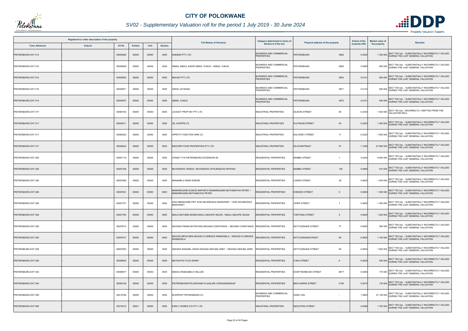

## *SV02 - Supplementary Valuation roll for the period 1 July 2019 - 30 June 2024*

| Registered or other description of the property |               |          |                |       |                | <b>Full Names of Owner(s)</b>                                                        | <b>Category determined in terms of</b>              | <b>Extent of the</b><br>Physical address of the property |               | <b>Market value of</b> | <b>Remarks</b>                                                                                            |
|-------------------------------------------------|---------------|----------|----------------|-------|----------------|--------------------------------------------------------------------------------------|-----------------------------------------------------|----------------------------------------------------------|---------------|------------------------|-----------------------------------------------------------------------------------------------------------|
| <b>Town Allotment</b>                           | <b>Suburb</b> | Erf Nr   | <b>Portion</b> | Unit  | <b>Section</b> |                                                                                      | <b>Section 8 of the Act</b>                         |                                                          | property (HA) | the property           |                                                                                                           |
| PIETERSBURG EXT 015                             |               | 00005826 | 00000          | 00000 | 0000           | <b>NAEEMS PTY LTD</b>                                                                | <b>BUSINESS AND COMMERCIAL</b><br><b>PROPERTIES</b> | <b>PIETERSBURG</b><br>5826                               | 0.0202        |                        | SECT 78(1)(e) - SUBSTANTIALLY INCORRECTLY VALUED<br>1 300 000 DURING THE LAST GENERAL VALUATION           |
| PIETERSBURG EXT 015                             |               | 00005828 | 00000          | 00000 | 0000           | ISMAIL ABDUL KADIR ISMAIL YUNUS / ISMAIL YUNUS                                       | <b>BUSINESS AND COMMERCIAL</b><br><b>PROPERTIES</b> | <b>PIETERSBURG</b><br>5828                               | 0.0080        |                        | 600 000 SECT 78(1)(e) - SUBSTANTIALLY INCORRECTLY VALUED<br>DURING THE LAST GENERAL VALUATION             |
| PIETERSBURG EXT 015                             |               | 00005853 | 00000          | 00000 | 0000           | MOHZA PTY LTD                                                                        | <b>BUSINESS AND COMMERCIAL</b><br><b>PROPERTIES</b> | <b>PIETERSBURG</b><br>5853                               | 0.0121        |                        | 900 000 SECT 78(1)(e) - SUBSTANTIALLY INCORRECTLY VALUED<br>DURING THE LAST GENERAL VALUATION             |
| PIETERSBURG EXT 015                             |               | 00005871 | 00000          | 00000 | 0000           | <b>SINGH JAYSHNA</b>                                                                 | <b>BUSINESS AND COMMERCIAL</b><br><b>PROPERTIES</b> | PIETERSBURG<br>5871                                      | 0.0133        |                        | 600 000 SECT 78(1)(e) - SUBSTANTIALLY INCORRECTLY VALUED<br>DURING THE LAST GENERAL VALUATION             |
| PIETERSBURG EXT 015                             |               | 00005875 | 00000          | 00000 | 0000           | <b>ISMAIL YUNUS</b>                                                                  | <b>BUSINESS AND COMMERCIAL</b><br><b>PROPERTIES</b> | <b>PIETERSBURG</b><br>5875                               | 0.0121        |                        | 540 000 SECT 78(1)(e) - SUBSTANTIALLY INCORRECTLY VALUED<br>DURING THE LAST GENERAL VALUATION             |
| PIETERSBURG EXT 017                             |               | 00006192 | 00000          | 00000 | 0000           | LOUGOT PROP INV PTY LTD                                                              | INDUSTRIAL PROPERTIES                               | <b>SILIKON STREET</b><br>95                              | 0.2340        |                        | SECT 78(1)(a) - INCORRECTLY OMITTED FROM THE<br>1 520 000 VALUATION ROLL                                  |
| PIETERSBURG EXT 017                             |               | 00006211 | 00000          | 00000 | 0000           | OIL SHOPPE CC                                                                        | <b>INDUSTRIAL PROPERTIES</b>                        | 64<br>PLATINUM STREET                                    | 0.2303        |                        | 1 300 000 SECT 78(1)(e) - SUBSTANTIALLY INCORRECTLY VALUED<br>1 300 000 DURING THE LAST GENERAL VALUATION |
| PIETERSBURG EXT 017                             |               | 00006225 | 00000          | 00000 | 0000           | APPETIT FUNCTION HIRE CC                                                             | INDUSTRIAL PROPERTIES                               | 17<br><b>DOLORIET STREET</b>                             | 0.2220        |                        | 1 900 000 SECT 78(1)(e) - SUBSTANTIALLY INCORRECTLY VALUED<br>DURING THE LAST GENERAL VALUATION           |
| PIETERSBURG EXT 017                             |               | 00026642 | 00000          | 00000 | 0000           | BIDCORP FOOD PROPERTIES PTY LTD                                                      | <b>INDUSTRIAL PROPERTIES</b>                        | 57<br>SILICONSTRAAT                                      | 1.1059        |                        | 27 900 000 SECT 78(1)(e) - SUBSTANTIALLY INCORRECTLY VALUED<br>DURING THE LAST GENERAL VALUATION          |
| PIETERSBURG EXT 028                             |               | 00007119 | 00000          | 00000 | 0000           | STAND 7119 PIETERSBURG EXTENSION 28                                                  | RESIDENTIAL PROPERTIES                              | <b>MAMBA STREET</b><br>$\overline{1}$                    | 4.4204        |                        | 6 600 000 SECT 78(1)(e) - SUBSTANTIALLY INCORRECTLY VALUED<br>DURING THE LAST GENERAL VALUATION           |
| PIETERSBURG EXT 028                             |               | 00007438 | 00000          | 00000 | 0000           | MUYENGWA TENDAI / MUYENGWA XITSUNDZUXO MYWISH                                        | <b>RESIDENTIAL PROPERTIES</b>                       | <b>MAMBA STREET</b><br>126                               | 0.0969        |                        | 910 000 SECT 78(1)(e) - SUBSTANTIALLY INCORRECTLY VALUED<br>DURING THE LAST GENERAL VALUATION             |
| PIETERSBURG EXT 028                             |               | 00007608 | 00000          | 00000 | 0000           | MANAMELA NARE ESROM                                                                  | <b>RESIDENTIAL PROPERTIES</b>                       | <b>LIZARD STREET</b><br>36                               | 0.0625        |                        | 1 200 000 SECT 78(1)(e) - SUBSTANTIALLY INCORRECTLY VALUED                                                |
| PIETERSBURG EXT 028                             |               | 00007641 | 00000          | 00000 | 0000           | MAMAREGANE EUNICE MAPHEFO MAMAREGANE MATHABATHA PETER<br>MAMAREGANE MATHABATHA PETER | <b>RESIDENTIAL PROPERTIES</b>                       | <b>KOMODO STREET</b>                                     | 0.0600        |                        | 1 300 000 SECT 78(1)(e) - SUBSTANTIALLY INCORRECTLY VALUED<br>DURING THE LAST GENERAL VALUATION           |
| PIETERSBURG EXT 028                             |               | 00007701 | 00000          | 00000 | 0000           | SHAI MMAKGARE PIET SHAI KELEBOGILE MARGARET / SHAI KELEBOGILE<br>MARGARET            | RESIDENTIAL PROPERTIES                              | <b>VIPER STREET</b><br>- 7                               | 0.0600        |                        | 1 300 000 SECT 78(1)(e) - SUBSTANTIALLY INCORRECTLY VALUED                                                |
| PIETERSBURG EXT 028                             |               | 00007783 | 00000          | 00000 | 0000           | MAILA MATOME MOSES MAILA SEDUPE HELEN / MAILA SEDUPE HELEN                           | <b>RESIDENTIAL PROPERTIES</b>                       | <b>TORTOISE STREET</b><br>9                              | 0.0600        | 1 200 000              | SECT 78(1)(e) - SUBSTANTIALLY INCORRECTLY VALUED<br>DURING THE LAST GENERAL VALUATION                     |
| PIETERSBURG EXT 028                             |               | 00007813 | 00000          | 00000 | 0000           | NKOANA FRANK BUTINYANA NKOANA CONSTANCE / NKOANA CONSTANCE RESIDENTIAL PROPERTIES    |                                                     | 77<br><b>RATTLESNAKE STREET</b>                          | 0.0600        |                        | 360 000 SECT 78(1)(e) - SUBSTANTIALLY INCORRECTLY VALUED<br>DURING THE LAST GENERAL VALUATION             |
| PIETERSBURG EXT 028                             |               | 00007817 | 00000          | 00000 | 0000           | NKGODI MPHO BEN NKGODI FLORENCE RAMAESELA / NKGODI FLORENCE<br><b>RAMAESELA</b>      | <b>RESIDENTIAL PROPERTIES</b>                       | 69<br><b>RATTLESNAKESTRAAT</b>                           | 0.0600        |                        | SECT 78(1)(e) - SUBSTANTIALLY INCORRECTLY VALUED<br>1 100 000 DURING THE LAST GENERAL VALUATION           |
| PIETERSBURG EXT 028                             |               | 00007822 | 00000          | 00000 | 0000           | KEKANA RANAMA JONAS KEKANA SEKUBA ANNY / KEKANA SEKUBA ANNY                          | <b>RESIDENTIAL PROPERTIES</b>                       | 59<br><b>RATTLESNAKE STREET</b>                          | 0.0600        |                        | 1 600 000 SECT 78(1)(e) - SUBSTANTIALLY INCORRECTLY VALUED                                                |
| PIETERSBURG EXT 029                             |               | 00006630 | 00000          | 00000 | 0000           | MATHATHO TLOU WINNY                                                                  | <b>RESIDENTIAL PROPERTIES</b>                       | <b>TUNA STREET</b><br>6                                  | 0.0529        |                        | SECT 78(1)(e) - SUBSTANTIALLY INCORRECTLY VALUED<br>530 000 DURING THE LAST GENERAL VALUATION             |
| PIETERSBURG EXT 044                             |               | 00008677 | 00000          | 00000 | 0000           | MAKAU RAMAABELO HELLEN                                                               | <b>RESIDENTIAL PROPERTIES</b>                       | 8677<br><b>KOOP REINECKE STREET</b>                      | 0.0260        |                        | 170 000 SECT 78(1)(e) - SUBSTANTIALLY INCORRECTLY VALUED<br>DURING THE LAST GENERAL VALUATION             |
| PIETERSBURG EXT 044                             |               | 00009138 | 00000          | 00000 | 0000           | PIETERSBURG/POLOKWANE PLAASLIKE OORGANGSRAAD                                         | <b>RESIDENTIAL PROPERTIES</b>                       | <b>BEN HARRIS STREET</b><br>9138                         | 0.0270        |                        | 130 000 SECT 78(1)(e) - SUBSTANTIALLY INCORRECTLY VALUED<br>DURING THE LAST GENERAL VALUATION             |
| PIETERSBURG EXT 059                             |               | 00010766 | 00000          | 00000 | 0000           | RUSPROP PIETERSBURG CC                                                               | <b>BUSINESS AND COMMERCIAL</b><br><b>PROPERTIES</b> | <b>HANS VAN</b>                                          | 1.3863        |                        | 27 100 000 SECT 78(1)(e) - SUBSTANTIALLY INCORRECTLY VALUED<br>DURING THE LAST GENERAL VALUATION          |
| PIETERSBURG EXT 068                             |               | 00016215 | 00001          | 00000 | 0000           | EARLY WORKS 272 PTY LTD                                                              | <b>INDUSTRIAL PROPERTIES</b>                        | <b>INDUSTRIA STREET</b>                                  | 0.2699        |                        | SECT 78(1)(e) - SUBSTANTIALLY INCORRECTLY VALUED<br>1700 000 DURING THE LAST GENERAL VALUATION            |

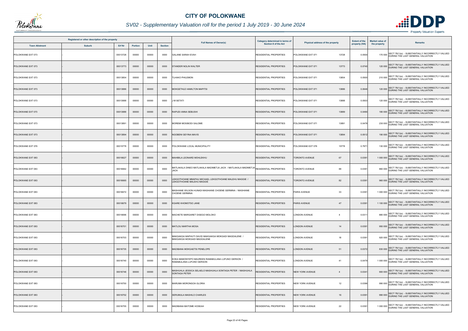

## *SV02 - Supplementary Valuation roll for the period 1 July 2019 - 30 June 2024*

| Registered or other description of the property |               |          |                |       |                | <b>Full Names of Owner(s)</b>                                                                 | Category determined in terms of | Physical address of the property         |               | <b>Market value of</b> |                                                                                                       |
|-------------------------------------------------|---------------|----------|----------------|-------|----------------|-----------------------------------------------------------------------------------------------|---------------------------------|------------------------------------------|---------------|------------------------|-------------------------------------------------------------------------------------------------------|
| <b>Town Allotment</b>                           | <b>Suburb</b> | Erf Nr   | <b>Portion</b> | Unit  | <b>Section</b> |                                                                                               | Section 8 of the Act            |                                          | property (HA) | the property           | Remarks                                                                                               |
| POLOKWANE EXT 073                               |               | 00013728 | 00000          | 00000 | 0000           | <b>GALANE SARAH EVAH</b>                                                                      | <b>RESIDENTIAL PROPERTIES</b>   | POLOKWANE EXT 071<br>13728               | 0.0500        |                        | 170 000 SECT 78(1)(e) - SUBSTANTIALLY INCORRECTLY VALUED<br>DURING THE LAST GENERAL VALUATION         |
| POLOKWANE EXT 073                               |               | 00013773 | 00000          | 00000 | 0000           | STANDER NOLIN WALTER                                                                          | <b>RESIDENTIAL PROPERTIES</b>   | 13773<br>POLOKWANE EXT 071               | 0.0740        |                        | 120 000 SECT 78(1)(e) - SUBSTANTIALLY INCORRECTLY VALUED<br>DURING THE LAST GENERAL VALUATION         |
| POLOKWANE EXT 073                               |               | 00013854 | 00000          | 00000 | 0000           | <b>ILHAKO PHILEMON</b>                                                                        | <b>RESIDENTIAL PROPERTIES</b>   | 13854<br>POLOKWANE EXT 071               | 0.0500        |                        | 210 000 SECT 78(1)(e) - SUBSTANTIALLY INCORRECTLY VALUED<br>DURING THE LAST GENERAL VALUATION         |
| POLOKWANE EXT 073                               |               | 00013886 | 00000          | 00000 | 0000           | MOKGETHLE HAMILTON MAPITSI                                                                    | <b>RESIDENTIAL PROPERTIES</b>   | POLOKWANE EXT 071<br>13886               | 0.0646        |                        | 120 000 SECT 78(1)(e) - SUBSTANTIALLY INCORRECTLY VALUED<br>DURING THE LAST GENERAL VALUATION         |
| POLOKWANE EXT 073                               |               | 00013888 | 00000          | 00000 | 0000           | <b>IM SETATI</b>                                                                              | <b>RESIDENTIAL PROPERTIES</b>   | 13888<br>POLOKWANE EXT 071               | 0.0503        |                        | 120 000 SECT 78(1)(e) - SUBSTANTIALLY INCORRECTLY VALUED<br>DURING THE LAST GENERAL VALUATION         |
| POLOKWANE EXT 073                               |               | 00013889 | 00000          | 00000 | 0000           | RAPUDI ANNA SEBUSHI                                                                           | <b>RESIDENTIAL PROPERTIES</b>   | POLOKWANE EXT 071<br>13889               | 0.0490        |                        | 180 000 SECT 78(1)(e) - SUBSTANTIALLY INCORRECTLY VALUED<br>DURING THE LAST GENERAL VALUATION         |
| POLOKWANE EXT 073                               |               | 00013891 | 00000          | 00000 | 0000           | MOREMI MOSIBODI SALOME                                                                        | RESIDENTIAL PROPERTIES          | POLOKWANE EXT 071<br>13891               | 0.0478        |                        | 230 000 SECT 78(1)(e) - SUBSTANTIALLY INCORRECTLY VALUED<br>230 000 DURING THE LAST GENERAL VALUATION |
| POLOKWANE EXT 073                               |               | 00013894 | 00000          | 00000 | 0000           | NGOBENI GEYINA MAVIS                                                                          | <b>RESIDENTIAL PROPERTIES</b>   | POLOKWANE EXT 071<br>13894               | 0.0512        |                        | SECT 78(1)(e) - SUBSTANTIALLY INCORRECTLY VALUED<br>190 000 DURING THE LAST GENERAL VALUATION         |
| POLOKWANE EXT 076                               |               | 00015778 | 00000          | 00000 | 0000           | POLOKWANE LOCAL MUNICIPALITY                                                                  | RESIDENTIAL PROPERTIES          | 15778<br>POLOKWANE EXT 076               | 0.7971        |                        | 130 000 SECT 78(1)(e) - SUBSTANTIALLY INCORRECTLY VALUED<br>DURING THE LAST GENERAL VALUATION         |
| POLOKWANE EXT 083                               |               | 00016627 | 00000          | 00000 | 0000           | MAHIBILA LEONARD MOHLEKHU                                                                     | <b>RESIDENTIAL PROPERTIES</b>   | <b>TORONTO AVENUE</b><br>67              | 0.0391        |                        | 1 000 000 SECT 78(1)(e) - SUBSTANTIALLY INCORRECTLY VALUED<br>DURING THE LAST GENERAL VALUATION       |
| POLOKWANE EXT 083                               |               | 00016662 | 00000          | 00000 | 0000           | MATLAKALA DINEO MATLAKALA MADIMETJA JACK / MATLAKALA MADIMETJA RESIDENTIAL PROPERTIES<br>IACK |                                 | 88<br><b>TORONTO AVENUE</b>              | 0.0391        |                        | 860 000 SECT 78(1)(e) - SUBSTANTIALLY INCORRECTLY VALUED<br>DURING THE LAST GENERAL VALUATION         |
| POLOKWANE EXT 083                               |               | 00016665 | 00000          | 00000 | 0000           | LEKGOTHOANE MMAPAU MICHAEL LEKGOTHOANE MALEHU MAGGIE /<br>LEKGOTHOANE MALEHU MAGGIE           | <b>RESIDENTIAL PROPERTIES</b>   | <b>TORONTO AVENUE</b><br>82              | 0.0391        |                        | 960 000 SECT 78(1)(e) - SUBSTANTIALLY INCORRECTLY VALUED<br>DURING THE LAST GENERAL VALUATION         |
| POLOKWANE EXT 083                               |               | 00016672 | 00000          | 00000 | 0000           | MASHIANE WILSON HUNADI MASHIANE CHOENE GERMINA / MASHIANE<br>CHOENE GERMINA                   | RESIDENTIAL PROPERTIES          | 33<br>PARIS AVENUE                       | 0.0391        |                        | 1 000 000 SECT 78(1)(e) - SUBSTANTIALLY INCORRECTLY VALUED<br>DURING THE LAST GENERAL VALUATION       |
| POLOKWANE EXT 083                               |               | 00016679 | 00000          | 00000 | 0000           | <b>KGARE KHOMOTSO JANE</b>                                                                    | <b>RESIDENTIAL PROPERTIES</b>   | 47<br><b>PARIS AVENUE</b>                | 0.0391        |                        | 1 100 000 SECT 78(1)(e) - SUBSTANTIALLY INCORRECTLY VALUED                                            |
| POLOKWANE EXT 083                               |               | 00016696 | 00000          | 00000 | 0000           | MACHETE MARGARET DISEGO MOLOKO                                                                | RESIDENTIAL PROPERTIES          | <b>LONDON AVENUE</b><br>$\overline{4}$   | 0.0311        |                        | SECT 78(1)(e) - SUBSTANTIALLY INCORRECTLY VALUED<br>880 000 DURING THE LAST GENERAL VALUATION         |
| POLOKWANE EXT 083                               |               | 00016701 | 00000          | 00000 | 0000           | <b>MATLOU MARTHA MOSA</b>                                                                     | <b>RESIDENTIAL PROPERTIES</b>   | <b>LONDON AVENUE</b><br>14               | 0.0391        |                        | 950 000 SECT 78(1)(e) - SUBSTANTIALLY INCORRECTLY VALUED<br>DURING THE LAST GENERAL VALUATION         |
| POLOKWANE EXT 083                               |               | 00016703 | 00000          | 00000 | 0000           | MAKGAKGA MAPHUTI DAVID MAKGAKGA MOKGADI MAGDALENE /<br>MAKGAKGA MOKGADI MAGDALENE             | <b>RESIDENTIAL PROPERTIES</b>   | <b>LONDON AVENUE</b><br>18               | 0.0391        |                        | SECT 78(1)(e) - SUBSTANTIALLY INCORRECTLY VALUED<br>920 000 DURING THE LAST GENERAL VALUATION         |
| POLOKWANE EXT 083                               |               | 00016735 | 00000          | 00000 | 0000           | MADIBANA MOKGAETSI PENELOPE                                                                   | <b>RESIDENTIAL PROPERTIES</b>   | <b>LONDON AVENUE</b><br>51               | 0.0372        |                        | 830 000 SECT 78(1)(e) - SUBSTANTIALLY INCORRECTLY VALUED<br>DURING THE LAST GENERAL VALUATION         |
| POLOKWANE EXT 083                               |               | 00016740 | 00000          | 00000 | 0000           | KOKA MAMONYEPO MAUREEN RAMABULANA LUFUNO GERSON /<br>RAMABULANA LUFUNO GERSON                 | <b>RESIDENTIAL PROPERTIES</b>   | <b>LONDON AVENUE</b><br>41               | 0.0479        |                        | 1 000 000 SECT 78(1)(e) - SUBSTANTIALLY INCORRECTLY VALUED                                            |
| POLOKWANE EXT 083                               |               | 00016746 | 00000          | 00000 | 0000           | MASHUHLA JESSICA SELAELO MASHUHLA SONTAGA PETER / MASHUHLA<br>SONTAGA PETER                   | RESIDENTIAL PROPERTIES          | <b>NEW YORK AVENUE</b><br>$\overline{4}$ | 0.0341        |                        | 900 000 SECT 78(1)(e) - SUBSTANTIALLY INCORRECTLY VALUED<br>DURING THE LAST GENERAL VALUATION         |
| POLOKWANE EXT 083                               |               | 00016750 | 00000          | 00000 | 0000           | MARUMA MORONGOA GLORIA                                                                        | RESIDENTIAL PROPERTIES          | <b>NEW YORK AVENUE</b><br>12             | 0.0396        |                        | 990 000 SECT 78(1)(e) - SUBSTANTIALLY INCORRECTLY VALUED<br>DURING THE LAST GENERAL VALUATION         |
| POLOKWANE EXT 083                               |               | 00016752 | 00000          | 00000 | 0000           | SERUMULA MASHILO CHARLES                                                                      | <b>RESIDENTIAL PROPERTIES</b>   | <b>NEW YORK AVENUE</b><br>16             | 0.0391        |                        | 990 000 SECT 78(1)(e) - SUBSTANTIALLY INCORRECTLY VALUED<br>DURING THE LAST GENERAL VALUATION         |
| POLOKWANE EXT 083                               |               | 00016755 | 00000          | 00000 | 0000           | MADIBANA MATOME HOSEAH                                                                        | <b>RESIDENTIAL PROPERTIES</b>   | 22<br><b>NEW YORK AVENUE</b>             | 0.0391        |                        | SECT 78(1)(e) - SUBSTANTIALLY INCORRECTLY VALUED<br>1 000 000 DURING THE LAST GENERAL VALUATION       |

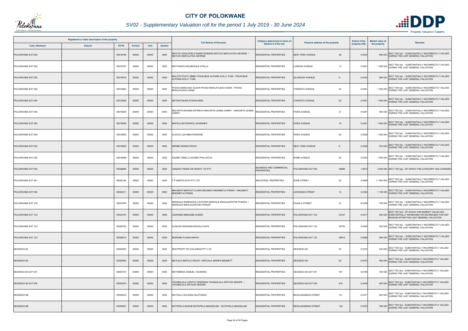

## *SV02 - Supplementary Valuation roll for the period 1 July 2019 - 30 June 2024*

| Registered or other description of the property<br>Erf Nr<br><b>Town Allotment</b><br><b>Suburb</b> |  |          |         |       | Category determined in terms of<br><b>Full Names of Owner(s)</b> |                                                                                         | <b>Extent of the</b>                                | <b>Market value of</b>           |               |              |                                                                                                                                                  |
|-----------------------------------------------------------------------------------------------------|--|----------|---------|-------|------------------------------------------------------------------|-----------------------------------------------------------------------------------------|-----------------------------------------------------|----------------------------------|---------------|--------------|--------------------------------------------------------------------------------------------------------------------------------------------------|
|                                                                                                     |  |          | Portion | Unit  | <b>Section</b>                                                   |                                                                                         | Section 8 of the Act                                | Physical address of the property | property (HA) | the property | <b>Remarks</b>                                                                                                                                   |
| POLOKWANE EXT 083                                                                                   |  | 00016768 | 00000   | 00000 | 0000                                                             | MATLOU KHOLOFELO RAMATSOBANE MATLOU MAFULATSA GEORGE<br>MATLOU MAFULATSA GEORGE         | RESIDENTIAL PROPERTIES                              | <b>NEW YORK AVENUE</b><br>29     | 0.0334        |              | SECT 78(1)(e) - SUBSTANTIALLY INCORRECTLY VALUED<br>990 000 DURING THE LAST GENERAL VALUATION                                                    |
| POLOKWANE EXT 083                                                                                   |  | 00016797 | 00000   | 00000 | 0000                                                             | MATTHEWS KELEBOGILE STELLA                                                              | RESIDENTIAL PROPERTIES                              | 13<br><b>LONDON AVENUE</b>       | 0.0501        |              | 1 000 000 SECT 78(1)(e) - SUBSTANTIALLY INCORRECTLY VALUED                                                                                       |
| POLOKWANE EXT 083                                                                                   |  | 00016816 | 00000   | 00000 | 0000                                                             | MOLOTO PHUTI ABBEY PHUKUBJE ALPHINA DOLLY TUMI / PHUKUBJE<br><b>ALPHINA DOLLY TUMI</b>  | <b>RESIDENTIAL PROPERTIES</b>                       | <b>GLASGOW AVENUE</b><br>6       | 0.0432        |              | 990 000 SECT 78(1)(e) - SUBSTANTIALLY INCORRECTLY VALUED<br>DURING THE LAST GENERAL VALUATION                                                    |
| POLOKWANE EXT 083                                                                                   |  | 00016822 | 00000   | 00000 | 0000                                                             | PHOSA MANCHADI SUZAN PHOSA MOHLATLEGO ADAM / PHOSA<br>MOHLATLEGO ADAM                   | RESIDENTIAL PROPERTIES                              | 54<br><b>TORONTO AVENUE</b>      | 0.0381        |              | SECT 78(1)(e) - SUBSTANTIALLY INCORRECTLY VALUED<br>1 000 000 DURING THE LAST GENERAL VALUATION                                                  |
| POLOKWANE EXT 083                                                                                   |  | 00016826 | 00000   | 00000 | 0000                                                             | NETSHITAKANI NTSHAVHENI                                                                 | <b>RESIDENTIAL PROPERTIES</b>                       | 62<br><b>TORONTO AVENUE</b>      | 0.0381        |              | 1 000 000 SECT 78(1)(e) - SUBSTANTIALLY INCORRECTLY VALUED<br>DURING THE LAST GENERAL VALUATION                                                  |
| POLOKWANE EXT 083                                                                                   |  | 00016835 | 00000   | 00000 | 0000                                                             | MACHETE MOSIMA ESTRECH MACHETE LESIBA HARRY / MACHETE LESIBA<br><b>HARRY</b>            | RESIDENTIAL PROPERTIES                              | PARIS AVENUE<br>21               | 0.0381        |              | SECT 78(1)(e) - SUBSTANTIALLY INCORRECTLY VALUED<br>940 000 DURING THE LAST GENERAL VALUATION                                                    |
| POLOKWANE EXT 083                                                                                   |  | 00016836 | 00000   | 00000 | 0000                                                             | MAFELA MUTSHINYA JOHANNES                                                               | <b>RESIDENTIAL PROPERTIES</b>                       | <b>PARIS AVENUE</b><br>19        | 0.0381        |              | 1 000 000 SECT 78(1)(e) - SUBSTANTIALLY INCORRECTLY VALUED                                                                                       |
| POLOKWANE EXT 083                                                                                   |  | 00016855 | 00000   | 00000 | 0000                                                             | HLAHLA LIZA MMATSHWENE                                                                  | <b>RESIDENTIAL PROPERTIES</b>                       | 20<br><b>PARIS AVENUE</b>        | 0.0326        |              | 1 000 000 SECT 78(1)(e) - SUBSTANTIALLY INCORRECTLY VALUED<br>DURING THE LAST GENERAL VALUATION                                                  |
| POLOKWANE EXT 083                                                                                   |  | 00016863 | 00000   | 00000 | 0000                                                             | MPEBE KWENA PEGGY                                                                       | <b>RESIDENTIAL PROPERTIES</b>                       | <b>NEW YORK AVENUE</b>           | 0.0326        |              | 910 000 SECT 78(1)(e) - SUBSTANTIALLY INCORRECTLY VALUED<br>DURING THE LAST GENERAL VALUATION                                                    |
| POLOKWANE EXT 083                                                                                   |  | 00016899 | 00000   | 00000 | 0000                                                             | KGARE TEBELLO KGABO PHILLISTUS                                                          | <b>RESIDENTIAL PROPERTIES</b>                       | 44<br><b>ROME AVENUE</b>         | 0.0343        |              | 1 000 000 SECT 78(1)(e) - SUBSTANTIALLY INCORRECTLY VALUED<br>DURING THE LAST GENERAL VALUATION                                                  |
| POLOKWANE EXT 083                                                                                   |  | 00026686 | 00000   | 00000 | 0000                                                             | XANADO TRADE OR INVEST 123 PTY                                                          | <b>BUSINESS AND COMMERCIAL</b><br><b>PROPERTIES</b> | POLOKWANE EXT 083<br>26686       | 1.8015        |              | 3 600 000 SECT 78(1)(g) - OF WHICH THE CATEGORY HAS CHANGED                                                                                      |
| POLOKWANE EXT 091                                                                                   |  | 00026164 | 00000   | 00000 | 0000                                                             | T P HENTIQ 6370 PTY LTD                                                                 | INDUSTRIAL PROPERTIES                               | <b>ZUNE STREET</b><br>22         | 0.4468        |              | 11 800 000 SECT 78(1)(e) - SUBSTANTIALLY INCORRECTLY VALUED                                                                                      |
| POLOKWANE EXT 094                                                                                   |  | 00020211 | 00000   | 00000 | 0000                                                             | MALEBATI MAPHUTI CLARA MALEBATI MADIMETJA FRANS / MALEBATI<br>MADIMETJA FRANS           | <b>RESIDENTIAL PROPERTIES</b>                       | <b>LESOKANA STREET</b><br>13     | 0.0354        |              | SECT 78(1)(e) - SUBSTANTIALLY INCORRECTLY VALUED<br>1 100 000 DURING THE LAST GENERAL VALUATION                                                  |
| POLOKWANE EXT 109                                                                                   |  | 00027009 | 00000   | 00000 | 0000                                                             | SERWALE RAMOGOHLO ESTHER SERWALE MAHLALEFETSE PHINIAS /<br>SERWALE MAHLALEFETSE PHINIAS | RESIDENTIAL PROPERTIES                              | 21<br>PHAHLA STREET              | 0.0338        |              | 750 000 SECT 78(1)(e) - SUBSTANTIALLY INCORRECTLY VALUED<br>DURING THE LAST GENERAL VALUATION                                                    |
| POLOKWANE EXT 122                                                                                   |  | 00023187 | 00000   | 00000 | 0000                                                             | LEDWABA MMALEBE GUEEN                                                                   | <b>RESIDENTIAL PROPERTIES</b>                       | POLOKWANE EXT 122<br>23187       | 0.0311        |              | SECT 78(1)(d) - OF WHICH THE MARKET VALUE HAS<br>500 000 SUBSTANTIALLY INCREASED OR DECREASED FOR ANY<br>REASON AFTER THE LAST GENERAL VALUATION |
| POLOKWANE EXT 123                                                                                   |  | 00026793 | 00000   | 00000 | 0000                                                             | HLAKUDI NGWANALEKGOLA KATE                                                              | <b>RESIDENTIAL PROPERTIES</b>                       | 26793<br>POLOKWANE EXT 123       | 0.0300        |              | 620 000 SECT 78(1)(e) - SUBSTANTIALLY INCORRECTLY VALUED<br>DURING THE LAST GENERAL VALUATION                                                    |
| POLOKWANE EXT 123                                                                                   |  | 00026815 | 00000   | 00000 | 0000                                                             | MORONE FLORAH MPHO                                                                      | <b>RESIDENTIAL PROPERTIES</b>                       | 26815<br>POLOKWANE EXT 123       | 0.0299        |              | SECT 78(1)(e) - SUBSTANTIALLY INCORRECTLY VALUED<br>490 000 DURING THE LAST GENERAL VALUATION                                                    |
| SESHEGO-9A                                                                                          |  | 00000053 | 00000   | 00000 | 0000                                                             | ZESTPROPT INV HOLDINGS PTY LTD                                                          | <b>RESIDENTIAL PROPERTIES</b>                       | 53<br>SESHEGO-9A                 | 0.0472        |              | 240 000 SECT 78(1)(e) - SUBSTANTIALLY INCORRECTLY VALUED<br>DURING THE LAST GENERAL VALUATION                                                    |
| SESHEGO-9A                                                                                          |  | 00000060 | 00000   | 00000 | 0000                                                             | MATLALA MAPULA WELRY / MATLALA MARIPA BENNETT                                           | <b>RESIDENTIAL PROPERTIES</b>                       | 60<br>SESHEGO-9A                 | 0.0472        |              | 360 000 SECT 78(1)(e) - SUBSTANTIALLY INCORRECTLY VALUED                                                                                         |
| SESHEGO-9A EXT 001                                                                                  |  | 00000167 | 00000   | 00000 | 0000                                                             | MATHIBENG SAMUEL TAUMANG                                                                | <b>RESIDENTIAL PROPERTIES</b>                       | 167<br>SESHEGO-9A EXT 001        | 0.0448        |              | 180 000 SECT 78(1)(e) - SUBSTANTIALLY INCORRECTLY VALUED<br>DURING THE LAST GENERAL VALUATION                                                    |
| SESHEGO-9A EXT 005                                                                                  |  | 00000470 | 00000   | 00000 | 0000                                                             | TSHABALALA LERATO VERONINA TSHABALALA ARTHUR SERAPE /<br>TSHABALALA ARTHUR SERAPE       | <b>RESIDENTIAL PROPERTIES</b>                       | 470<br>SESHEGO-9A EXT 005        | 0.0448        |              | 550 000 SECT 78(1)(e) - SUBSTANTIALLY INCORRECTLY VALUED                                                                                         |
| SESHEGO-9B                                                                                          |  | 00000043 | 00000   | 00000 | 0000                                                             | MUTHALA HULISANI SULPHINAH                                                              | <b>RESIDENTIAL PROPERTIES</b>                       | <b>MOHLAKANENG STREET</b><br>141 | 0.037         |              | 540 000 SECT 78(1)(e) - SUBSTANTIALLY INCORRECTLY VALUED                                                                                         |
| SESHEGO-9B                                                                                          |  | 00000061 | 00000   | 00000 | 0000                                                             | BOTOPELA MOSHE BOTOPELA MAGDELINE / BOTOPELA MAGDELINE                                  | RESIDENTIAL PROPERTIES                              | 148<br>MOHLAKANENG STREET        | 0.0372        |              | SECT 78(1)(e) - SUBSTANTIALLY INCORRECTLY VALUED<br>790 000 DURING THE LAST GENERAL VALUATION                                                    |

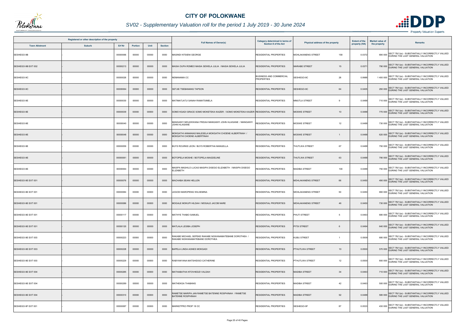

## *SV02 - Supplementary Valuation roll for the period 1 July 2019 - 30 June 2024*

|                       | Registered or other description of the property |          |                |       |                |                                                                                              | Category determined in terms of                     |                                        | <b>Extent of the</b> | <b>Market value of</b> |                                                                                                       |
|-----------------------|-------------------------------------------------|----------|----------------|-------|----------------|----------------------------------------------------------------------------------------------|-----------------------------------------------------|----------------------------------------|----------------------|------------------------|-------------------------------------------------------------------------------------------------------|
| <b>Town Allotment</b> | <b>Suburb</b>                                   | Erf Nr   | <b>Portion</b> | Unit  | <b>Section</b> | <b>Full Names of Owner(s)</b>                                                                | <b>Section 8 of the Act</b>                         | Physical address of the property       | property (HA)        | the property           | <b>Remarks</b>                                                                                        |
| SESHEGO-9B            |                                                 | 00000066 | 00000          | 00000 | 0000           | <i><b>IASINDI NTSIENI GEORGE</b></i>                                                         | RESIDENTIAL PROPERTIES                              | MOHLAKANENG STREET<br>158              | 0.0372               |                        | SECT 78(1)(e) - SUBSTANTIALLY INCORRECTLY VALUED<br>690 000 DURING THE LAST GENERAL VALUATION         |
| SESHEGO-9B EXT 002    |                                                 | 00000213 | 00000          | 00000 | 0000           | MASIA OUPA ROMEO MASIA SEWELA JULIA / MASIA SEWELA JULIA                                     | <b>RESIDENTIAL PROPERTIES</b>                       | <b>MARABE STREET</b><br>15             | 0.037                |                        | 790 000 SECT 78(1)(e) - SUBSTANTIALLY INCORRECTLY VALUED<br>DURING THE LAST GENERAL VALUATION         |
| SESHEGO-9C            |                                                 | 00000026 | 00000          | 00000 | 0000           | <b>VEMANAMA CC</b>                                                                           | <b>BUSINESS AND COMMERCIAL</b><br><b>PROPERTIES</b> | 26<br>SESHEGO-9C                       | 0.9988               |                        | 1 400 000 SECT 78(1)(e) - SUBSTANTIALLY INCORRECTLY VALUED<br>DURING THE LAST GENERAL VALUATION       |
| SESHEGO-9C            |                                                 | 00000064 | 00000          | 00000 | 0000           | SETJIE TSEBANANG TAPSON                                                                      | <b>RESIDENTIAL PROPERTIES</b>                       | SESHEGO-9C<br>64                       | 0.0405               |                        | 290 000 SECT 78(1)(e) - SUBSTANTIALLY INCORRECTLY VALUED<br>DURING THE LAST GENERAL VALUATION         |
| SESHEGO-9E            |                                                 | 00000030 | 00000          | 00000 | 0000           | MATIMATJATJI SANAH RAMATSIMELA                                                               | <b>RESIDENTIAL PROPERTIES</b>                       | MMUTLA STREET<br>$\mathbf{Q}$          | 0.0488               |                        | 710 000 SECT 78(1)(e) - SUBSTANTIALLY INCORRECTLY VALUED<br>DURING THE LAST GENERAL VALUATION         |
| SESHEGO-9E            |                                                 | 00000039 | 00000          | 00000 | 0000           | SOMO KGADI GRACE SOMO MOKETEKA KAIZER / SOMO MOKETEKA KAIZER RESIDENTIAL PROPERTIES          |                                                     | <b>MOSWE STREET</b><br>10 <sup>1</sup> | 0.0488               |                        | 770 000 SECT 78(1)(e) - SUBSTANTIALLY INCORRECTLY VALUED<br>DURING THE LAST GENERAL VALUATION         |
| SESHEGO-9E            |                                                 | 00000040 | 00000          | 00000 | 0000           | AANGANYI MOLEKWANA FRIDAH MANGANYI JOHN HLAISANE / MANGANYI<br>JOHN HLAISANE                 | RESIDENTIAL PROPERTIES                              | <b>MOSWE STREET</b><br>12              | 0.0488               |                        | 730 000 SECT 78(1)(e) - SUBSTANTIALLY INCORRECTLY VALUED<br>T30 000 DURING THE LAST GENERAL VALUATION |
| SESHEGO-9E            |                                                 | 00000048 | 00000          | 00000 | 0000           | MOKGATHI ANNANIAS MALESELA MOKGATHI CHOENE ALBERTINAH /<br><b>MOKGATHI CHOENE ALBERTINAH</b> | <b>RESIDENTIAL PROPERTIES</b>                       | <b>MOSWE STREET</b>                    | 0.0488               |                        | 620 000 SECT 78(1)(e) - SUBSTANTIALLY INCORRECTLY VALUED<br>DURING THE LAST GENERAL VALUATION         |
| SESHEGO-9E            |                                                 | 00000059 | 00000          | 00000 | 0000           | BUYS ROURKE LEON / BUYS ROBERTHA MANUELLA                                                    | RESIDENTIAL PROPERTIES                              | 67<br><b>THUTLWA STREET</b>            | 0.0488               |                        | 750 000 SECT 78(1)(e) - SUBSTANTIALLY INCORRECTLY VALUED<br>DURING THE LAST GENERAL VALUATION         |
| SESHEGO-9E            |                                                 | 00000061 | 00000          | 00000 | 0000           | BOTOPELA MOSHE / BOTOPELA MAGDELINE                                                          | <b>RESIDENTIAL PROPERTIES</b>                       | 63<br><b>THUTLWA STREET</b>            | 0.0488               |                        | 790 000 SECT 78(1)(e) - SUBSTANTIALLY INCORRECTLY VALUED<br>DURING THE LAST GENERAL VALUATION         |
| SESHEGO-9E            |                                                 | 00000064 | 00000          | 00000 | 0000           | AASIPA MASHILO LUCAS MASIPA DISEGO ELIZABETH / MASIPA DISEGO<br><b>LIZABETH</b>              | RESIDENTIAL PROPERTIES                              | <b>MADIBA STREET</b><br>100            | 0.0488               |                        | 750 000 SECT 78(1)(e) - SUBSTANTIALLY INCORRECTLY VALUED<br>DURING THE LAST GENERAL VALUATION         |
| SESHEGO-9E EXT 001    |                                                 | 00000076 | 00000          | 00000 | 0000           | MACHABA SEANI HELLEN                                                                         | RESIDENTIAL PROPERTIES                              | 66<br>MOHLAKANENG STREET               | 0.0450               |                        | 490 000 SECT 78(1)(e) - SUBSTANTIALLY INCORRECTLY VALUED<br>DURING THE LAST GENERAL VALUATION         |
| SESHEGO-9E EXT 001    |                                                 | 00000084 | 00000          | 00000 | 0000           | LEGODI MAROPENG WILHEMINA                                                                    | <b>RESIDENTIAL PROPERTIES</b>                       | 50<br><b>MOHLAKANENG STREET</b>        | 0.0450               |                        | 690 000 SECT 78(1)(e) - SUBSTANTIALLY INCORRECTLY VALUED                                              |
| SESHEGO-9E EXT 001    |                                                 | 00000086 | 00000          | 00000 | 0000           | MOGALE MOKUPI HILDAH / MOGALE JACOB NARE                                                     | <b>RESIDENTIAL PROPERTIES</b>                       | <b>MOHLAKANENG STREET</b><br>46        | 0.0450               |                        | 730 000 SECT 78(1)(e) - SUBSTANTIALLY INCORRECTLY VALUED<br>DURING THE LAST GENERAL VALUATION         |
| SESHEGO-9E EXT 001    |                                                 | 00000117 | 00000          | 00000 | 0000           | MATHYE THABO SAMUEL                                                                          | <b>RESIDENTIAL PROPERTIES</b>                       | PHUTI STREET<br>5                      | 0.0463               |                        | SECT 78(1)(e) - SUBSTANTIALLY INCORRECTLY VALUED<br>680 000 DURING THE LAST GENERAL VALUATION         |
| SESHEGO-9E EXT 001    |                                                 | 00000120 | 00000          | 00000 | 0000           | <b>MATLALA LESIBA JOSEPH</b>                                                                 | <b>RESIDENTIAL PROPERTIES</b>                       | <b>PITSI STREET</b><br>6               | 0.0494               |                        | 640 000 SECT 78(1)(e) - SUBSTANTIALLY INCORRECTLY VALUED<br>DURING THE LAST GENERAL VALUATION         |
| SESHEGO-9E EXT 003    |                                                 | 00000223 | 00000          | 00000 | 0000           | RAKABE MICHAEL SEPEKE RAKABE NGWANAMATEBANE DOROTHEA /<br>RAKABE NGWANAMATEBANE DOROTHEA     | RESIDENTIAL PROPERTIES                              | <b>KUBU STREET</b><br>$\mathbf{1}$     | 0.0509               |                        | 680 000 SECT 78(1)(e) - SUBSTANTIALLY INCORRECTLY VALUED                                              |
| SESHEGO-9E EXT 003    |                                                 | 00000228 | 00000          | 00000 | 0000           | BAPELA LINDA AGNES MOKGADI                                                                   | <b>RESIDENTIAL PROPERTIES</b>                       | PTHUTLWA STREET<br>10                  | 0.0500               |                        | 570 000 SECT 78(1)(e) - SUBSTANTIALLY INCORRECTLY VALUED<br>DURING THE LAST GENERAL VALUATION         |
| SESHEGO-9E EXT 003    |                                                 | 00000229 | 00000          | 00000 | 0000           | RABYANYANA MATSHIDISO CATHERINE                                                              | RESIDENTIAL PROPERTIES                              | PTHUTLWA STREET<br>12                  | 0.0500               |                        | 800 000 SECT 78(1)(e) - SUBSTANTIALLY INCORRECTLY VALUED<br>DURING THE LAST GENERAL VALUATION         |
| SESHEGO-9E EXT 004    |                                                 | 00000285 | 00000          | 00000 | 0000           | MATHABATHA NTOVHEDZI VALDAH                                                                  | <b>RESIDENTIAL PROPERTIES</b>                       | <b>MADIBA STREET</b><br>34             | 0.0463               |                        | 710 000 SECT 78(1)(e) - SUBSTANTIALLY INCORRECTLY VALUED                                              |
| SESHEGO-9E EXT 004    |                                                 | 00000289 | 00000          | 00000 | 0000           | MATHEKGA THABANG                                                                             | <b>RESIDENTIAL PROPERTIES</b>                       | <b>MADIBA STREET</b><br>42             | 0.0463               |                        | 500 000 SECT 78(1)(e) - SUBSTANTIALLY INCORRECTLY VALUED<br>DURING THE LAST GENERAL VALUATION         |
| SESHEGO-9E EXT 004    |                                                 | 00000310 | 00000          | 00000 | 0000           | RAMETSE MARIPA JAN RAMETSE BATENNE ROSPHINAH / RAMETSE<br>BATENNE ROSPHINAH                  | RESIDENTIAL PROPERTIES                              | <b>MADIBA STREET</b><br>92             | 0.0488               |                        | 580 000 SECT 78(1)(e) - SUBSTANTIALLY INCORRECTLY VALUED                                              |
| SESHEGO-9F EXT 001    |                                                 | 00000087 | 00000          | 00000 | 0000           | MARKETPRO PROP 18 CC                                                                         | RESIDENTIAL PROPERTIES                              | SESHEGO-9F<br>87                       | 0.0533               |                        | SECT 78(1)(e) - SUBSTANTIALLY INCORRECTLY VALUED<br>430 000 DURING THE LAST GENERAL VALUATION         |

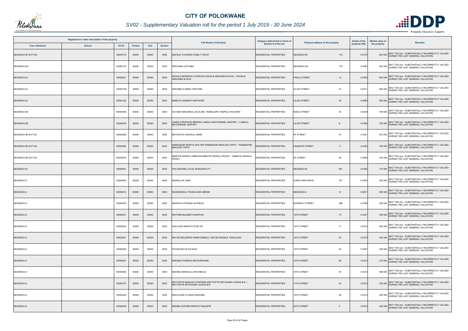

## *SV02 - Supplementary Valuation roll for the period 1 July 2019 - 30 June 2024*

| Registered or other description of the property<br>Erf Nr<br><b>Town Allotment</b><br><b>Suburb</b><br>Unit |  |          |         |       |                |                                                                                          | Category determined in terms of |                                  | <b>Extent of the</b> | <b>Market value of</b> | <b>Remarks</b>                                                                                |
|-------------------------------------------------------------------------------------------------------------|--|----------|---------|-------|----------------|------------------------------------------------------------------------------------------|---------------------------------|----------------------------------|----------------------|------------------------|-----------------------------------------------------------------------------------------------|
|                                                                                                             |  |          | Portion |       | <b>Section</b> | <b>Full Names of Owner(s)</b>                                                            | Section 8 of the Act            | Physical address of the property | property (HA)        | the property           |                                                                                               |
| SESHEGO-9F EXT 004                                                                                          |  | 00000170 | 00000   | 00000 | 0000           | MOFELE TLHAPEDI FAMILY TRUST                                                             | <b>RESIDENTIAL PROPERTIES</b>   | 170<br>SESHEGO-9F                | 0.0776               |                        | SECT 78(1)(e) - SUBSTANTIALLY INCORRECTLY VALUED<br>550 000 DURING THE LAST GENERAL VALUATION |
| SESHEGO-9H                                                                                                  |  | 00000170 | 00000   | 00000 | 0000           | SEPHUMA LETHABO                                                                          | RESIDENTIAL PROPERTIES          | SESHEGO-9H<br>170                | 0.0483               |                        | 540 000 SECT 78(1)(e) - SUBSTANTIALLY INCORRECTLY VALUED<br>DURING THE LAST GENERAL VALUATION |
| SESHEGO-9J                                                                                                  |  | 00000041 | 00000   | 00000 | 0000           | KGOALE MOKEKOLO DORCAS KGOALE SEKGOBA ELIFAS / KGOALE<br>SEKGOBA ELIFAS                  | <b>RESIDENTIAL PROPERTIES</b>   | PHALA STREET<br>13               | 0.0360               |                        | 640 000 SECT 78(1)(e) - SUBSTANTIALLY INCORRECTLY VALUED<br>DURING THE LAST GENERAL VALUATION |
| SESHEGO-9J                                                                                                  |  | 00000108 | 00000   | 00000 | 0000           | RAKOBELA MABU FORTUNE                                                                    | RESIDENTIAL PROPERTIES          | 21<br><b>HLOSI STREET</b>        | 0.0471               |                        | 600 000 SECT 78(1)(e) - SUBSTANTIALLY INCORRECTLY VALUED<br>DURING THE LAST GENERAL VALUATION |
| SESHEGO-9J                                                                                                  |  | 00000126 | 00000   | 00000 | 0000           | MABOYA KENNETH MATHOPE                                                                   | <b>RESIDENTIAL PROPERTIES</b>   | 36<br><b>HLOSI STREET</b>        | 0.0592               |                        | 550 000 SECT 78(1)(e) - SUBSTANTIALLY INCORRECTLY VALUED                                      |
| SESHEGO-9K                                                                                                  |  | 00000008 | 00000   | 00000 | 0000           | HUTAMO MAKOENA JACOLINE / RAMALEPE THAPELO RICHARD                                       | <b>RESIDENTIAL PROPERTIES</b>   | <b>NOGA STREET</b><br>16         | 0.0428               |                        | SECT 78(1)(e) - SUBSTANTIALLY INCORRECTLY VALUED<br>700 000 DURING THE LAST GENERAL VALUATION |
| SESHEGO-9K                                                                                                  |  | 00000034 | 00000   | 00000 | 0000           | LAMOLA MOKGADI BRENDA LAMOLA MATSOBANE JANPHRY / LAMOLA<br>MATSOBANE JANPHRY             | <b>RESIDENTIAL PROPERTIES</b>   | <b>HLOSI STREET</b>              | 0.0360               |                        | 700 000 SECT 78(1)(e) - SUBSTANTIALLY INCORRECTLY VALUED<br>DURING THE LAST GENERAL VALUATION |
| SESHEGO-9K EXT 001                                                                                          |  | 00000056 | 00000   | 00000 | 0000           | MATHATHO GODWILL NARE                                                                    | <b>RESIDENTIAL PROPERTIES</b>   | <b>KF STREET</b><br>57           | 0.0341               |                        | SECT 78(1)(e) - SUBSTANTIALLY INCORRECTLY VALUED<br>670 000 DURING THE LAST GENERAL VALUATION |
| SESHEGO-9K EXT 001                                                                                          |  | 00000062 | 00000   | 00000 | 0000           | RAMADZHIE MONYAI WALTER RAMADZHIE MAHLODI TAPSY / RAMADZHIE<br><b>MAHLODI TAPSY</b>      | <b>RESIDENTIAL PROPERTIES</b>   | <b>URANATE STREET</b><br>11      | 0.0354               |                        | 730 000 SECT 78(1)(e) - SUBSTANTIALLY INCORRECTLY VALUED<br>DURING THE LAST GENERAL VALUATION |
| SESHEGO-9K EXT 001                                                                                          |  | 00000076 | 00000   | 00000 | 0000           | MABOTE NAKEDI JAMESON MABOTE SEWELA PEGGY / MABOTE SEWELA<br><b>PEGGY</b>                | <b>ESIDENTIAL PROPERTIES</b>    | <b>KF STREET</b><br>48           | 0.0384               |                        | 720 000 SECT 78(1)(e) - SUBSTANTIALLY INCORRECTLY VALUED<br>DURING THE LAST GENERAL VALUATION |
| SESHEGO-9L                                                                                                  |  | 00000661 | 00000   | 00000 | 0000           | POLOKWANE LOCAL MUNICIPALITY                                                             | <b>RESIDENTIAL PROPERTIES</b>   | SESHEGO-9L<br>661                | 0.0305               |                        | 170 000 SECT 78(1)(e) - SUBSTANTIALLY INCORRECTLY VALUED<br>DURING THE LAST GENERAL VALUATION |
| SESHEGO-A                                                                                                   |  | 00000004 | 00000   | 00000 | 0000           | MAINELA M JANE                                                                           | <b>RESIDENTIAL PROPERTIES</b>   | CHRIS HANI DRIVE<br>161          | 0.0422               |                        | 350 000 SECT 78(1)(e) - SUBSTANTIALLY INCORRECTLY VALUED<br>DURING THE LAST GENERAL VALUATION |
| SESHEGO-A                                                                                                   |  | 00000012 | 00000   | 00000 | 0000           | RASESEMOLA TSHEHLANE ABRAM                                                               | <b>RESIDENTIAL PROPERTIES</b>   | SESHEGO-A<br>12                  | 0.0631               |                        | SECT 78(1)(e) - SUBSTANTIALLY INCORRECTLY VALUED<br>600 000 DURING THE LAST GENERAL VALUATION |
| SESHEGO-A                                                                                                   |  | 00000030 | 00000   | 00000 | 0000           | MAAPOLA POGANA ALPHEUS                                                                   | <b>RESIDENTIAL PROPERTIES</b>   | <b>BOOKELO STREET</b><br>388     | 0.0768               |                        | 320 000 SECT 78(1)(e) - SUBSTANTIALLY INCORRECTLY VALUED<br>DURING THE LAST GENERAL VALUATION |
| SESHEGO-A                                                                                                   |  | 00000031 | 00000   | 00000 | 0000           | MOTHIBI MALEBEYA MARTHA                                                                  | <b>RESIDENTIAL PROPERTIES</b>   | <b>14TH STREET</b><br>73         | 0.0427               |                        | SECT 78(1)(e) - SUBSTANTIALLY INCORRECTLY VALUED<br>300 000 DURING THE LAST GENERAL VALUATION |
| SESHEGO-A                                                                                                   |  | 00000032 | 00000   | 00000 | 0000           | SHILAJOE MAPHUTI EVELYN                                                                  | <b>RESIDENTIAL PROPERTIES</b>   | <b>14TH STREET</b><br>71         | 0.0372               |                        | 620 000 SECT 78(1)(e) - SUBSTANTIALLY INCORRECTLY VALUED<br>DURING THE LAST GENERAL VALUATION |
| SESHEGO-A                                                                                                   |  | 00000041 | 00000   | 00000 | 0000           | MATJIE MOLEMOSI RAMATSIMELE / MATJIE MASELE TOKOLOGO                                     | <b>RESIDENTIAL PROPERTIES</b>   | <b>14TH STREET</b><br>53         | 0.0372               |                        | SECT 78(1)(e) - SUBSTANTIALLY INCORRECTLY VALUED<br>320 000 DURING THE LAST GENERAL VALUATION |
| SESHEGO-A                                                                                                   |  | 00000046 | 00000   | 00000 | 0000           | PHOSHOKO M ACHSAH                                                                        | <b>RESIDENTIAL PROPERTIES</b>   | <b>14TH STREET</b><br>43         | 0.0427               |                        | 340 000 SECT 78(1)(e) - SUBSTANTIALLY INCORRECTLY VALUED<br>DURING THE LAST GENERAL VALUATION |
| SESHEGO-A                                                                                                   |  | 00000057 | 00000   | 00000 | 0000           | RAKOBO PHINEAS MATSORWANE                                                                | <b>RESIDENTIAL PROPERTIES</b>   | <b>15TH STREET</b><br>68         | 0.0372               |                        | 310 000 SECT 78(1)(e) - SUBSTANTIALLY INCORRECTLY VALUED                                      |
| SESHEGO-A                                                                                                   |  | 00000060 | 00000   | 00000 | 0000           | MODIBA MAKWALA ARCHIBOLD                                                                 | <b>RESIDENTIAL PROPERTIES</b>   | 74<br>15TH STREET                | 0.0372               |                        | 360 000 SECT 78(1)(e) - SUBSTANTIALLY INCORRECTLY VALUED<br>DURING THE LAST GENERAL VALUATION |
| SESHEGO-A                                                                                                   |  | 00000147 | 00000   | 00000 | 0000           | MOTJOPYE MASHADI STEPHINA MATYOPYE MOYAHABO JOSIAS B-E /<br>MATYOPYE MOYAHABO JOSIAS B-E | <b>RESIDENTIAL PROPERTIES</b>   | 17TH STREET<br>42                | 0.0372               |                        | 330 000 SECT 78(1)(e) - SUBSTANTIALLY INCORRECTLY VALUED                                      |
| SESHEGO-A                                                                                                   |  | 00000245 | 00000   | 00000 | 0000           | MOHLOANA FLORAH MAKOMA                                                                   | <b>RESIDENTIAL PROPERTIES</b>   | 19TH STREET<br>28                | 0.0372               |                        | 350 000 SECT 78(1)(e) - SUBSTANTIALLY INCORRECTLY VALUED<br>DURING THE LAST GENERAL VALUATION |
| SESHEGO-A                                                                                                   |  | 00000259 | 00000   | 00000 | 0000           | MADIBA DAPHNE MAPHUTI MAJAPIE                                                            | <b>RESIDENTIAL PROPERTIES</b>   | 20TH STREET<br>5                 | 0.0372               |                        | SECT 78(1)(e) - SUBSTANTIALLY INCORRECTLY VALUED<br>320 000 DURING THE LAST GENERAL VALUATION |

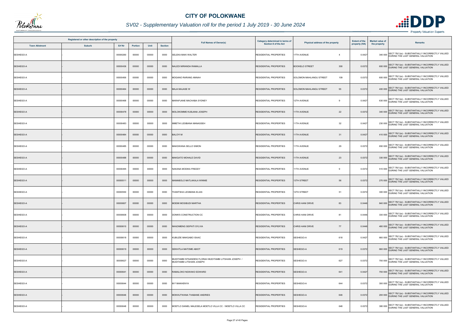

## *SV02 - Supplementary Valuation roll for the period 1 July 2019 - 30 June 2024*

| Registered or other description of the property |               |               |                |       |                |                                                                                     | Category determined in terms of |                                       | <b>Extent of the</b> | Market value of |                                                                                               |
|-------------------------------------------------|---------------|---------------|----------------|-------|----------------|-------------------------------------------------------------------------------------|---------------------------------|---------------------------------------|----------------------|-----------------|-----------------------------------------------------------------------------------------------|
| <b>Town Allotment</b>                           | <b>Suburb</b> | <b>Erf Nr</b> | <b>Portion</b> | Unit  | <b>Section</b> | <b>Full Names of Owner(s)</b>                                                       | <b>Section 8 of the Act</b>     | Physical address of the property      | property (HA)        | the property    | <b>Remarks</b>                                                                                |
| SESHEGO-A                                       |               | 00000260      | 00000          | 00000 | 0000           | SELEKA MAKI WALTER                                                                  | RESIDENTIAL PROPERTIES          | 17TH AVENUE<br>$\overline{4}$         | 0.0427               |                 | SECT 78(1)(e) - SUBSTANTIALLY INCORRECTLY VALUED<br>340 000 DURING THE LAST GENERAL VALUATION |
| SESHEGO-A                                       |               | 00000436      | 00000          | 00000 | 0000           | <b>VALEDI MIRANDA RAMALLA</b>                                                       | <b>RESIDENTIAL PROPERTIES</b>   | <b>BOOKELO STREET</b><br>300          | 0.0372               |                 | 600 000 SECT 78(1)(e) - SUBSTANTIALLY INCORRECTLY VALUED<br>DURING THE LAST GENERAL VALUATION |
| SESHEGO-A                                       |               | 00000456      | 00000          | 00000 | 0000           | MOGANO RARANG ANNAH                                                                 | <b>RESIDENTIAL PROPERTIES</b>   | 109<br><b>SOLOMON MAHLANGU STREET</b> | 0.0372               |                 | 600 000 SECT 78(1)(e) - SUBSTANTIALLY INCORRECTLY VALUED<br>DURING THE LAST GENERAL VALUATION |
| SESHEGO-A                                       |               | 00000464      | 00000          | 00000 | 0000           | MAJA MAJASE W                                                                       | RESIDENTIAL PROPERTIES          | 93<br>SOLOMON MAHLANGU STREET         | 0.0372               |                 | 400 000 SECT 78(1)(e) - SUBSTANTIALLY INCORRECTLY VALUED<br>DURING THE LAST GENERAL VALUATION |
| SESHEGO-A                                       |               | 00000468      | 00000          | 00000 | 0000           | MARAPJANE MACHABA SYDNEY                                                            | <b>RESIDENTIAL PROPERTIES</b>   | 12TH AVENUE<br>9                      | 0.0427               |                 | 630 000 SECT 78(1)(e) - SUBSTANTIALLY INCORRECTLY VALUED<br>DURING THE LAST GENERAL VALUATION |
| SESHEGO-A                                       |               | 00000478      | 00000          | 00000 | 0000           | MOLOKOMME KUBJANA JOSEPH                                                            | <b>RESIDENTIAL PROPERTIES</b>   | <b>11TH AVENUE</b><br>22              | 0.0372               |                 | 340 000 SECT 78(1)(e) - SUBSTANTIALLY INCORRECTLY VALUED<br>DURING THE LAST GENERAL VALUATION |
| SESHEGO-A                                       |               | 00000483      | 00000          | 00000 | 0000           | MMETHI LESIBANA MANASSEH                                                            | <b>RESIDENTIAL PROPERTIES</b>   | 11TH AVENUE<br>32                     | 0.0427               |                 | 230 000 SECT 78(1)(e) - SUBSTANTIALLY INCORRECTLY VALUED<br>DURING THE LAST GENERAL VALUATION |
| SESHEGO-A                                       |               | 00000484      | 00000          | 00000 | 0000           | BALOYI M                                                                            | <b>RESIDENTIAL PROPERTIES</b>   | 11TH AVENUE<br>31                     | 0.0427               |                 | 410 000 SECT 78(1)(e) - SUBSTANTIALLY INCORRECTLY VALUED                                      |
| SESHEGO-A                                       |               | 00000485      | 00000          | 00000 | 0000           | MAKGWANA SELLO SIMON                                                                | <b>RESIDENTIAL PROPERTIES</b>   | 29<br><b>11TH AVENUE</b>              | 0.0372               |                 | 650 000 SECT 78(1)(e) - SUBSTANTIALLY INCORRECTLY VALUED<br>DURING THE LAST GENERAL VALUATION |
| SESHEGO-A                                       |               | 00000488      | 00000          | 00000 | 0000           | MAKGATO MOHALE DAVID                                                                | <b>RESIDENTIAL PROPERTIES</b>   | <b>11TH AVENUE</b><br>23              | 0.0372               |                 | 330 000 SECT 78(1)(e) - SUBSTANTIALLY INCORRECTLY VALUED<br>DURING THE LAST GENERAL VALUATION |
| SESHEGO-A                                       |               | 00000495      | 00000          | 00000 | 0000           | NAKANA MODIKA FREDDY                                                                | RESIDENTIAL PROPERTIES          | <b>11TH AVENUE</b><br>9               | 0.0372               |                 | 510 000 SECT 78(1)(e) - SUBSTANTIALLY INCORRECTLY VALUED                                      |
| SESHEGO-A                                       |               | 00000511      | 00000          | 00000 | 0000           | <b>MAMABOLO MATLAKALA WINNIE</b>                                                    | <b>RESIDENTIAL PROPERTIES</b>   | 13TH STREET<br>56                     | 0.0372               |                 | 270 000 SECT 78(1)(e) - SUBSTANTIALLY INCORRECTLY VALUED<br>DURING THE LAST GENERAL VALUATION |
| SESHEGO-A                                       |               | 00000550      | 00000          | 00000 | 0000           | <b>THANTSHA LESIBANA ELIAS</b>                                                      | <b>RESIDENTIAL PROPERTIES</b>   | 12TH STREET<br>51                     | 0.0372               |                 | 300 000 SECT 78(1)(e) - SUBSTANTIALLY INCORRECTLY VALUED                                      |
| SESHEGO-A                                       |               | 00000607      | 00000          | 00000 | 0000           | <b>MOEMI MOSIBUDI MARTHA</b>                                                        | <b>RESIDENTIAL PROPERTIES</b>   | CHRIS HANI DRIVE<br>83                | 0.0446               |                 | 840 000 SECT 78(1)(e) - SUBSTANTIALLY INCORRECTLY VALUED<br>DURING THE LAST GENERAL VALUATION |
| SESHEGO-A                                       |               | 00000608      | 00000          | 00000 | 0000           | DONN'S CONSTRUCTION CC                                                              | <b>RESIDENTIAL PROPERTIES</b>   | CHRIS HANI DRIVE<br>81                | 0.0446               |                 | SECT 78(1)(e) - SUBSTANTIALLY INCORRECTLY VALUED<br>330 000 DURING THE LAST GENERAL VALUATION |
| SESHEGO-A                                       |               | 00000610      | 00000          | 00000 | 0000           | NKADIMENG SEIPATI SYLVIA                                                            | <b>RESIDENTIAL PROPERTIES</b>   | 77<br>CHRIS HANI DRIVE                | 0.0446               |                 | 480 000 SECT 78(1)(e) - SUBSTANTIALLY INCORRECTLY VALUED<br>DURING THE LAST GENERAL VALUATION |
| SESHEGO-A                                       |               | 00000618      | 00000          | 00000 | 0000           | KUBUZIE MAKGABO ISAAC                                                               | RESIDENTIAL PROPERTIES          | SESHEGO-A<br>618                      | 0.0427               |                 | 660 000 SECT 78(1)(e) - SUBSTANTIALLY INCORRECTLY VALUED                                      |
| SESHEGO-A                                       |               | 00000619      | 00000          | 00000 | 0000           | SEKHITLA MATOME ABIOT                                                               | <b>RESIDENTIAL PROPERTIES</b>   | SESHEGO-A<br>619                      | 0.0372               |                 | 660 000 SECT 78(1)(e) - SUBSTANTIALLY INCORRECTLY VALUED<br>DURING THE LAST GENERAL VALUATION |
| SESHEGO-A                                       |               | 00000627      | 00000          | 00000 | 0000           | / AUDITAMBI NTSANDENI FLORAH MUDITAMBI LITSHANI JOSEPH<br>MUDITAMBI LITSHANI JOSEPH | <b>RESIDENTIAL PROPERTIES</b>   | SESHEGO-A<br>627                      | 0.0372               |                 | 700 000 SECT 78(1)(e) - SUBSTANTIALLY INCORRECTLY VALUED<br>DURING THE LAST GENERAL VALUATION |
| SESHEGO-A                                       |               | 00000641      | 00000          | 00000 | 0000           | RAMALOKO NGWAKO EDWARD                                                              | <b>RESIDENTIAL PROPERTIES</b>   | SESHEGO-A<br>641                      | 0.0427               |                 | 700 000 SECT 78(1)(e) - SUBSTANTIALLY INCORRECTLY VALUED<br>DURING THE LAST GENERAL VALUATION |
| SESHEGO-A                                       |               | 00000644      | 00000          | 00000 | 0000           | <b>M F MAKHENYA</b>                                                                 | <b>RESIDENTIAL PROPERTIES</b>   | 644<br>SESHEGO-A                      | 0.0372               |                 | 300 000 SECT 78(1)(e) - SUBSTANTIALLY INCORRECTLY VALUED<br>DURING THE LAST GENERAL VALUATION |
| SESHEGO-A                                       |               | 00000646      | 00000          | 00000 | 0000           | MOKHUTWANA THABANE ANDRIES                                                          | <b>RESIDENTIAL PROPERTIES</b>   | SESHEGO-A<br>646                      | 0.0372               |                 | 200 000 SECT 78(1)(e) - SUBSTANTIALLY INCORRECTLY VALUED                                      |
| SESHEGO-A                                       |               | 00000648      | 00000          | 00000 | 0000           | MOETLO DANIEL MALESELA MOETLO VILLA CC / MOETLO VILLA CC                            | <b>RESIDENTIAL PROPERTIES</b>   | SESHEGO-A<br>648                      | 0.0372               |                 | SECT 78(1)(e) - SUBSTANTIALLY INCORRECTLY VALUED<br>380 000 DURING THE LAST GENERAL VALUATION |

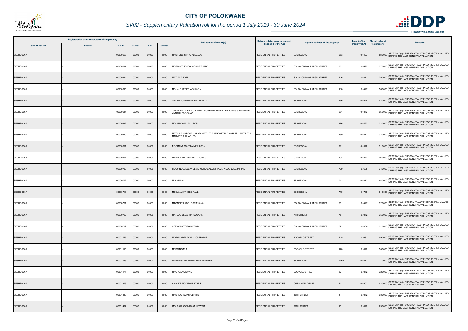

## *SV02 - Supplementary Valuation roll for the period 1 July 2019 - 30 June 2024*

|                       | Registered or other description of the property |          |                |       |                |                                                                                | Category determined in terms of |                                       | <b>Extent of the</b> | <b>Market value of</b> |                                                                                               |
|-----------------------|-------------------------------------------------|----------|----------------|-------|----------------|--------------------------------------------------------------------------------|---------------------------------|---------------------------------------|----------------------|------------------------|-----------------------------------------------------------------------------------------------|
| <b>Town Allotment</b> | <b>Suburb</b>                                   | Erf Nr   | <b>Portion</b> | Unit  | <b>Section</b> | <b>Full Names of Owner(s)</b>                                                  | Section 8 of the Act            | Physical address of the property      | property (HA)        | the property           | <b>Remarks</b>                                                                                |
| SESHEGO-A             |                                                 | 00000653 | 00000          | 00000 | 0000           | MASITENG SIPHO ABSALOM                                                         | <b>RESIDENTIAL PROPERTIES</b>   | 653<br>SESHEGO-A                      | 0.0427               |                        | SECT 78(1)(e) - SUBSTANTIALLY INCORRECTLY VALUED<br>580 000 DURING THE LAST GENERAL VALUATION |
| SESHEGO-A             |                                                 | 00000654 | 00000          | 00000 | 0000           | MOTLANTHE SEALOGA BERNARD                                                      | <b>RESIDENTIAL PROPERTIES</b>   | 96<br>SOLOMON MAHLANGU STREET         | 0.0427               |                        | 370 000 SECT 78(1)(e) - SUBSTANTIALLY INCORRECTLY VALUED<br>DURING THE LAST GENERAL VALUATION |
| SESHEGO-A             |                                                 | 00000664 | 00000          | 00000 | 0000           | <b>MATLALA JOEL</b>                                                            | <b>RESIDENTIAL PROPERTIES</b>   | <b>SOLOMON MAHLANGU STREET</b><br>116 | 0.0372               |                        | 750 000 SECT 78(1)(e) - SUBSTANTIALLY INCORRECTLY VALUED<br>DURING THE LAST GENERAL VALUATION |
| SESHEGO-A             |                                                 | 00000665 | 00000          | 00000 | 0000           | MOHALE LESETJA WILSON                                                          | RESIDENTIAL PROPERTIES          | 118<br>SOLOMON MAHLANGU STREET        | 0.0427               |                        | 580 000 SECT 78(1)(e) - SUBSTANTIALLY INCORRECTLY VALUED                                      |
| SESHEGO-A             |                                                 | 00000666 | 00000          | 00000 | 0000           | SETATI JOSEPHINE RAMAESELA                                                     | <b>RESIDENTIAL PROPERTIES</b>   | SESHEGO-A<br>666                      | 0.0548               |                        | 530 000 SECT 78(1)(e) - SUBSTANTIALLY INCORRECTLY VALUED                                      |
| SESHEGO-A             |                                                 | 00000681 | 00000          | 00000 | 0000           | TSHABALALA PAULOS MPHO NONYANE ANNAH LEBOGANG / NONYANE<br>ANNAH LEBOGANG      | RESIDENTIAL PROPERTIES          | SESHEGO-A<br>681                      | 0.0372               |                        | SECT 78(1)(e) - SUBSTANTIALLY INCORRECTLY VALUED<br>650 000 DURING THE LAST GENERAL VALUATION |
| SESHEGO-A             |                                                 | 00000686 | 00000          | 00000 | 0000           | MOLANYAMA LAU LEON                                                             | <b>RESIDENTIAL PROPERTIES</b>   | 686<br>SESHEGO-A                      | 0.0427               |                        | 320 000 SECT 78(1)(e) - SUBSTANTIALLY INCORRECTLY VALUED<br>DURING THE LAST GENERAL VALUATION |
| SESHEGO-A             |                                                 | 00000690 | 00000          | 00000 | 0000           | MATJULA MARTHA MAHADI MATJUTLA MAKWETJA CHARLES / MATJUTLA<br>MAKWETJA CHARLES | RESIDENTIAL PROPERTIES          | SESHEGO-A<br>690                      | 0.0372               |                        | SECT 78(1)(e) - SUBSTANTIALLY INCORRECTLY VALUED<br>330 000 DURING THE LAST GENERAL VALUATION |
| SESHEGO-A             |                                                 | 00000691 | 00000          | 00000 | 0000           | NGOMANE MAFEMANI WILSON                                                        | <b>RESIDENTIAL PROPERTIES</b>   | SESHEGO-A<br>691                      | 0.0372               |                        | 310 000 SECT 78(1)(e) - SUBSTANTIALLY INCORRECTLY VALUED                                      |
| SESHEGO-A             |                                                 | 00000701 | 00000          | 00000 | 0000           | MAILULA MATSOBANE THOMAS                                                       | <b>RESIDENTIAL PROPERTIES</b>   | 701<br>SESHEGO-A                      | 0.0372               |                        | 660 000 SECT 78(1)(e) - SUBSTANTIALLY INCORRECTLY VALUED<br>DURING THE LAST GENERAL VALUATION |
| SESHEGO-A             |                                                 | 00000709 | 00000          | 00000 | 0000           | NDOU NDEBELE WILLIAM NDOU BALA MIRIAM / NDOU BALA MIRIAM                       | <b>RESIDENTIAL PROPERTIES</b>   | SESHEGO-A<br>709                      | 0.0505               |                        | 340 000 SECT 78(1)(e) - SUBSTANTIALLY INCORRECTLY VALUED<br>DURING THE LAST GENERAL VALUATION |
| SESHEGO-A             |                                                 | 00000712 | 00000          | 00000 | 0000           | <b>M S MUSHI</b>                                                               | <b>RESIDENTIAL PROPERTIES</b>   | SESHEGO-A<br>712                      | 0.0372               |                        | 680 000 SECT 78(1)(e) - SUBSTANTIALLY INCORRECTLY VALUED<br>DURING THE LAST GENERAL VALUATION |
| SESHEGO-A             |                                                 | 00000719 | 00000          | 00000 | 0000           | <b>MOSANA DITHOBE PAUL</b>                                                     | <b>RESIDENTIAL PROPERTIES</b>   | SESHEGO-A<br>719                      | 0.0768               |                        | SECT 78(1)(e) - SUBSTANTIALLY INCORRECTLY VALUED<br>340 000 DURING THE LAST GENERAL VALUATION |
| SESHEGO-A             |                                                 | 00000751 | 00000          | 00000 | 0000           | MTOMBENI ABEL BOTINYANA                                                        | <b>RESIDENTIAL PROPERTIES</b>   | 90<br>SOLOMON MAHLANGU STREET         | 0.0427               |                        | 320 000 SECT 78(1)(e) - SUBSTANTIALLY INCORRECTLY VALUED                                      |
| SESHEGO-A             |                                                 | 00000762 | 00000          | 00000 | 0000           | <b>MATLOU ELIAS MATSOBANE</b>                                                  | <b>RESIDENTIAL PROPERTIES</b>   | <b>7TH STREET</b><br>75               | 0.0372               |                        | SECT 78(1)(e) - SUBSTANTIALLY INCORRECTLY VALUED<br>350 000 DURING THE LAST GENERAL VALUATION |
| SESHEGO-A             |                                                 | 00000782 | 00000          | 00000 | 0000           | SEEMOLA TSIPA MERIAM                                                           | <b>RESIDENTIAL PROPERTIES</b>   | SOLOMON MAHLANGU STREET<br>72         | 0.0604               |                        | 520 000 SECT 78(1)(e) - SUBSTANTIALLY INCORRECTLY VALUED<br>DURING THE LAST GENERAL VALUATION |
| SESHEGO-A             |                                                 | 00001146 | 00000          | 00000 | 0000           | MOTAU MATLAKALA JOSEPHINE                                                      | <b>RESIDENTIAL PROPERTIES</b>   | <b>BOOKELO STREET</b><br>115          | 0.0582               |                        | SECT 78(1)(e) - SUBSTANTIALLY INCORRECTLY VALUED<br>590 000 DURING THE LAST GENERAL VALUATION |
| SESHEGO-A             |                                                 | 00001155 | 00000          | 00000 | 0000           | <b>MSIMANG MA</b>                                                              | RESIDENTIAL PROPERTIES          | 120<br><b>BOOKELO STREET</b>          | 0.0372               |                        | 500 000 SECT 78(1)(e) - SUBSTANTIALLY INCORRECTLY VALUED<br>DURING THE LAST GENERAL VALUATION |
| SESHEGO-A             |                                                 | 00001163 | 00000          | 00000 | 0000           | MAHWASANE NTEBALENG JENNIFER                                                   | <b>RESIDENTIAL PROPERTIES</b>   | SESHEGO-A<br>1163                     | 0.0372               |                        | 270 000 SECT 78(1)(e) - SUBSTANTIALLY INCORRECTLY VALUED                                      |
| SESHEGO-A             |                                                 | 00001177 | 00000          | 00000 | 0000           | MAOTOANA DAVID                                                                 | <b>RESIDENTIAL PROPERTIES</b>   | 82<br><b>BOOKELO STREET</b>           | 0.0372               |                        | 320 000 SECT 78(1)(e) - SUBSTANTIALLY INCORRECTLY VALUED<br>DURING THE LAST GENERAL VALUATION |
| SESHEGO-A             |                                                 | 00001213 | 00000          | 00000 | 0000           | <b>CHAUKE MODIEGI ESTHER</b>                                                   | <b>RESIDENTIAL PROPERTIES</b>   | CHRIS HANI DRIVE<br>44                | 0.0502               |                        | 530 000 SECT 78(1)(e) - SUBSTANTIALLY INCORRECTLY VALUED<br>DURING THE LAST GENERAL VALUATION |
| SESHEGO-A             |                                                 | 00001430 | 00000          | 00000 | 0000           | <b>MASHILO KLAAS CEPHAS</b>                                                    | <b>RESIDENTIAL PROPERTIES</b>   | 30TH STREET<br>$\overline{4}$         | 0.0372               |                        | 680 000 SECT 78(1)(e) - SUBSTANTIALLY INCORRECTLY VALUED<br>DURING THE LAST GENERAL VALUATION |
| SESHEGO-A             |                                                 | 00001437 | 00000          | 00000 | 0000           | MOLOKO NOZINDABA LIDWINA                                                       | <b>RESIDENTIAL PROPERTIES</b>   | 30TH STREET<br>18                     | 0.0372               |                        | SECT 78(1)(e) - SUBSTANTIALLY INCORRECTLY VALUED<br>290 000 DURING THE LAST GENERAL VALUATION |

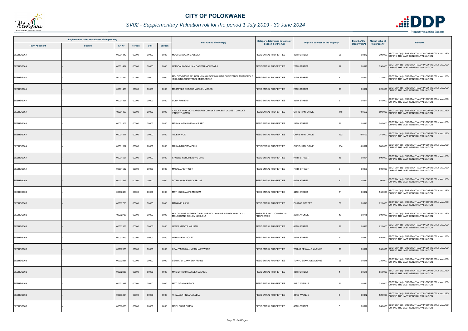

## *SV02 - Supplementary Valuation roll for the period 1 July 2019 - 30 June 2024*

|                       | Registered or other description of the property |          |                |       |                |                                                                                          | Category determined in terms of                     |                                      | <b>Extent of the</b> | <b>Market value of</b> |                                                                                               |
|-----------------------|-------------------------------------------------|----------|----------------|-------|----------------|------------------------------------------------------------------------------------------|-----------------------------------------------------|--------------------------------------|----------------------|------------------------|-----------------------------------------------------------------------------------------------|
| <b>Town Allotment</b> | <b>Suburb</b>                                   | Erf Nr   | <b>Portion</b> | Unit  | <b>Section</b> | <b>Full Names of Owner(s)</b>                                                            | Section 8 of the Act                                | Physical address of the property     | property (HA)        | the property           | <b>Remarks</b>                                                                                |
| SESHEGO-A             |                                                 | 00001442 | 00000          | 00000 | 0000           | MODIPA NOGANE ALLETA                                                                     | RESIDENTIAL PROPERTIES                              | 30TH STREET<br>28                    | 0.0372               |                        | SECT 78(1)(e) - SUBSTANTIALLY INCORRECTLY VALUED<br>290 000 DURING THE LAST GENERAL VALUATION |
| SESHEGO-A             |                                                 | 00001454 | 00000          | 00000 | 0000           | ETSOALO GAVILLAN CASPER MOLEBATJI                                                        | <b>RESIDENTIAL PROPERTIES</b>                       | 26TH STREET<br>17                    | 0.0372               |                        | 590 000 SECT 78(1)(e) - SUBSTANTIALLY INCORRECTLY VALUED<br>DURING THE LAST GENERAL VALUATION |
| SESHEGO-A             |                                                 | 00001461 | 00000          | 00000 | 0000           | MOLOTO DAVID REUBEN MMAKOLOBE MOLOTO CHRISTABEL MMASEROLE<br>MOLOTO CHRISTABEL MMASEROLE | RESIDENTIAL PROPERTIES                              | 30TH STREET<br>$\mathbf{3}$          | 0.081                |                        | 710 000 SECT 78(1)(e) - SUBSTANTIALLY INCORRECTLY VALUED<br>DURING THE LAST GENERAL VALUATION |
| SESHEGO-A             |                                                 | 00001466 | 00000          | 00000 | 0000           | MOJAPELO CHACHA MANUEL MOSES                                                             | RESIDENTIAL PROPERTIES                              | 25TH STREET<br>20                    | 0.0372               |                        | 720 000 SECT 78(1)(e) - SUBSTANTIALLY INCORRECTLY VALUED<br>DURING THE LAST GENERAL VALUATION |
| SESHEGO-A             |                                                 | 00001491 | 00000          | 00000 | 0000           | <b>DUBA PHINEAS</b>                                                                      | <b>RESIDENTIAL PROPERTIES</b>                       | 25TH STREET<br>5                     | 0.0541               |                        | 540 000 SECT 78(1)(e) - SUBSTANTIALLY INCORRECTLY VALUED<br>DURING THE LAST GENERAL VALUATION |
| SESHEGO-A             |                                                 | 00001493 | 00000          | 00000 | 0000           | HAUKE MAHLODI MARGARET CHAUKE VINCENT JAMES / CHAUKE<br><b>INCENT JAMES</b>              | <b>RESIDENTIAL PROPERTIES</b>                       | CHRIS HANI DRIVE<br>118              | 0.0502               |                        | 590 000 SECT 78(1)(e) - SUBSTANTIALLY INCORRECTLY VALUED<br>DURING THE LAST GENERAL VALUATION |
| SESHEGO-A             |                                                 | 00001506 | 00000          | 00000 | 0000           | MASHALA MAKWENA ALFRED                                                                   | <b>RESIDENTIAL PROPERTIES</b>                       | 24TH STREET<br>26                    | 0.0372               |                        | 540 000 SECT 78(1)(e) - SUBSTANTIALLY INCORRECTLY VALUED<br>DURING THE LAST GENERAL VALUATION |
| SESHEGO-A             |                                                 | 00001511 | 00000          | 00000 | 0000           | <b>TELE INV CC</b>                                                                       | <b>RESIDENTIAL PROPERTIES</b>                       | <b>CHRIS HANI DRIVE</b><br>132       | 0.0720               |                        | 340 000 SECT 78(1)(e) - SUBSTANTIALLY INCORRECTLY VALUED                                      |
| SESHEGO-A             |                                                 | 00001512 | 00000          | 00000 | 0000           | <b>MAILA MMAPITSA PAUL</b>                                                               | RESIDENTIAL PROPERTIES                              | 134<br>CHRIS HANI DRIVE              | 0.0372               |                        | 660 000 SECT 78(1)(e) - SUBSTANTIALLY INCORRECTLY VALUED<br>DURING THE LAST GENERAL VALUATION |
| SESHEGO-A             |                                                 | 00001527 | 00000          | 00000 | 0000           | CHUENE REHUMETSWE LINA                                                                   | <b>RESIDENTIAL PROPERTIES</b>                       | PHIRI STREET<br>15                   | 0.0484               |                        | 800 000 SECT 78(1)(e) - SUBSTANTIALLY INCORRECTLY VALUED<br>DURING THE LAST GENERAL VALUATION |
| SESHEGO-A             |                                                 | 00001532 | 00000          | 00000 | 0000           | <b>MANAMANE TRUST</b>                                                                    | RESIDENTIAL PROPERTIES                              | PHIRI STREET<br>-3                   | 0.0903               |                        | 800 000 SECT 78(1)(e) - SUBSTANTIALLY INCORRECTLY VALUED                                      |
| SESHEGO-B             |                                                 | 00002459 | 00000          | 00000 | 0000           | D T MAHAPA FAMILY TRUST                                                                  | <b>RESIDENTIAL PROPERTIES</b>                       | 44TH STREET<br>41                    | 0.0372               |                        | 100 000 SECT 78(1)(e) - SUBSTANTIALLY INCORRECTLY VALUED<br>DURING THE LAST GENERAL VALUATION |
| SESHEGO-B             |                                                 | 00002464 | 00000          | 00000 | 0000           | MATHOLE MAMPE MERIAM                                                                     | <b>RESIDENTIAL PROPERTIES</b>                       | 44TH STREET<br>31                    | 0.0372               |                        | 550 000 SECT 78(1)(e) - SUBSTANTIALLY INCORRECTLY VALUED                                      |
| SESHEGO-B             |                                                 | 00002705 | 00000          | 00000 | 0000           | MANAMELA K C                                                                             | <b>RESIDENTIAL PROPERTIES</b>                       | <b>DINKWE STREET</b><br>39           | 0.0545               |                        | 620 000 SECT 78(1)(e) - SUBSTANTIALLY INCORRECTLY VALUED                                      |
| SESHEGO-B             |                                                 | 00002739 | 00000          | 00000 | 0000           | MOLOKOANE AUDREY GALBLANE MOLOKOANE SIDNEY MAHLOLA /<br>MOLOKOANE SIDNEY MAHLOLA         | <b>BUSINESS AND COMMERCIAL</b><br><b>PROPERTIES</b> | 29TH AVENUE<br>40                    | 0.0775               |                        | SECT 78(1)(e) - SUBSTANTIALLY INCORRECTLY VALUED<br>600 000 DURING THE LAST GENERAL VALUATION |
| SESHEGO-B             |                                                 | 00002966 | 00000          | 00000 | 0000           | LEBEA MADIYA WILLIAM                                                                     | <b>RESIDENTIAL PROPERTIES</b>                       | <b>45TH STREET</b><br>29             | 0.0427               |                        | 620 000 SECT 78(1)(e) - SUBSTANTIALLY INCORRECTLY VALUED<br>DURING THE LAST GENERAL VALUATION |
| SESHEGO-B             |                                                 | 00002970 | 00000          | 00000 | 0000           | LEKOANE M VIOLET                                                                         | RESIDENTIAL PROPERTIES                              | 45TH STREET<br>21                    | 0.0372               |                        | 650 000 SECT 78(1)(e) - SUBSTANTIALLY INCORRECTLY VALUED                                      |
| SESHEGO-B             |                                                 | 00002985 | 00000          | 00000 | 0000           | KGANYAGO MALIMETSHA EDWARD                                                               | <b>RESIDENTIAL PROPERTIES</b>                       | 29<br><b>TPKYO SEXWALE AVENUE</b>    | 0.0372               |                        | 600 000 SECT 78(1)(e) - SUBSTANTIALLY INCORRECTLY VALUED<br>DURING THE LAST GENERAL VALUATION |
| SESHEGO-B             |                                                 | 00002987 | 00000          | 00000 | 0000           | SENYATSI MAKWENA FRANS                                                                   | <b>RESIDENTIAL PROPERTIES</b>                       | TOKYO SEXWALE AVENUE<br>25           | 0.0576               |                        | 730 000 SECT 78(1)(e) - SUBSTANTIALLY INCORRECTLY VALUED<br>DURING THE LAST GENERAL VALUATION |
| SESHEGO-B             |                                                 | 00002988 | 00000          | 00000 | 0000           | MASHAPHU MALESELA EZEKIEL                                                                | <b>RESIDENTIAL PROPERTIES</b>                       | <b>48TH STREET</b><br>$\overline{4}$ | 0.0576               |                        | 550 000 SECT 78(1)(e) - SUBSTANTIALLY INCORRECTLY VALUED<br>DURING THE LAST GENERAL VALUATION |
| SESHEGO-B             |                                                 | 00002998 | 00000          | 00000 | 0000           | MATLOGA MOKGADI                                                                          | <b>RESIDENTIAL PROPERTIES</b>                       | 43RD AVENUE<br>15                    | 0.0372               |                        | 330 000 SECT 78(1)(e) - SUBSTANTIALLY INCORRECTLY VALUED<br>DURING THE LAST GENERAL VALUATION |
| SESHEGO-B             |                                                 | 00003004 | 00000          | 00000 | 0000           | <b>THAMAGA NNYANA LYDIA</b>                                                              | <b>RESIDENTIAL PROPERTIES</b>                       | 43RD AVENUE<br>$\overline{3}$        | 0.0372               |                        | 520 000 SECT 78(1)(e) - SUBSTANTIALLY INCORRECTLY VALUED                                      |
| SESHEGO-B             |                                                 | 00003005 | 00000          | 00000 | 0000           | MPE LESIBA SIMON                                                                         | <b>RESIDENTIAL PROPERTIES</b>                       | 48TH STREET<br>8                     | 0.0576               |                        | SECT 78(1)(e) - SUBSTANTIALLY INCORRECTLY VALUED<br>660 000 DURING THE LAST GENERAL VALUATION |

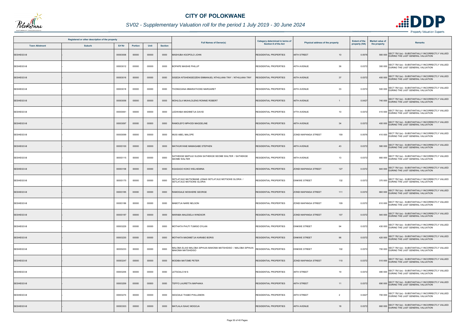

## *SV02 - Supplementary Valuation roll for the period 1 July 2019 - 30 June 2024*

| Registered or other description of the property |               |          |         |       |                |                                                                                     | Category determined in terms of |                                    | <b>Extent of the</b> | <b>Market value of</b> | <b>Remarks</b>                                                                                |
|-------------------------------------------------|---------------|----------|---------|-------|----------------|-------------------------------------------------------------------------------------|---------------------------------|------------------------------------|----------------------|------------------------|-----------------------------------------------------------------------------------------------|
| <b>Town Allotment</b>                           | <b>Suburb</b> | Erf Nr   | Portion | Unit  | <b>Section</b> | <b>Full Names of Owner(s)</b>                                                       | Section 8 of the Act            | Physical address of the property   | property (HA)        | the property           |                                                                                               |
| SESHEGO-B                                       |               | 00003006 | 00000   | 00000 | 0000           | MASHUBA KGOPOLO JOHN                                                                | <b>RESIDENTIAL PROPERTIES</b>   | 48TH STREET<br>10                  | 0.0576               |                        | SECT 78(1)(e) - SUBSTANTIALLY INCORRECTLY VALUED<br>560 000 DURING THE LAST GENERAL VALUATION |
| SESHEGO-B                                       |               | 00003012 | 00000   | 00000 | 0000           | <b>BOPAPE MAISHE PHILLIP</b>                                                        | RESIDENTIAL PROPERTIES          | 45TH AVENUE<br>36                  | 0.0372               |                        | 300 000 SECT 78(1)(e) - SUBSTANTIALLY INCORRECTLY VALUED<br>DURING THE LAST GENERAL VALUATION |
| SESHEGO-B                                       |               | 00003016 | 00000   | 00000 | 0000           | SIGEDA NTSHENGEDZENI EMMANUEL NTHULANA TINY / NTHULANA TINY                         | <b>RESIDENTIAL PROPERTIES</b>   | <b>45TH AVENUE</b><br>37           | 0.0372               |                        | 400 000 SECT 78(1)(e) - SUBSTANTIALLY INCORRECTLY VALUED<br>DURING THE LAST GENERAL VALUATION |
| SESHEGO-B                                       |               | 00003018 | 00000   | 00000 | 0000           | THONGOANA MMARATHOKE MARGARET                                                       | <b>RESIDENTIAL PROPERTIES</b>   | 45TH AVENUE<br>33                  | 0.0372               |                        | 500 000 SECT 78(1)(e) - SUBSTANTIALLY INCORRECTLY VALUED<br>DURING THE LAST GENERAL VALUATION |
| SESHEGO-B                                       |               | 00003056 | 00000   | 00000 | 0000           | MOHLOLA NKAHLOLENG RONNIE ROBERT                                                    | <b>RESIDENTIAL PROPERTIES</b>   | 46TH AVENUE                        | 0.0427               |                        | 740 000 SECT 78(1)(e) - SUBSTANTIALLY INCORRECTLY VALUED<br>DURING THE LAST GENERAL VALUATION |
| SESHEGO-B                                       |               | 00003061 | 00000   | 00000 | 0000           | LEDWABA MADIMETJA DAVID                                                             | <b>RESIDENTIAL PROPERTIES</b>   | 47TH AVENUE<br>10                  | 0.0372               |                        | SECT 78(1)(e) - SUBSTANTIALLY INCORRECTLY VALUED<br>410 000 DURING THE LAST GENERAL VALUATION |
| SESHEGO-B                                       |               | 00003097 | 00000   | 00000 | 0000           | RAMOLEFO MPHODI MAGDELINE                                                           | <b>RESIDENTIAL PROPERTIES</b>   | 34<br><b>48TH AVENUE</b>           | 0.0372               |                        | SECT 78(1)(e) - SUBSTANTIALLY INCORRECTLY VALUED<br>400 000 DURING THE LAST GENERAL VALUATION |
| SESHEGO-B                                       |               | 00003099 | 00000   | 00000 | 0000           | MUSI ABEL MALOPE                                                                    | <b>RESIDENTIAL PROPERTIES</b>   | 159<br><b>ZONDI MAPANGA STREET</b> | 0.0576               |                        | SECT 78(1)(e) - SUBSTANTIALLY INCORRECTLY VALUED<br>410 000 DURING THE LAST GENERAL VALUATION |
| SESHEGO-B                                       |               | 00003100 | 00000   | 00000 | 0000           | MATHUNYANE MAMAGABE STEPHEN                                                         | <b>RESIDENTIAL PROPERTIES</b>   | <b>48TH AVENUE</b><br>43           | 0.0372               |                        | 580 000 SECT 78(1)(e) - SUBSTANTIALLY INCORRECTLY VALUED                                      |
| SESHEGO-B                                       |               | 00003115 | 00000   | 00000 | 0000           | SATHEKGE MAPULE SUZAN SATHEKGE SEOME WALTER / SATHEKGE<br><b>SEOME WALTER</b>       | RESIDENTIAL PROPERTIES          | 13<br><b>48TH AVENUE</b>           | 0.0372               |                        | 660 000 SECT 78(1)(e) - SUBSTANTIALLY INCORRECTLY VALUED<br>DURING THE LAST GENERAL VALUATION |
| SESHEGO-B                                       |               | 00003158 | 00000   | 00000 | 0000           | KGASAGO KOKO WELHEMINA                                                              | <b>RESIDENTIAL PROPERTIES</b>   | <b>ZONDI MAPANGA STREET</b><br>127 | 0.0372               |                        | 640 000 SECT 78(1)(e) - SUBSTANTIALLY INCORRECTLY VALUED<br>DURING THE LAST GENERAL VALUATION |
| SESHEGO-B                                       |               | 00003175 | 00000   | 00000 | 0000           | SETLATJILE MATSOBANE JONAS SETLATJILE MOTSOKE GLORIA /<br>SETLATJILE MOTSOKE GLORIA | <b>RESIDENTIAL PROPERTIES</b>   | 132<br><b>DINKWE STREET</b>        | 0.0372               |                        | 370 000 SECT 78(1)(e) - SUBSTANTIALLY INCORRECTLY VALUED<br>DURING THE LAST GENERAL VALUATION |
| SESHEGO-B                                       |               | 00003185 | 00000   | 00000 | 0000           | RAMOGALE MOSHERE GEORGE                                                             | <b>RESIDENTIAL PROPERTIES</b>   | <b>ZONDI MAPANGA STREET</b><br>111 | 0.0372               |                        | SECT 78(1)(e) - SUBSTANTIALLY INCORRECTLY VALUED<br>660 000 DURING THE LAST GENERAL VALUATION |
| SESHEGO-B                                       |               | 00003186 | 00000   | 00000 | 0000           | MABOTJA NARE NELSON                                                                 | <b>RESIDENTIAL PROPERTIES</b>   | 109<br><b>ZONDI MAPANGA STREET</b> | 0.0372               |                        | 610 000 SECT 78(1)(e) - SUBSTANTIALLY INCORRECTLY VALUED<br>DURING THE LAST GENERAL VALUATION |
| SESHEGO-B                                       |               | 00003187 | 00000   | 00000 | 0000           | MARABA MALESELA WINDSOR                                                             | <b>RESIDENTIAL PROPERTIES</b>   | 107<br><b>ZONDI MAPANGA STREET</b> | 0.0372               |                        | SECT 78(1)(e) - SUBSTANTIALLY INCORRECTLY VALUED<br>540 000 DURING THE LAST GENERAL VALUATION |
| SESHEGO-B                                       |               | 00003229 | 00000   | 00000 | 0000           | MOTHATA PHUTI TUMISO DYLAN                                                          | <b>RESIDENTIAL PROPERTIES</b>   | <b>DINKWE STREET</b><br>94         | 0.0372               |                        | 430 000 SECT 78(1)(e) - SUBSTANTIALLY INCORRECTLY VALUED<br>DURING THE LAST GENERAL VALUATION |
| SESHEGO-B                                       |               | 00003230 | 00000   | 00000 | 0000           | MOTHATA MADIMETJA KARABO BORIS                                                      | <b>RESIDENTIAL PROPERTIES</b>   | <b>DINKWE STREET</b><br>96         | 0.0372               |                        | 420 000 SECT 78(1)(e) - SUBSTANTIALLY INCORRECTLY VALUED                                      |
| SESHEGO-B                                       |               | 00003233 | 00000   | 00000 | 0000           | MALOBA ELIAS MALOBA SIPHUIA MAKOMA MATSHIDISO / MALOBA SIPHUIA<br>MAKOMA MATSHIDISO | RESIDENTIAL PROPERTIES          | <b>DINKWE STREET</b><br>102        | 0.0372               |                        | 700 000 SECT 78(1)(e) - SUBSTANTIALLY INCORRECTLY VALUED<br>DURING THE LAST GENERAL VALUATION |
| SESHEGO-B                                       |               | 00003247 | 00000   | 00000 | 0000           | MODIBA MATOME PETER                                                                 | <b>RESIDENTIAL PROPERTIES</b>   | <b>ZONDI MAPANGA STREET</b><br>110 | 0.0372               |                        | 510 000 SECT 78(1)(e) - SUBSTANTIALLY INCORRECTLY VALUED                                      |
| SESHEGO-B                                       |               | 00003255 | 00000   | 00000 | 0000           | LETSOALO M S                                                                        | <b>RESIDENTIAL PROPERTIES</b>   | 19<br>49TH STREET                  | 0.0372               |                        | 480 000 SECT 78(1)(e) - SUBSTANTIALLY INCORRECTLY VALUED<br>DURING THE LAST GENERAL VALUATION |
| SESHEGO-B                                       |               | 00003259 | 00000   | 00000 | 0000           | TEFFO LAURETTA MAPHAKA                                                              | <b>RESIDENTIAL PROPERTIES</b>   | 49TH STREET<br>11                  | 0.0372               |                        | 690 000 SECT 78(1)(e) - SUBSTANTIALLY INCORRECTLY VALUED<br>DURING THE LAST GENERAL VALUATION |
| SESHEGO-B                                       |               | 00003274 | 00000   | 00000 | 0000           | SEGOALE THABO PHILLEMON                                                             | <b>RESIDENTIAL PROPERTIES</b>   | 49TH STREET<br>$\overline{2}$      | 0.0427               |                        | 700 000 SECT 78(1)(e) - SUBSTANTIALLY INCORRECTLY VALUED<br>DURING THE LAST GENERAL VALUATION |
| SESHEGO-B                                       |               | 00003303 | 00000   | 00000 | 0000           | MATLALA ISAAC MOGOJA                                                                | <b>RESIDENTIAL PROPERTIES</b>   | 49TH AVENUE<br>18                  | 0.0372               |                        | SECT 78(1)(e) - SUBSTANTIALLY INCORRECTLY VALUED<br>660 000 DURING THE LAST GENERAL VALUATION |

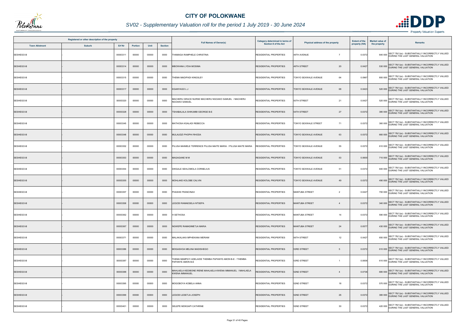

## *SV02 - Supplementary Valuation roll for the period 1 July 2019 - 30 June 2024*

|                       | Registered or other description of the property |               |                |       |                |                                                                                     | Category determined in terms of |                                         | <b>Extent of the</b> | Market value of |                                                                                                       |
|-----------------------|-------------------------------------------------|---------------|----------------|-------|----------------|-------------------------------------------------------------------------------------|---------------------------------|-----------------------------------------|----------------------|-----------------|-------------------------------------------------------------------------------------------------------|
| <b>Town Allotment</b> | <b>Suburb</b>                                   | <b>Erf Nr</b> | <b>Portion</b> | Unit  | <b>Section</b> | <b>Full Names of Owner(s)</b>                                                       | Section 8 of the Act            | Physical address of the property        | property (HA)        | the property    | <b>Remarks</b>                                                                                        |
| SESHEGO-B             |                                                 | 00003311      | 00000          | 00000 | 0000           | THAMAGA RAMPHELE CHRISTINA                                                          | <b>RESIDENTIAL PROPERTIES</b>   | 49TH AVENUE<br>$\overline{7}$           | 0.0372               |                 | SECT 78(1)(e) - SUBSTANTIALLY INCORRECTLY VALUED<br>640 000 DURING THE LAST GENERAL VALUATION         |
| SESHEGO-B             |                                                 | 00003314      | 00000          | 00000 | 0000           | MBOWANA LYDIA MOSIMA                                                                | <b>RESIDENTIAL PROPERTIES</b>   | 49TH STREET<br>20                       | 0.0427               |                 | 530 000 SECT 78(1)(e) - SUBSTANTIALLY INCORRECTLY VALUED<br>DURING THE LAST GENERAL VALUATION         |
| SESHEGO-B             |                                                 | 00003315      | 00000          | 00000 | 0000           | THEMA MADIPADI KINGSLEY                                                             | <b>RESIDENTIAL PROPERTIES</b>   | 64<br>TOKYO SEXWALE AVENUE              | 0.0967               |                 | 800 000 SECT 78(1)(e) - SUBSTANTIALLY INCORRECTLY VALUED<br>DURING THE LAST GENERAL VALUATION         |
| SESHEGO-B             |                                                 | 00003317      | 00000          | 00000 | 0000           | <b>KGANYAGO L J</b>                                                                 | RESIDENTIAL PROPERTIES          | TOKYO SEXWALE AVENUE<br>68              | 0.0423               |                 | 520 000 SECT 78(1)(e) - SUBSTANTIALLY INCORRECTLY VALUED<br>DURING THE LAST GENERAL VALUATION         |
| SESHEGO-B             |                                                 | 00003320      | 00000          | 00000 | 0000           | MACHERU GRACE NURSE MACHERU NGOAKO SAMUEL / MACHERU<br><b>NGOAKO SAMUEL</b>         | <b>RESIDENTIAL PROPERTIES</b>   | 50TH STREET<br>21                       | 0.0427               |                 | 520 000 SECT 78(1)(e) - SUBSTANTIALLY INCORRECTLY VALUED<br>DURING THE LAST GENERAL VALUATION         |
| SESHEGO-B             |                                                 | 00003328      | 00000          | 00000 | 0000           | TSHABALALA SHIKUMBI GEORGE B-E                                                      | RESIDENTIAL PROPERTIES          | 27<br>54TH STREET                       | 0.0372               |                 | 380 000 SECT 78(1)(e) - SUBSTANTIALLY INCORRECTLY VALUED<br>DURING THE LAST GENERAL VALUATION         |
| SESHEGO-B             |                                                 | 00003345      | 00000          | 00000 | 0000           | MATHOSA KGALADI REBECCA                                                             | <b>RESIDENTIAL PROPERTIES</b>   | 71<br>TOKYO SEXWALE STREET              | 0.0372               |                 | 360 000 SECT 78(1)(e) - SUBSTANTIALLY INCORRECTLY VALUED<br>360 000 DURING THE LAST GENERAL VALUATION |
| SESHEGO-B             |                                                 | 00003348      | 00000          | 00000 | 0000           | MULAUDZI PHOPHI RHODA                                                               | <b>RESIDENTIAL PROPERTIES</b>   | <b>TOKYO SEXWALE AVENUE</b><br>63       | 0.0372               |                 | SECT 78(1)(e) - SUBSTANTIALLY INCORRECTLY VALUED<br>660 000 DURING THE LAST GENERAL VALUATION         |
| SESHEGO-B             |                                                 | 00003352      | 00000          | 00000 | 0000           | PILUSA MAIMELE TERRENCE PILUSA MAITE MARIA / PILUSA MAITE MARIA                     | RESIDENTIAL PROPERTIES          | TOKYO SEXWALE AVENUE<br>55              | 0.0372               |                 | 610 000 SECT 78(1)(e) - SUBSTANTIALLY INCORRECTLY VALUED<br>DURING THE LAST GENERAL VALUATION         |
| SESHEGO-B             |                                                 | 00003353      | 00000          | 00000 | 0000           | MAGAGANE M M                                                                        | <b>RESIDENTIAL PROPERTIES</b>   | 53<br>TOKYO SEXWALE AVENUE              | 0.0600               |                 | 710 000 SECT 78(1)(e) - SUBSTANTIALLY INCORRECTLY VALUED<br>DURING THE LAST GENERAL VALUATION         |
| SESHEGO-B             |                                                 | 00003354      | 00000          | 00000 | 0000           | <b>DIKGALE SEHLOMOLA CORNELIUS</b>                                                  | RESIDENTIAL PROPERTIES          | TOKYO SEXWALE AVENUE<br>51              | 0.0372               |                 | 600 000 SECT 78(1)(e) - SUBSTANTIALLY INCORRECTLY VALUED<br>DURING THE LAST GENERAL VALUATION         |
| SESHEGO-B             |                                                 | 00003355      | 00000          | 00000 | 0000           | MOHLAKE KOLOBE CALVIN                                                               | <b>RESIDENTIAL PROPERTIES</b>   | TOKYO SEXWALE AVENUE<br>49              | 0.0372               |                 | 490 000 SECT 78(1)(e) - SUBSTANTIALLY INCORRECTLY VALUED<br>DURING THE LAST GENERAL VALUATION         |
| SESHEGO-B             |                                                 | 00003357      | 00000          | 00000 | 0000           | PHASHE FRANCINAH                                                                    | <b>RESIDENTIAL PROPERTIES</b>   | <b>MANTUBA STREET</b><br>$\overline{2}$ | 0.0427               |                 | 700 000 SECT 78(1)(e) - SUBSTANTIALLY INCORRECTLY VALUED                                              |
| SESHEGO-B             |                                                 | 00003358      | 00000          | 00000 | 0000           | LEGODI RAMAESELA NTSEPA                                                             | <b>RESIDENTIAL PROPERTIES</b>   | <b>MANTUBA STREET</b><br>$\overline{4}$ | 0.0372               |                 | 340 000 SECT 78(1)(e) - SUBSTANTIALLY INCORRECTLY VALUED                                              |
| SESHEGO-B             |                                                 | 00003362      | 00000          | 00000 | 0000           | H SETHOSA                                                                           | RESIDENTIAL PROPERTIES          | <b>MANTUBA STREET</b><br>14             | 0.0372               |                 | SECT 78(1)(e) - SUBSTANTIALLY INCORRECTLY VALUED<br>590 000 DURING THE LAST GENERAL VALUATION         |
| SESHEGO-B             |                                                 | 00003367      | 00000          | 00000 | 0000           | NGWEPE RAMADIMETJA MARIA                                                            | <b>RESIDENTIAL PROPERTIES</b>   | <b>MANTUBA STREET</b><br>24             | 0.0577               |                 | 430 000 SECT 78(1)(e) - SUBSTANTIALLY INCORRECTLY VALUED<br>DURING THE LAST GENERAL VALUATION         |
| SESHEGO-B             |                                                 | 00003371      | 00000          | 00000 | 0000           | MALAKALAKA MPHEKANA MERIAM                                                          | RESIDENTIAL PROPERTIES          | 56TH STREET<br>12                       | 0.0427               |                 | 650 000 SECT 78(1)(e) - SUBSTANTIALLY INCORRECTLY VALUED                                              |
| SESHEGO-B             |                                                 | 00003386      | 00000          | 00000 | 0000           | MOGASHOA MELINA MADISHEGO                                                           | <b>RESIDENTIAL PROPERTIES</b>   | 53RD STREET<br>5                        | 0.0372               |                 | 610 000 SECT 78(1)(e) - SUBSTANTIALLY INCORRECTLY VALUED<br>DURING THE LAST GENERAL VALUATION         |
| SESHEGO-B             |                                                 | 00003387      | 00000          | 00000 | 0000           | HEMA MAMPAYI ADELAIDE THEMBA PAPANYE AMON B-E / THEMBA<br>PAPANYE AMON B-E          | RESIDENTIAL PROPERTIES          | 53RD STREET                             | 0.0606               |                 | 610 000 SECT 78(1)(e) - SUBSTANTIALLY INCORRECTLY VALUED<br>DURING THE LAST GENERAL VALUATION         |
| SESHEGO-B             |                                                 | 00003388      | 00000          | 00000 | 0000           | MAHLAELA KEDIBONE IRENE MAHLAELA KWENA IMMANUEL / MAHLAELA<br><b>KWENA IMMANUEL</b> | RESIDENTIAL PROPERTIES          | 52ND STREET<br>$\overline{4}$           | 0.0736               |                 | 680 000 SECT 78(1)(e) - SUBSTANTIALLY INCORRECTLY VALUED<br>DURING THE LAST GENERAL VALUATION         |
| SESHEGO-B             |                                                 | 00003395      | 00000          | 00000 | 0000           | MOGOBOYA KOBELA ANNA                                                                | RESIDENTIAL PROPERTIES          | 52ND STREET<br>18                       | 0.0372               |                 | 570 000 SECT 78(1)(e) - SUBSTANTIALLY INCORRECTLY VALUED<br>DURING THE LAST GENERAL VALUATION         |
| SESHEGO-B             |                                                 | 00003399      | 00000          | 00000 | 0000           | LEGODI LESETJA JOSEPH                                                               | RESIDENTIAL PROPERTIES          | 52ND STREET<br>26                       | 0.0372               |                 | 380 000 SECT 78(1)(e) - SUBSTANTIALLY INCORRECTLY VALUED                                              |
| SESHEGO-B             |                                                 | 00003401      | 00000          | 00000 | 0000           | SELEPE MOKGAPI CATHRINE                                                             | RESIDENTIAL PROPERTIES          | 52ND STREET<br>30                       | 0.0372               |                 | SECT 78(1)(e) - SUBSTANTIALLY INCORRECTLY VALUED<br>420 000 DURING THE LAST GENERAL VALUATION         |

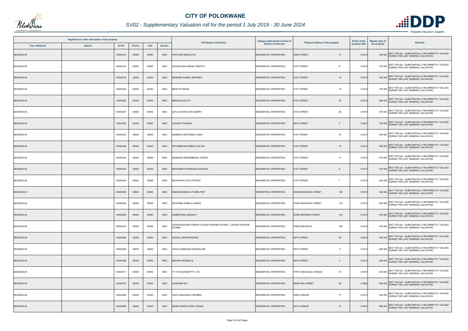

## *SV02 - Supplementary Valuation roll for the period 1 July 2019 - 30 June 2024*

| Registered or other description of the property |               |          |                |       |                |                                                                          | Category determined in terms of |                                    | <b>Extent of the</b> | <b>Market value of</b> |                                                                                               |
|-------------------------------------------------|---------------|----------|----------------|-------|----------------|--------------------------------------------------------------------------|---------------------------------|------------------------------------|----------------------|------------------------|-----------------------------------------------------------------------------------------------|
| <b>Town Allotment</b>                           | <b>Suburb</b> | Erf Nr   | <b>Portion</b> | Unit  | <b>Section</b> | <b>Full Names of Owner(s)</b>                                            | Section 8 of the Act            | Physical address of the property   | property (HA)        | the property           | <b>Remarks</b>                                                                                |
| SESHEGO-B                                       |               | 00003412 | 00000          | 00000 | 0000           | POOTONA MAPULA M                                                         | <b>RESIDENTIAL PROPERTIES</b>   | 52ND STREET<br>17                  | 0.0372               |                        | SECT 78(1)(e) - SUBSTANTIALLY INCORRECTLY VALUED<br>360 000 DURING THE LAST GENERAL VALUATION |
| SESHEGO-B                                       |               | 00003418 | 00000          | 00000 | 0000           | LEGODI KGALABANA TIMOTHY                                                 | <b>RESIDENTIAL PROPERTIES</b>   | 51ST STREET<br>-8                  | 0.0372               |                        | 370 000 SECT 78(1)(e) - SUBSTANTIALLY INCORRECTLY VALUED<br>DURING THE LAST GENERAL VALUATION |
| SESHEGO-B                                       |               | 00003419 | 00000          | 00000 | 0000           | <b>JARUMO DANIEL MAPHEPA</b>                                             | <b>RESIDENTIAL PROPERTIES</b>   | 51ST STREET<br>10 <sup>1</sup>     | 0.0372               |                        | 440 000 SECT 78(1)(e) - SUBSTANTIALLY INCORRECTLY VALUED<br>DURING THE LAST GENERAL VALUATION |
| SESHEGO-B                                       |               | 00003422 | 00000          | 00000 | 0000           | <b>MESO M FRANS</b>                                                      | RESIDENTIAL PROPERTIES          | 51ST STREET<br>16                  | 0.0372               |                        | 700 000 SECT 78(1)(e) - SUBSTANTIALLY INCORRECTLY VALUED<br>DURING THE LAST GENERAL VALUATION |
| SESHEGO-B                                       |               | 00003425 | 00000          | 00000 | 0000           | MOKGOHLOA R P                                                            | <b>RESIDENTIAL PROPERTIES</b>   | 51ST STREET<br>22                  | 0.0372               |                        | 560 000 SECT 78(1)(e) - SUBSTANTIALLY INCORRECTLY VALUED                                      |
| SESHEGO-B                                       |               | 00003427 | 00000          | 00000 | 0000           | LETLALO MAHLODI ALBERT                                                   | <b>RESIDENTIAL PROPERTIES</b>   | 51ST STREET<br>26                  | 0.0372               |                        | SECT 78(1)(e) - SUBSTANTIALLY INCORRECTLY VALUED<br>570 000 DURING THE LAST GENERAL VALUATION |
| SESHEGO-B                                       |               | 00003429 | 00000          | 00000 | 0000           | EGODI P SAMUEL                                                           | <b>RESIDENTIAL PROPERTIES</b>   | 56TH STREET<br>2                   | 0.0427               |                        | 370 000 SECT 78(1)(e) - SUBSTANTIALLY INCORRECTLY VALUED<br>DURING THE LAST GENERAL VALUATION |
| SESHEGO-B                                       |               | 00003435 | 00000          | 00000 | 0000           | SEMENYA MOTHEBULI DINA                                                   | <b>RESIDENTIAL PROPERTIES</b>   | 27<br>51ST STREET                  | 0.0372               |                        | SECT 78(1)(e) - SUBSTANTIALLY INCORRECTLY VALUED<br>520 000 DURING THE LAST GENERAL VALUATION |
| SESHEGO-B                                       |               | 00003439 | 00000          | 00000 | 0000           | SETHEBE MATSIMELA CALVIN                                                 | <b>RESIDENTIAL PROPERTIES</b>   | 51ST STREET<br>19                  | 0.0372               |                        | 500 000 SECT 78(1)(e) - SUBSTANTIALLY INCORRECTLY VALUED                                      |
| SESHEGO-B                                       |               | 00003443 | 00000          | 00000 | 0000           | NDABANE MGWAMBANE JOSEPH                                                 | <b>RESIDENTIAL PROPERTIES</b>   | 51ST STREET<br>11                  | 0.0372               |                        | 670 000 SECT 78(1)(e) - SUBSTANTIALLY INCORRECTLY VALUED<br>DURING THE LAST GENERAL VALUATION |
| SESHEGO-B                                       |               | 00003444 | 00000          | 00000 | 0000           | MASHAMAITE MOKGADI DORCAS                                                | <b>RESIDENTIAL PROPERTIES</b>   | 51ST STREET                        | 0.0372               |                        | 510 000 SECT 78(1)(e) - SUBSTANTIALLY INCORRECTLY VALUED<br>DURING THE LAST GENERAL VALUATION |
| SESHEGO-B                                       |               | 00003445 | 00000          | 00000 | 0000           | MATHEKGA TLOU PETRUS                                                     | <b>RESIDENTIAL PROPERTIES</b>   | 51ST STREET<br>$\overline{7}$      | 0.0372               |                        | 540 000 SECT 78(1)(e) - SUBSTANTIALLY INCORRECTLY VALUED<br>DURING THE LAST GENERAL VALUATION |
| SESHEGO-B                                       |               | 00003450 | 00000          | 00000 | 0000           | RAMAKGOAKGOA THOBA PIET                                                  | <b>RESIDENTIAL PROPERTIES</b>   | <b>ZONDI MAPANGA STREET</b><br>128 | 0.0372               |                        | SECT 78(1)(e) - SUBSTANTIALLY INCORRECTLY VALUED<br>340 000 DURING THE LAST GENERAL VALUATION |
| SESHEGO-B                                       |               | 00003453 | 00000          | 00000 | 0000           | SETWABA KOBELA AGNES                                                     | <b>RESIDENTIAL PROPERTIES</b>   | 134<br>ZONDI MAPANGA STREET        | 0.0372               |                        | 450 000 SECT 78(1)(e) - SUBSTANTIALLY INCORRECTLY VALUED                                      |
| SESHEGO-B                                       |               | 00003463 | 00000          | 00000 | 0000           | LEMEKOANA GADINA P                                                       | <b>RESIDENTIAL PROPERTIES</b>   | <b>ZONDI MAPANG STREET</b><br>154  | 0.0372               |                        | SECT 78(1)(e) - SUBSTANTIALLY INCORRECTLY VALUED<br>630 000 DURING THE LAST GENERAL VALUATION |
| SESHEGO-B                                       |               | 00003474 | 00000          | 00000 | 0000           | EGODI MOLOKO FRIDAH LEGODI PHAUWE ALFRED / LEGODI PHAUWE<br><b>LFRED</b> | RESIDENTIAL PROPERTIES          | <b>FREEDOM DRIVE</b><br>168        | 0.0372               |                        | 470 000 SECT 78(1)(e) - SUBSTANTIALLY INCORRECTLY VALUED<br>DURING THE LAST GENERAL VALUATION |
| SESHEGO-B                                       |               | 00003489 | 00000          | 00000 | 0000           | LEDIGA LAPSON MOSES                                                      | <b>RESIDENTIAL PROPERTIES</b>   | 25<br>56TH STREET                  | 0.0543               |                        | SECT 78(1)(e) - SUBSTANTIALLY INCORRECTLY VALUED<br>450 000 DURING THE LAST GENERAL VALUATION |
| SESHEGO-B                                       |               | 00003495 | 00000          | 00000 | 0000           | CHOLO MANGAKA MAGDELINE                                                  | <b>RESIDENTIAL PROPERTIES</b>   | 56TH STREET<br>11                  | 0.0372               |                        | 600 000 SECT 78(1)(e) - SUBSTANTIALLY INCORRECTLY VALUED<br>DURING THE LAST GENERAL VALUATION |
| SESHEGO-B                                       |               | 00003499 | 00000          | 00000 | 0000           | <b>MAHAPA MOSIMA B</b>                                                   | <b>RESIDENTIAL PROPERTIES</b>   | 56TH STREET<br>$\overline{3}$      | 0.0372               |                        | 520 000 SECT 78(1)(e) - SUBSTANTIALLY INCORRECTLY VALUED                                      |
| SESHEGO-B                                       |               | 00003511 | 00000          | 00000 | 0000           | F F O HOLDINGS PTY LTD                                                   | <b>RESIDENTIAL PROPERTIES</b>   | 51<br>TPKYO SEXWALE AVENUE         | 0.0372               |                        | 620 000 SECT 78(1)(e) - SUBSTANTIALLY INCORRECTLY VALUED<br>DURING THE LAST GENERAL VALUATION |
| SESHEGO-B                                       |               | 00003574 | 00000          | 00000 | 0000           | LEDWABA M H                                                              | <b>RESIDENTIAL PROPERTIES</b>   | <b>MANTUBA STREET</b><br>65        | 0.0862               |                        | 620 000 SECT 78(1)(e) - SUBSTANTIALLY INCORRECTLY VALUED<br>DURING THE LAST GENERAL VALUATION |
| SESHEGO-B                                       |               | 00003590 | 00000          | 00000 | 0000           | JANTJI MALESELA REUBEN                                                   | <b>RESIDENTIAL PROPERTIES</b>   | 53RD AVENUE<br>17                  | 0.0372               |                        | 540 000 SECT 78(1)(e) - SUBSTANTIALLY INCORRECTLY VALUED                                      |
| SESHEGO-B                                       |               | 00003609 | 00000          | 00000 | 0000           | SEABI RAMALATSWA JOSIAS                                                  | <b>RESIDENTIAL PROPERTIES</b>   | 54TH AVENUE<br>31                  | 0.0427               |                        | SECT 78(1)(e) - SUBSTANTIALLY INCORRECTLY VALUED<br>660 000 DURING THE LAST GENERAL VALUATION |

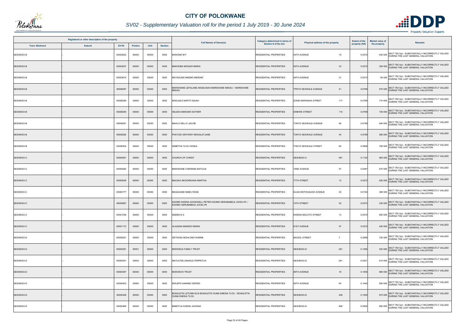

## *SV02 - Supplementary Valuation roll for the period 1 July 2019 - 30 June 2024*

|           | Registered or other description of the property<br><b>Town Allotment</b><br><b>Suburb</b><br>Erf Nr<br>Unit<br><b>Portion</b> |          |       |       |                |                                                                                         | <b>Category determined in terms of</b> |                                       | <b>Extent of the</b> | <b>Market value of</b> | <b>Remarks</b>                                                                                |
|-----------|-------------------------------------------------------------------------------------------------------------------------------|----------|-------|-------|----------------|-----------------------------------------------------------------------------------------|----------------------------------------|---------------------------------------|----------------------|------------------------|-----------------------------------------------------------------------------------------------|
|           |                                                                                                                               |          |       |       | <b>Section</b> | <b>Full Names of Owner(s)</b>                                                           | <b>Section 8 of the Act</b>            | Physical address of the property      | property (HA)        | the property           |                                                                                               |
| SESHEGO-B |                                                                                                                               | 00003623 | 00000 | 00000 | 0000           | MOKONO M F                                                                              | <b>RESIDENTIAL PROPERTIES</b>          | <b>54TH AVENUE</b><br>10              | 0.0372               |                        | SECT 78(1)(e) - SUBSTANTIALLY INCORRECTLY VALUED<br>630 000 DURING THE LAST GENERAL VALUATION |
| SESHEGO-B |                                                                                                                               | 00003637 | 00000 | 00000 | 0000           | MAKGOBA MOGADI MARIA                                                                    | <b>RESIDENTIAL PROPERTIES</b>          | 33<br>55TH AVENUE                     | 0.0372               |                        | 350 000 SECT 78(1)(e) - SUBSTANTIALLY INCORRECTLY VALUED<br>DURING THE LAST GENERAL VALUATION |
| SESHEGO-B |                                                                                                                               | 00003674 | 00000 | 00000 | 0000           | MATSAUNG MAEMO MERIAM                                                                   | <b>RESIDENTIAL PROPERTIES</b>          | 56TH AVENUE<br>31                     | 0.0372               |                        | 60 000 SECT 78(1)(e) - SUBSTANTIALLY INCORRECTLY VALUED<br>DURING THE LAST GENERAL VALUATION  |
| SESHEGO-B |                                                                                                                               | 00008287 | 00000 | 00000 | 0000           | MARISHANE LEFALANE ANGELINAH MARISHANE MAKAU / MARISHANE<br>MAKAU                       | RESIDENTIAL PROPERTIES                 | <b>TPKYO SEXWALE AVENUE</b><br>41     | 0.0799               |                        | 670 000 SECT 78(1)(e) - SUBSTANTIALLY INCORRECTLY VALUED<br>DURING THE LAST GENERAL VALUATION |
| SESHEGO-B |                                                                                                                               | 00008289 | 00000 | 00000 | 0000           | MODJADJI MAPITI ISAIAH                                                                  | RESIDENTIAL PROPERTIES                 | 117<br>ZONDI MAPANGA STREET           | 0.0799               |                        | 710 000 SECT 78(1)(e) - SUBSTANTIALLY INCORRECTLY VALUED<br>DURING THE LAST GENERAL VALUATION |
| SESHEGO-B |                                                                                                                               | 00008290 | 00000 | 00000 | 0000           | SELEKA MARUMO ESTHER                                                                    | <b>RESIDENTIAL PROPERTIES</b>          | <b>DINKWE STREET</b><br>110           | 0.0799               |                        | 730 000 SECT 78(1)(e) - SUBSTANTIALLY INCORRECTLY VALUED<br>DURING THE LAST GENERAL VALUATION |
| SESHEGO-B |                                                                                                                               | 00008291 | 00000 | 00000 | 0000           | MAHLO SELLO JACOB                                                                       | <b>RESIDENTIAL PROPERTIES</b>          | TOKYO SEXWALE AVENUE<br>46            | 0.0799               |                        | 640 000 SECT 78(1)(e) - SUBSTANTIALLY INCORRECTLY VALUED<br>DURING THE LAST GENERAL VALUATION |
| SESHEGO-B |                                                                                                                               | 00008292 | 00000 | 00000 | 0000           | PHATUDI ANTHONY MOGALATJANE                                                             | <b>RESIDENTIAL PROPERTIES</b>          | <b>TOKYO SEXWALE AVENUE</b><br>44     | 0.0799               |                        | 560 000 SECT 78(1)(e) - SUBSTANTIALLY INCORRECTLY VALUED                                      |
| SESHEGO-B |                                                                                                                               | 00008302 | 00000 | 00000 | 0000           | SEBETHA TLOU HOSEA                                                                      | <b>RESIDENTIAL PROPERTIES</b>          | 65<br><b>TOKYO SEXWALE STREET</b>     | 0.0808               |                        | 760 000 SECT 78(1)(e) - SUBSTANTIALLY INCORRECTLY VALUED<br>DURING THE LAST GENERAL VALUATION |
| SESHEGO-C |                                                                                                                               | 00000581 | 00000 | 00000 | 0000           | CHURCH OF CHRIST                                                                        | <b>RESIDENTIAL PROPERTIES</b>          | SESHEGO-C<br>581                      | 0.1122               |                        | 560 000 SECT 78(1)(e) - SUBSTANTIALLY INCORRECTLY VALUED<br>DURING THE LAST GENERAL VALUATION |
| SESHEGO-C |                                                                                                                               | 00000582 | 00000 | 00000 | 0000           | MAROKANE CHERENE MATILDA                                                                | RESIDENTIAL PROPERTIES                 | <b>72ND AVENUE</b><br>47              | 0.0487               |                        | 670 000 SECT 78(1)(e) - SUBSTANTIALLY INCORRECTLY VALUED                                      |
| SESHEGO-C |                                                                                                                               | 00000638 | 00000 | 00000 | 0000           | MALEKA NKGORWANA MARTHA                                                                 | <b>RESIDENTIAL PROPERTIES</b>          | 77TH STREET<br>13                     | 0.0372               |                        | 620 000 SECT 78(1)(e) - SUBSTANTIALLY INCORRECTLY VALUED<br>DURING THE LAST GENERAL VALUATION |
| SESHEGO-C |                                                                                                                               | 00000777 | 00000 | 00000 | 0000           | MAGAGANE MABU ROSE                                                                      | RESIDENTIAL PROPERTIES                 | ELIAS MOTSOALEDI AVENUE<br>30         | 0.0194               |                        | 380 000 SECT 78(1)(e) - SUBSTANTIALLY INCORRECTLY VALUED                                      |
| SESHEGO-C |                                                                                                                               | 00000987 | 00000 | 00000 | 0000           | KGOMO KWENA GOODWELL PETER KGOMO SERUBABELE JOCELYN /<br>KGOMO SERUBABELE JOCELYN       | RESIDENTIAL PROPERTIES                 | 22<br>74TH STREET                     | 0.0372               |                        | 330 000 SECT 78(1)(e) - SUBSTANTIALLY INCORRECTLY VALUED                                      |
| SESHEGO-C |                                                                                                                               | 00001038 | 00000 | 00000 | 0000           | SEEMA N A                                                                               | <b>RESIDENTIAL PROPERTIES</b>          | <b>KWENA MOLOTO STREET</b><br>13      | 0.0372               |                        | SECT 78(1)(e) - SUBSTANTIALLY INCORRECTLY VALUED<br>600 000 DURING THE LAST GENERAL VALUATION |
| SESHEGO-C |                                                                                                                               | 00001172 | 00000 | 00000 | 0000           | HLAZANA MAKEKO MARIA                                                                    | <b>RESIDENTIAL PROPERTIES</b>          | <b>61ST AVENUE</b><br>47              | 0.0372               |                        | 420 000 SECT 78(1)(e) - SUBSTANTIALLY INCORRECTLY VALUED<br>DURING THE LAST GENERAL VALUATION |
| SESHEGO-D |                                                                                                                               | 00000291 | 00000 | 00000 | 0000           | SETHOSA MOHLONO WINNIE                                                                  | <b>RESIDENTIAL PROPERTIES</b>          | <b>MOGOL STREET</b><br>$\overline{7}$ | 0.2068               |                        | 720 000 SECT 78(1)(e) - SUBSTANTIALLY INCORRECTLY VALUED                                      |
| SESHEGO-D |                                                                                                                               | 00000291 | 00001 | 00000 | 0000           | <b>MOKWELE FAMILY TRUST</b>                                                             | <b>RESIDENTIAL PROPERTIES</b>          | SESHEGO-D<br>291                      | 0.1206               |                        | 530 000 SECT 78(1)(e) - SUBSTANTIALLY INCORRECTLY VALUED<br>DURING THE LAST GENERAL VALUATION |
| SESHEGO-D |                                                                                                                               | 00000291 | 00002 | 00000 | 0000           | MATLATSE ZANDILE PERPETUA                                                               | RESIDENTIAL PROPERTIES                 | SESHEGO-D<br>291                      | 0.0421               |                        | 610 000 SECT 78(1)(e) - SUBSTANTIALLY INCORRECTLY VALUED<br>DURING THE LAST GENERAL VALUATION |
| SESHEGO-D |                                                                                                                               | 00000367 | 00000 | 00000 | 0000           | <b>MOKOKA'S TRUST</b>                                                                   | <b>RESIDENTIAL PROPERTIES</b>          | 85TH AVENUE<br>18                     | 0.1000               |                        | 860 000 SECT 78(1)(e) - SUBSTANTIALLY INCORRECTLY VALUED<br>DURING THE LAST GENERAL VALUATION |
| SESHEGO-D |                                                                                                                               | 00000403 | 00000 | 00000 | 0000           | MOLEPO KARABO SEPEDI                                                                    | <b>RESIDENTIAL PROPERTIES</b>          | 54<br>85TH AVENUE                     | 0.1440               |                        | 850 000 SECT 78(1)(e) - SUBSTANTIALLY INCORRECTLY VALUED<br>DURING THE LAST GENERAL VALUATION |
| SESHEGO-D |                                                                                                                               | 00000448 | 00000 | 00000 | 0000           | BOSALETSI LETUMA ELIA BOSALETSI OUMA ENESIA TLOU / BOSALETSI<br><b>OUMA ENESIA TLOU</b> | RESIDENTIAL PROPERTIES                 | SESHEGO-D<br>448                      | 0.1000               |                        | 670 000 SECT 78(1)(e) - SUBSTANTIALLY INCORRECTLY VALUED                                      |
| SESHEGO-D |                                                                                                                               | 00000466 | 00000 | 00000 | 0000           | MABOTJA KOENA JACKINA                                                                   | <b>RESIDENTIAL PROPERTIES</b>          | SESHEGO-D<br>466                      | 0.0505               |                        | SECT 78(1)(e) - SUBSTANTIALLY INCORRECTLY VALUED<br>690 000 DURING THE LAST GENERAL VALUATION |

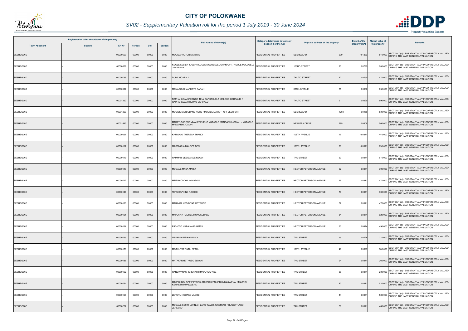

## *SV02 - Supplementary Valuation roll for the period 1 July 2019 - 30 June 2024*

| Registered or other description of the property |               |          |                |       |                | Category determined in terms of                                                  |                               | <b>Extent of the</b>                  | <b>Market value of</b> |              |                                                                                               |
|-------------------------------------------------|---------------|----------|----------------|-------|----------------|----------------------------------------------------------------------------------|-------------------------------|---------------------------------------|------------------------|--------------|-----------------------------------------------------------------------------------------------|
| <b>Town Allotment</b>                           | <b>Suburb</b> | Erf Nr   | <b>Portion</b> | Unit  | <b>Section</b> | <b>Full Names of Owner(s)</b>                                                    | Section 8 of the Act          | Physical address of the property      | property (HA)          | the property | Remarks                                                                                       |
| SESHEGO-D                                       |               | 00000500 | 00000          | 00000 | 0000           | MODIBA VICTOR MATOME                                                             | <b>RESIDENTIAL PROPERTIES</b> | SESHEGO-D<br>500                      | 0.1280                 |              | SECT 78(1)(e) - SUBSTANTIALLY INCORRECTLY VALUED<br>840 000 DURING THE LAST GENERAL VALUATION |
| SESHEGO-D                                       |               | 00000668 | 00000          | 00000 | 0000           | KGOLE LESIBA JOSEPH KGOLE MOLOBELE JOHANNAH / KGOLE MOLOBELE<br>HANNAHOL         | RESIDENTIAL PROPERTIES        | 103RD STREET<br>23                    | 0.0795                 |              | 780 000 SECT 78(1)(e) - SUBSTANTIALLY INCORRECTLY VALUED<br>DURING THE LAST GENERAL VALUATION |
| SESHEGO-D                                       |               | 00000796 | 00000          | 00000 | 0000           | <b>DUBA MOSES J</b>                                                              | <b>RESIDENTIAL PROPERTIES</b> | THUTO STREET<br>42                    | 0.0450                 |              | 470 000 SECT 78(1)(e) - SUBSTANTIALLY INCORRECTLY VALUED<br>DURING THE LAST GENERAL VALUATION |
| SESHEGO-D                                       |               | 00000927 | 00000          | 00000 | 0000           | MAMABOLO MAPHATE SARAH                                                           | <b>RESIDENTIAL PROPERTIES</b> | 35<br>88TH AVENUE                     | 0.0600                 |              | SECT 78(1)(e) - SUBSTANTIALLY INCORRECTLY VALUED<br>630 000 DURING THE LAST GENERAL VALUATION |
| SESHEGO-D                                       |               | 00001252 | 00000          | 00000 | 0000           | RAPHAHLELA SPHENGE TINA RAPHAHLELA MOLOKO GERRALD /<br>RAPHAHLELA MOLOKO GERRALD | <b>RESIDENTIAL PROPERTIES</b> | <b>THUTO STREET</b><br>$\overline{2}$ | 0.0620                 |              | 590 000 SECT 78(1)(e) - SUBSTANTIALLY INCORRECTLY VALUED<br>DURING THE LAST GENERAL VALUATION |
| SESHEGO-D                                       |               | 00001269 | 00000          | 00000 | 0000           | MODISE MATSOBANE KOOS / MODISE MAMOTHUPI DEBORAH                                 | RESIDENTIAL PROPERTIES        | SESHEGO-D<br>1269                     | 0.0450                 |              | 530 000 SECT 78(1)(e) - SUBSTANTIALLY INCORRECTLY VALUED<br>DURING THE LAST GENERAL VALUATION |
| SESHEGO-D                                       |               | 00001443 | 00000          | 00000 | 0000           | ABATLO IRENE MMAKEREKENG MABATLO MANGANYI JOSIAH / MABATLO<br>HAIGOU IYAAGANAM   | RESIDENTIAL PROPERTIES        | 285<br><b>NEW ERA DRIVE</b>           | 0.0608                 |              | SECT 78(1)(e) - SUBSTANTIALLY INCORRECTLY VALUED<br>560 000 DURING THE LAST GENERAL VALUATION |
| SESHEGO-E                                       |               | 00000091 | 00000          | 00000 | 0000           | KHUMALO THERESA THANDI                                                           | <b>RESIDENTIAL PROPERTIES</b> | 108TH AVENUE<br>17                    | 0.037                  |              | SECT 78(1)(e) - SUBSTANTIALLY INCORRECTLY VALUED<br>440 000 DURING THE LAST GENERAL VALUATION |
| SESHEGO-E                                       |               | 00000117 | 00000          | 00000 | 0000           | <b>MASEMOLA MALOPE BEN</b>                                                       | <b>RESIDENTIAL PROPERTIES</b> | 108TH AVENUE<br>36                    | 0.037                  |              | 690 000 SECT 78(1)(e) - SUBSTANTIALLY INCORRECTLY VALUED<br>DURING THE LAST GENERAL VALUATION |
| SESHEGO-E                                       |               | 00000119 | 00000          | 00000 | 0000           | RAMMABI LESIBA KLEINBOOI                                                         | <b>RESIDENTIAL PROPERTIES</b> | 33<br><b>TAU STREET</b>               | 0.0371                 |              | 610 000 SECT 78(1)(e) - SUBSTANTIALLY INCORRECTLY VALUED<br>DURING THE LAST GENERAL VALUATION |
| SESHEGO-E                                       |               | 00000140 | 00000          | 00000 | 0000           | MOGALE MASA MARIA                                                                | RESIDENTIAL PROPERTIES        | 62<br>HECTOR PETERSON AVENUE          | 0.0371                 |              | 300 000 SECT 78(1)(e) - SUBSTANTIALLY INCORRECTLY VALUED<br>DURING THE LAST GENERAL VALUATION |
| SESHEGO-E                                       |               | 00000142 | 00000          | 00000 | 0000           | MPE PHOLOGA WINSTON                                                              | <b>RESIDENTIAL PROPERTIES</b> | HECTOR PETERSON AVENUE<br>66          | 0.0371                 |              | 470 000 SECT 78(1)(e) - SUBSTANTIALLY INCORRECTLY VALUED<br>DURING THE LAST GENERAL VALUATION |
| SESHEGO-E                                       |               | 00000144 | 00000          | 00000 | 0000           | TEFU DAPHINE RAISIBE                                                             | RESIDENTIAL PROPERTIES        | 70<br><b>HECTOR PETERSON AVENUE</b>   | 0.0371                 |              | 300 000 SECT 78(1)(e) - SUBSTANTIALLY INCORRECTLY VALUED<br>DURING THE LAST GENERAL VALUATION |
| SESHEGO-E                                       |               | 00000150 | 00000          | 00000 | 0000           | <b>MARINGA KEDIBONE GETRUDE</b>                                                  | <b>RESIDENTIAL PROPERTIES</b> | 82<br><b>HECTOR PETERSON AVENUE</b>   | 0.0371                 |              | 470 000 SECT 78(1)(e) - SUBSTANTIALLY INCORRECTLY VALUED                                      |
| SESHEGO-E                                       |               | 00000151 | 00000          | 00000 | 0000           | MAPONYA RACHEL MOKOKOBALE                                                        | <b>RESIDENTIAL PROPERTIES</b> | HECTOR PETERSON AVENUE<br>84          | 0.037                  |              | SECT 78(1)(e) - SUBSTANTIALLY INCORRECTLY VALUED<br>620 000 DURING THE LAST GENERAL VALUATION |
| SESHEGO-E                                       |               | 00000154 | 00000          | 00000 | 0000           | RIKHOTO MABALANE JAMES                                                           | <b>RESIDENTIAL PROPERTIES</b> | 90<br>HECTOR PETERSON AVENUE          | 0.0414                 |              | 490 000 SECT 78(1)(e) - SUBSTANTIALLY INCORRECTLY VALUED<br>DURING THE LAST GENERAL VALUATION |
| SESHEGO-E                                       |               | 00000165 | 00000          | 00000 | 0000           | <b>UVHIMBI MPHO NANCY</b>                                                        | <b>RESIDENTIAL PROPERTIES</b> | <b>TAU STREET</b><br>55               | 0.0426                 |              | SECT 78(1)(e) - SUBSTANTIALLY INCORRECTLY VALUED<br>210 000 DURING THE LAST GENERAL VALUATION |
| SESHEGO-E                                       |               | 00000170 | 00000          | 00000 | 0000           | MOTHUTSE TATIL EPAUL                                                             | <b>RESIDENTIAL PROPERTIES</b> | 108TH AVENUE<br>49                    | 0.0697                 |              | 300 000 SECT 78(1)(e) - SUBSTANTIALLY INCORRECTLY VALUED<br>DURING THE LAST GENERAL VALUATION |
| SESHEGO-E                                       |               | 00000186 | 00000          | 00000 | 0000           | MATAKANYE THUSO ELMON                                                            | <b>RESIDENTIAL PROPERTIES</b> | <b>TAU STREET</b><br>24               | 0.0371                 |              | 260 000 SECT 78(1)(e) - SUBSTANTIALLY INCORRECTLY VALUED<br>DURING THE LAST GENERAL VALUATION |
| SESHEGO-E                                       |               | 00000192 | 00000          | 00000 | 0000           | RANGWANASHE ISAIAH MMAPUTLAFASE                                                  | <b>RESIDENTIAL PROPERTIES</b> | 36<br><b>TAU STREET</b>               | 0.0371                 |              | 280 000 SECT 78(1)(e) - SUBSTANTIALLY INCORRECTLY VALUED<br>DURING THE LAST GENERAL VALUATION |
| SESHEGO-E                                       |               | 00000194 | 00000          | 00000 | 0000           | MASEDI MOLOBE PATRICIA MASEDI KENNETH MMAKWENA / MASEDI<br>KENNETH MMAKWENA      | <b>RESIDENTIAL PROPERTIES</b> | <b>TAU STREET</b><br>40               | 0.0371                 |              | 520 000 SECT 78(1)(e) - SUBSTANTIALLY INCORRECTLY VALUED                                      |
| SESHEGO-E                                       |               | 00000196 | 00000          | 00000 | 0000           | LEPURU NGOAKO JACOB                                                              | <b>RESIDENTIAL PROPERTIES</b> | <b>TAU STREET</b><br>44               | 0.037                  |              | 580 000 SECT 78(1)(e) - SUBSTANTIALLY INCORRECTLY VALUED                                      |
| SESHEGO-E                                       |               | 00000202 | 00000          | 00000 | 0000           | MOGALE SEFITI LORNIA HLAKO TLABO JEREMIAH / HLAKO TLABO<br><b>JEREMIAH</b>       | <b>RESIDENTIAL PROPERTIES</b> | <b>TAU STREET</b><br>56               | 0.037'                 |              | SECT 78(1)(e) - SUBSTANTIALLY INCORRECTLY VALUED<br>460 000 DURING THE LAST GENERAL VALUATION |

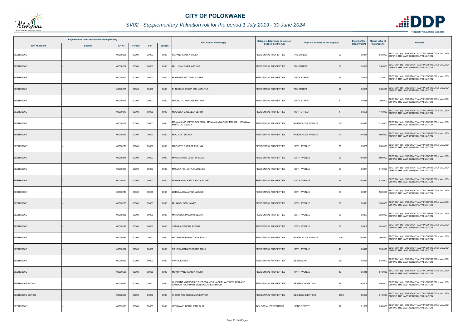

## *SV02 - Supplementary Valuation roll for the period 1 July 2019 - 30 June 2024*

|                       | Registered or other description of the property |               |                |       |                |                                                                                                 | Category determined in terms of |                                  | <b>Extent of the</b> | <b>Market value of</b> |                                                                                               |
|-----------------------|-------------------------------------------------|---------------|----------------|-------|----------------|-------------------------------------------------------------------------------------------------|---------------------------------|----------------------------------|----------------------|------------------------|-----------------------------------------------------------------------------------------------|
| <b>Town Allotment</b> | <b>Suburb</b>                                   | <b>Erf Nr</b> | <b>Portion</b> | Unit  | <b>Section</b> | <b>Full Names of Owner(s)</b>                                                                   | <b>Section 8 of the Act</b>     | Physical address of the property | property (HA)        | the property           | <b>Remarks</b>                                                                                |
| SESHEGO-E             |                                                 | 00000205      | 00000          | 00000 | 0000           | <b>HOPANE FAMILY TRUST</b>                                                                      | RESIDENTIAL PROPERTIES          | 62<br><b>TAU STREET</b>          | 0.0371               |                        | SECT 78(1)(e) - SUBSTANTIALLY INCORRECTLY VALUED<br>550 000 DURING THE LAST GENERAL VALUATION |
| SESHEGO-E             |                                                 | 00000207      | 00000          | 00000 | 0000           | MULLIGAN CYRIL ARTHUR                                                                           | <b>RESIDENTIAL PROPERTIES</b>   | TAU STREET<br>66                 | 0.0385               |                        | 350 000 SECT 78(1)(e) - SUBSTANTIALLY INCORRECTLY VALUED<br>DURING THE LAST GENERAL VALUATION |
| SESHEGO-E             |                                                 | 00000213      | 00000          | 00000 | 0000           | MOTHEMA MATOME JOSEPH                                                                           | RESIDENTIAL PROPERTIES          | 118TH STREET<br>78               | 0.0550               |                        | 310 000 SECT 78(1)(e) - SUBSTANTIALLY INCORRECTLY VALUED<br>DURING THE LAST GENERAL VALUATION |
| SESHEGO-E             |                                                 | 00000215      | 00000          | 00000 | 0000           | PHUKUBJE JOSEPHINE MARUTLA                                                                      | RESIDENTIAL PROPERTIES          | TAU STREET<br>82                 | 0.0565               |                        | 300 000 SECT 78(1)(e) - SUBSTANTIALLY INCORRECTLY VALUED<br>DURING THE LAST GENERAL VALUATION |
| SESHEGO-E             |                                                 | 00000216      | 00000          | 00000 | 0000           | MALEKUTU POROME PETRUS                                                                          | <b>RESIDENTIAL PROPERTIES</b>   | 118TH STREET<br>$\mathbf{3}$     | 0.0578               |                        | 300 000 SECT 78(1)(e) - SUBSTANTIALLY INCORRECTLY VALUED<br>DURING THE LAST GENERAL VALUATION |
| SESHEGO-E             |                                                 | 00000217      | 00000          | 00000 | 0000           | MOGOLLA MALESELA JERRY                                                                          | <b>RESIDENTIAL PROPERTIES</b>   | 118TH STREET                     | 0.0506               |                        | 470 000 SECT 78(1)(e) - SUBSTANTIALLY INCORRECTLY VALUED<br>DURING THE LAST GENERAL VALUATION |
| SESHEGO-E             |                                                 | 00000218      | 00000          | 00000 | 0000           | MONAMA MPHETTWI SOLOMON MONAMA MMATLOU MELIDA / MONAMA<br>MMATLOU MELIDA                        | RESIDENTIAL PROPERTIES          | 123<br><b>RIVERCROSS AVENUE</b>  | 0.0640               |                        | 210 000 SECT 78(1)(e) - SUBSTANTIALLY INCORRECTLY VALUED<br>DURING THE LAST GENERAL VALUATION |
| SESHEGO-E             |                                                 | 00000219      | 00000          | 00000 | 0000           | MOLOTO TEBOGO                                                                                   | <b>RESIDENTIAL PROPERTIES</b>   | <b>RIVERCROSS AVENUE</b><br>121  | 0.0538               |                        | 600 000 SECT 78(1)(e) - SUBSTANTIALLY INCORRECTLY VALUED                                      |
| SESHEGO-E             |                                                 | 00000220      | 00000          | 00000 | 0000           | MAPHOTO RAESIBE EVELYN                                                                          | <b>RESIDENTIAL PROPERTIES</b>   | 106TH AVENUE<br>75               | 0.0585               |                        | 630 000 SECT 78(1)(e) - SUBSTANTIALLY INCORRECTLY VALUED<br>DURING THE LAST GENERAL VALUATION |
| SESHEGO-E             |                                                 | 00000241      | 00000          | 00000 | 0000           | MAGANANISO LESETJA ELIAS                                                                        | <b>RESIDENTIAL PROPERTIES</b>   | 106TH AVENUE<br>23               | 0.0371               |                        | 590 000 SECT 78(1)(e) - SUBSTANTIALLY INCORRECTLY VALUED<br>DURING THE LAST GENERAL VALUATION |
| SESHEGO-E             |                                                 | 00000267      | 00000          | 00000 | 0000           | <b>MALEKA NCHAUPA FLORENCE</b>                                                                  | RESIDENTIAL PROPERTIES          | 30<br>106TH AVENUE               | 0.0371               |                        | 610 000 SECT 78(1)(e) - SUBSTANTIALLY INCORRECTLY VALUED<br>DURING THE LAST GENERAL VALUATION |
| SESHEGO-E             |                                                 | 00000270      | 00000          | 00000 | 0000           | MOKOKA MALESELA JACQUELINE                                                                      | <b>RESIDENTIAL PROPERTIES</b>   | 106TH AVENUE<br>36               | 0.0371               |                        | 620 000 SECT 78(1)(e) - SUBSTANTIALLY INCORRECTLY VALUED<br>DURING THE LAST GENERAL VALUATION |
| SESHEGO-E             |                                                 | 00000284      | 00000          | 00000 | 0000           | LETSOALO MAMPHA MAGGIE                                                                          | <b>RESIDENTIAL PROPERTIES</b>   | 106TH AVENUE<br>64               | 0.0371               |                        | 500 000 SECT 78(1)(e) - SUBSTANTIALLY INCORRECTLY VALUED                                      |
| SESHEGO-E             |                                                 | 00000285      | 00000          | 00000 | 0000           | MUKANSI BOOI JAMES                                                                              | <b>RESIDENTIAL PROPERTIES</b>   | 106TH AVENUE<br>66               | 0.0371               |                        | 350 000 SECT 78(1)(e) - SUBSTANTIALLY INCORRECTLY VALUED                                      |
| SESHEGO-E             |                                                 | 00000286      | 00000          | 00000 | 0000           | MAROTOLA MANOKO BELINA                                                                          | <b>RESIDENTIAL PROPERTIES</b>   | 68<br>106TH AVENUE               | 0.0397               |                        | SECT 78(1)(e) - SUBSTANTIALLY INCORRECTLY VALUED<br>280 000 DURING THE LAST GENERAL VALUATION |
| SESHEGO-E             |                                                 | 00000288      | 00000          | 00000 | 0000           | SEBATA DITHOBE ROSINA                                                                           | <b>RESIDENTIAL PROPERTIES</b>   | 106TH AVENUE<br>76               | 0.0409               |                        | 540 000 SECT 78(1)(e) - SUBSTANTIALLY INCORRECTLY VALUED<br>DURING THE LAST GENERAL VALUATION |
| SESHEGO-E             |                                                 | 00000291      | 00000          | 00000 | 0000           | MATEMANE REBECCA MOKGADI                                                                        | RESIDENTIAL PROPERTIES          | 109<br>RIVERCROSS AVENUE         | 0.0372               |                        | 300 000 SECT 78(1)(e) - SUBSTANTIALLY INCORRECTLY VALUED<br>DURING THE LAST GENERAL VALUATION |
| SESHEGO-E             |                                                 | 00000302      | 00000          | 00000 | 0000           | <b>TSHEISA RAMATSOBANE ANNA</b>                                                                 | <b>RESIDENTIAL PROPERTIES</b>   | 105TH AVENUE<br>41               | 0.0470               |                        | 390 000 SECT 78(1)(e) - SUBSTANTIALLY INCORRECTLY VALUED<br>DURING THE LAST GENERAL VALUATION |
| SESHEGO-E             |                                                 | 00000393      | 00000          | 00000 | 0000           | P M MOKWELE                                                                                     | <b>RESIDENTIAL PROPERTIES</b>   | SESHEGO-E<br>393                 | 0.0480               |                        | 530 000 SECT 78(1)(e) - SUBSTANTIALLY INCORRECTLY VALUED<br>DURING THE LAST GENERAL VALUATION |
| SESHEGO-E             |                                                 | 00000556      | 00000          | 00000 | 0000           | MOKONYANE FAMILY TRUST                                                                          | <b>RESIDENTIAL PROPERTIES</b>   | <b>114TH AVENUE</b><br>42        | 0.6416               |                        | 510 000 SECT 78(1)(e) - SUBSTANTIALLY INCORRECTLY VALUED<br>DURING THE LAST GENERAL VALUATION |
| SESHEGO-E EXT 001     |                                                 | 00000883      | 00000          | 00000 | 0000           | OLIPHANT MANTSIBILE THERESA MELINA OLIPHANT SETLAKALANE<br>SAMSON / OLIPHANT SETLAKALANE SAMSON | <b>RESIDENTIAL PROPERTIES</b>   | SESHEGO-E EXT 001<br>883         | 0.0408               |                        | 490 000 SECT 78(1)(e) - SUBSTANTIALLY INCORRECTLY VALUED<br>DURING THE LAST GENERAL VALUATION |
| SESHEGO-E EXT 006     |                                                 | 00002533      | 00000          | 00000 | 0000           | CHRIST THE REDEEMER BAPTIST                                                                     | RESIDENTIAL PROPERTIES          | 2533<br>SESHEGO-E EXT 006        | 0.2533               |                        | 610 000 SECT 78(1)(e) - SUBSTANTIALLY INCORRECTLY VALUED                                      |
| SESHEGO-F             |                                                 | 00003935      | 00000          | 00000 | 0000           | <b>EBOWA FUNERAL PARLOUR</b>                                                                    | INDUSTRIAL PROPERTIES           | 123RD STREET<br>17               | 0.1858               |                        | SECT 78(1)(e) - SUBSTANTIALLY INCORRECTLY VALUED<br>730 000 DURING THE LAST GENERAL VALUATION |

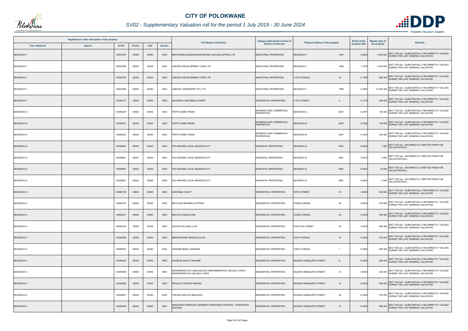

## *SV02 - Supplementary Valuation roll for the period 1 July 2019 - 30 June 2024*

|                       | Registered or other description of the property |          |                |       |                | <b>Full Names of Owner(s)</b>                                                     | Category determined in terms of                     | Physical address of the property | <b>Extent of the</b> | <b>Market value of</b> | <b>Remarks</b>                                                                                   |
|-----------------------|-------------------------------------------------|----------|----------------|-------|----------------|-----------------------------------------------------------------------------------|-----------------------------------------------------|----------------------------------|----------------------|------------------------|--------------------------------------------------------------------------------------------------|
| <b>Town Allotment</b> | <b>Suburb</b>                                   | Erf Nr   | <b>Portion</b> | Unit  | <b>Section</b> |                                                                                   | Section 8 of the Act                                |                                  | property (HA)        | the property           |                                                                                                  |
| SESHEGO-F             |                                                 | 00007947 | 00000          | 00000 | 0000           | BANTOEBELEGGINGSKORPORASIE VAN SUID-AFRIKA LTD                                    | <b>INDUSTRIAL PROPERTIES</b>                        | SESHEGO-F<br>7947                | 2.9693               |                        | 4 500 000 SECT 78(1)(e) - SUBSTANTIALLY INCORRECTLY VALUED<br>DURING THE LAST GENERAL VALUATION  |
| SESHEGO-F             |                                                 | 00007958 | 00000          | 00000 | 0000           | LEBOWA DEVELOPMENT CORP LTD                                                       | INDUSTRIAL PROPERTIES                               | SESHEGO-F<br>7958                | 1.1078               |                        | 4 200 000 SECT 78(1)(e) - SUBSTANTIALLY INCORRECTLY VALUED<br>DURING THE LAST GENERAL VALUATION  |
| SESHEGO-F             |                                                 | 00007979 | 00000          | 00000 | 0000           | LEBOWA DEVELOPMENT CORP LTD                                                       | INDUSTRIAL PROPERTIES                               | 12TH AVENUE<br>19                | 0.1486               |                        | 600 000 SECT 78(1)(e) - SUBSTANTIALLY INCORRECTLY VALUED<br>DURING THE LAST GENERAL VALUATION    |
| SESHEGO-F             |                                                 | 00007984 | 00000          | 00000 | 0000           | LEBOWA TRANSPORT PTY LTD                                                          | INDUSTRIAL PROPERTIES                               | SESHEGO-F<br>7984                | 4.2280               |                        | 10 400 000 SECT 78(1)(e) - SUBSTANTIALLY INCORRECTLY VALUED<br>DURING THE LAST GENERAL VALUATION |
| SESHEGO-F             |                                                 | 00008137 | 00000          | 00000 | 0000           | MOJAPELO MATSIMELA HARRY                                                          | <b>RESIDENTIAL PROPERTIES</b>                       | 119TH STREET<br>$\overline{4}$   | 0.1779               |                        | 400 000 SECT 78(1)(e) - SUBSTANTIALLY INCORRECTLY VALUED<br>DURING THE LAST GENERAL VALUATION    |
| SESHEGO-G             |                                                 | 00008227 | 00002          | 00000 | 0000           | TEFFO SHIBE FRANS                                                                 | <b>BUSINESS AND COMMERCIAL</b><br><b>PROPERTIES</b> | SESHEGO-G<br>8227                | 0.2767               |                        | 140 000 SECT 78(1)(e) - SUBSTANTIALLY INCORRECTLY VALUED<br>DURING THE LAST GENERAL VALUATION    |
| SESHEGO-G             |                                                 | 00008227 | 00003          | 00000 | 0000           | <b>IEFFO SHIBE FRANS</b>                                                          | <b>BUSINESS AND COMMERCIAL</b><br><b>PROPERTIES</b> | SESHEGO-G<br>8227                | 0.2768               |                        | 140 000 SECT 78(1)(e) - SUBSTANTIALLY INCORRECTLY VALUED<br>DURING THE LAST GENERAL VALUATION    |
| SESHEGO-G             |                                                 | 00008227 | 00004          | 00000 | 0000           | TEFFO SHIBE FRANS                                                                 | <b>BUSINESS AND COMMERCIAL</b><br><b>PROPERTIES</b> | SESHEGO-G<br>8227                | 0.4404               |                        | 220 000 SECT 78(1)(e) - SUBSTANTIALLY INCORRECTLY VALUED<br>DURING THE LAST GENERAL VALUATION    |
| SESHEGO-G             |                                                 | 00009061 | 00000          | 00000 | 0000           | POLOKWANE LOCAL MUNICIPALITY                                                      | MUNICIPAL PROPERTIES                                | SESHEGO-G<br>9061                | 0.0000               |                        | 1 000 SECT 78(1)(a) - INCORRECTLY OMITTED FROM THE<br>VALUATION ROLL                             |
| SESHEGO-G             |                                                 | 00009061 | 00001          | 00000 | 0000           | POLOKWANE LOCAL MUNICIPALITY                                                      | MUNICIPAL PROPERTIES                                | SESHEGO-G<br>9061                | 0.0037               |                        | 2 000 SECT 78(1)(a) - INCORRECTLY OMITTED FROM THE<br><b>VALUATION ROLL</b>                      |
| SESHEGO-G             |                                                 | 00009061 | 00002          | 00000 | 0000           | POLOKWANE LOCAL MUNICIPALITY                                                      | MUNICIPAL PROPERTIES                                | SESHEGO-G<br>9061                | 0.0503               |                        | 25 000 SECT 78(1)(a) - INCORRECTLY OMITTED FROM THE<br>VALUATION ROLL                            |
| SESHEGO-G             |                                                 | 00009061 | 00003          | 00000 | 0000           | POLOKWANE LOCAL MUNICIPALITY                                                      | MUNICIPAL PROPERTIES                                | SESHEGO-G<br>9061                | 0.0045               |                        | 2 000 SECT 78(1)(a) - INCORRECTLY OMITTED FROM THE<br>VALUATION ROLL                             |
| SESHEGO-H             |                                                 | 00000136 | 00000          | 00000 | 0000           | LEDWABA VIOLET                                                                    | <b>RESIDENTIAL PROPERTIES</b>                       | 128TH STREET<br>18               | 0.0588               |                        | SECT 78(1)(e) - SUBSTANTIALLY INCORRECTLY VALUED<br>640 000 DURING THE LAST GENERAL VALUATION    |
| SESHEGO-H             |                                                 | 00000470 | 00000          | 00000 | 0000           | MATLOGA MAOMELA PETRUS                                                            | <b>RESIDENTIAL PROPERTIES</b>                       | 122ND AVENUE<br>42               | 0.0450               |                        | 570 000 SECT 78(1)(e) - SUBSTANTIALLY INCORRECTLY VALUED                                         |
| SESHEGO-H             |                                                 | 00000471 | 00000          | 00000 | 0000           | MALATJI KGADI ELSIE                                                               | <b>RESIDENTIAL PROPERTIES</b>                       | 122ND AVENUE<br>44               | 0.0450               |                        | SECT 78(1)(e) - SUBSTANTIALLY INCORRECTLY VALUED<br>590 000 DURING THE LAST GENERAL VALUATION    |
| SESHEGO-H             |                                                 | 00000510 | 00000          | 00000 | 0000           | LEGODI WILLIAM LLUSI                                                              | <b>RESIDENTIAL PROPERTIES</b>                       | <b>THUTLWA STREET</b><br>25      | 0.0450               |                        | 560 000 SECT 78(1)(e) - SUBSTANTIALLY INCORRECTLY VALUED<br>DURING THE LAST GENERAL VALUATION    |
| SESHEGO-H             |                                                 | 00000558 | 00000          | 00000 | 0000           | <b>MAKHAOKHAO MASHILE ELIAS</b>                                                   | <b>RESIDENTIAL PROPERTIES</b>                       | 125TH AVENUE<br>81               | 0.0450               |                        | 570 000 SECT 78(1)(e) - SUBSTANTIALLY INCORRECTLY VALUED                                         |
| SESHEGO-H             |                                                 | 00000607 | 00000          | 00000 | 0000           | SHIRAMI MARIA JOHANNA                                                             | <b>RESIDENTIAL PROPERTIES</b>                       | 138TH AVENUE<br>$\overline{1}$   | 0.0588               |                        | 590 000 SECT 78(1)(e) - SUBSTANTIALLY INCORRECTLY VALUED<br>DURING THE LAST GENERAL VALUATION    |
| SESHEGO-H             |                                                 | 00000634 | 00000          | 00000 | 0000           | KGOBUDI MAVIS TSAKANE                                                             | <b>RESIDENTIAL PROPERTIES</b>                       | NGOAKO RAMALEPE STREET<br>8      | 0.0450               |                        | 560 000 SECT 78(1)(e) - SUBSTANTIALLY INCORRECTLY VALUED                                         |
| SESHEGO-H             |                                                 | 00000636 | 00000          | 00000 | 0000           | MONYEMORATHO JANE MALEHU MONYEMORATHO SELAELO JOHN /<br>MONYEMORATHO SELAELO JOHN | RESIDENTIAL PROPERTIES                              | 12<br>NGOAKO RAMALEPE STREET     | 0.0450               |                        | 530 000 SECT 78(1)(e) - SUBSTANTIALLY INCORRECTLY VALUED<br>DURING THE LAST GENERAL VALUATION    |
| SESHEGO-H             |                                                 | 00000639 | 00000          | 00000 | 0000           | MPHAGO CHOKOE MARCEL                                                              | <b>RESIDENTIAL PROPERTIES</b>                       | NGOAKO RAMALEPE STREET<br>18     | 0.0450               |                        | 450 000 SECT 78(1)(e) - SUBSTANTIALLY INCORRECTLY VALUED<br>DURING THE LAST GENERAL VALUATION    |
| SESHEGO-H             |                                                 | 00000641 | 00000          | 00000 | 0000           | THELEDI RAPULE MESHACK                                                            | <b>RESIDENTIAL PROPERTIES</b>                       | 22<br>NGOAKO RAMALEPE STREET     | 0.0450               |                        | 570 000 SECT 78(1)(e) - SUBSTANTIALLY INCORRECTLY VALUED                                         |
| SESHEGO-H             |                                                 | 00000644 | 00000          | 00000 | 0000           | RANGONGO MARACHA JERMINAH RANGONGO EDWARD / RANGONGO<br>EDWARD                    | RESIDENTIAL PROPERTIES                              | NGOAKO RAMALEPE STREET<br>21     | 0.0450               |                        | 590 000 SECT 78(1)(e) - SUBSTANTIALLY INCORRECTLY VALUED<br>DURING THE LAST GENERAL VALUATION    |

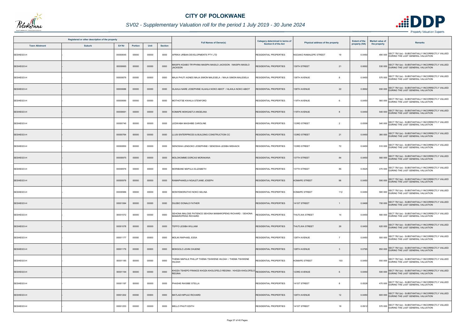

## *SV02 - Supplementary Valuation roll for the period 1 July 2019 - 30 June 2024*

|                       | Registered or other description of the property |          |                |       |                | <b>Full Names of Owner(s)</b>                                                                      | Category determined in terms of<br>Section 8 of the Act | Physical address of the property | <b>Extent of the</b><br>property (HA) | <b>Market value of</b><br>the property | <b>Remarks</b>                                                                                |
|-----------------------|-------------------------------------------------|----------|----------------|-------|----------------|----------------------------------------------------------------------------------------------------|---------------------------------------------------------|----------------------------------|---------------------------------------|----------------------------------------|-----------------------------------------------------------------------------------------------|
| <b>Town Allotment</b> | <b>Suburb</b>                                   | Erf Nr   | <b>Portion</b> | Unit  | <b>Section</b> |                                                                                                    |                                                         |                                  |                                       |                                        |                                                                                               |
| SESHEGO-H             |                                                 | 00000645 | 00000          | 00000 | 0000           | AFRIKA URBAN DEVELOPMENTS PTY LTD                                                                  | RESIDENTIAL PROPERTIES                                  | NGOAKO RAMALEPE STREET<br>19     | 0.0450                                |                                        | SECT 78(1)(e) - SUBSTANTIALLY INCORRECTLY VALUED<br>490 000 DURING THE LAST GENERAL VALUATION |
| SESHEGO-H             |                                                 | 00000665 | 00000          | 00000 | 0000           | IASIPA KGABO TRYPHINA MASIPA MASILO JACKSON / MASIPA MASILO<br><b>ACKSON</b>                       | RESIDENTIAL PROPERTIES                                  | 139TH STREET<br>21               | 0.0692                                |                                        | 530 000 SECT 78(1)(e) - SUBSTANTIALLY INCORRECTLY VALUED<br>DURING THE LAST GENERAL VALUATION |
| SESHEGO-H             |                                                 | 00000679 | 00000          | 00000 | 0000           | MAJA PHUTI AGNES MAJA SIMON MALESELA / MAJA SIMON MALESELA                                         | RESIDENTIAL PROPERTIES                                  | 138TH AVENUE<br>8                | 0.0450                                |                                        | 570 000 SECT 78(1)(e) - SUBSTANTIALLY INCORRECTLY VALUED<br>DURING THE LAST GENERAL VALUATION |
| SESHEGO-H             |                                                 | 00000686 | 00000          | 00000 | 0000           | HLAHLA NARE JOSEPHINE HLAHLA NOKO ABIOT / HLAHLA NOKO ABIOT                                        | RESIDENTIAL PROPERTIES                                  | 22<br>138TH AVENUE               | 0.0692                                |                                        | 650 000 SECT 78(1)(e) - SUBSTANTIALLY INCORRECTLY VALUED<br>DURING THE LAST GENERAL VALUATION |
| SESHEGO-H             |                                                 | 00000690 | 00000          | 00000 | 0000           | MOTHOTSE KWAILA STENFORD                                                                           | RESIDENTIAL PROPERTIES                                  | 119TH AVENUE<br>6                | 0.0450                                |                                        | 560 000 SECT 78(1)(e) - SUBSTANTIALLY INCORRECTLY VALUED<br>DURING THE LAST GENERAL VALUATION |
| SESHEGO-H             |                                                 | 00000691 | 00000          | 00000 | 0000           | KOMAPE MOKGAETJI ANGELINA                                                                          | <b>RESIDENTIAL PROPERTIES</b>                           | 119TH AVENUE                     | 0.0450                                |                                        | 540 000 SECT 78(1)(e) - SUBSTANTIALLY INCORRECTLY VALUED<br>DURING THE LAST GENERAL VALUATION |
| SESHEGO-H             |                                                 | 00000740 | 00000          | 00000 | 0000           | <b>EDWABA MAISHIBE CAROLINE</b>                                                                    | <b>RESIDENTIAL PROPERTIES</b>                           | 133RD STREET<br>$\overline{2}$   | 0.0558                                |                                        | 540 000 SECT 78(1)(e) - SUBSTANTIALLY INCORRECTLY VALUED<br>DURING THE LAST GENERAL VALUATION |
| SESHEGO-H             |                                                 | 00000764 | 00000          | 00000 | 0000           | LUSI ENTERPRICES & BUILDING CONSTRUCTION CC                                                        | <b>RESIDENTIAL PROPERTIES</b>                           | 133RD STREET<br>21               | 0.0450                                |                                        | SECT 78(1)(e) - SUBSTANTIALLY INCORRECTLY VALUED<br>380 000 DURING THE LAST GENERAL VALUATION |
| SESHEGO-H             |                                                 | 00000850 | 00000          | 00000 | 0000           | SENOSHA LENGOKO JOSEPHINE / SENOSHA LESIBA MISHACK                                                 | <b>RESIDENTIAL PROPERTIES</b>                           | 72<br>133RD STREET               | 0.0450                                |                                        | 510 000 SECT 78(1)(e) - SUBSTANTIALLY INCORRECTLY VALUED                                      |
| SESHEGO-H             |                                                 | 00000975 | 00000          | 00000 | 0000           | MOLOKOMME DORCAS MORAKANA                                                                          | <b>RESIDENTIAL PROPERTIES</b>                           | 137TH STREET<br>84               | 0.0450                                |                                        | 560 000 SECT 78(1)(e) - SUBSTANTIALLY INCORRECTLY VALUED<br>DURING THE LAST GENERAL VALUATION |
| SESHEGO-H             |                                                 | 00000976 | 00000          | 00000 | 0000           | MORIBANE MAPULA ELIZABETH                                                                          | RESIDENTIAL PROPERTIES                                  | 137TH STREET<br>86               | 0.0525                                |                                        | 470 000 SECT 78(1)(e) - SUBSTANTIALLY INCORRECTLY VALUED<br>DURING THE LAST GENERAL VALUATION |
| SESHEGO-H             |                                                 | 00000979 | 00000          | 00000 | 0000           | RAMAPHAKELA NGALETJANE JOSEPH                                                                      | <b>RESIDENTIAL PROPERTIES</b>                           | <b>KOMAPE STREET</b><br>96       | 0.0450                                |                                        | 590 000 SECT 78(1)(e) - SUBSTANTIALLY INCORRECTLY VALUED<br>DURING THE LAST GENERAL VALUATION |
| SESHEGO-H             |                                                 | 00000986 | 00000          | 00000 | 0000           | MONYEMORATHO NOKO SELINA                                                                           | <b>RESIDENTIAL PROPERTIES</b>                           | <b>KOMAPE STREET</b><br>112      | 0.0450                                |                                        | 580 000 SECT 78(1)(e) - SUBSTANTIALLY INCORRECTLY VALUED                                      |
| SESHEGO-H             |                                                 | 00001064 | 00000          | 00000 | 0000           | DILEBO DONALD FATHER                                                                               | <b>RESIDENTIAL PROPERTIES</b>                           | 141ST STREET<br>1                | 0.0468                                |                                        | 700 000 SECT 78(1)(e) - SUBSTANTIALLY INCORRECTLY VALUED                                      |
| SESHEGO-H             |                                                 | 00001072 | 00000          | 00000 | 0000           | SEHONA MALOSE PATIENCE SEHONA MAMAROPENG RICHARD / SEHONA<br><b>MAMAROPENG RICHARD</b>             | RESIDENTIAL PROPERTIES                                  | <b>THUTLWA STREET</b><br>14      | 0.0450                                |                                        | SECT 78(1)(e) - SUBSTANTIALLY INCORRECTLY VALUED<br>560 000 DURING THE LAST GENERAL VALUATION |
| SESHEGO-H             |                                                 | 00001078 | 00000          | 00000 | 0000           | <b>TEFFO LESIBA WILLIAM</b>                                                                        | <b>RESIDENTIAL PROPERTIES</b>                           | <b>THUTLWA STREET</b><br>26      | 0.0450                                |                                        | 620 000 SECT 78(1)(e) - SUBSTANTIALLY INCORRECTLY VALUED<br>DURING THE LAST GENERAL VALUATION |
| SESHEGO-H             |                                                 | 00001177 | 00000          | 00000 | 0000           | MOLIKI RAPHAEL ESSA                                                                                | RESIDENTIAL PROPERTIES                                  | 128TH AVENUE<br>$\overline{7}$   | 0.0450                                |                                        | 500 000 SECT 78(1)(e) - SUBSTANTIALLY INCORRECTLY VALUED                                      |
| SESHEGO-H             |                                                 | 00001179 | 00000          | 00000 | 0000           | MOKGOLO JOHN CHUENE                                                                                | <b>RESIDENTIAL PROPERTIES</b>                           | 128TH AVENUE<br>$\overline{3}$   | 0.0765                                |                                        | 850 000 SECT 78(1)(e) - SUBSTANTIALLY INCORRECTLY VALUED<br>DURING THE LAST GENERAL VALUATION |
| SESHEGO-H             |                                                 | 00001185 | 00000          | 00000 | 0000           | HEMA MAPALE PHILLIP THEMA TSHWENE HILDAH / THEMA TSHWENE<br><b>IILDAH</b>                          | RESIDENTIAL PROPERTIES                                  | KOMAPE STREET<br>103             | 0.0450                                |                                        | 550 000 SECT 78(1)(e) - SUBSTANTIALLY INCORRECTLY VALUED<br>DURING THE LAST GENERAL VALUATION |
| SESHEGO-H             |                                                 | 00001194 | 00000          | 00000 | 0000           | HOZA TSHEPO FRANCE KHOZA KHOLOFELO REGINA / KHOZA KHOLOFELO RESIDENTIAL PROPERTIES<br><b>EGINA</b> |                                                         | 123RD AVENUE<br>6                | 0.0450                                |                                        | 500 000 SECT 78(1)(e) - SUBSTANTIALLY INCORRECTLY VALUED<br>DURING THE LAST GENERAL VALUATION |
| SESHEGO-H             |                                                 | 00001197 | 00000          | 00000 | 0000           | PHASHE RAISIBE STELLA                                                                              | <b>RESIDENTIAL PROPERTIES</b>                           | 141ST STREET<br>8                | 0.0528                                |                                        | 470 000 SECT 78(1)(e) - SUBSTANTIALLY INCORRECTLY VALUED<br>DURING THE LAST GENERAL VALUATION |
| SESHEGO-H             |                                                 | 00001202 | 00000          | 00000 | 0000           | MATLADI MPULE RICHARD                                                                              | RESIDENTIAL PROPERTIES                                  | 126TH AVENUE<br>12               | 0.0450                                |                                        | 600 000 SECT 78(1)(e) - SUBSTANTIALLY INCORRECTLY VALUED                                      |
| SESHEGO-H             |                                                 | 00001253 | 00000          | 00000 | 0000           | MELLO PHUTI EDITH                                                                                  | <b>RESIDENTIAL PROPERTIES</b>                           | 141ST STREET<br>18               | 0.0912                                |                                        | SECT 78(1)(e) - SUBSTANTIALLY INCORRECTLY VALUED<br>570 000 DURING THE LAST GENERAL VALUATION |

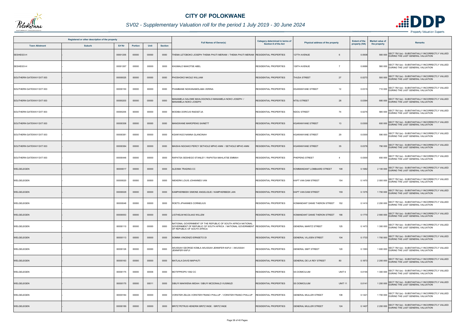

## *SV02 - Supplementary Valuation roll for the period 1 July 2019 - 30 June 2024*

|                          | Registered or other description of the property |               |                |       |                | <b>Full Names of Owner(s)</b>                                                                                                                                                      | Category determined in terms of<br><b>Section 8 of the Act</b> | Physical address of the property          | <b>Extent of the</b> | <b>Market value of</b> | <b>Remarks</b>                                                                                  |
|--------------------------|-------------------------------------------------|---------------|----------------|-------|----------------|------------------------------------------------------------------------------------------------------------------------------------------------------------------------------------|----------------------------------------------------------------|-------------------------------------------|----------------------|------------------------|-------------------------------------------------------------------------------------------------|
| <b>Town Allotment</b>    | <b>Suburb</b>                                   | <b>Erf Nr</b> | <b>Portion</b> | Unit  | <b>Section</b> |                                                                                                                                                                                    |                                                                |                                           | property (HA)        | the property           |                                                                                                 |
| SESHEGO-H                |                                                 | 00001255      | 00000          | 00000 | 0000           | THEMA LETOBOKO JOSEPH THEMA PHUTI MERIAM / THEMA PHUTI MERIAM  RESIDENTIAL PROPERTIES                                                                                              |                                                                | 127TH AVENUE                              | 0.0508               | 560 000                | SECT 78(1)(e) - SUBSTANTIALLY INCORRECTLY VALUED<br>DURING THE LAST GENERAL VALUATION           |
| SESHEGO-H                |                                                 | 00001267      | 00000          | 00000 | 0000           | KHUMALO MAKOTSE ABEL                                                                                                                                                               | RESIDENTIAL PROPERTIES                                         | 126TH AVENUE<br>$\overline{7}$            | 0.0686               |                        | 580 000 SECT 78(1)(e) - SUBSTANTIALLY INCORRECTLY VALUED<br>DURING THE LAST GENERAL VALUATION   |
| SOUTHERN GATEWAY EXT 003 |                                                 | 00000025      | 00000          | 00000 | 0000           | PHOSHOKO NKOLE WILLIAM                                                                                                                                                             | <b>RESIDENTIAL PROPERTIES</b>                                  | 27<br><b>THUDA STREET</b>                 | 0.0273               |                        | 500 000 SECT 78(1)(e) - SUBSTANTIALLY INCORRECTLY VALUED<br>DURING THE LAST GENERAL VALUATION   |
| SOUTHERN GATEWAY EXT 003 |                                                 | 00000150      | 00000          | 00000 | 0000           | PHAMBANE NGWANAMOLABA VERINA                                                                                                                                                       | RESIDENTIAL PROPERTIES                                         | <b>KGARANYANE STREET</b><br>12            | 0.0315               |                        | SECT 78(1)(e) - SUBSTANTIALLY INCORRECTLY VALUED<br>710 000 DURING THE LAST GENERAL VALUATION   |
| SOUTHERN GATEWAY EXT 003 |                                                 | 00000203      | 00000          | 00000 | 0000           | IANAMELA SALOME MAHLOGONOLO MANAMELA NOKO JOSEPH /<br>MANAMELA NOKO JOSEPH                                                                                                         | <b>RESIDENTIAL PROPERTIES</b>                                  | 28<br><b>NTSU STREET</b>                  | 0.0394               |                        | 680 000 SECT 78(1)(e) - SUBSTANTIALLY INCORRECTLY VALUED<br>DURING THE LAST GENERAL VALUATION   |
| SOUTHERN GATEWAY EXT 003 |                                                 | 00000255      | 00000          | 00000 | 0000           | MODIBA DORCUS RAESETJA                                                                                                                                                             | <b>RESIDENTIAL PROPERTIES</b>                                  | <b>NDOU STREET</b><br>74                  | 0.0275               |                        | SECT 78(1)(e) - SUBSTANTIALLY INCORRECTLY VALUED<br>580 000 DURING THE LAST GENERAL VALUATION   |
| SOUTHERN GATEWAY EXT 003 |                                                 | 00000358      | 00000          | 00000 | 0000           | MANGWANE MAROPENG SAINETT                                                                                                                                                          | <b>RESIDENTIAL PROPERTIES</b>                                  | <b>KGARANYANE STREET</b><br>13            | 0.0300               |                        | SECT 78(1)(e) - SUBSTANTIALLY INCORRECTLY VALUED<br>600 000 DURING THE LAST GENERAL VALUATION   |
| SOUTHERN GATEWAY EXT 003 |                                                 | 00000381      | 00000          | 00000 | 0000           | KGANYAGO NANNA GLANCINAH                                                                                                                                                           | <b>RESIDENTIAL PROPERTIES</b>                                  | <b>KGARANYANE STREET</b><br>29            | 0.0300               |                        | 590 000 SECT 78(1)(e) - SUBSTANTIALLY INCORRECTLY VALUED<br>DURING THE LAST GENERAL VALUATION   |
| SOUTHERN GATEWAY EXT 003 |                                                 | 00000384      | 00000          | 00000 | 0000           | MAISHA NGOAKO PERCY SETHOLE MPHO ANNI / SETHOLE MPHO ANNI                                                                                                                          | RESIDENTIAL PROPERTIES                                         | <b>KGARANYANE STREET</b><br>35            | 0.0376               |                        | 790 000 SECT 78(1)(e) - SUBSTANTIALLY INCORRECTLY VALUED<br>DURING THE LAST GENERAL VALUATION   |
| SOUTHERN GATEWAY EXT 003 |                                                 | 00000446      | 00000          | 00000 | 0000           | RAPATSA SESHEGO STANLEY / RAPATSA MAHLATSE EMMAH                                                                                                                                   | <b>RESIDENTIAL PROPERTIES</b>                                  | PHEPENG STREET<br>$\overline{4}$          | 0.0300               |                        | 650 000 SECT 78(1)(e) - SUBSTANTIALLY INCORRECTLY VALUED<br>DURING THE LAST GENERAL VALUATION   |
| WELGELEGEN               |                                                 | 00000017      | 00000          | 00000 | 0000           | ALEXMA TRADING CC                                                                                                                                                                  | <b>RESIDENTIAL PROPERTIES</b>                                  | KOMMANDANT LOMBAARD STREET<br>108         | 0.1682               |                        | 2 100 000 SECT 78(1)(e) - SUBSTANTIALLY INCORRECTLY VALUED<br>DURING THE LAST GENERAL VALUATION |
| WELGELEGEN               |                                                 | 00000020      | 00000          | 00000 | 0000           | NIEKERK LOUIS JOHANNES VAN                                                                                                                                                         | <b>RESIDENTIAL PROPERTIES</b>                                  | KAPT VAN DAM STREET<br>154                | 0.1470               |                        | 2 000 000 SECT 78(1)(e) - SUBSTANTIALLY INCORRECTLY VALUED                                      |
| WELGELEGEN               |                                                 | 00000029      | 00000          | 00000 | 0000           | (AMPHERBEEK SIMONE ANGELIQUE / KAMPHERBEEK JAN                                                                                                                                     | <b>RESIDENTIAL PROPERTIES</b>                                  | <b>KAPT VAN DAM STREET</b><br>159         | 0.1375               |                        | SECT 78(1)(e) - SUBSTANTIALLY INCORRECTLY VALUED<br>1700 000 DURING THE LAST GENERAL VALUATION  |
| WELGELEGEN               |                                                 | 00000048      | 00000          | 00000 | 0000           | ROETS JPHANNES CORNELIUS                                                                                                                                                           | <b>RESIDENTIAL PROPERTIES</b>                                  | KOMANDANT DANIE THERON STREET 152         | 0.141                |                        | 2 200 000 SECT 78(1)(e) - SUBSTANTIALLY INCORRECTLY VALUED                                      |
| WELGELEGEN               |                                                 | 00000053      | 00000          | 00000 | 0000           | LIGTHELM NICOLAAS WILLEM                                                                                                                                                           | <b>RESIDENTIAL PROPERTIES</b>                                  | KOMANDANT DANIE THERON STREET 166         | 0.1770               | 2 900 000              | SECT 78(1)(e) - SUBSTANTIALLY INCORRECTLY VALUED<br>DURING THE LAST GENERAL VALUATION           |
| WELGELEGEN               |                                                 | 00000110      | 00000          | 00000 | 0000           | NATIONAL GOVERNMENT OF THE REPUBLIC OF SOUTH AFRICA NATIONAL<br>GOVERNMENT OF REPUBLIC OF SOUTH AFRICA / NATIONAL GOVERNMENT RESIDENTIAL PROPERTIES<br>OF REPUBLIC OF SOUTH AFRICA |                                                                | 125<br><b>GENERAL MARITZ STREET</b>       | 0.1473               |                        | 1 300 000 SECT 78(1)(e) - SUBSTANTIALLY INCORRECTLY VALUED<br>DURING THE LAST GENERAL VALUATION |
| WELGELEGEN               |                                                 | 00000113      | 00000          | 00000 | 0000           | SOMMA VINCENZO ERNSETO DI                                                                                                                                                          | RESIDENTIAL PROPERTIES                                         | <b>GENERAL VILJOEN STREET</b><br>104      | 0.1733               |                        | SECT 78(1)(e) - SUBSTANTIALLY INCORRECTLY VALUED<br>1700 000 DURING THE LAST GENERAL VALUATION  |
| WELGELEGEN               |                                                 | 00000126      | 00000          | 00000 | 0000           | AKUSSAH GEORGE KOMLA AKUSSAH JENNIFER KAFUI / AKUSSAH<br>JENNIFER KAFUI                                                                                                            | <b>RESIDENTIAL PROPERTIES</b>                                  | <b>GENERAL SMIT STREET</b><br>120         | 0.1393               |                        | 1 600 000 SECT 78(1)(e) - SUBSTANTIALLY INCORRECTLY VALUED                                      |
| WELGELEGEN               |                                                 | 00000163      | 00000          | 00000 | 0000           | MATLALA DAVID MAPHUTI                                                                                                                                                              | RESIDENTIAL PROPERTIES                                         | GENERAL DE LA REY STREET<br>80            | 0.1873               |                        | SECT 78(1)(e) - SUBSTANTIALLY INCORRECTLY VALUED<br>2 200 000 DURING THE LAST GENERAL VALUATION |
| WELGELEGEN               |                                                 | 00000175      | 00000          | 00006 | 0000           | MOTIFPROPS 1092 CC                                                                                                                                                                 | <b>RESIDENTIAL PROPERTIES</b>                                  | UNIT <sub>6</sub><br><b>SS DOMICILIUM</b> | 0.0155               |                        | 1 300 000 SECT 78(1)(e) - SUBSTANTIALLY INCORRECTLY VALUED                                      |
| WELGELEGEN               |                                                 | 00000175      | 00000          | 00011 | 0000           | SIBUYI MAKWENA MIDAH / SIBUYI MCDONALD VUSIMUZI                                                                                                                                    | <b>RESIDENTIAL PROPERTIES</b>                                  | <b>SS DOMICILIUM</b><br><b>UNIT 11</b>    | 0.014                |                        | SECT 78(1)(e) - SUBSTANTIALLY INCORRECTLY VALUED<br>1 200 000 DURING THE LAST GENERAL VALUATION |
| WELGELEGEN               |                                                 | 00000184      | 00000          | 00000 | 0000           | VORSTER ZELDA VORSTER FRANCI PHILLUP / VORSTER FRANCI PHILLUP                                                                                                                      | <b>RESIDENTIAL PROPERTIES</b>                                  | <b>GENERAL MULLER STREET</b><br>108       | 0.1421               |                        | 1 700 000 SECT 78(1)(e) - SUBSTANTIALLY INCORRECTLY VALUED                                      |
| WELGELEGEN               |                                                 | 00000189      | 00000          | 00000 | 0000           | BRITZ PETRUS HENDRIK BRITZ INGE / BRITZ INGE                                                                                                                                       | <b>RESIDENTIAL PROPERTIES</b>                                  | <b>GENERAL MULLER STREET</b><br>124       | 0.1407               |                        | SECT 78(1)(e) - SUBSTANTIALLY INCORRECTLY VALUED<br>2 200 000 DURING THE LAST GENERAL VALUATION |

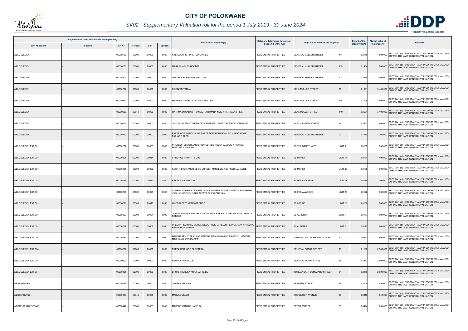

## *SV02 - Supplementary Valuation roll for the period 1 July 2019 - 30 June 2024*

|                           | Registered or other description of the property |          |         |       |                | <b>Full Names of Owner(s)</b>                                                                           | Category determined in terms of<br>Section 8 of the Act |                                              | <b>Extent of the</b><br>property (HA) | <b>Market value of</b><br>the property | <b>Remarks</b>                                                                                  |
|---------------------------|-------------------------------------------------|----------|---------|-------|----------------|---------------------------------------------------------------------------------------------------------|---------------------------------------------------------|----------------------------------------------|---------------------------------------|----------------------------------------|-------------------------------------------------------------------------------------------------|
| <b>Town Allotment</b>     | <b>Suburb</b>                                   | Erf Nr   | Portion | Unit  | <b>Section</b> |                                                                                                         |                                                         | Physical address of the property             |                                       |                                        |                                                                                                 |
| WELGELEGEN                |                                                 | 00000198 | 00000   | 00000 | 0000           | CALITZ CHRISTIPHER JOHANNES                                                                             | <b>RESIDENTIAL PROPERTIES</b>                           | <b>GENERAL MULLER STREET</b><br>111          | 0.2148                                |                                        | SECT 78(1)(e) - SUBSTANTIALLY INCORRECTLY VALUED<br>1800 000 DURING THE LAST GENERAL VALUATION  |
| WELGELEGEN                |                                                 | 00000201 | 00000   | 00000 | 0000           | <b>MARA CHARLES HECTOR</b>                                                                              | <b>RESIDENTIAL PROPERTIES</b>                           | 105<br><b>GENERAL MULLER STREET</b>          | 0.145                                 |                                        | SECT 78(1)(e) - SUBSTANTIALLY INCORRECTLY VALUED<br>1900 000 DURING THE LAST GENERAL VALUATION  |
| WELGELEGEN                |                                                 | 00000203 | 00000   | 00000 | 0000           | EHOHLA HABELANG MELYDAH                                                                                 | <b>RESIDENTIAL PROPERTIES</b>                           | <b>GENERAL BEYERS STREET</b><br>112          | 0.1618                                |                                        | 2 400 000 SECT 78(1)(e) - SUBSTANTIALLY INCORRECTLY VALUED                                      |
| WELGELEGEN                |                                                 | 00000207 | 00000   | 00000 | 0000           | <b>COETZER TANYA</b>                                                                                    | <b>RESIDENTIAL PROPERTIES</b>                           | 95<br><b>GENL MULLER STREET</b>              | 0.1901                                |                                        | SECT 78(1)(e) - SUBSTANTIALLY INCORRECTLY VALUED<br>3 400 000 DURING THE LAST GENERAL VALUATION |
| WELGELEGEN                |                                                 | 00000220 | 00006   | 00000 | 0000           | MERWE ELIZABETH JACOBA VAN DER                                                                          | <b>RESIDENTIAL PROPERTIES</b>                           | <b>GENL MULLER STREET</b><br>115             | 0.1405                                |                                        | 2 500 000 SECT 78(1)(e) - SUBSTANTIALLY INCORRECTLY VALUED                                      |
| WELGELEGEN                |                                                 | 00000220 | 00011   | 00000 | 0000           | RATHMANN CARYN FRANCIS RATHMANN NEIL / RATHMANN NEIL                                                    | <b>RESIDENTIAL PROPERTIES</b>                           | <b>GENL MULLER STREET</b><br>119             | 0.2591                                |                                        | 3 400 000 SECT 78(1)(e) - SUBSTANTIALLY INCORRECTLY VALUED<br>DURING THE LAST GENERAL VALUATION |
| WELGELEGEN                |                                                 | 00000221 | 00001   | 00000 | 0000           | SMIT OLGA SMIT DIEDERICK JOHANNES / SMIT DIEDERICK JOHANNES                                             | RESIDENTIAL PROPERTIES                                  | KAPT VAN DAM STREET<br>161                   | 0.1662                                |                                        | 1 800 000 SECT 78(1)(e) - SUBSTANTIALLY INCORRECTLY VALUED                                      |
| WELGELEGEN                |                                                 | 00000222 | 00000   | 00000 | 0000           | PARTRIDGE WENDY JUNE PARTRIDGE RICHARD ALEC / PARTRIDGE<br><b>RICHARD ALEC</b>                          | RESIDENTIAL PROPERTIES                                  | 97<br><b>GENERAL MULLER STREET</b>           | 0.161                                 |                                        | SECT 78(1)(e) - SUBSTANTIALLY INCORRECTLY VALUED<br>1700 000 DURING THE LAST GENERAL VALUATION  |
| WELGELEGEN EXT 001        |                                                 | 00000287 | 00000   | 00008 | 0000           | PHATEDI TEBOGO AMOS PHATEDI MABITSELA SALOME / PHATEDI<br>MABITSELA SALOME                              | <b>RESIDENTIAL PROPERTIES</b>                           | <b>SS THE SANCTUARY</b><br>UNIT 8            | 0.0139                                |                                        | 1 300 000 SECT 78(1)(e) - SUBSTANTIALLY INCORRECTLY VALUED                                      |
| WELGELEGEN EXT 001        |                                                 | 00000291 | 00000   | 00014 | 0000           | CHRONOS PROP PTY LTD                                                                                    | <b>RESIDENTIAL PROPERTIES</b>                           | <b>SS MONET</b><br><b>UNIT 14</b>            | 0.0134                                |                                        | 1 100 000 SECT 78(1)(e) - SUBSTANTIALLY INCORRECTLY VALUED<br>DURING THE LAST GENERAL VALUATION |
| WELGELEGEN EXT 001        |                                                 | 00000291 | 00000   | 00022 | 0000           | KOCK PIETER ANDRIES DE BURGER MARELIZE / BURGER MARELIZE                                                | <b>RESIDENTIAL PROPERTIES</b>                           | <b>SS MONET</b><br><b>UNIT 22</b>            | 0.0138                                |                                        | 1 000 000 SECT 78(1)(e) - SUBSTANTIALLY INCORRECTLY VALUED                                      |
| <b>WELGELEGEN EXT 001</b> |                                                 | 00000296 | 00000   | 00017 | 0000           | <b>KEKANA MALUSI ISAAC</b>                                                                              | <b>RESIDENTIAL PROPERTIES</b>                           | <b>SS IRIS-AMADEUS</b><br>UNIT <sub>17</sub> | 0.0139                                |                                        | 1 000 000 SECT 78(1)(e) - SUBSTANTIALLY INCORRECTLY VALUED<br>DURING THE LAST GENERAL VALUATION |
| WELGELEGEN EXT 001        |                                                 | 00000296 | 00000   | 00023 | 0000           | VUUREN ANDRIES DE PREEZE VAN VUUREN SUSARA ALETTA ELIZABETH<br>VAN / VUUREN SUSARA ALETTA ELIZABETH VAN | <b>RESIDENTIAL PROPERTIES</b>                           | <b>SS IRIS-AMADEUS</b><br><b>UNIT 23</b>     | 0.0122                                |                                        | 930 000 SECT 78(1)(e) - SUBSTANTIALLY INCORRECTLY VALUED<br>DURING THE LAST GENERAL VALUATION   |
| <b>WELGELEGEN EXT 001</b> |                                                 | 00000296 | 00001   | 00016 | 0000           | LIVERSAGE THOMAS GEORGE                                                                                 | <b>RESIDENTIAL PROPERTIES</b>                           | <b>SS LOERIE</b><br><b>UNIT 16</b>           | 0.0106                                |                                        | 1 000 000 SECT 78(1)(e) - SUBSTANTIALLY INCORRECTLY VALUED                                      |
| WELGELEGEN EXT 001        |                                                 | 00000297 | 00000   | 00001 | 0000           | JARDIM SUSANA JARDIM JOSE VISENTE REBELO / JARDIM JOSE VISENTE<br>REBELO                                | RESIDENTIAL PROPERTIES                                  | UNIT <sub>1</sub><br><b>SS ALPETRA</b>       | 0.017                                 |                                        | SECT 78(1)(e) - SUBSTANTIALLY INCORRECTLY VALUED<br>1 600 000 DURING THE LAST GENERAL VALUATION |
| WELGELEGEN EXT 001        |                                                 | 00000297 | 00000   | 00002 | 0000           | PHEEHA REGINALD MOHLATLEGO PHEEHA HELEN HLANGANANI / PHEEHA<br><b>HELEN HLANGANANI</b>                  | <b>RESIDENTIAL PROPERTIES</b>                           | <b>SS ALPETRA</b><br>UNIT <sub>2</sub>       | 0.017                                 |                                        | 1 600 000 SECT 78(1)(e) - SUBSTANTIALLY INCORRECTLY VALUED<br>DURING THE LAST GENERAL VALUATION |
| WELGELEGEN EXT 004        |                                                 | 00000237 | 00000   | 00000 | 0000           | MAKENA MOLETSE KLAAS MAKENA MASHIANOKE ELIZABETH / MAKENA<br><b>MASHIANOKE ELIZABETH</b>                | RESIDENTIAL PROPERTIES                                  | 107<br>KOMMANDANT LOMBAARD STREET            | 0.0991                                |                                        | 1 600 000 SECT 78(1)(e) - SUBSTANTIALLY INCORRECTLY VALUED<br>DURING THE LAST GENERAL VALUATION |
| <b>WELGELEGEN EXT 004</b> |                                                 | 00000282 | 00000   | 00000 | 0000           | PREEZ GERHARD CLOETE DU                                                                                 | <b>RESIDENTIAL PROPERTIES</b>                           | <b>GENERAL BOTHA STREET</b><br>13            | 0.1108                                |                                        | 2 900 000 SECT 78(1)(e) - SUBSTANTIALLY INCORRECTLY VALUED                                      |
| <b>WELGELEGEN EXT 004</b> |                                                 | 00000300 | 00000   | 00000 | 0000           | NEUHOFF DANELLE                                                                                         | <b>RESIDENTIAL PROPERTIES</b>                           | 36<br><b>GENERAL BOTHA STREET</b>            | 0.1943                                |                                        | 2 900 000 SECT 78(1)(e) - SUBSTANTIALLY INCORRECTLY VALUED                                      |
| <b>WELGELEGEN EXT 004</b> |                                                 | 00000301 | 00000   | 00000 | 0000           | BRUIN THERESA ANNA-MARIE DE                                                                             | <b>RESIDENTIAL PROPERTIES</b>                           | KOMMANDANT LOMBAARD STREET<br>81             | 0.2070                                |                                        | 2 600 000 SECT 78(1)(e) - SUBSTANTIALLY INCORRECTLY VALUED                                      |
| <b>WESTENBURG</b>         |                                                 | 00000289 | 00000   | 00000 | 0000           | SHARPE THOMAS                                                                                           | <b>RESIDENTIAL PROPERTIES</b>                           | <b>KENNEDY STREET</b><br>38                  | 0.1009                                |                                        | 950 000 SECT 78(1)(e) - SUBSTANTIALLY INCORRECTLY VALUED                                        |
| WESTENBURG                |                                                 | 00000380 | 00048   | 00000 | 0000           | <b>MABULE SELLO</b>                                                                                     | <b>RESIDENTIAL PROPERTIES</b>                           | STERKLOOP AVENUE<br>19                       | 0.031                                 |                                        | 540 000 SECT 78(1)(e) - SUBSTANTIALLY INCORRECTLY VALUED                                        |
| <b>WESTENBURG EXT 002</b> |                                                 | 00000441 | 00000   | 00000 | 0000           | MASEBE MARABE KABELO                                                                                    | RESIDENTIAL PROPERTIES                                  | PETER STREET<br>69                           | 0.0424                                |                                        | 750 000 SECT 78(1)(e) - SUBSTANTIALLY INCORRECTLY VALUED<br>DURING THE LAST GENERAL VALUATION   |